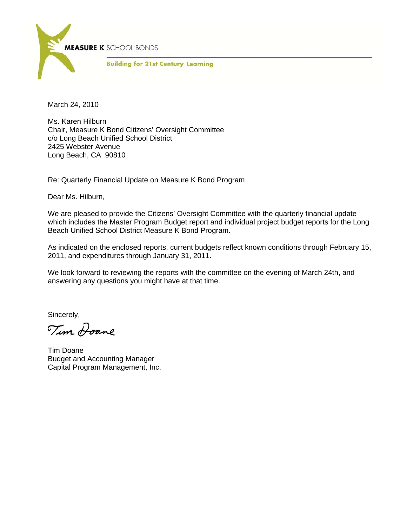

March 24, 2010

Ms. Karen Hilburn Chair, Measure K Bond Citizens' Oversight Committee c/o Long Beach Unified School District 2425 Webster Avenue Long Beach, CA 90810

Re: Quarterly Financial Update on Measure K Bond Program

Dear Ms. Hilburn,

We are pleased to provide the Citizens' Oversight Committee with the quarterly financial update which includes the Master Program Budget report and individual project budget reports for the Long Beach Unified School District Measure K Bond Program.

As indicated on the enclosed reports, current budgets reflect known conditions through February 15, 2011, and expenditures through January 31, 2011.

We look forward to reviewing the reports with the committee on the evening of March 24th, and answering any questions you might have at that time.

Sincerely,

Tim <del>Doan</del>e

Tim Doane Budget and Accounting Manager Capital Program Management, Inc.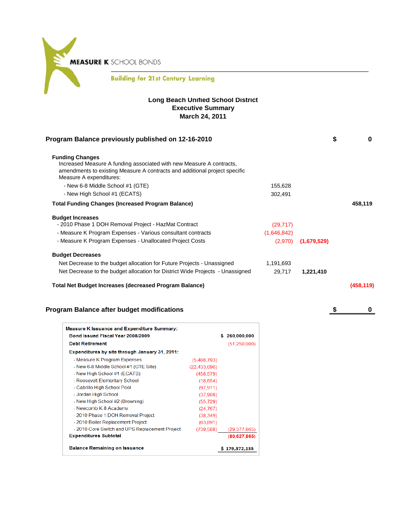**MEASURE K** SCHOOL BONDS

### **Building for 21st Century Learning**

#### **Long Beach Unified School District Executive Summary March 24, 2011**

| Program Balance previously published on 12-16-2010                                                                                                                                                      |             | \$          | 0         |
|---------------------------------------------------------------------------------------------------------------------------------------------------------------------------------------------------------|-------------|-------------|-----------|
| <b>Funding Changes</b><br>Increased Measure A funding associated with new Measure A contracts,<br>amendments to existing Measure A contracts and additional project specific<br>Measure A expenditures: |             |             |           |
| - New 6-8 Middle School #1 (GTE)                                                                                                                                                                        | 155,628     |             |           |
| - New High School #1 (ECATS)                                                                                                                                                                            | 302,491     |             |           |
| <b>Total Funding Changes (Increased Program Balance)</b>                                                                                                                                                |             |             | 458,119   |
| <b>Budget Increases</b>                                                                                                                                                                                 |             |             |           |
| - 2010 Phase 1 DOH Removal Project - HazMat Contract                                                                                                                                                    | (29, 717)   |             |           |
| - Measure K Program Expenses - Various consultant contracts                                                                                                                                             | (1,646,842) |             |           |
| - Measure K Program Expenses - Unallocated Project Costs                                                                                                                                                | (2,970)     | (1,679,529) |           |
| <b>Budget Decreases</b>                                                                                                                                                                                 |             |             |           |
| Net Decrease to the budget allocation for Future Projects - Unassigned                                                                                                                                  | 1,191,693   |             |           |
| Net Decrease to the budget allocation for District Wide Projects - Unassigned                                                                                                                           | 29,717      | 1,221,410   |           |
| <b>Total Net Budget Increases (decreased Program Balance)</b>                                                                                                                                           |             |             | (458,119) |

### **Program Balance after budget modifications by a strategies of the strategies of the strategies of the strategies of the strategies of the strategies of the strategies of the strategies of the strategies of the strategie**

| <b>Measure K Issuance and Expenditure Summary:</b> |                |               |
|----------------------------------------------------|----------------|---------------|
| Bond Issued Fiscal Year 2008/2009                  |                | \$260,000,000 |
| <b>Debt Retirement</b>                             |                | (51,250,000)  |
| Expenditures by site through January 31, 2011:     |                |               |
| - Measure K Program Expenses                       | (5,408,793)    |               |
| - New 6-8 Middle School #1 (GTE Site)              | (22, 433, 696) |               |
| - New High School #1 (ECATS)                       | (458, 579)     |               |
| - Roosevelt Elementary School                      | (18,654)       |               |
| - Cabrillo High School Pool                        | (97.911)       |               |
| - Jordan High School                               | (37,908)       |               |
| - New High School #2 (Browning)                    | (55, 729)      |               |
| - Newcomb K-8 Academy                              | (24, 767)      |               |
| - 2010 Phase 1 DOH Removal Project                 | (38.349)       |               |
| - 2010 Boiler Replacement Project                  | (63, 891)      |               |
| - 2010 Core Switch and UPS Replacement Project     | (739,588)      | (29.377.865)  |
| <b>Expenditures Subtotal</b>                       |                | (80,627,865)  |
| <b>Balance Remaining on Issuance</b>               |                | \$179,372,135 |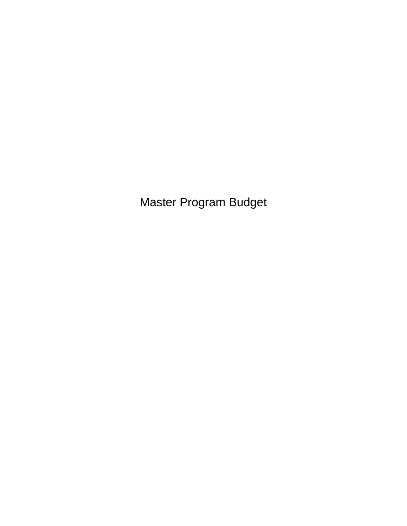Master Program Budget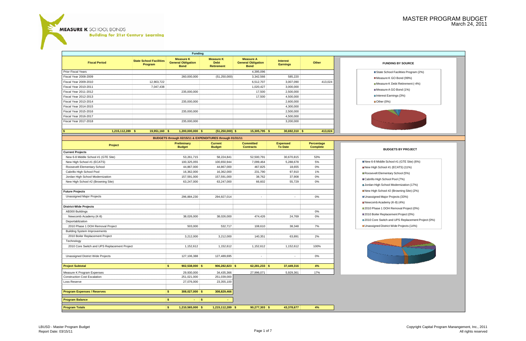**MEASURE K** SCHOOL BONDS

≍

**Building for 21st Century Learning** 

# MASTER PROGRAM BUDGET March 24, 2011

| <b>Funding</b>                               |                                           |                                                              |                                                          |                                                              |                                    |                                      |                      |  |  |
|----------------------------------------------|-------------------------------------------|--------------------------------------------------------------|----------------------------------------------------------|--------------------------------------------------------------|------------------------------------|--------------------------------------|----------------------|--|--|
| <b>Fiscal Period</b>                         | <b>State School Facilities</b><br>Program | <b>Measure K</b><br><b>General Obligation</b><br><b>Bond</b> | <b>Measure K</b><br><b>Debt</b><br><b>Retirement</b>     | <b>Measure A</b><br><b>General Obligation</b><br><b>Bond</b> | <b>Interest</b><br><b>Earnings</b> | Other                                | <b>FUND</b>          |  |  |
| <b>Prior Fiscal Years</b>                    |                                           |                                                              |                                                          | 4,395,096                                                    |                                    |                                      | State Scho           |  |  |
| <b>Fiscal Year 2008-2009</b>                 |                                           | 260,000,000                                                  | (51, 250, 000)                                           | 3,342,566                                                    | 585,220                            |                                      | ■ Measure K          |  |  |
| Fiscal Year 2009-2010                        | 12,903,722                                |                                                              |                                                          | 6,512,707                                                    | 3,007,090                          | 413,024                              | ■ Measure K          |  |  |
| Fiscal Year 2010-2011                        | 7,047,438                                 |                                                              |                                                          | 1,020,427                                                    | 3,000,000                          |                                      |                      |  |  |
| Fiscal Year 2011-2012                        |                                           | 235,000,000                                                  |                                                          | 17,500                                                       | 2,500,000                          |                                      | ■ Measure A          |  |  |
| Fiscal Year 2012-2013                        |                                           |                                                              |                                                          | 17,500                                                       | 4,500,000                          |                                      | ■Interest Ear        |  |  |
| Fiscal Year 2013-2014                        |                                           | 235,000,000                                                  |                                                          |                                                              | 2,600,000                          |                                      | ■ Other (0%)         |  |  |
| Fiscal Year 2014-2015                        |                                           |                                                              |                                                          |                                                              | 4,300,000                          |                                      |                      |  |  |
| Fiscal Year 2015-2016                        |                                           | 235,000,000                                                  |                                                          |                                                              | 2,500,000                          |                                      |                      |  |  |
| <b>Fiscal Year 2016-2017</b>                 |                                           |                                                              |                                                          |                                                              | 4,500,000                          |                                      |                      |  |  |
| Fiscal Year 2017-2018                        |                                           | 235,000,000                                                  |                                                          |                                                              | 3,200,000                          |                                      |                      |  |  |
| $1,215,112,289$ \$<br>S                      | $19,951,160$ \$                           | $1,200,000,000$ \$                                           | $(51, 250, 000)$ \$                                      | $15,305,795$ \$                                              | $30,692,310$ \$                    | 413,024                              |                      |  |  |
|                                              |                                           |                                                              | BUDGETS through 02/15/11 & EXPENDITURES through 01/31/11 |                                                              |                                    |                                      |                      |  |  |
| Project                                      |                                           | <b>Preliminary</b><br><b>Budget</b>                          | <b>Current</b><br><b>Budget</b>                          | <b>Committed</b><br><b>Contracts</b>                         | <b>Expensed</b><br><b>To Date</b>  | <b>Percentage</b><br><b>Complete</b> | <b>BUDC</b>          |  |  |
| <b>Current Projects</b>                      |                                           |                                                              |                                                          |                                                              |                                    |                                      |                      |  |  |
| New 6-8 Middle School #1 (GTE Site)          |                                           | 53,261,715                                                   | 58,224,841                                               | 52,500,791                                                   | 30,670,815                         | 53%                                  |                      |  |  |
| New High School #1 (ECATS)                   |                                           | 100,325,055                                                  | 100,650,944                                              | 7,099,464                                                    | 5,288,678                          | 5%                                   | New 6-8 Middle Sch   |  |  |
| Roosevelt Elementary School                  |                                           | 44,867,000                                                   | 44,867,000                                               | 467,825                                                      | 18,655                             | 0%                                   | New High School #1   |  |  |
| Cabrillo High School Pool                    |                                           | 16,362,000                                                   | 16,362,000                                               | 231,790                                                      | 97,910                             | $1\%$                                | Roosevelt Elementa   |  |  |
| Jordan High School Modernization             |                                           | 157,591,000                                                  | 157,591,000                                              | 38,762                                                       | 37,908                             | 0%                                   | Cabrillo High School |  |  |
| New High School #2 (Browning Site)           |                                           | 63,247,000                                                   | 63,247,000                                               | 66,602                                                       | 55,729                             | 0%                                   | Jordan High School   |  |  |
|                                              |                                           |                                                              |                                                          |                                                              |                                    |                                      |                      |  |  |
| <b>Future Projects</b>                       |                                           |                                                              |                                                          |                                                              |                                    |                                      | New High School #2   |  |  |
| Unassigned Major Projects                    |                                           | 296,884,230                                                  | 294,927,014                                              | $\overline{\phantom{a}}$                                     | ÷.                                 | 0%                                   | Unassigned Major P   |  |  |
| <b>District-Wide Projects</b>                |                                           |                                                              |                                                          |                                                              |                                    |                                      | ■ Newcomb Academy    |  |  |
| AB300 Buildings                              |                                           |                                                              |                                                          |                                                              |                                    | 0%                                   | 2010 Phase 1 DOH     |  |  |
| Newcomb Academy (K-8)                        |                                           | 38,026,000                                                   | 38,026,000                                               | 474,426                                                      | 24,769                             | 0%                                   | 2010 Boiler Replace  |  |  |
| Deportablization                             |                                           |                                                              |                                                          |                                                              |                                    |                                      | 2010 Core Switch ar  |  |  |
| 2010 Phase 1 DOH Removal Project             |                                           | 503,000                                                      | 532,717                                                  | 108,610                                                      | 38,348                             | 7%                                   | Unassigned District  |  |  |
| <b>Building System Improvements</b>          |                                           |                                                              |                                                          |                                                              |                                    |                                      |                      |  |  |
| 2010 Boiler Replacement Project              |                                           | 3,212,000                                                    | 3,212,000                                                | 140,351                                                      | 63,891                             | 2%                                   |                      |  |  |
| Technology                                   |                                           |                                                              |                                                          |                                                              |                                    |                                      |                      |  |  |
| 2010 Core Switch and UPS Replacement Project |                                           | 1,152,612                                                    | 1,152,612                                                | 1,152,612                                                    | 1,152,612                          | 100%                                 |                      |  |  |
| <b>Unassigned District Wide Projects</b>     |                                           | 127,106,388                                                  | 127,489,695                                              | $\sim$                                                       | $\sim$                             | $0\%$                                |                      |  |  |
| <b>Project Subtotal</b>                      |                                           | \$<br>$902,538,000$ \$                                       | $906,282,823$ \$                                         | $62,281,233$ \$                                              | 37,449,316                         | 4%                                   |                      |  |  |
| Measure K Program Expenses                   |                                           | 29,930,000                                                   | 34,435,366                                               | 27,996,071                                                   | 5,929,361                          | 17%                                  |                      |  |  |
| <b>Construction Cost Escalation</b>          |                                           | 251,021,000                                                  | 251,039,000                                              |                                                              |                                    |                                      |                      |  |  |
| Loss Reserve                                 |                                           | 27,076,000                                                   | 23,355,100                                               |                                                              |                                    |                                      |                      |  |  |
| <b>Program Expenses / Reserves</b>           |                                           | \$<br>$308,027,000$ \$                                       | 308,829,466                                              |                                                              |                                    |                                      |                      |  |  |
| <b>Program Balance</b>                       |                                           | \$<br>$ \sqrt{5}$                                            |                                                          |                                                              |                                    |                                      |                      |  |  |
| <b>Program Totals</b>                        |                                           | $\frac{2}{3}$<br>$1,210,565,000$ \$                          | $1,215,112,289$ \$                                       | $90,277,303$ \$                                              | 43,378,677                         | 4%                                   |                      |  |  |
|                                              |                                           |                                                              |                                                          |                                                              |                                    |                                      |                      |  |  |

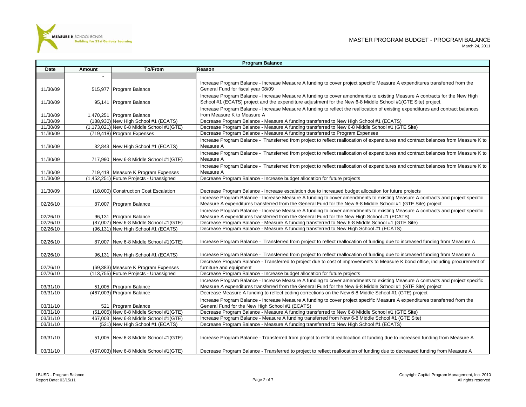

|          |               |                                                               | Program Balance                                                                                                                     |
|----------|---------------|---------------------------------------------------------------|-------------------------------------------------------------------------------------------------------------------------------------|
| Date     | <b>Amount</b> | <b>To/From</b>                                                | Reason                                                                                                                              |
|          | $\sim$        |                                                               |                                                                                                                                     |
|          |               |                                                               | Increase Program Balance - Increase Measure A funding to cover project specific Measure A expenditures transferred from the         |
| 11/30/09 |               | 515,977 Program Balance                                       | General Fund for fiscal year 08/09                                                                                                  |
|          |               |                                                               | Increase Program Balance - Increase Measure A funding to cover amendments to existing Measure A contracts for the New High          |
| 11/30/09 |               | 95,141 Program Balance                                        | School #1 (ECATS) project and the expenditure adjustment for the New 6-8 Middle School #1(GTE Site) project.                        |
|          |               |                                                               | Increase Program Balance - Increase Measure A funding to reflect the reallocation of existing expenditures and contract balances    |
| 11/30/09 |               | 1,470,251 Program Balance                                     | from Measure K to Measure A                                                                                                         |
| 11/30/09 |               | (188,930) New High School #1 (ECATS)                          | Decrease Program Balance - Measure A funding transferred to New High School #1 (ECATS)                                              |
| 11/30/09 |               | (1,173,021) New 6-8 Middle School #1(GTE)                     | Decrease Program Balance - Measure A funding transferred to New 6-8 Middle School #1 (GTE Site)                                     |
| 11/30/09 |               | (719,418) Program Expenses                                    | Decrease Program Balance - Measure A funding transferred to Program Expenses                                                        |
|          |               |                                                               | Increase Program Balance - Transferred from project to reflect reallocation of expenditures and contract balances from Measure K to |
| 11/30/09 |               | 32,843 New High School #1 (ECATS)                             | Measure A                                                                                                                           |
|          |               |                                                               | Increase Program Balance - Transferred from project to reflect reallocation of expenditures and contract balances from Measure K to |
| 11/30/09 |               | 717,990 New 6-8 Middle School #1(GTE)                         | Measure A                                                                                                                           |
|          |               |                                                               | Increase Program Balance - Transferred from project to reflect reallocation of expenditures and contract balances from Measure K to |
| 11/30/09 |               | 719,418 Measure K Program Expenses                            | Measure A                                                                                                                           |
| 11/30/09 |               | (1,452,251) Future Projects - Unassigned                      | Decrease Program Balance - Increase budget allocation for future projects                                                           |
|          |               |                                                               |                                                                                                                                     |
| 11/30/09 |               | (18,000) Construction Cost Escalation                         | Decrease Program Balance - Increase escalation due to increased budget allocation for future projects                               |
|          |               |                                                               | Increase Program Balance - Increase Measure A funding to cover amendments to existing Measure A contracts and project specific      |
| 02/26/10 |               | 87,007 Program Balance                                        | Measure A expenditures transferred from the General Fund for the New 6-8 Middle School #1 (GTE Site) project                        |
|          |               |                                                               | Increase Program Balance - Increase Measure A funding to cover amendments to existing Measure A contracts and project specific      |
| 02/26/10 |               | 96,131 Program Balance                                        | Measure A expenditures transferred from the General Fund for the New High School #1 (ECATS)                                         |
| 02/26/10 |               | (87,007) New 6-8 Middle School #1(GTE)                        | Decrease Program Balance - Measure A funding transferred to New 6-8 Middle School #1 (GTE Site)                                     |
| 02/26/10 |               | (96,131) New High School #1 (ECATS)                           | Decrease Program Balance - Measure A funding transferred to New High School #1 (ECATS)                                              |
|          |               |                                                               |                                                                                                                                     |
| 02/26/10 |               | 87,007 New 6-8 Middle School #1(GTE)                          | Increase Program Balance - Transferred from project to reflect reallocation of funding due to increased funding from Measure A      |
|          |               |                                                               |                                                                                                                                     |
| 02/26/10 |               | 96,131 New High School #1 (ECATS)                             | Increase Program Balance - Transferred from project to reflect reallocation of funding due to increased funding from Measure A      |
|          |               |                                                               | Decrease Program Balance - Transferred to project due to cost of improvements to Measure K bond office, including procurement of    |
| 02/26/10 |               | (69,383) Measure K Program Expenses                           | furniture and equipment                                                                                                             |
| 02/26/10 |               | (113,755) Future Projects - Unassigned                        | Decrease Program Balance - Increase budget allocation for future projects                                                           |
|          |               |                                                               | Increase Program Balance - Increase Measure A funding to cover amendments to existing Measure A contracts and project specific      |
| 03/31/10 |               | 51,005 Program Balance                                        | Measure A expenditures transferred from the General Fund for the New 6-8 Middle School #1 (GTE Site) project                        |
| 03/31/10 |               | (467,003) Program Balance                                     | Decrease Measure A funding to reflect coding corrections on the New 6-8 Middle School #1 (GTE) project                              |
|          |               |                                                               | Increase Program Balance - Increase Measure A funding to cover project specific Measure A expenditures transferred from the         |
| 03/31/10 |               |                                                               | General Fund for the New High School #1 (ECATS)                                                                                     |
| 03/31/10 |               | 521 Program Balance<br>(51,005) New 6-8 Middle School #1(GTE) | Decrease Program Balance - Measure A funding transferred to New 6-8 Middle School #1 (GTE Site)                                     |
| 03/31/10 |               | 467.003 New 6-8 Middle School #1(GTE)                         | Increase Program Balance - Measure A funding transferred from New 6-8 Middle School #1 (GTE Site)                                   |
| 03/31/10 |               | (521) New High School #1 (ECATS)                              | Decrease Program Balance - Measure A funding transferred to New High School #1 (ECATS)                                              |
|          |               |                                                               |                                                                                                                                     |
|          |               |                                                               |                                                                                                                                     |
| 03/31/10 |               | 51,005 New 6-8 Middle School #1(GTE)                          | Increase Program Balance - Transferred from project to reflect reallocation of funding due to increased funding from Measure A      |
|          |               |                                                               |                                                                                                                                     |
| 03/31/10 |               | (467,003) New 6-8 Middle School #1(GTE)                       | Decrease Program Balance - Transferred to project to reflect reallocation of funding due to decreased funding from Measure A        |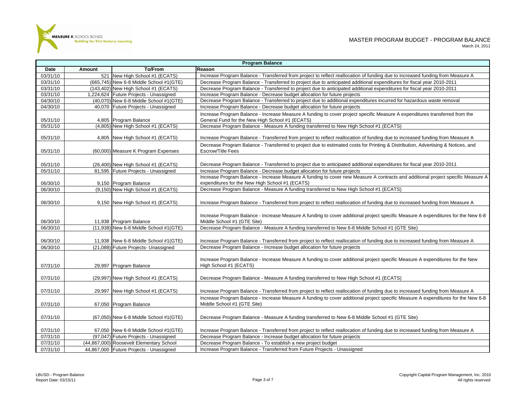

|          | <b>Program Balance</b> |                                          |                                                                                                                                                                                     |  |  |  |  |
|----------|------------------------|------------------------------------------|-------------------------------------------------------------------------------------------------------------------------------------------------------------------------------------|--|--|--|--|
| Date     | Amount                 | <b>To/From</b>                           | Reason                                                                                                                                                                              |  |  |  |  |
| 03/31/10 |                        | 521 New High School #1 (ECATS)           | Increase Program Balance - Transferred from project to reflect reallocation of funding due to increased funding from Measure A                                                      |  |  |  |  |
| 03/31/10 |                        | (665,745) New 6-8 Middle School #1(GTE)  | Decrease Program Balance - Transferred to project due to anticipated additional expenditures for fiscal year 2010-2011                                                              |  |  |  |  |
| 03/31/10 |                        | $(143, 402)$ New High School #1 (ECATS)  | Decrease Program Balance - Transferred to project due to anticipated additional expenditures for fiscal year 2010-2011                                                              |  |  |  |  |
| 03/31/10 |                        | 1,224,624 Future Projects - Unassigned   | Increase Program Balance - Decrease budget allocation for future projects                                                                                                           |  |  |  |  |
| 04/30/10 |                        | (40,070) New 6-8 Middle School #1(GTE)   | Decrease Program Balance - Transferred to project due to additional expenditures incurred for hazardous waste removal                                                               |  |  |  |  |
| 04/30/10 |                        | 40,070 Future Projects - Unassigned      | Increase Program Balance - Decrease budget allocation for future projects                                                                                                           |  |  |  |  |
| 05/31/10 |                        | 4,805 Program Balance                    | Increase Program Balance - Increase Measure A funding to cover project specific Measure A expenditures transferred from the<br>General Fund for the New High School #1 (ECATS)      |  |  |  |  |
| 05/31/10 |                        | (4,805) New High School #1 (ECATS)       | Decrease Program Balance - Measure A funding transferred to New High School #1 (ECATS)                                                                                              |  |  |  |  |
| 05/31/10 |                        | 4,805 New High School #1 (ECATS)         | Increase Program Balance - Transferred from project to reflect reallocation of funding due to increased funding from Measure A                                                      |  |  |  |  |
| 05/31/10 |                        | (60,000) Measure K Program Expenses      | Decrease Program Balance - Transferred to project due to estimated costs for Printing & Distribution, Advertising & Notices, and<br><b>Escrow/Title Fees</b>                        |  |  |  |  |
| 05/31/10 |                        | (26,400) New High School #1 (ECATS)      | Decrease Program Balance - Transferred to project due to anticipated additional expenditures for fiscal year 2010-2011                                                              |  |  |  |  |
| 05/31/10 |                        | 81,595 Future Projects - Unassigned      | Increase Program Balance - Decrease budget allocation for future projects                                                                                                           |  |  |  |  |
| 06/30/10 |                        | 9,150 Program Balance                    | Increase Program Balance - Increase Measure A funding to cover new Measure A contracts and additional project specific Measure A<br>expenditures for the New High School #1 (ECATS) |  |  |  |  |
| 06/30/10 |                        | (9,150) New High School #1 (ECATS)       | Decrease Program Balance - Measure A funding transferred to New High School #1 (ECATS)                                                                                              |  |  |  |  |
| 06/30/10 |                        | 9,150 New High School #1 (ECATS)         | Increase Program Balance - Transferred from project to reflect reallocation of funding due to increased funding from Measure A                                                      |  |  |  |  |
| 06/30/10 |                        | 11,938 Program Balance                   | Increase Program Balance - Increase Measure A funding to cover additional project specific Measure A expenditures for the New 6-8<br>Middle School #1 (GTE Site)                    |  |  |  |  |
| 06/30/10 |                        | (11,938) New 6-8 Middle School #1(GTE)   | Decrease Program Balance - Measure A funding transferred to New 6-8 Middle School #1 (GTE Site)                                                                                     |  |  |  |  |
|          |                        |                                          |                                                                                                                                                                                     |  |  |  |  |
| 06/30/10 |                        | 11,938 New 6-8 Middle School #1(GTE)     | Increase Program Balance - Transferred from project to reflect reallocation of funding due to increased funding from Measure A                                                      |  |  |  |  |
| 06/30/10 |                        | (21,088) Future Projects- Unassigned     | Decrease Program Balance - Increase budget allocation for future projects                                                                                                           |  |  |  |  |
| 07/31/10 |                        | 29,997 Program Balance                   | Increase Program Balance - Increase Measure A funding to cover additional project specific Measure A expenditures for the New<br>High School #1 (ECATS)                             |  |  |  |  |
| 07/31/10 |                        | (29,997) New High School #1 (ECATS)      | Decrease Program Balance - Measure A funding transferred to New High School #1 (ECATS)                                                                                              |  |  |  |  |
| 07/31/10 |                        | 29,997 New High School #1 (ECATS)        | Increase Program Balance - Transferred from project to reflect reallocation of funding due to increased funding from Measure A                                                      |  |  |  |  |
| 07/31/10 |                        | 67,050 Program Balance                   | Increase Program Balance - Increase Measure A funding to cover additional project specific Measure A expenditures for the New 6-8<br>Middle School #1 (GTE Site)                    |  |  |  |  |
| 07/31/10 |                        | (67,050) New 6-8 Middle School #1(GTE)   | Decrease Program Balance - Measure A funding transferred to New 6-8 Middle School #1 (GTE Site)                                                                                     |  |  |  |  |
| 07/31/10 |                        | 67,050 New 6-8 Middle School #1(GTE)     | Increase Program Balance - Transferred from project to reflect reallocation of funding due to increased funding from Measure A                                                      |  |  |  |  |
| 07/31/10 |                        | (97,047) Future Projects - Unassigned    | Decrease Program Balance - Increase budget allocation for future projects                                                                                                           |  |  |  |  |
| 07/31/10 |                        | (44,867,000) Roosevelt Elementary School | Decrease Program Balance - To establish a new project budget                                                                                                                        |  |  |  |  |
| 07/31/10 |                        | 44,867,000 Future Projects - Unassigned  | Increase Program Balance - Transferred from Future Projects - Unassigned                                                                                                            |  |  |  |  |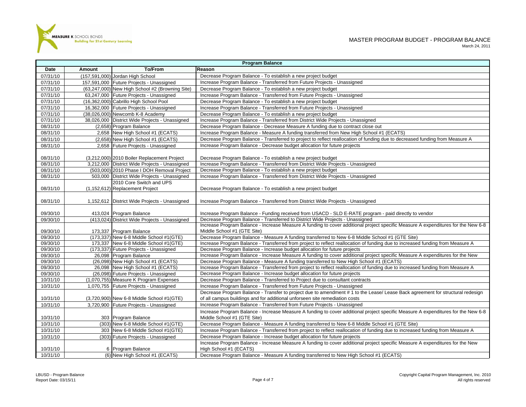

|                      | <b>Program Balance</b> |                                                                                 |                                                                                                                                                                                                                                   |  |  |  |  |
|----------------------|------------------------|---------------------------------------------------------------------------------|-----------------------------------------------------------------------------------------------------------------------------------------------------------------------------------------------------------------------------------|--|--|--|--|
| Date                 | <b>Amount</b>          | To/From                                                                         | Reason                                                                                                                                                                                                                            |  |  |  |  |
| 07/31/10             |                        | (157,591,000) Jordan High School                                                | Decrease Program Balance - To establish a new project budget                                                                                                                                                                      |  |  |  |  |
| 07/31/10             |                        | 157,591,000 Future Projects - Unassigned                                        | Increase Program Balance - Transferred from Future Projects - Unassigned                                                                                                                                                          |  |  |  |  |
| 07/31/10             |                        | (63,247,000) New High School #2 (Browning Site)                                 | Decrease Program Balance - To establish a new project budget                                                                                                                                                                      |  |  |  |  |
| 07/31/10             |                        | 63,247,000 Future Projects - Unassigned                                         | Increase Program Balance - Transferred from Future Projects - Unassigned                                                                                                                                                          |  |  |  |  |
| 07/31/10             |                        | (16,362,000) Cabrillo High School Pool                                          | Decrease Program Balance - To establish a new project budget                                                                                                                                                                      |  |  |  |  |
| 07/31/10             |                        | 16,362,000 Future Projects - Unassigned                                         | Increase Program Balance - Transferred from Future Projects - Unassigned                                                                                                                                                          |  |  |  |  |
| 07/31/10             |                        | (38,026,000) Newcomb K-8 Academy                                                | Decrease Program Balance - To establish a new project budget                                                                                                                                                                      |  |  |  |  |
| 07/31/10             |                        | 38,026,000 District Wide Projects - Unassigned                                  | Increase Program Balance - Transferred from District Wide Projects - Unassigned                                                                                                                                                   |  |  |  |  |
| 08/31/10             |                        | (2,658) Program Balance                                                         | Decrease Program Balance - Decrease Measure A funding due to contract close out                                                                                                                                                   |  |  |  |  |
| 08/31/10             |                        | 2,658 New High School #1 (ECATS)                                                | Increase Program Balance - Measure A funding transferred from New High School #1 (ECATS)                                                                                                                                          |  |  |  |  |
| 08/31/10             |                        | (2,658) New High School #1 (ECATS)                                              | Decrease Program Balance - Transferred to project to reflect reallocation of funding due to decreased funding from Measure A                                                                                                      |  |  |  |  |
| 08/31/10             |                        | 2,658 Future Projects - Unassigned                                              | Increase Program Balance - Decrease budget allocation for future projects                                                                                                                                                         |  |  |  |  |
| 08/31/10             |                        | (3,212,000) 2010 Boiler Replacement Project                                     | Decrease Program Balance - To establish a new project budget                                                                                                                                                                      |  |  |  |  |
| 08/31/10             |                        | 3,212,000 District Wide Projects - Unassigned                                   | Increase Program Balance - Transferred from District Wide Projects - Unassigned                                                                                                                                                   |  |  |  |  |
| 08/31/10             |                        | (503,000) 2010 Phase I DOH Removal Project                                      | Decrease Program Balance - To establish a new project budget                                                                                                                                                                      |  |  |  |  |
| 08/31/10             |                        | 503,000 District Wide Projects - Unassigned                                     | Increase Program Balance - Transferred from District Wide Projects - Unassigned                                                                                                                                                   |  |  |  |  |
|                      |                        | 2010 Core Switch and UPS                                                        |                                                                                                                                                                                                                                   |  |  |  |  |
| 08/31/10             |                        | (1,152,612) Replacement Project                                                 | Decrease Program Balance - To establish a new project budget                                                                                                                                                                      |  |  |  |  |
| 08/31/10             |                        | 1,152,612 District Wide Projects - Unassigned                                   | Increase Program Balance - Transferred from District Wide Projects - Unassigned                                                                                                                                                   |  |  |  |  |
| 09/30/10             |                        | 413,024 Program Balance                                                         | Increase Program Balance - Funding received from USACD - SLD E-RATE program - paid directly to vendor                                                                                                                             |  |  |  |  |
| 09/30/10             |                        | (413,024) District Wide Projects - Unassigned                                   | Decrease Program Balance - Transferred to District Wide Projects - Unassigned                                                                                                                                                     |  |  |  |  |
|                      |                        |                                                                                 | Increase Program Balance - Increase Measure A funding to cover additional project specific Measure A expenditures for the New 6-8                                                                                                 |  |  |  |  |
| 09/30/10             |                        | 173,337 Program Balance                                                         | Middle School #1 (GTE Site)                                                                                                                                                                                                       |  |  |  |  |
| 09/30/10             |                        | (173,337) New 6-8 Middle School #1(GTE)                                         | Decrease Program Balance - Measure A funding transferred to New 6-8 Middle School #1 (GTE Site)<br>Increase Program Balance - Transferred from project to reflect reallocation of funding due to increased funding from Measure A |  |  |  |  |
| 09/30/10<br>09/30/10 |                        | 173,337 New 6-8 Middle School #1(GTE)<br>(173,337) Future Projects - Unassigned | Decrease Program Balance - Increase budget allocation for future projects                                                                                                                                                         |  |  |  |  |
| 09/30/10             |                        | 26,098 Program Balance                                                          | Increase Program Balance - Increase Measure A funding to cover additional project specific Measure A expenditures for the New                                                                                                     |  |  |  |  |
| 09/30/10             |                        | (26,098) New High School #1 (ECATS)                                             | Decrease Program Balance - Measure A funding transferred to New High School #1 (ECATS)                                                                                                                                            |  |  |  |  |
| 09/30/10             |                        | 26,098 New High School #1 (ECATS)                                               | Increase Program Balance - Transferred from project to reflect reallocation of funding due to increased funding from Measure A                                                                                                    |  |  |  |  |
| 09/30/10             |                        | (26,098) Future Projects - Unassigned                                           | Decrease Program Balance - Increase budget allocation for future projects                                                                                                                                                         |  |  |  |  |
| 10/31/10             |                        | (1,070,755) Measure K Program Expenses                                          | Decrease Program Balance - Transferred to Project due to consultant contracts                                                                                                                                                     |  |  |  |  |
| 10/31/10             |                        | 1,070,755 Future Projects - Unassigned                                          | Increase Program Balance - Transferred from Future Projects - Unassigned                                                                                                                                                          |  |  |  |  |
|                      |                        |                                                                                 | Decrease Program Balance - Transfer to project due to amendment #1 to the Lease/ Lease Back agreement for structural redesign                                                                                                     |  |  |  |  |
| 10/31/10             |                        | (3,720,900) New 6-8 Middle School #1(GTE)                                       | of all campus buildings and for additional unforseen site remediation costs                                                                                                                                                       |  |  |  |  |
| 10/31/10             |                        | 3,720,900 Future Projects - Unassigned                                          | Increase Program Balance - Transferred from Future Projects - Unassigned                                                                                                                                                          |  |  |  |  |
|                      |                        |                                                                                 | Increase Program Balance - Increase Measure A funding to cover additional project specific Measure A expenditures for the New 6-8                                                                                                 |  |  |  |  |
| 10/31/10             |                        | 303 Program Balance                                                             | Middle School #1 (GTE Site)                                                                                                                                                                                                       |  |  |  |  |
| 10/31/10             |                        | (303) New 6-8 Middle School #1(GTE)                                             | Decrease Program Balance - Measure A funding transferred to New 6-8 Middle School #1 (GTE Site)                                                                                                                                   |  |  |  |  |
| 10/31/10             |                        | 303 New 6-8 Middle School #1(GTE)                                               | Increase Program Balance - Transferred from project to reflect reallocation of funding due to increased funding from Measure A                                                                                                    |  |  |  |  |
| 10/31/10             |                        | (303) Future Projects - Unassigned                                              | Decrease Program Balance - Increase budget allocation for future projects                                                                                                                                                         |  |  |  |  |
|                      |                        |                                                                                 | Increase Program Balance - Increase Measure A funding to cover additional project specific Measure A expenditures for the New                                                                                                     |  |  |  |  |
|                      |                        |                                                                                 |                                                                                                                                                                                                                                   |  |  |  |  |
|                      |                        |                                                                                 |                                                                                                                                                                                                                                   |  |  |  |  |
| 10/31/10<br>10/31/10 |                        | 6 Program Balance<br>(6) New High School #1 (ECATS)                             | High School #1 (ECATS)<br>Decrease Program Balance - Measure A funding transferred to New High School #1 (ECATS)                                                                                                                  |  |  |  |  |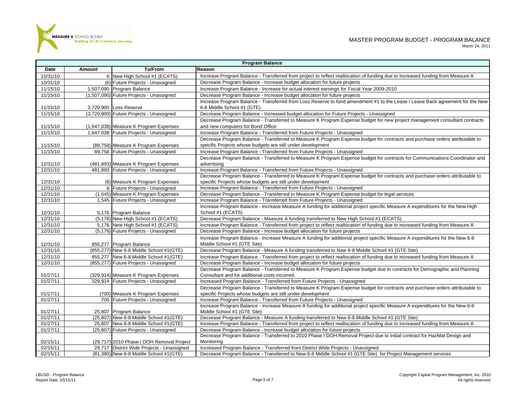

|          |        |                                                                              | <b>Program Balance</b>                                                                                                                  |
|----------|--------|------------------------------------------------------------------------------|-----------------------------------------------------------------------------------------------------------------------------------------|
| Date     | Amount | <b>To/From</b>                                                               | Reason                                                                                                                                  |
| 10/31/10 |        | 6 New High School #1 (ECATS)                                                 | Increase Program Balance - Transferred from project to reflect reallocation of funding due to increased funding from Measure A          |
| 10/31/10 |        | (6) Future Projects - Unassigned                                             | Decrease Program Balance - Increase budget allocation for future projects                                                               |
| 11/15/10 |        | 1,507,090 Program Balance                                                    | Increase Program Balance - Increase for actual interest earnings for Fiscal Year 2009-2010                                              |
| 11/15/10 |        | (1,507,090) Future Projects - Unassigned                                     | Decrease Program Balance - Increase budget allocation for future projects                                                               |
|          |        |                                                                              | Increase Program Balance - Transferred from Loss Reserve to fund amendment #1 to the Lease / Lease Back agreement for the New           |
| 11/15/10 |        | 3,720,900 Loss Reserve                                                       | 6-8 Middle School #1 (GTE)                                                                                                              |
| 11/15/10 |        | (3,720,900) Future Projects - Unassigned                                     | Decrease Program Balance - Increased budget allocation for Future Projects - Unassigned                                                 |
|          |        |                                                                              | Decrease Program Balance - Transferred to Measure K Program Expense budget for new project management consultant contracts              |
| 11/15/10 |        | (1,647,038) Measure K Program Expenses                                       | and new computers for Bond Office                                                                                                       |
| 11/15/10 |        | 1,647,038 Future Projects - Unassigned                                       | Increase Program Balance - Transferred from Future Projects - Unassigned                                                                |
|          |        |                                                                              | Decrease Program Balance - Transferred to Measure K Program Expense budget for contracts and purchase orders attributable to            |
| 11/15/10 |        | (89,758) Measure K Program Expenses                                          | specific Projects whose budgets are still under development                                                                             |
| 11/15/10 |        | 89,758 Future Projects - Unassigned                                          | Increase Program Balance - Transferred from Future Projects - Unassigned                                                                |
|          |        |                                                                              | Decrease Program Balance - Transferred to Measure K Program Expense budget for contracts for Communications Coordinator and             |
| 12/31/10 |        | (481,893) Measure K Program Expenses                                         | advertising                                                                                                                             |
| 12/31/10 |        | 481,893 Future Projects - Unassigned                                         | Increase Program Balance - Transferred from Future Projects - Unassigned                                                                |
|          |        |                                                                              | Decrease Program Balance - Transferred to Measure K Program Expense budget for contracts and purchase orders attributable to            |
| 12/31/10 |        | (6) Measure K Program Expenses                                               | specific Projects whose budgets are still under development                                                                             |
| 12/31/10 |        | 6 Future Projects - Unassigned                                               | Increase Program Balance - Transferred from Future Projects - Unassigned                                                                |
| 12/31/10 |        | (1,545) Measure K Program Expenses                                           | Decrease Program Balance - Transferred to Measure K Program Expense budget for legal services                                           |
| 12/31/10 |        | 1,545 Future Projects - Unassigned                                           | Increase Program Balance - Transferred from Future Projects - Unassigned                                                                |
|          |        |                                                                              | Increase Program Balance - Increase Measure A funding for additional project specific Measure A expenditures for the New High           |
| 12/31/10 |        | 5,176 Program Balance                                                        | School #1 (ECATS)                                                                                                                       |
| 12/31/10 |        | (5,176) New High School #1 (ECATS)                                           | Decrease Program Balance - Measure A funding transferred to New High School #1 (ECATS)                                                  |
| 12/31/10 |        | 5,176 New High School #1 (ECATS)                                             | Increase Program Balance - Transferred from project to reflect reallocation of funding due to increased funding from Measure A          |
| 12/31/10 |        | (5,176) Future Projects - Unassigned                                         | Decrease Program Balance - Increase budget allocation for future projects                                                               |
|          |        |                                                                              | Increase Program Balance - Increase Measure A funding for additional project specific Measure A expenditures for the New 6-8            |
| 12/31/10 |        | 855,277 Program Balance                                                      | Middle School #1 (GTE Site)                                                                                                             |
| 12/31/10 |        | (855,277) New 6-8 Middle School #1(GTE)                                      | Decrease Program Balance - Measure A funding transferred to New 6-8 Middle School #1 (GTE Site)                                         |
| 12/31/10 |        | 855,277 New 6-8 Middle School #1(GTE)                                        | Increase Program Balance - Transferred from project to reflect reallocation of funding due to increased funding from Measure A          |
| 12/31/10 |        | (855,277) Future Projects - Unassigned                                       | Decrease Program Balance - Increase budget allocation for future projects                                                               |
|          |        |                                                                              | Decrease Program Balance - Transferred to Measure K Program Expense budget due to contracts for Demographic and Planning                |
| 01/27/11 |        | (329,914) Measure K Program Expenses<br>329,914 Future Projects - Unassigned | Consultant and for additional costs incurred.                                                                                           |
| 01/27/11 |        |                                                                              | Increased Program Balance - Transferred from Future Projects - Unassigned                                                               |
| 01/27/11 |        |                                                                              | Decrease Program Balance - Transferred to Measure K Program Expense budget for contracts and purchase orders attributable to            |
| 01/27/11 |        | (700) Measure K Program Expenses<br>700 Future Projects - Unassigned         | specific Projects whose budgets are still under development<br>Increase Program Balance - Transferred from Future Projects - Unassigned |
|          |        |                                                                              | Increase Program Balance - Increase Measure A funding for additional project specific Measure A expenditures for the New 6-8            |
| 01/27/11 |        | 25,807 Program Balance                                                       | Middle School #1 (GTE Site)                                                                                                             |
| 01/27/11 |        | (25,807) New 6-8 Middle School #1(GTE)                                       | Decrease Program Balance - Measure A funding transferred to New 6-8 Middle School #1 (GTE Site)                                         |
| 01/27/11 |        | 25,807 New 6-8 Middle School #1(GTE)                                         | Increase Program Balance - Transferred from project to reflect reallocation of funding due to increased funding from Measure A          |
| 01/27/11 |        | (25,807) Future Projects - Unassigned                                        | Decrease Program Balance - Increase budget allocation for future projects                                                               |
|          |        |                                                                              | Decrease Program Balance - Transferred to 2010 Phase I DOH Removal Project due to initial contract for HazMat Design and                |
| 02/15/11 |        | (29,717) 2010 Phase I DOH Removal Project                                    | Monitoring                                                                                                                              |
| 02/15/11 |        | 29,717 District Wide Projects - Unassigned                                   | Increased Program Balance - Transferred from District Wide Projects - Unassigned                                                        |
| 02/15/11 |        | (81,380) New 6-8 Middle School #1(GTE)                                       | Decrease Program Balance - Transferred to New 6-8 Middle School #1 (GTE Site) for Project Management services                           |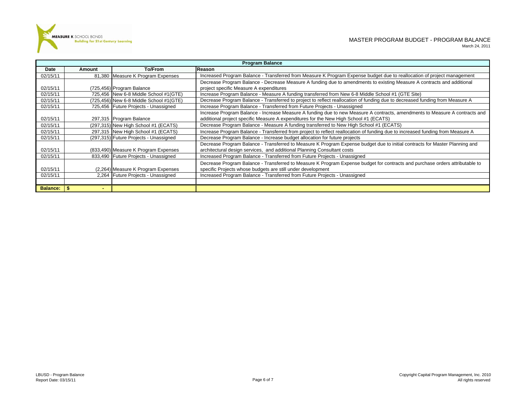

|                 | <b>Program Balance</b> |                                         |                                                                                                                                |  |  |  |  |
|-----------------|------------------------|-----------------------------------------|--------------------------------------------------------------------------------------------------------------------------------|--|--|--|--|
| Date            | Amount                 | To/From                                 | Reason                                                                                                                         |  |  |  |  |
| 02/15/11        |                        | 81,380 Measure K Program Expenses       | Increased Program Balance - Transferred from Measure K Program Expense budget due to reallocation of project management        |  |  |  |  |
|                 |                        |                                         | Decrease Program Balance - Decrease Measure A funding due to amendments to existing Measure A contracts and additional         |  |  |  |  |
| 02/15/11        |                        | (725,456) Program Balance               | project specific Measure A expenditures                                                                                        |  |  |  |  |
| 02/15/11        |                        | 725,456 New 6-8 Middle School #1(GTE)   | Increase Program Balance - Measure A funding transferred from New 6-8 Middle School #1 (GTE Site)                              |  |  |  |  |
| 02/15/11        |                        | (725,456) New 6-8 Middle School #1(GTE) | Decrease Program Balance - Transferred to project to reflect reallocation of funding due to decreased funding from Measure A   |  |  |  |  |
| 02/15/11        |                        | 725,456 Future Projects - Unassigned    | Increase Program Balance - Transferred from Future Projects - Unassigned                                                       |  |  |  |  |
|                 |                        |                                         | Increase Program Balance - Increase Measure A funding due to new Measure A contracts, amendments to Measure A contracts and    |  |  |  |  |
| 02/15/11        |                        | 297,315 Program Balance                 | additional project specific Measure A expenditures for the New High School #1 (ECATS)                                          |  |  |  |  |
| 02/15/11        |                        | (297,315) New High School #1 (ECATS)    | Decrease Program Balance - Measure A funding transferred to New High School #1 (ECATS)                                         |  |  |  |  |
| 02/15/11        |                        | 297,315 New High School #1 (ECATS)      | Increase Program Balance - Transferred from project to reflect reallocation of funding due to increased funding from Measure A |  |  |  |  |
| 02/15/11        |                        | (297,315) Future Projects - Unassigned  | Decrease Program Balance - Increase budget allocation for future projects                                                      |  |  |  |  |
|                 |                        |                                         | Decrease Program Balance - Transferred to Measure K Program Expense budget due to initial contracts for Master Planning and    |  |  |  |  |
| 02/15/11        |                        | (833,490) Measure K Program Expenses    | architectural design services, and additional Planning Consultant costs                                                        |  |  |  |  |
| 02/15/11        |                        | 833,490 Future Projects - Unassigned    | Increased Program Balance - Transferred from Future Projects - Unassigned                                                      |  |  |  |  |
|                 |                        |                                         | Decrease Program Balance - Transferred to Measure K Program Expense budget for contracts and purchase orders attributable to   |  |  |  |  |
| 02/15/11        |                        | (2,264) Measure K Program Expenses      | specific Projects whose budgets are still under development                                                                    |  |  |  |  |
| 02/15/11        |                        | 2,264 Future Projects - Unassigned      | Increased Program Balance - Transferred from Future Projects - Unassigned                                                      |  |  |  |  |
|                 |                        |                                         |                                                                                                                                |  |  |  |  |
| <b>Balance:</b> | ∣ SS                   |                                         |                                                                                                                                |  |  |  |  |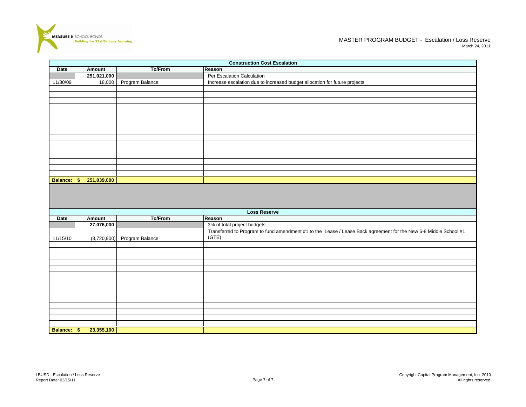

|          | <b>Construction Cost Escalation</b> |                 |                                                                            |  |  |  |  |  |
|----------|-------------------------------------|-----------------|----------------------------------------------------------------------------|--|--|--|--|--|
| Date     | Amount                              | To/From         | Reason                                                                     |  |  |  |  |  |
|          | 251,021,000                         |                 | Per Escalation Calculation                                                 |  |  |  |  |  |
| 11/30/09 | 18,000                              | Program Balance | Increase escalation due to increased budget allocation for future projects |  |  |  |  |  |
|          |                                     |                 |                                                                            |  |  |  |  |  |
|          |                                     |                 |                                                                            |  |  |  |  |  |
|          |                                     |                 |                                                                            |  |  |  |  |  |
|          |                                     |                 |                                                                            |  |  |  |  |  |
|          |                                     |                 |                                                                            |  |  |  |  |  |
|          |                                     |                 |                                                                            |  |  |  |  |  |
|          |                                     |                 |                                                                            |  |  |  |  |  |
|          |                                     |                 |                                                                            |  |  |  |  |  |
|          |                                     |                 |                                                                            |  |  |  |  |  |
|          |                                     |                 |                                                                            |  |  |  |  |  |
|          |                                     |                 |                                                                            |  |  |  |  |  |
|          |                                     |                 |                                                                            |  |  |  |  |  |
|          |                                     |                 |                                                                            |  |  |  |  |  |
|          |                                     |                 |                                                                            |  |  |  |  |  |
|          |                                     |                 |                                                                            |  |  |  |  |  |
| Balance: | \$<br>251,039,000                   |                 |                                                                            |  |  |  |  |  |

|                 | <b>Loss Reserve</b> |                 |                                                                                                                           |  |  |  |  |  |  |
|-----------------|---------------------|-----------------|---------------------------------------------------------------------------------------------------------------------------|--|--|--|--|--|--|
| Date            | Amount              | To/From         | Reason                                                                                                                    |  |  |  |  |  |  |
|                 | 27,076,000          |                 | 3% of total project budgets                                                                                               |  |  |  |  |  |  |
| 11/15/10        | (3,720,900)         | Program Balance | Transferred to Program to fund amendment #1 to the Lease / Lease Back agreement for the New 6-8 Middle School #1<br>(GTE) |  |  |  |  |  |  |
|                 |                     |                 |                                                                                                                           |  |  |  |  |  |  |
|                 |                     |                 |                                                                                                                           |  |  |  |  |  |  |
|                 |                     |                 |                                                                                                                           |  |  |  |  |  |  |
|                 |                     |                 |                                                                                                                           |  |  |  |  |  |  |
|                 |                     |                 |                                                                                                                           |  |  |  |  |  |  |
|                 |                     |                 |                                                                                                                           |  |  |  |  |  |  |
|                 |                     |                 |                                                                                                                           |  |  |  |  |  |  |
|                 |                     |                 |                                                                                                                           |  |  |  |  |  |  |
|                 |                     |                 |                                                                                                                           |  |  |  |  |  |  |
|                 |                     |                 |                                                                                                                           |  |  |  |  |  |  |
|                 |                     |                 |                                                                                                                           |  |  |  |  |  |  |
|                 |                     |                 |                                                                                                                           |  |  |  |  |  |  |
| <b>Balance:</b> | 23,355,100<br>-\$   |                 |                                                                                                                           |  |  |  |  |  |  |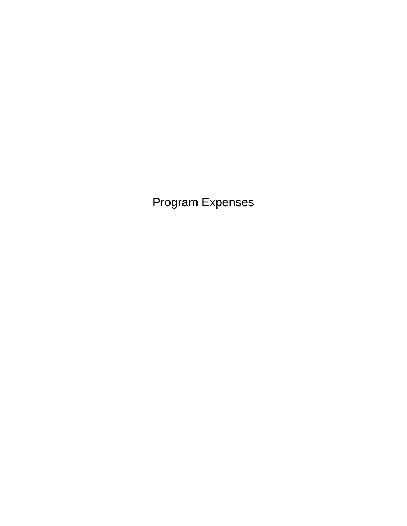Program Expenses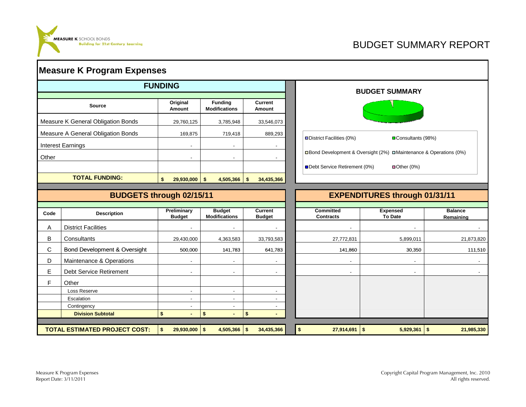

# BUDGET SUMMARY REPORT

|       | <b>Measure K Program Expenses</b>  |                              |                                        |                                 |                                      |                                                                     |                             |
|-------|------------------------------------|------------------------------|----------------------------------------|---------------------------------|--------------------------------------|---------------------------------------------------------------------|-----------------------------|
|       |                                    | <b>FUNDING</b>               |                                        |                                 |                                      | <b>BUDGET SUMMARY</b>                                               |                             |
|       | <b>Source</b>                      | Original<br>Amount           | <b>Funding</b><br><b>Modifications</b> | <b>Current</b><br>Amount        |                                      |                                                                     |                             |
|       | Measure K General Obligation Bonds | 29,760,125                   | 3,785,948                              | 33,546,073                      |                                      |                                                                     |                             |
|       | Measure A General Obligation Bonds | 169,875                      | 719,418                                | 889,293                         |                                      |                                                                     |                             |
|       | <b>Interest Earnings</b>           | $\blacksquare$               | $\blacksquare$                         | $\overline{\phantom{a}}$        | District Facilities (0%)             | □Consultants (98%)                                                  |                             |
| Other |                                    | $\blacksquare$               | $\sim$                                 | $\overline{a}$                  |                                      | □ Bond Development & Oversight (2%) □ Maintenance & Operations (0%) |                             |
|       |                                    |                              |                                        |                                 | Debt Service Retirement (0%)         | $\blacksquare$ Other (0%)                                           |                             |
|       | <b>TOTAL FUNDING:</b>              | \$<br>29,930,000             | \$<br>4,505,366                        | \$<br>34,435,366                |                                      |                                                                     |                             |
|       |                                    |                              |                                        |                                 |                                      |                                                                     |                             |
|       | <b>BUDGETS through 02/15/11</b>    |                              |                                        |                                 |                                      | <b>EXPENDITURES through 01/31/11</b>                                |                             |
| Code  | <b>Description</b>                 | Preliminary<br><b>Budget</b> | <b>Budget</b><br><b>Modifications</b>  | <b>Current</b><br><b>Budget</b> | <b>Committed</b><br><b>Contracts</b> | <b>Expensed</b><br><b>To Date</b>                                   | <b>Balance</b><br>Remaining |
| A     | <b>District Facilities</b>         |                              |                                        |                                 |                                      |                                                                     |                             |
| В     | Consultants                        | 29,430,000                   | 4,363,583                              | 33,793,583                      | 27,772,831                           | 5,899,011                                                           | 21,873,820                  |
| C     | Bond Development & Oversight       | 500,000                      | 141,783                                | 641,783                         | 141,860                              | 30,350                                                              | 111,510                     |
|       |                                    |                              |                                        |                                 |                                      |                                                                     |                             |
| D     | Maintenance & Operations           |                              | $\overline{\phantom{a}}$               |                                 | $\blacksquare$                       |                                                                     |                             |
| Е     | Debt Service Retirement            | $\overline{\phantom{a}}$     | $\overline{\phantom{a}}$               |                                 |                                      |                                                                     |                             |
| F     | Other                              |                              |                                        |                                 |                                      |                                                                     |                             |
|       | Loss Reserve                       | $\overline{a}$               | $\overline{\phantom{a}}$               |                                 |                                      |                                                                     |                             |
|       | Escalation                         |                              | $\overline{a}$                         |                                 |                                      |                                                                     |                             |
|       | Contingency                        | $\blacksquare$               | $\overline{\phantom{a}}$               | $\overline{a}$                  |                                      |                                                                     |                             |
|       | <b>Division Subtotal</b>           | \$                           | \$                                     | \$                              |                                      |                                                                     |                             |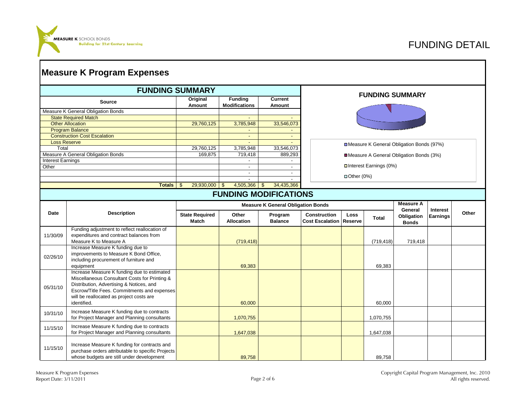

|                                   |                                                                                                                                                                                                                                                    | <b>FUNDING SUMMARY</b>                |                                           |                              |                                               |                        |                          | <b>FUNDING SUMMARY</b>                     |                 |       |
|-----------------------------------|----------------------------------------------------------------------------------------------------------------------------------------------------------------------------------------------------------------------------------------------------|---------------------------------------|-------------------------------------------|------------------------------|-----------------------------------------------|------------------------|--------------------------|--------------------------------------------|-----------------|-------|
|                                   | <b>Source</b>                                                                                                                                                                                                                                      | Original<br>Amount                    | <b>Funding</b><br><b>Modifications</b>    | Current<br>Amount            |                                               |                        |                          |                                            |                 |       |
|                                   | Measure K General Obligation Bonds                                                                                                                                                                                                                 |                                       |                                           |                              |                                               |                        |                          |                                            |                 |       |
|                                   | <b>State Required Match</b>                                                                                                                                                                                                                        |                                       |                                           |                              |                                               |                        |                          |                                            |                 |       |
|                                   | <b>Other Allocation</b>                                                                                                                                                                                                                            | 29,760,125                            | 3,785,948                                 | 33,546,073                   |                                               |                        |                          |                                            |                 |       |
|                                   | <b>Program Balance</b>                                                                                                                                                                                                                             |                                       |                                           |                              |                                               |                        |                          |                                            |                 |       |
|                                   | <b>Construction Cost Escalation</b>                                                                                                                                                                                                                |                                       | $\blacksquare$                            | $\blacksquare$               |                                               |                        |                          |                                            |                 |       |
| <b>Loss Reserve</b>               |                                                                                                                                                                                                                                                    |                                       |                                           |                              |                                               |                        |                          | □ Measure K General Obligation Bonds (97%) |                 |       |
| Total                             |                                                                                                                                                                                                                                                    | 29,760,125                            | 3,785,948                                 | 33,546,073                   |                                               |                        |                          |                                            |                 |       |
|                                   | Measure A General Obligation Bonds                                                                                                                                                                                                                 | 169,875                               | 719,418                                   | 889,293                      |                                               |                        |                          | Measure A General Obligation Bonds (3%)    |                 |       |
| <b>Interest Earnings</b><br>Other |                                                                                                                                                                                                                                                    |                                       | $\overline{a}$<br>$\blacksquare$          | $\overline{\phantom{a}}$     |                                               |                        | □ Interest Earnings (0%) |                                            |                 |       |
|                                   |                                                                                                                                                                                                                                                    |                                       | $\blacksquare$                            | $\overline{\phantom{a}}$     |                                               |                        |                          |                                            |                 |       |
|                                   |                                                                                                                                                                                                                                                    |                                       | $\blacksquare$                            | $\overline{\phantom{a}}$     |                                               | $\Box$ Other (0%)      |                          |                                            |                 |       |
|                                   | <b>Totals</b>                                                                                                                                                                                                                                      | 29,930,000<br>\$                      | 4,505,366<br>$\mathfrak{F}$               | 34,435,366<br>\$.            |                                               |                        |                          |                                            |                 |       |
|                                   |                                                                                                                                                                                                                                                    |                                       |                                           | <b>FUNDING MODIFICATIONS</b> |                                               |                        |                          |                                            |                 |       |
|                                   |                                                                                                                                                                                                                                                    |                                       |                                           |                              |                                               |                        |                          | Measure A                                  |                 |       |
|                                   |                                                                                                                                                                                                                                                    |                                       | <b>Measure K General Obligation Bonds</b> |                              |                                               |                        |                          |                                            |                 |       |
| Date                              | <b>Description</b>                                                                                                                                                                                                                                 | <b>State Required</b><br><b>Match</b> | Other<br><b>Allocation</b>                | Program<br><b>Balance</b>    | <b>Construction</b><br><b>Cost Escalation</b> | <b>Loss</b><br>Reserve | Total                    | General<br>Obligation<br><b>Bonds</b>      | <b>Earnings</b> | Other |
| 11/30/09                          | Funding adjustment to reflect reallocation of<br>expenditures and contract balances from<br>Measure K to Measure A                                                                                                                                 |                                       | (719, 418)                                |                              |                                               |                        | (719, 418)               | 719,418                                    |                 |       |
| 02/26/10                          | Increase Measure K funding due to<br>improvements to Measure K Bond Office,<br>including procurement of furniture and<br>equipment                                                                                                                 |                                       | 69,383                                    |                              |                                               |                        | 69,383                   |                                            |                 |       |
| 05/31/10                          | Increase Measure K funding due to estimated<br>Miscellaneous Consultant Costs for Printing &<br>Distribution, Advertising & Notices, and<br>Escrow/Title Fees. Commitments and expenses<br>will be reallocated as project costs are<br>identified. |                                       | 60,000                                    |                              |                                               |                        | 60,000                   |                                            |                 |       |
| 10/31/10                          | Increase Measure K funding due to contracts<br>for Project Manager and Planning consultants                                                                                                                                                        |                                       | 1,070,755                                 |                              |                                               |                        | 1,070,755                |                                            |                 |       |
| 11/15/10                          | Increase Measure K funding due to contracts<br>for Project Manager and Planning consultants                                                                                                                                                        |                                       | 1,647,038                                 |                              |                                               |                        | 1,647,038                |                                            |                 |       |
| 11/15/10                          | Increase Measure K funding for contracts and                                                                                                                                                                                                       |                                       |                                           |                              |                                               |                        |                          |                                            |                 |       |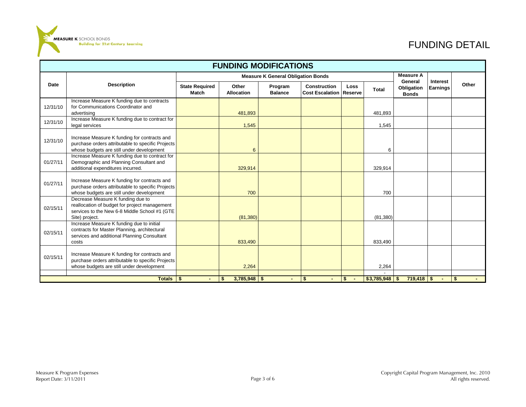

# FUNDING DETAIL

|          | <b>FUNDING MODIFICATIONS</b>                                                                                                                          |                                       |                            |                                           |                                               |                        |              |                             |                 |       |  |  |  |
|----------|-------------------------------------------------------------------------------------------------------------------------------------------------------|---------------------------------------|----------------------------|-------------------------------------------|-----------------------------------------------|------------------------|--------------|-----------------------------|-----------------|-------|--|--|--|
|          |                                                                                                                                                       |                                       |                            | <b>Measure K General Obligation Bonds</b> |                                               |                        |              | <b>Measure A</b><br>General | Interest        |       |  |  |  |
| Date     | <b>Description</b>                                                                                                                                    | <b>State Required</b><br><b>Match</b> | Other<br><b>Allocation</b> | Program<br><b>Balance</b>                 | <b>Construction</b><br><b>Cost Escalation</b> | <b>Loss</b><br>Reserve | <b>Total</b> | Obligation<br><b>Bonds</b>  | <b>Earnings</b> | Other |  |  |  |
| 12/31/10 | Increase Measure K funding due to contracts<br>for Communications Coordinator and<br>advertising                                                      |                                       | 481,893                    |                                           |                                               |                        | 481,893      |                             |                 |       |  |  |  |
| 12/31/10 | Increase Measure K funding due to contract for<br>legal services                                                                                      |                                       | 1,545                      |                                           |                                               |                        | 1,545        |                             |                 |       |  |  |  |
| 12/31/10 | Increase Measure K funding for contracts and<br>purchase orders attributable to specific Projects<br>whose budgets are still under development        |                                       | 6                          |                                           |                                               |                        | 6            |                             |                 |       |  |  |  |
| 01/27/11 | Increase Measure K funding due to contract for<br>Demographic and Planning Consultant and<br>additional expenditures incurred.                        |                                       | 329,914                    |                                           |                                               |                        | 329,914      |                             |                 |       |  |  |  |
| 01/27/11 | Increase Measure K funding for contracts and<br>purchase orders attributable to specific Projects<br>whose budgets are still under development        |                                       | 700                        |                                           |                                               |                        | 700          |                             |                 |       |  |  |  |
| 02/15/11 | Decrease Measure K funding due to<br>reallocation of budget for project management<br>services to the New 6-8 Middle School #1 (GTE<br>Site) project. |                                       | (81, 380)                  |                                           |                                               |                        | (81, 380)    |                             |                 |       |  |  |  |
| 02/15/11 | Increase Measure K funding due to initial<br>contracts for Master Planning, architectural<br>services and additional Planning Consultant<br>costs     |                                       | 833,490                    |                                           |                                               |                        | 833,490      |                             |                 |       |  |  |  |
| 02/15/11 | Increase Measure K funding for contracts and<br>purchase orders attributable to specific Projects<br>whose budgets are still under development        |                                       | 2,264                      |                                           |                                               |                        | 2,264        |                             |                 |       |  |  |  |
|          | <b>Totals</b>                                                                                                                                         | -\$                                   | $3,785,948$ \$             |                                           | S.                                            | \$<br>- 4              | \$3,785,948  | $719,418$ \$                |                 | \$    |  |  |  |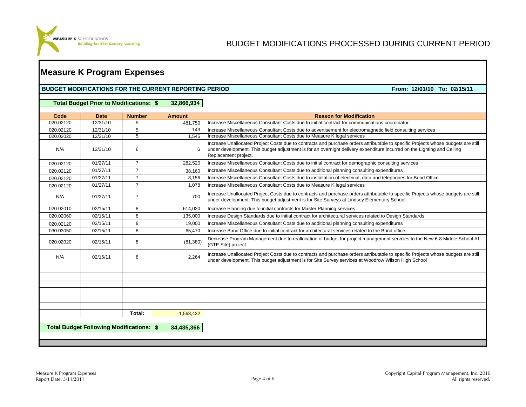

### **Measure K Program Expenses**

#### **BUDGET MODIFICATIONS FOR THE CURRENT REPORTING PERIOD**

From: 12/01/10 To: 02/15/11

|  |  | Total Budget Prior to Modifications: \$ |  | 32,866,934 |
|--|--|-----------------------------------------|--|------------|
|--|--|-----------------------------------------|--|------------|

| Code      | <b>Date</b>                                     | <b>Number</b>  | <b>Amount</b> | <b>Reason for Modification</b>                                                                                                                                                                                                                                                       |
|-----------|-------------------------------------------------|----------------|---------------|--------------------------------------------------------------------------------------------------------------------------------------------------------------------------------------------------------------------------------------------------------------------------------------|
| 020.02120 | 12/31/10                                        | 5              | 481.750       | Increase Miscellaneous Consultant Costs due to initial contract for communications coordinator                                                                                                                                                                                       |
| 020.02120 | 12/31/10                                        | 5              | 143           | Increase Miscellaneous Consultant Costs due to advertisement for electromagnetic field consulting services                                                                                                                                                                           |
| 020.02020 | 12/31/10                                        | 5              | 1.545         | Increase Miscellaneous Consultant Costs due to Measure K legal services                                                                                                                                                                                                              |
| N/A       | 12/31/10                                        | 6              | 6             | Increase Unallocated Project Costs due to contracts and purchase orders attributable to specific Projects whose budgets are still<br>under development. This budget adjustment is for an overnight delivery expenditure incurred on the Lighting and Ceiling<br>Replacement project. |
| 020.02120 | 01/27/11                                        | $\overline{7}$ | 282,520       | Increase Miscellaneous Consultant Costs due to initial contract for demographic consulting services                                                                                                                                                                                  |
| 020.02120 | 01/27/11                                        | $\overline{7}$ | 38,160        | Increase Miscellaneous Consultant Costs due to additional planning consulting expenditures                                                                                                                                                                                           |
| 020.02120 | 01/27/11                                        | $\overline{7}$ | 8.156         | Increase Miscellaneous Consultant Costs due to installation of electrical, data and telephones for Bond Office                                                                                                                                                                       |
| 020.02120 | 01/27/11                                        | $\overline{7}$ | 1,078         | Increase Miscellaneous Consultant Costs due to Measure K legal services                                                                                                                                                                                                              |
| N/A       | 01/27/11                                        | $\overline{7}$ | 700           | Increase Unallocated Project Costs due to contracts and purchase orders attributable to specific Projects whose budgets are still<br>under development. This budget adjustment is for Site Surveys at Lindsey Elementary School.                                                     |
| 020.02010 | 02/15/11                                        | 8              | 614,020       | Increase Planning due to initial contracts for Master Planning services                                                                                                                                                                                                              |
| 020.02060 | 02/15/11                                        | 8              | 135,000       | Increase Design Standards due to initial contract for architectural services related to Design Standards                                                                                                                                                                             |
| 020.02120 | 02/15/11                                        | 8              | 19,000        | Increase Miscellaneous Consultant Costs due to additional planning consulting expenditures                                                                                                                                                                                           |
| 030.03050 | 02/15/11                                        | 8              | 65.470        | Increase Bond Office due to initial contract for architectural services related to the Bond office.                                                                                                                                                                                  |
| 020.02020 | 02/15/11                                        | 8              | (81, 380)     | Decrease Program Management due to reallocation of budget for project management servcies to the New 6-8 Middle School #1<br>(GTE Site) project                                                                                                                                      |
| N/A       | 02/15/11                                        | 8              | 2,264         | Increase Unallocated Project Costs due to contracts and purchase orders attributable to specific Projects whose budgets are still<br>under development. This budget adjustment is for Site Survey services at Woodrow Wilson High School                                             |
|           |                                                 |                |               |                                                                                                                                                                                                                                                                                      |
|           |                                                 |                |               |                                                                                                                                                                                                                                                                                      |
|           |                                                 |                |               |                                                                                                                                                                                                                                                                                      |
|           |                                                 |                |               |                                                                                                                                                                                                                                                                                      |
|           |                                                 |                |               |                                                                                                                                                                                                                                                                                      |
|           |                                                 |                |               |                                                                                                                                                                                                                                                                                      |
|           |                                                 | Total:         | 1,568,432     |                                                                                                                                                                                                                                                                                      |
|           | <b>Total Budget Following Modifications: \$</b> |                | 34,435,366    |                                                                                                                                                                                                                                                                                      |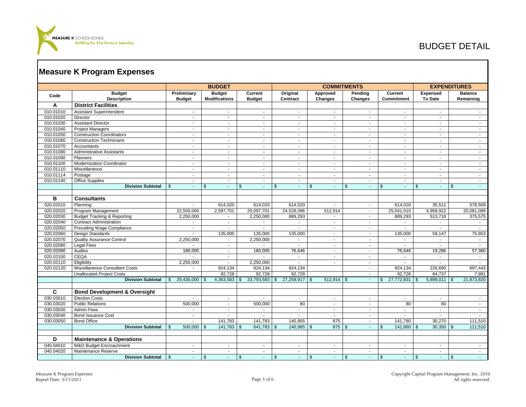

# BUDGET DETAIL

|           |                                         |                              | <b>BUDGET</b>                         |                          |                      | <b>COMMITMENTS</b>         |                             |                                   |                             | <b>EXPENDITURES</b>         |
|-----------|-----------------------------------------|------------------------------|---------------------------------------|--------------------------|----------------------|----------------------------|-----------------------------|-----------------------------------|-----------------------------|-----------------------------|
| Code      | <b>Budget</b><br><b>Description</b>     | Preliminary<br><b>Budget</b> | <b>Budget</b><br><b>Modifications</b> | Current<br><b>Budget</b> | Original<br>Contract | Approved<br>Changes        | Pending<br>Changes          | Current<br><b>Commitment</b>      | <b>Expensed</b><br>To Date  | <b>Balance</b><br>Remaining |
| Α         | <b>District Facilities</b>              |                              |                                       |                          |                      |                            |                             |                                   |                             |                             |
| 010.01010 | <b>Assistant Superintendent</b>         | $\sim$                       | $\sim$                                | $\sim$                   | $\sim$               | $\sim$                     | $\sim$                      | $\sim$                            | $\sim$                      | $\sim$                      |
| 010.01020 | Director                                | $\blacksquare$               | $\sim$                                | $\blacksquare$           | $\blacksquare$       | $\blacksquare$             | $\sim$                      | $\sim$                            | $\sim$                      | $\blacksquare$              |
| 010.01030 | <b>Assistant Director</b>               | $\overline{\phantom{a}}$     | $\sim$                                | $\sim$                   | $\blacksquare$       | $\blacksquare$             | $\sim$                      | $\sim$                            | $\sim$                      | $\sim$                      |
| 010.01040 | <b>Project Managers</b>                 | $\sim$                       | $\sim$                                | $\sim$                   | $\sim$               | $\sim$                     | $\sim$                      | $\sim$                            | $\sim$                      | $\sim$                      |
| 010.01050 | <b>Construction Coordinators</b>        | $\mathcal{L}_{\mathcal{A}}$  | $\sim$                                | $\sim$                   | ÷.                   | $\sim$                     | $\sim$                      | $\sim$                            | $\sim$                      | $\sim$                      |
| 010.01060 | <b>Construction Technicians</b>         | $\sim$                       | $\sim$                                | ÷,                       | $\sim$               | $\sim$                     | ÷.                          | $\sim$                            | $\sim$                      | $\mathbf{r}$                |
| 010.01070 | Accountants                             | $\blacksquare$               | $\blacksquare$                        | $\sim$                   | $\blacksquare$       | $\sim$                     | $\mathcal{L}_{\mathcal{A}}$ | $\sim$                            | $\blacksquare$              | $\blacksquare$              |
| 010.01080 | <b>Administrative Assistants</b>        | $\blacksquare$               | $\overline{\phantom{a}}$              | $\overline{\phantom{a}}$ | $\blacksquare$       | $\blacksquare$             | $\blacksquare$              | $\blacksquare$                    | $\blacksquare$              | $\blacksquare$              |
| 010.01090 | Planners                                | $\mathbf{r}$                 | $\sim$                                | ÷                        | ÷.                   | $\sim$                     | $\sim$                      | $\sim$                            | $\sim$                      | $\blacksquare$              |
| 010.01100 | <b>Modernization Coordinator</b>        | $\mathbf{r}$                 | $\sim$                                | $\mathbf{r}$             | ÷.                   | $\sim$                     | $\sim$                      | $\sim$                            | $\sim$                      | $\mathbf{r}$                |
| 010.01110 | Miscellaneous                           | $\sim$                       | $\sim$                                | $\sim$                   | ÷.                   | $\sim$                     | $\sim$                      | $\sim$                            | $\sim$                      | $\sim$                      |
| 010.01114 | Postage                                 | $\sim$                       | $\sim$                                | $\sim$                   | ÷.                   | $\sim$                     | $\sim$                      | $\sim$                            | $\sim$                      | $\sim$                      |
| 010.01140 | Office Supplies                         | $\sim$                       | $\sim$                                | $\sim$                   | ÷.                   | $\sim$                     | $\mathbf{r}$                | $\sim$                            | $\sim$                      | $\sim$                      |
|           | <b>Division Subtotal</b>                | $\mathbb{S}$<br>$\sim$       | $\mathfrak{S}$<br>$\omega$            | $\mathfrak{L}$<br>÷.     | \$<br>÷.             | $\mathfrak{S}$<br>$\omega$ | $\mathbb{S}$<br>$\omega$    | $\mathfrak{S}$<br>$\omega$        | $\mathfrak{S}$<br>$\sim$    | $\mathbf{\$}$<br>$\sim$     |
|           |                                         |                              |                                       |                          |                      |                            |                             |                                   |                             |                             |
| в         | <b>Consultants</b>                      |                              |                                       |                          |                      |                            |                             |                                   |                             |                             |
| 020.02010 | Planning                                | ÷.                           | 614,020                               | 614,020                  | 614,020              | $\sim$                     | $\sim$                      | 614,020                           | 35,511                      | 578,509                     |
| 020.02020 | Program Management                      | 22,500,000                   | 2,597,701                             | 25,097,701               | 24,528,096           | 512,914                    | $\blacksquare$              | 25,041,010                        | 4,959,922                   | 20,081,089                  |
| 020.02030 | <b>Budget Tracking &amp; Reporting</b>  | 2,250,000                    | $\mathcal{L}$                         | 2,250,000                | 889,293              |                            | $\sim$                      | 889,293                           | 513,718                     | 375,575                     |
| 020.02040 | <b>Contract Administration</b>          | $\blacksquare$               | $\sim$                                | ÷,                       | $\blacksquare$       | $\sim$                     | $\sim$                      | $\blacksquare$                    | $\sim$                      | $\blacksquare$              |
| 020.02050 | Prevailing Wage Compliance              | $\mathbf{r}$                 | $\sim$                                | ÷.                       | ÷.                   | $\sim$                     | $\sim$                      | $\sim$                            | $\sim$                      | $\sim$                      |
| 020.02060 | Design Standards                        | ÷.                           | 135,000                               | 135,000                  | 135,000              | $\sim$                     | $\sim$                      | 135,000                           | 59,147                      | 75,853                      |
| 020.02070 | <b>Quality Assurance Control</b>        | 2,250,000                    | $\sim$                                | 2,250,000                | ÷.                   | $\sim$                     | $\sim$                      | $\sim$                            | $\sim$                      | $\sim$                      |
| 020.02080 | <b>Legal Fees</b>                       | ÷.                           | $\sim$                                | ÷.                       | ÷.                   | $\sim$                     | $\sim$                      | $\sim$                            | $\sim$                      | $\sim$                      |
| 020.02090 | Auditor                                 | 180,000                      | $\sim$                                | 180,000                  | 76,646               | $\sim$                     | $\blacksquare$              | 76,646                            | 19,286                      | 57,360                      |
| 020.02100 | <b>CEQA</b>                             |                              | $\sim$                                | ÷.                       | $\blacksquare$       | $\sim$                     | $\sim$                      | $\sim$                            | $\sim$                      | $\sim$                      |
| 020.02110 | Eligibility                             | 2,250,000                    | $\sim$                                | 2,250,000                | ÷.                   | $\sim$                     | $\sim$                      | $\sim$                            | $\sim$                      | $\sim$                      |
| 020.02120 | Miscellaneous Consultant Costs          | $\blacksquare$               | 924,134                               | 924,134                  | 924,134              |                            | $\sim$                      | 924,134                           | 226,690                     | 697,443                     |
|           | <b>Unallocated Project Costs</b>        |                              | 92,728                                | 92,728                   | 92,728               |                            | $\sim$                      | 92,728                            | 84,737                      | 7,991                       |
|           | <b>Division Subtotal</b>                | 29,430,000<br>\$             | 4,363,583<br>\$                       | 33,793,583<br>S          | 27,259,917 \$<br>\$  | $512,914$ \$               | $\omega$                    | 27,772,831<br>$\mathfrak{S}$      | 5,899,011<br>$\mathfrak{S}$ | 21,873,820<br>-\$           |
|           |                                         |                              |                                       |                          |                      |                            |                             |                                   |                             |                             |
| C.        | <b>Bond Development &amp; Oversight</b> |                              |                                       |                          |                      |                            |                             |                                   |                             |                             |
| 030.03010 | <b>Election Costs</b>                   | $\sim$                       | $\sim$                                | $\sim$                   | $\blacksquare$       | $\sim$                     | $\sim$                      | $\sim$                            | $\sim$                      | $\sim$                      |
| 030.03020 | <b>Public Relations</b>                 | 500.000                      | $\sim$                                | 500,000                  | 80                   | $\sim$                     | $\omega$                    | 80                                | 80                          | $\sim$                      |
| 030.03030 | <b>Admin Fees</b>                       | $\sim$                       | $\sim$                                | $\sim$                   | $\blacksquare$       | $\sim$                     | $\blacksquare$              | $\sim$                            | $\sim$                      | $\blacksquare$              |
| 030.03040 | <b>Bond Issuance Cost</b>               | $\sim$                       | $\sim$                                | ÷.                       | $\sim$               | $\sim$                     | $\sim$                      | $\sim$                            | ×.                          | $\sim$                      |
| 030.03050 | <b>Bond Office</b>                      | ÷.                           | 141,783                               | 141,783                  | 140,905              | 875                        | $\sim$                      | 141,780                           | 30,270                      | 111,510                     |
|           | <b>Division Subtotal</b>                | 500,000<br>$\mathfrak{F}$    | 141,783<br>$\mathfrak{F}$             | 641,783<br>\$            | $140,985$ \$<br>\$   | 875 \$                     | $\sim$                      | 141,860<br>\$                     | $30,350$ \$<br>\$           | 111,510                     |
| D         | <b>Maintenance &amp; Operations</b>     |                              |                                       |                          |                      |                            |                             |                                   |                             |                             |
| 040.04010 | M&O Budget Encroachment                 |                              |                                       |                          |                      |                            |                             |                                   |                             |                             |
|           |                                         | $\sim$<br>$\sim$             | $\sim$<br>$\sim$                      | $\sim$<br>$\sim$         | $\sim$               | $\sim$                     | $\sim$                      | $\sim$                            | $\sim$                      | $\sim$                      |
| 040.04020 | Maintenance Reserve                     |                              |                                       |                          | $\sim$               | $\sim$                     | $\omega$                    | $\sim$<br>$\sqrt[6]{\frac{1}{2}}$ | $\sim$<br>$\sqrt[6]{3}$     | $\sim$                      |
|           | <b>Division Subtotal</b>                | $\mathbf{\$}$                | $\sqrt[6]{3}$<br>$\sim$               | $\mathfrak{s}$<br>$\sim$ | $\frac{3}{2}$<br>÷.  | \$<br>÷.                   | $\sqrt[6]{3}$<br>$\sim$     | $\sim$                            | $\sim$                      | \$<br>÷.                    |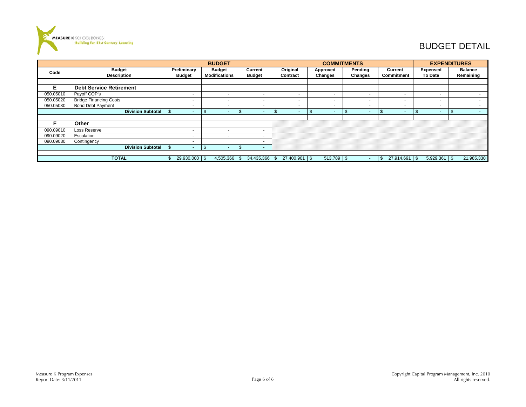

# BUDGET DETAIL

|           |                                |                         |           | <b>BUDGET</b>            |      |                          |      |               |                          | <b>COMMITMENTS</b> |                          |      |                   | <b>EXPENDITURES</b> |                          |
|-----------|--------------------------------|-------------------------|-----------|--------------------------|------|--------------------------|------|---------------|--------------------------|--------------------|--------------------------|------|-------------------|---------------------|--------------------------|
| Code      | <b>Budget</b>                  | Preliminary             |           | <b>Budget</b>            |      | Current                  |      | Original      | Approved                 | Pending            |                          |      | Current           | <b>Expensed</b>     | <b>Balance</b>           |
|           | <b>Description</b>             | <b>Budget</b>           |           | <b>Modifications</b>     |      | <b>Budget</b>            |      | Contract      | <b>Changes</b>           | <b>Changes</b>     |                          |      | Commitment        | To Date             | Remaining                |
|           |                                |                         |           |                          |      |                          |      |               |                          |                    |                          |      |                   |                     |                          |
| Е         | <b>Debt Service Retirement</b> |                         |           |                          |      |                          |      |               |                          |                    |                          |      |                   |                     |                          |
| 050.05010 | Payoff COP's                   |                         |           | $\overline{\phantom{a}}$ |      | $\overline{\phantom{a}}$ |      | $\sim$        | $\overline{\phantom{a}}$ |                    |                          |      | . .               |                     | $\overline{\phantom{a}}$ |
| 050.05020 | <b>Bridge Financing Costs</b>  |                         |           |                          |      | $\overline{\phantom{a}}$ |      |               | $\overline{\phantom{a}}$ |                    |                          |      |                   |                     |                          |
| 050.05030 | <b>Bond Debt Payment</b>       |                         |           | $\overline{\phantom{a}}$ |      | $\overline{\phantom{a}}$ |      | . .           |                          |                    | $\overline{\phantom{a}}$ |      |                   |                     | $\overline{\phantom{a}}$ |
|           | <b>Division Subtotal</b>       |                         |           | <b>.</b>                 | - 35 | ٠                        | - 35 |               | $\overline{\phantom{a}}$ |                    |                          |      |                   |                     | $\sim$                   |
|           |                                |                         |           |                          |      |                          |      |               |                          |                    |                          |      |                   |                     |                          |
| F         | Other                          |                         |           |                          |      |                          |      |               |                          |                    |                          |      |                   |                     |                          |
| 090.09010 | Loss Reserve                   |                         |           |                          |      | $\overline{\phantom{a}}$ |      |               |                          |                    |                          |      |                   |                     |                          |
| 090.09020 | Escalation                     |                         |           | $\overline{\phantom{a}}$ |      | $\overline{\phantom{a}}$ |      |               |                          |                    |                          |      |                   |                     |                          |
| 090.09030 | Contingency                    |                         |           |                          |      |                          |      |               |                          |                    |                          |      |                   |                     |                          |
|           | <b>Division Subtotal</b>       | \$                      | \$<br>. . |                          | \$   | <b>м.</b>                |      |               |                          |                    |                          |      |                   |                     |                          |
|           |                                |                         |           |                          |      |                          |      |               |                          |                    |                          |      |                   |                     |                          |
|           | <b>TOTAL</b>                   | $29,930,000$ \ \$<br>-S |           |                          |      |                          |      | 27,400,901 \$ | $513,789$ \$             |                    |                          | - 35 | $27,914,691$ \ \$ |                     | 21,985,330               |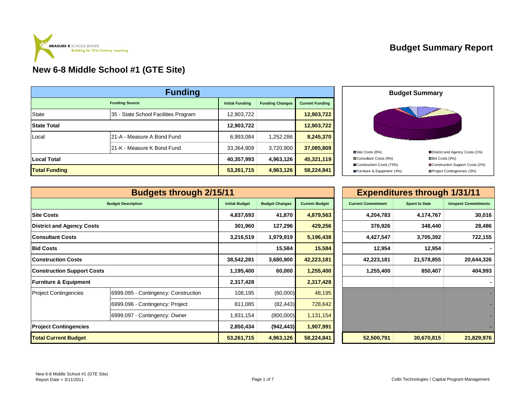

|                      | <b>Funding</b>                       |                        |                        |                        |
|----------------------|--------------------------------------|------------------------|------------------------|------------------------|
|                      | <b>Funding Source</b>                | <b>Initial Funding</b> | <b>Funding Changes</b> | <b>Current Funding</b> |
| <b>State</b>         | 35 - State School Facilities Program | 12,903,722             |                        | 12,903,722             |
| <b>State Total</b>   |                                      | 12,903,722             |                        | 12,903,722             |
| Local                | 21-A - Measure A Bond Fund           | 6,993,084              | 1,252,286              | 8,245,370              |
|                      | 21-K - Measure K Bond Fund           | 33,364,909             | 3,720,900              | 37,085,809             |
| <b>Local Total</b>   |                                      | 40,357,993             | 4,963,126              | 45,321,119             |
| <b>Total Funding</b> |                                      | 53,261,715             | 4,963,126              | 58,224,841             |



|                                   | <b>Budgets through 2/15/11</b>       |                       |                       |                       |                           | <b>Expenditures through 1/31/11</b> |                            |
|-----------------------------------|--------------------------------------|-----------------------|-----------------------|-----------------------|---------------------------|-------------------------------------|----------------------------|
|                                   | <b>Budget Description</b>            | <b>Initial Budget</b> | <b>Budget Changes</b> | <b>Current Budget</b> | <b>Current Commitment</b> | <b>Spent to Date</b>                | <b>Unspent Commitments</b> |
| <b>Site Costs</b>                 |                                      | 4,837,693             | 41,870                | 4,879,563             | 4,204,783                 | 4,174,767                           | 30,016                     |
| <b>District and Agency Costs</b>  |                                      | 301,960               | 127,296               | 429,256               | 376,926                   | 348,440                             | 28,486                     |
| <b>Consultant Costs</b>           |                                      | 3,216,519             | 1,979,919             | 5,196,438             | 4,427,547                 | 3,705,392                           | 722,155                    |
| <b>Bid Costs</b>                  |                                      |                       | 15,584                | 15,584                | 12,954                    | 12,954                              |                            |
| <b>Construction Costs</b>         |                                      | 38,542,281            | 3,680,900             | 42,223,181            | 42,223,181                | 21,578,855                          | 20,644,326                 |
| <b>Construction Support Costs</b> |                                      | 1,195,400             | 60,000                | 1,255,400             | 1,255,400                 | 850,407                             | 404,993                    |
| <b>Furniture &amp; Equipment</b>  |                                      | 2,317,428             |                       | 2,317,428             |                           |                                     |                            |
| <b>Project Contingencies</b>      | 6999.095 - Contingency: Construction | 108,195               | (60,000)              | 48,195                |                           |                                     |                            |
|                                   | 6999.096 - Contingency: Project      | 811,085               | (82, 443)             | 728,642               |                           |                                     |                            |
|                                   | 6999.097 - Contingency: Owner        | 1,931,154             | (800,000)             | 1,131,154             |                           |                                     |                            |
| <b>Project Contingencies</b>      |                                      | 2,850,434             | (942, 443)            | 1,907,991             |                           |                                     |                            |
| <b>Total Current Budget</b>       |                                      | 53,261,715            | 4,963,126             | 58,224,841            | 52,500,791                | 30,670,815                          | 21,829,976                 |

| 11                    |                       |                       |                           | <b>Expenditures through 1/31/11</b> |                            |
|-----------------------|-----------------------|-----------------------|---------------------------|-------------------------------------|----------------------------|
| <b>Initial Budget</b> | <b>Budget Changes</b> | <b>Current Budget</b> | <b>Current Commitment</b> | <b>Spent to Date</b>                | <b>Unspent Commitments</b> |
| 4,837,693             | 41,870                | 4,879,563             | 4,204,783                 | 4,174,767                           | 30,016                     |
| 301,960               | 127,296               | 429,256               | 376,926                   | 348,440                             | 28,486                     |
| 3,216,519             | 1,979,919             | 5,196,438             | 4,427,547                 | 3,705,392                           | 722,155                    |
|                       | 15,584                | 15,584                | 12,954                    | 12,954                              |                            |
| 38,542,281            | 3,680,900             | 42,223,181            | 42,223,181                | 21,578,855                          | 20,644,326                 |
| 1,195,400             | 60,000                | 1,255,400             | 1,255,400                 | 850,407                             | 404,993                    |
| 2,317,428             |                       | 2,317,428             |                           |                                     |                            |
| 108,195               | (60,000)              | 48,195                |                           |                                     |                            |
| 811,085               | (82, 443)             | 728,642               |                           |                                     |                            |
| 1,931,154             | (800,000)             | 1,131,154             |                           |                                     |                            |
| 2,850,434             | (942,443)             | 1,907,991             |                           |                                     |                            |
| 53.261.715            | 4.963.126             | 58.224.841            | 52.500.791                | 30.670.815                          | 21.829.976                 |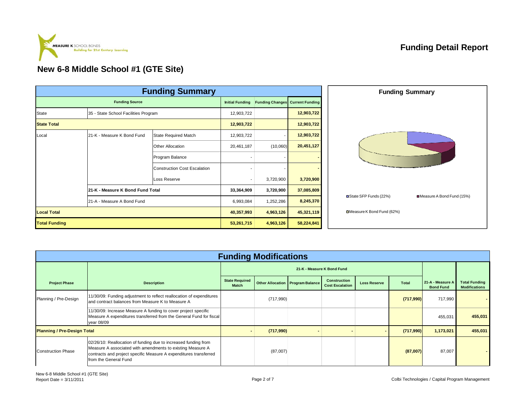

|                      |                                      | <b>Funding Summary</b>              |                        |           |                                        |
|----------------------|--------------------------------------|-------------------------------------|------------------------|-----------|----------------------------------------|
|                      | <b>Funding Source</b>                |                                     | <b>Initial Funding</b> |           | <b>Funding Changes</b> Current Funding |
| State                | 35 - State School Facilities Program |                                     | 12,903,722             |           | 12,903,722                             |
| <b>State Total</b>   |                                      |                                     |                        |           | 12,903,722                             |
| Local                | 21-K - Measure K Bond Fund           | <b>State Required Match</b>         | 12,903,722             |           | 12,903,722                             |
|                      |                                      | Other Allocation                    | 20,461,187             | (10,060)  | 20,451,127                             |
|                      |                                      | Program Balance                     |                        |           |                                        |
|                      |                                      | <b>Construction Cost Escalation</b> |                        |           |                                        |
|                      |                                      | Loss Reserve                        |                        | 3,720,900 | 3,720,900                              |
|                      | 21-K - Measure K Bond Fund Total     |                                     | 33,364,909             | 3,720,900 | 37,085,809                             |
|                      | 21-A - Measure A Bond Fund           |                                     | 6,993,084              | 1,252,286 | 8,245,370                              |
| <b>Local Total</b>   |                                      |                                     | 40,357,993             | 4,963,126 | 45,321,119                             |
| <b>Total Funding</b> |                                      |                                     | 53,261,715             | 4,963,126 | 58,224,841                             |

|                                    |                                                                                                                                                                                                                             |                                       | <b>Funding Modifications</b> |                                    |                                               |                     |           |                                      |                                              |  |
|------------------------------------|-----------------------------------------------------------------------------------------------------------------------------------------------------------------------------------------------------------------------------|---------------------------------------|------------------------------|------------------------------------|-----------------------------------------------|---------------------|-----------|--------------------------------------|----------------------------------------------|--|
|                                    |                                                                                                                                                                                                                             |                                       | 21-K - Measure K Bond Fund   |                                    |                                               |                     |           |                                      |                                              |  |
| <b>Project Phase</b>               | <b>Description</b>                                                                                                                                                                                                          | <b>State Required</b><br><b>Match</b> |                              | Other Allocation   Program Balance | <b>Construction</b><br><b>Cost Escalation</b> | <b>Loss Reserve</b> | Total     | 21-A - Measure A<br><b>Bond Fund</b> | <b>Total Funding</b><br><b>Modifications</b> |  |
| Planning / Pre-Design              | 11/30/09: Funding adjustment to reflect reallocation of expenditures<br>and contract balances from Measure K to Measure A                                                                                                   |                                       | (717,990)                    |                                    |                                               |                     | (717,990) | 717,990                              |                                              |  |
|                                    | 11/30/09: Increase Measure A funding to cover project specific<br>Measure A expenditures transferred from the General Fund for fiscal<br>year 08/09                                                                         |                                       |                              |                                    |                                               |                     |           | 455,031                              | 455,031                                      |  |
| <b>Planning / Pre-Design Total</b> |                                                                                                                                                                                                                             |                                       | (717,990)                    |                                    |                                               |                     | (717,990) | 1,173,021                            | 455,031                                      |  |
| <b>Construction Phase</b>          | 02/26/10: Reallocation of funding due to increased funding from<br>Measure A associated with amendments to existing Measure A<br>contracts and project specific Measure A expenditures transferred<br>from the General Fund |                                       | (87,007)                     |                                    |                                               |                     | (87,007)  | 87,007                               |                                              |  |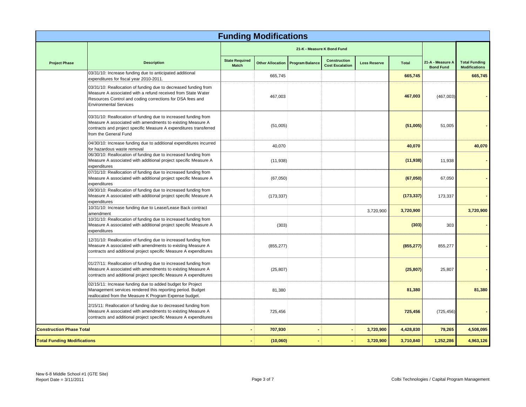|                                    |                                                                                                                                                                                                                               |                                | <b>Funding Modifications</b> |                        |                                               |                     |              |                                      |                                              |
|------------------------------------|-------------------------------------------------------------------------------------------------------------------------------------------------------------------------------------------------------------------------------|--------------------------------|------------------------------|------------------------|-----------------------------------------------|---------------------|--------------|--------------------------------------|----------------------------------------------|
|                                    |                                                                                                                                                                                                                               |                                |                              |                        | 21-K - Measure K Bond Fund                    |                     |              |                                      |                                              |
| <b>Project Phase</b>               | <b>Description</b>                                                                                                                                                                                                            | <b>State Required</b><br>Match | <b>Other Allocation</b>      | <b>Program Balance</b> | <b>Construction</b><br><b>Cost Escalation</b> | <b>Loss Reserve</b> | <b>Total</b> | 21-A - Measure A<br><b>Bond Fund</b> | <b>Total Funding</b><br><b>Modifications</b> |
|                                    | 03/31/10: Increase funding due to anticipated additional<br>expenditures for fiscal year 2010-2011.                                                                                                                           |                                | 665,745                      |                        |                                               |                     | 665,745      |                                      | 665,745                                      |
|                                    | 03/31/10: Reallocation of funding due to decreased funding from<br>Measure A associated with a refund received from State Water<br>Resources Control and coding corrections for DSA fees and<br><b>Environmental Services</b> |                                | 467,003                      |                        |                                               |                     | 467,003      | (467,003)                            |                                              |
|                                    | 03/31/10: Reallocation of funding due to increased funding from<br>Measure A associated with amendments to existing Measure A<br>contracts and project specific Measure A expenditures transferred<br>from the General Fund   |                                | (51,005)                     |                        |                                               |                     | (51,005)     | 51,005                               |                                              |
|                                    | 04/30/10: Increase funding due to additional expenditures incurred<br>for hazardous waste removal                                                                                                                             |                                | 40,070                       |                        |                                               |                     | 40,070       |                                      | 40,070                                       |
|                                    | 06/30/10: Reallocation of funding due to increased funding from<br>Measure A associated with additional project specific Measure A<br>expenditures                                                                            |                                | (11, 938)                    |                        |                                               |                     | (11, 938)    | 11,938                               |                                              |
|                                    | 07/31/10: Reallocation of funding due to increased funding from<br>Measure A associated with additional project specific Measure A<br>expenditures                                                                            |                                | (67,050)                     |                        |                                               |                     | (67,050)     | 67,050                               |                                              |
|                                    | 09/30/10: Reallocation of funding due to increased funding from<br>Measure A associated with additional project specific Measure A<br>expenditures                                                                            |                                | (173, 337)                   |                        |                                               |                     | (173, 337)   | 173,337                              |                                              |
|                                    | 10/31/10: Increase funding due to Lease/Lease Back contract<br>amendment                                                                                                                                                      |                                |                              |                        |                                               | 3,720,900           | 3,720,900    |                                      | 3,720,900                                    |
|                                    | 10/31/10: Reallocation of funding due to increased funding from<br>Measure A associated with additional project specific Measure A<br>expenditures                                                                            |                                | (303)                        |                        |                                               |                     | (303)        | 303                                  |                                              |
|                                    | 12/31/10: Reallocation of funding due to increased funding from<br>Measure A associated with amendments to existing Measure A<br>contracts and additional project specific Measure A expenditures                             |                                | (855, 277)                   |                        |                                               |                     | (855, 277)   | 855,277                              |                                              |
|                                    | 01/27/11: Reallocation of funding due to increased funding from<br>Measure A associated with amendments to existing Measure A<br>contracts and additional project specific Measure A expenditures                             |                                | (25, 807)                    |                        |                                               |                     | (25, 807)    | 25,807                               |                                              |
|                                    | 02/15/11: Increase funding due to added budget for Project<br>Management services rendered this reporting period. Budget<br>reallocated from the Measure K Program Expense budget.                                            |                                | 81,380                       |                        |                                               |                     | 81,380       |                                      | 81,380                                       |
|                                    | 2/15/11: Reallocation of funding due to decreased funding from<br>Measure A associated with amendments to existing Measure A<br>contracts and additional project specific Measure A expenditures                              |                                | 725,456                      |                        |                                               |                     | 725,456      | (725, 456)                           |                                              |
| <b>Construction Phase Total</b>    |                                                                                                                                                                                                                               |                                | 707,930                      |                        |                                               | 3,720,900           | 4,428,830    | 79,265                               | 4,508,095                                    |
| <b>Total Funding Modifications</b> |                                                                                                                                                                                                                               |                                | (10,060)                     |                        |                                               | 3,720,900           | 3,710,840    | 1,252,286                            | 4,963,126                                    |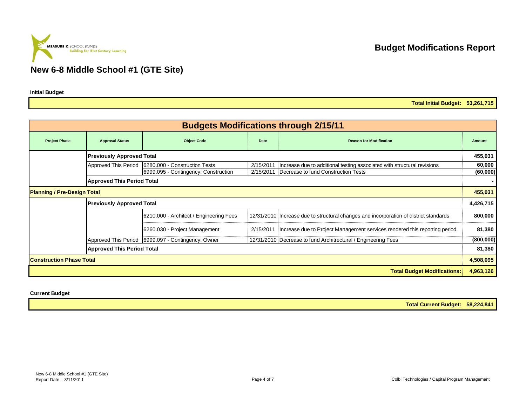

**Initial Budget**

**Total Initial Budget: 53,261,715**

|                                    |                                   |                                                      |           | <b>Budgets Modifications through 2/15/11</b>                                          |           |
|------------------------------------|-----------------------------------|------------------------------------------------------|-----------|---------------------------------------------------------------------------------------|-----------|
| <b>Project Phase</b>               | <b>Approval Status</b>            | <b>Object Code</b>                                   | Date      | <b>Reason for Modification</b>                                                        | Amount    |
|                                    | <b>Previously Approved Total</b>  |                                                      |           |                                                                                       | 455,031   |
|                                    |                                   | Approved This Period   6280.000 - Construction Tests | 2/15/2011 | Increase due to additional testing associated with structural revisions               | 60,000    |
|                                    |                                   | 6999.095 - Contingency: Construction                 | 2/15/2011 | Decrease to fund Construction Tests                                                   | (60,000)  |
|                                    | <b>Approved This Period Total</b> |                                                      |           |                                                                                       |           |
| <b>Planning / Pre-Design Total</b> |                                   |                                                      |           |                                                                                       | 455,031   |
|                                    | <b>Previously Approved Total</b>  |                                                      |           |                                                                                       | 4,426,715 |
|                                    |                                   | 6210.000 - Architect / Engineering Fees              |           | 12/31/2010 Increase due to structural changes and incorporation of district standards | 800,000   |
|                                    |                                   | 6260.030 - Project Management                        | 2/15/2011 | Increase due to Project Management services rendered this reporting period.           | 81,380    |
|                                    |                                   | Approved This Period   6999.097 - Contingency: Owner |           | 12/31/2010 Decrease to fund Architrectural / Engineering Fees                         | (800,000) |
|                                    | <b>Approved This Period Total</b> |                                                      |           |                                                                                       | 81,380    |
| <b>Construction Phase Total</b>    |                                   |                                                      |           |                                                                                       | 4,508,095 |
|                                    |                                   |                                                      |           | <b>Total Budget Modifications:</b>                                                    | 4,963,126 |

#### **Current Budget**

**Total Current Budget: 58,224,841**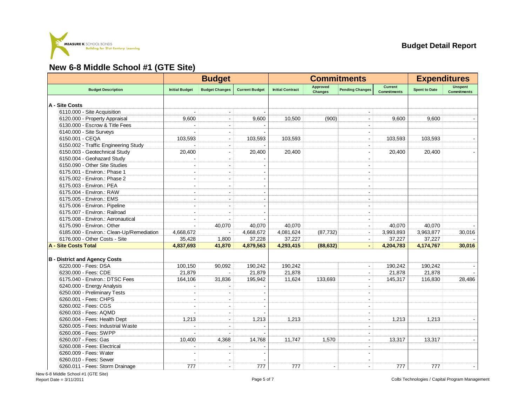

|                                           |                       | <b>Budget</b>            |                       |                         |                                   | <b>Commitments</b>       |                                      | <b>Expenditures</b>  |                               |
|-------------------------------------------|-----------------------|--------------------------|-----------------------|-------------------------|-----------------------------------|--------------------------|--------------------------------------|----------------------|-------------------------------|
| <b>Budget Description</b>                 | <b>Initial Budget</b> | <b>Budget Changes</b>    | <b>Current Budget</b> | <b>Initial Contract</b> | <b>Approved</b><br><b>Changes</b> | <b>Pending Changes</b>   | <b>Current</b><br><b>Commitments</b> | <b>Spent to Date</b> | Unspent<br><b>Commitments</b> |
| A - Site Costs                            |                       |                          |                       |                         |                                   |                          |                                      |                      |                               |
| 6110.000 - Site Acquisition               |                       |                          |                       |                         |                                   |                          |                                      |                      |                               |
| 6120.000 - Property Appraisal             | 9,600                 |                          | 9,600                 | 10,500                  | (900)                             | $\overline{\phantom{a}}$ | 9,600                                | 9,600                |                               |
| 6130.000 - Escrow & Title Fees            |                       |                          |                       |                         |                                   |                          |                                      |                      |                               |
| 6140.000 - Site Surveys                   |                       |                          |                       |                         |                                   | $\blacksquare$           |                                      |                      |                               |
| 6150.001 - CEQA                           | 103,593               |                          | 103,593               | 103,593                 |                                   | $\blacksquare$           | 103,593                              | 103,593              |                               |
| 6150.002 - Traffic Engineering Study      |                       | $\overline{\phantom{a}}$ |                       |                         |                                   | $\blacksquare$           |                                      |                      |                               |
| 6150.003 - Geotechnical Study             | 20,400                |                          | 20,400                | 20,400                  |                                   | $\blacksquare$           | 20,400                               | 20,400               |                               |
| 6150.004 - Geohazard Study                |                       | $\blacksquare$           |                       |                         |                                   | $\blacksquare$           |                                      |                      |                               |
| 6150.090 - Other Site Studies             | ä,                    | $\blacksquare$           |                       |                         |                                   | $\blacksquare$           |                                      |                      |                               |
| 6175.001 - Environ.: Phase 1              |                       |                          |                       |                         |                                   | $\blacksquare$           |                                      |                      |                               |
| 6175.002 - Environ.: Phase 2              | L.                    | $\sim$                   |                       |                         |                                   | ÷                        |                                      |                      |                               |
| 6175.003 - Environ.: PEA                  |                       |                          |                       |                         |                                   | $\blacksquare$           |                                      |                      |                               |
| 6175.004 - Environ.: RAW                  |                       | $\overline{\phantom{a}}$ |                       |                         |                                   | $\blacksquare$           |                                      |                      |                               |
| 6175.005 - Environ.: EMS                  |                       | $\sim$                   |                       |                         |                                   | $\overline{\phantom{a}}$ |                                      |                      |                               |
| 6175.006 - Environ.: Pipeline             |                       |                          |                       |                         |                                   | $\blacksquare$           |                                      |                      |                               |
| 6175.007 - Environ.: Railroad             | ÷                     |                          |                       |                         |                                   | $\blacksquare$           |                                      |                      |                               |
| 6175.008 - Environ.: Aeronautical         |                       |                          |                       |                         |                                   | $\blacksquare$           |                                      |                      |                               |
| 6175.090 - Environ.: Other                |                       | 40,070                   | 40,070                | 40,070                  |                                   | $\blacksquare$           | 40,070                               | 40,070               |                               |
| 6185.000 - Environ.: Clean-Up/Remediation | 4,668,672             | $\sim$                   | 4,668,672             | 4,081,624               | (87, 732)                         | $\blacksquare$           | 3,993,893                            | 3,963,877            | 30,016                        |
| 6176.000 - Other Costs - Site             | 35,428                | 1,800                    | 37,228                | 37,227                  |                                   | $\blacksquare$           | 37,227                               | 37,227               |                               |
| <b>A - Site Costs Total</b>               | 4,837,693             | 41,870                   | 4,879,563             | 4,293,415               | (88, 632)                         | $\blacksquare$           | 4,204,783                            | 4,174,767            | 30,016                        |
|                                           |                       |                          |                       |                         |                                   |                          |                                      |                      |                               |
| <b>B</b> - District and Agency Costs      |                       |                          |                       |                         |                                   |                          |                                      |                      |                               |
| 6220.000 - Fees: DSA                      | 100,150               | 90,092                   | 190,242               | 190,242                 |                                   | $\blacksquare$           | 190,242                              | 190,242              |                               |
| 6230.000 - Fees: CDE                      | 21,879                |                          | 21,879                | 21,878                  |                                   | $\overline{\phantom{a}}$ | 21,878                               | 21,878               |                               |
| 6175.040 - Environ.: DTSC Fees            | 164,106               | 31,836                   | 195,942               | 11,624                  | 133,693                           |                          | 145,317                              | 116,830              | 28,486                        |
| 6240.000 - Energy Analysis                |                       |                          |                       |                         |                                   |                          |                                      |                      |                               |
| 6250.000 - Preliminary Tests              |                       |                          |                       |                         |                                   | $\blacksquare$           |                                      |                      |                               |
| 6260.001 - Fees: CHPS                     |                       |                          |                       |                         |                                   | ÷                        |                                      |                      |                               |
| 6260.002 - Fees: CGS                      |                       |                          |                       |                         |                                   | $\blacksquare$           |                                      |                      |                               |
| 6260.003 - Fees: AQMD                     |                       | $\sim$                   |                       |                         |                                   | $\sim$                   |                                      |                      |                               |
| 6260.004 - Fees: Health Dept              | 1,213                 |                          | 1,213                 | 1,213                   |                                   | $\overline{\phantom{a}}$ | 1,213                                | 1,213                |                               |
| 6260.005 - Fees: Industrial Waste         |                       |                          |                       |                         |                                   |                          |                                      |                      |                               |
| 6260.006 - Fees: SWPP                     |                       |                          |                       |                         |                                   | $\blacksquare$           |                                      |                      |                               |
| 6260.007 - Fees: Gas                      | 10,400                | 4,368                    | 14,768                | 11,747                  | 1,570                             | $\overline{\phantom{a}}$ | 13,317                               | 13,317               |                               |
| 6260.008 - Fees: Electrical               |                       |                          |                       |                         |                                   |                          |                                      |                      |                               |
| 6260.009 - Fees: Water                    |                       |                          |                       |                         |                                   | $\blacksquare$           |                                      |                      |                               |
| 6260.010 - Fees: Sewer                    |                       |                          |                       |                         |                                   | $\blacksquare$           |                                      |                      |                               |
| 6260.011 - Fees: Storm Drainage           | 777                   | $\blacksquare$           | 777                   | 777                     |                                   | $\blacksquare$           | 777                                  | 777                  |                               |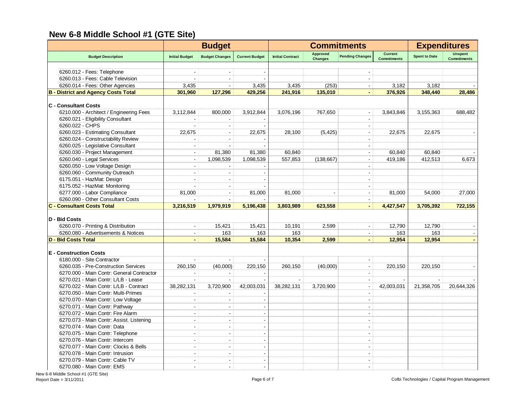|                                            |                          | <b>Budget</b>            |                       |                         | <b>Commitments</b>                |                        | <b>Expenditures</b>                  |                      |                                      |
|--------------------------------------------|--------------------------|--------------------------|-----------------------|-------------------------|-----------------------------------|------------------------|--------------------------------------|----------------------|--------------------------------------|
| <b>Budget Description</b>                  | <b>Initial Budget</b>    | <b>Budget Changes</b>    | <b>Current Budget</b> | <b>Initial Contract</b> | <b>Approved</b><br><b>Changes</b> | <b>Pending Changes</b> | <b>Current</b><br><b>Commitments</b> | <b>Spent to Date</b> | <b>Unspent</b><br><b>Commitments</b> |
|                                            |                          |                          |                       |                         |                                   |                        |                                      |                      |                                      |
| 6260.012 - Fees: Telephone                 |                          |                          |                       |                         |                                   |                        |                                      |                      |                                      |
| 6260.013 - Fees: Cable Television          |                          |                          |                       |                         |                                   |                        |                                      |                      |                                      |
| 6260.014 - Fees: Other Agencies            | 3,435                    | $\sim$                   | 3,435                 | 3,435                   | (253)                             | $\blacksquare$         | 3,182                                | 3,182                |                                      |
| <b>B</b> - District and Agency Costs Total | 301,960                  | 127,296                  | 429,256               | 241,916                 | 135,010                           |                        | 376,926                              | 348,440              | 28,486                               |
| <b>C</b> - Consultant Costs                |                          |                          |                       |                         |                                   |                        |                                      |                      |                                      |
| 6210.000 - Architect / Engineering Fees    | 3,112,844                | 800,000                  | 3,912,844             | 3,076,196               | 767,650                           |                        | 3,843,846                            | 3,155,363            | 688,482                              |
| 6260.021 - Eligibility Consultant          |                          |                          |                       |                         |                                   |                        |                                      |                      |                                      |
| 6260.022 - CHPS                            |                          | $\overline{\phantom{a}}$ |                       |                         |                                   | $\sim$                 |                                      |                      |                                      |
| 6260.023 - Estimating Consultant           | 22.675                   | $\overline{\phantom{a}}$ | 22,675                | 28,100                  | (5, 425)                          |                        | 22.675                               | 22.675               |                                      |
| 6260.024 - Constructability Review         |                          | $\sim$                   |                       |                         |                                   |                        |                                      |                      |                                      |
| 6260.025 - Legislative Consultant          | $\sim$                   |                          |                       |                         |                                   |                        |                                      |                      |                                      |
| 6260.030 - Project Management              | $\blacksquare$           | 81,380                   | 81,380                | 60.840                  |                                   |                        | 60.840                               | 60.840               |                                      |
| 6260.040 - Legal Services                  | $\overline{\phantom{a}}$ | 1,098,539                | 1,098,539             | 557,853                 | (138, 667)                        |                        | 419,186                              | 412,513              | 6,673                                |
| 6260.050 - Low Voltage Design              | $\overline{\phantom{a}}$ |                          |                       |                         |                                   |                        |                                      |                      |                                      |
| 6260.060 - Community Outreach              |                          |                          |                       |                         |                                   |                        |                                      |                      |                                      |
| 6175.051 - HazMat: Design                  |                          |                          |                       |                         |                                   |                        |                                      |                      |                                      |
| 6175.052 - HazMat: Monitoring              |                          |                          |                       |                         |                                   |                        |                                      |                      |                                      |
| 6277.000 - Labor Compliance                | 81,000                   |                          | 81,000                | 81,000                  |                                   |                        | 81,000                               | 54,000               | 27,000                               |
| 6260.090 - Other Consultant Costs          |                          |                          |                       |                         |                                   |                        |                                      |                      |                                      |
| <b>C - Consultant Costs Total</b>          | 3,216,519                | 1,979,919                | 5,196,438             | 3,803,989               | 623,558                           |                        | 4,427,547                            | 3,705,392            | 722,155                              |
|                                            |                          |                          |                       |                         |                                   |                        |                                      |                      |                                      |
| D - Bid Costs                              |                          |                          |                       |                         |                                   |                        |                                      |                      |                                      |
| 6260.070 - Printing & Distribution         | $\overline{\phantom{a}}$ | 15,421                   | 15,421                | 10,191                  | 2,599                             |                        | 12,790                               | 12,790               |                                      |
| 6260.080 - Advertisements & Notices        | $\sim$                   | 163                      | 163                   | 163                     |                                   | $\blacksquare$         | 163                                  | 163                  |                                      |
| <b>D - Bid Costs Total</b>                 | $\blacksquare$           | 15,584                   | 15,584                | 10,354                  | 2,599                             | ÷.                     | 12,954                               | 12,954               |                                      |
| <b>E</b> - Construction Costs              |                          |                          |                       |                         |                                   |                        |                                      |                      |                                      |
| 6180.000 - Site Contractor                 |                          |                          |                       |                         |                                   |                        |                                      |                      |                                      |
| 6260.035 - Pre-Construction Services       | 260.150                  | (40,000)                 | 220,150               | 260,150                 | (40,000)                          | $\blacksquare$         | 220,150                              | 220,150              |                                      |
| 6270.000 - Main Contr: General Contractor  |                          |                          |                       |                         |                                   |                        |                                      |                      |                                      |
| 6270.021 - Main Contr: L/LB - Lease        | $\overline{\phantom{a}}$ |                          |                       |                         |                                   |                        |                                      |                      |                                      |
| 6270.022 - Main Contr: L/LB - Contract     | 38,282,131               | 3,720,900                | 42,003,031            | 38,282,131              | 3,720,900                         |                        | 42,003,031                           | 21,358,705           | 20,644,326                           |
| 6270.050 - Main Contr: Multi-Primes        | $\overline{\phantom{a}}$ |                          |                       |                         |                                   |                        |                                      |                      |                                      |
| 6270.070 - Main Contr: Low Voltage         | $\overline{\phantom{a}}$ | $\overline{\phantom{a}}$ |                       |                         |                                   |                        |                                      |                      |                                      |
| 6270.071 - Main Contr: Pathway             | $\sim$                   | $\overline{\phantom{a}}$ |                       |                         |                                   |                        |                                      |                      |                                      |
| 6270.072 - Main Contr: Fire Alarm          | $\sim$                   | $\sim$                   |                       |                         |                                   |                        |                                      |                      |                                      |
| 6270.073 - Main Contr: Assist. Listening   | $\sim$                   | $\overline{\phantom{a}}$ |                       |                         |                                   | $\sim$                 |                                      |                      |                                      |
| 6270.074 - Main Contr: Data                | $\sim$                   | $\sim$                   |                       |                         |                                   | $\sim$                 |                                      |                      |                                      |
| 6270.075 - Main Contr: Telephone           | $\sim$                   | $\sim$                   |                       |                         |                                   |                        |                                      |                      |                                      |
| 6270.076 - Main Contr: Intercom            | ÷.                       | $\overline{a}$           |                       |                         |                                   |                        |                                      |                      |                                      |
| 6270.077 - Main Contr: Clocks & Bells      |                          |                          |                       |                         |                                   |                        |                                      |                      |                                      |
| 6270.078 - Main Contr: Intrusion           |                          |                          |                       |                         |                                   |                        |                                      |                      |                                      |
| 6270.079 - Main Contr: Cable TV            | $\overline{a}$           | L.                       |                       |                         |                                   |                        |                                      |                      |                                      |
| 6270.080 - Main Contr: EMS                 |                          |                          |                       |                         |                                   |                        |                                      |                      |                                      |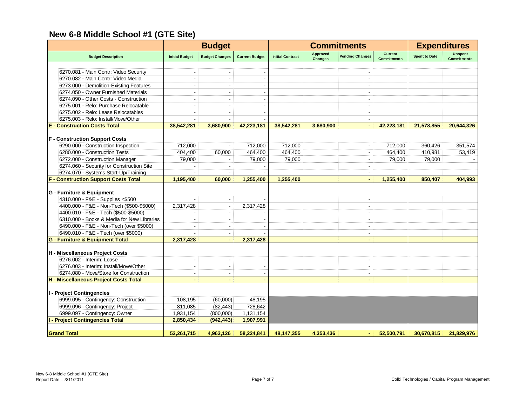|                                             |                          | <b>Budget</b>            |                       |                         |                                   | <b>Commitments</b>       |                                      | <b>Expenditures</b>  |                                      |  |
|---------------------------------------------|--------------------------|--------------------------|-----------------------|-------------------------|-----------------------------------|--------------------------|--------------------------------------|----------------------|--------------------------------------|--|
| <b>Budget Description</b>                   | <b>Initial Budget</b>    | <b>Budget Changes</b>    | <b>Current Budget</b> | <b>Initial Contract</b> | <b>Approved</b><br><b>Changes</b> | <b>Pending Changes</b>   | <b>Current</b><br><b>Commitments</b> | <b>Spent to Date</b> | <b>Unspent</b><br><b>Commitments</b> |  |
|                                             |                          |                          |                       |                         |                                   |                          |                                      |                      |                                      |  |
| 6270.081 - Main Contr: Video Security       |                          |                          |                       |                         |                                   |                          |                                      |                      |                                      |  |
| 6270.082 - Main Contr: Video Media          |                          |                          |                       |                         |                                   |                          |                                      |                      |                                      |  |
| 6273.000 - Demolition-Existing Features     | ÷                        | $\sim$                   |                       |                         |                                   |                          |                                      |                      |                                      |  |
| 6274.050 - Owner Furnished Materials        |                          |                          |                       |                         |                                   |                          |                                      |                      |                                      |  |
| 6274.090 - Other Costs - Construction       |                          |                          |                       |                         |                                   |                          |                                      |                      |                                      |  |
| 6275.001 - Relo: Purchase Relocatable       |                          |                          |                       |                         |                                   |                          |                                      |                      |                                      |  |
| 6275.002 - Relo: Lease Relocatables         | $\overline{\phantom{a}}$ | $\overline{\phantom{a}}$ |                       |                         |                                   |                          |                                      |                      |                                      |  |
| 6275.003 - Relo: Install/Move/Other         |                          |                          |                       |                         |                                   |                          |                                      |                      |                                      |  |
| <b>E</b> - Construction Costs Total         | 38,542,281               | 3,680,900                | 42,223,181            | 38,542,281              | 3.680.900                         |                          | 42,223,181                           | 21,578,855           | 20,644,326                           |  |
| <b>F</b> - Construction Support Costs       |                          |                          |                       |                         |                                   |                          |                                      |                      |                                      |  |
| 6290.000 - Construction Inspection          | 712,000                  |                          | 712,000               | 712,000                 |                                   | $\blacksquare$           | 712,000                              | 360,426              | 351,574                              |  |
| 6280.000 - Construction Tests               | 404,400                  | 60,000                   | 464,400               | 464,400                 |                                   | $\blacksquare$           | 464,400                              | 410,981              | 53,419                               |  |
| 6272.000 - Construction Manager             | 79,000                   |                          | 79,000                | 79,000                  |                                   |                          | 79,000                               | 79,000               |                                      |  |
| 6274.060 - Security for Construction Site   |                          |                          |                       |                         |                                   |                          |                                      |                      |                                      |  |
| 6274.070 - Systems Start-Up/Training        | $\blacksquare$           |                          |                       |                         |                                   |                          |                                      |                      |                                      |  |
| <b>F - Construction Support Costs Total</b> | 1,195,400                | 60,000                   | 1,255,400             | 1,255,400               |                                   |                          | 1,255,400                            | 850,407              | 404,993                              |  |
|                                             |                          |                          |                       |                         |                                   |                          |                                      |                      |                                      |  |
| G - Furniture & Equipment                   |                          |                          |                       |                         |                                   |                          |                                      |                      |                                      |  |
| 4310.000 - F&E - Supplies <\$500            |                          | $\blacksquare$           |                       |                         |                                   | $\blacksquare$           |                                      |                      |                                      |  |
| 4400.000 - F&E - Non-Tech (\$500-\$5000)    | 2,317,428                |                          | 2,317,428             |                         |                                   |                          |                                      |                      |                                      |  |
| 4400.010 - F&E - Tech (\$500-\$5000)        |                          | $\sim$                   |                       |                         |                                   | ÷                        |                                      |                      |                                      |  |
| 6310.000 - Books & Media for New Libraries  |                          | $\overline{\phantom{a}}$ |                       |                         |                                   |                          |                                      |                      |                                      |  |
| 6490.000 - F&E - Non-Tech (over \$5000)     |                          | $\blacksquare$           |                       |                         |                                   |                          |                                      |                      |                                      |  |
| 6490.010 - F&E - Tech (over \$5000)         |                          | $\blacksquare$           |                       |                         |                                   | $\blacksquare$           |                                      |                      |                                      |  |
| G - Furniture & Equipment Total             | 2,317,428                |                          | 2,317,428             |                         |                                   |                          |                                      |                      |                                      |  |
|                                             |                          |                          |                       |                         |                                   |                          |                                      |                      |                                      |  |
| H - Miscellaneous Project Costs             |                          |                          |                       |                         |                                   |                          |                                      |                      |                                      |  |
| 6276.002 - Interim: Lease                   | $\blacksquare$           | $\blacksquare$           |                       |                         |                                   | $\overline{\phantom{a}}$ |                                      |                      |                                      |  |
| 6276.003 - Interim: Install/Move/Other      | ÷                        | $\sim$                   |                       |                         |                                   | $\mathbf{r}$             |                                      |                      |                                      |  |
| 6274.080 - Move/Store for Construction      |                          | $\sim$                   |                       |                         |                                   | $\blacksquare$           |                                      |                      |                                      |  |
| H - Miscellaneous Project Costs Total       | $\blacksquare$           | $\blacksquare$           |                       |                         |                                   | $\blacksquare$           |                                      |                      |                                      |  |
| I - Project Contingencies                   |                          |                          |                       |                         |                                   |                          |                                      |                      |                                      |  |
| 6999.095 - Contingency: Construction        | 108,195                  | (60,000)                 | 48,195                |                         |                                   |                          |                                      |                      |                                      |  |
| 6999.096 - Contingency: Project             | 811,085                  | (82, 443)                | 728,642               |                         |                                   |                          |                                      |                      |                                      |  |
| 6999.097 - Contingency: Owner               | 1,931,154                | (800,000)                | 1,131,154             |                         |                                   |                          |                                      |                      |                                      |  |
| <b>I - Project Contingencies Total</b>      | 2,850,434                | (942, 443)               | 1,907,991             |                         |                                   |                          |                                      |                      |                                      |  |
|                                             |                          |                          |                       |                         |                                   |                          |                                      |                      |                                      |  |
| <b>Grand Total</b>                          | 53,261,715               | 4,963,126                | 58,224,841            | 48,147,355              | 4,353,436                         | ٠                        | 52,500,791                           | 30,670,815           | 21,829,976                           |  |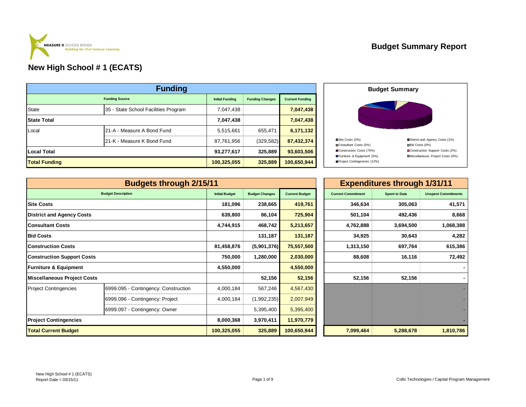|                      | <b>Funding</b>                       |                        |                        |                        |
|----------------------|--------------------------------------|------------------------|------------------------|------------------------|
|                      | <b>Funding Source</b>                | <b>Initial Funding</b> | <b>Funding Changes</b> | <b>Current Funding</b> |
| State                | 35 - State School Facilities Program | 7,047,438              |                        | 7,047,438              |
| <b>State Total</b>   |                                      | 7,047,438              |                        | 7,047,438              |
| Local                | 21-A - Measure A Bond Fund           | 5,515,661              | 655,471                | 6,171,132              |
|                      | 21-K - Measure K Bond Fund           | 87,761,956             | (329, 582)             | 87,432,374             |
| <b>Local Total</b>   |                                      | 93,277,617             | 325,889                | 93,603,506             |
| <b>Total Funding</b> |                                      | 100,325,055            | 325,889                | 100,650,944            |



|                                                                                   | <b>Budgets through 2/15/11</b>       |                       |                       |                       | <b>Expenditures through 1/31/11</b> |                      |                            |  |
|-----------------------------------------------------------------------------------|--------------------------------------|-----------------------|-----------------------|-----------------------|-------------------------------------|----------------------|----------------------------|--|
|                                                                                   | <b>Budget Description</b>            | <b>Initial Budget</b> | <b>Budget Changes</b> | <b>Current Budget</b> | <b>Current Commitment</b>           | <b>Spent to Date</b> | <b>Unspent Commitments</b> |  |
| <b>Site Costs</b>                                                                 |                                      | 181,096               | 238,665               | 419,761               | 346,634                             | 305,063              | 41,571                     |  |
| <b>District and Agency Costs</b>                                                  |                                      | 639,800               | 86,104                | 725,904               | 501,104                             | 492,436              | 8,668                      |  |
| <b>Consultant Costs</b>                                                           |                                      | 4,744,915             | 468,742               | 5,213,657             | 4,762,888                           | 3,694,500            | 1,068,388                  |  |
| <b>Bid Costs</b>                                                                  |                                      |                       | 131,187               | 131,187               | 34,925                              | 30,643               | 4,282                      |  |
| Construction Costs_                                                               |                                      | 81,458,876            | (5,901,376)           | 75,557,500            | 1,313,150                           | 697,764              | 615,386                    |  |
| <b>Construction Support Costs</b>                                                 |                                      | 750,000               | 1,280,000             | 2,030,000             | 88,608<br>16,116                    |                      |                            |  |
| <b>Furniture &amp; Equipment</b>                                                  |                                      | 4,550,000             |                       | 4,550,000             |                                     |                      |                            |  |
| <b>Miscellaneous Project Costs</b>                                                |                                      |                       | 52,156                | 52,156                | 52,156                              | 52,156               |                            |  |
| Project Contingencies                                                             | 6999.095 - Contingency: Construction | 4,000,184             | 567,246               | 4,567,430             |                                     |                      |                            |  |
|                                                                                   | 6999.096 - Contingency: Project      | 4,000,184             | (1,992,235)           | 2,007,949             |                                     |                      |                            |  |
|                                                                                   | 6999.097 - Contingency: Owner        |                       | 5,395,400             | 5,395,400             |                                     |                      |                            |  |
| <b>Project Contingencies</b>                                                      |                                      | 8,000,368             | 3,970,411             | 11,970,779            |                                     |                      |                            |  |
| 100,650,944<br><b>Total Current Budget</b><br>100,325,055<br>325,889<br>7,099,464 |                                      |                       |                       | 5,288,678             | 1,810,786                           |                      |                            |  |

|                |                       |                       |                           | <b>Expenditures through 1/31/11</b> |                            |
|----------------|-----------------------|-----------------------|---------------------------|-------------------------------------|----------------------------|
| Initial Budget | <b>Budget Changes</b> | <b>Current Budget</b> | <b>Current Commitment</b> | <b>Spent to Date</b>                | <b>Unspent Commitments</b> |
| 181,096        | 238,665               | 419,761               | 346,634                   | 305,063                             | 41,571                     |
| 639,800        | 86,104                | 725,904               | 501,104                   | 492,436                             | 8,668                      |
| 4,744,915      | 468,742               | 5,213,657             | 4,762,888                 | 3,694,500                           | 1,068,388                  |
|                | 131,187               | 131,187               | 34,925                    | 30,643                              | 4,282                      |
| 81,458,876     | (5,901,376)           | 75,557,500            | 1,313,150                 | 697,764                             | 615,386                    |
| 750,000        | 1,280,000             | 2,030,000             | 88,608                    | 16,116                              | 72,492                     |
| 4,550,000      |                       | 4,550,000             |                           |                                     |                            |
|                | 52,156                | 52,156                | 52,156                    | 52,156                              |                            |
| 4,000,184      | 567,246               | 4,567,430             |                           |                                     |                            |
| 4,000,184      | (1,992,235)           | 2,007,949             |                           |                                     |                            |
|                | 5,395,400             | 5,395,400             |                           |                                     |                            |
| 8,000,368      | 3,970,411             | 11,970,779            |                           |                                     |                            |
| 00,325,055     | 325,889               | 100,650,944           | 7,099,464                 | 5,288,678                           | 1,810,786                  |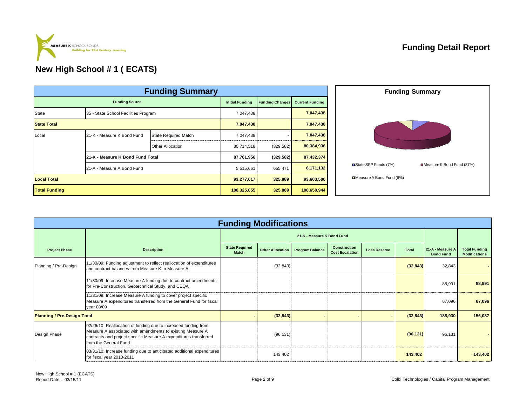

# **Funding Detail Report**

|                      |                                      | <b>Funding Summary</b>      |                                                                            |            |             |                           | <b>Funding Summary</b>    |
|----------------------|--------------------------------------|-----------------------------|----------------------------------------------------------------------------|------------|-------------|---------------------------|---------------------------|
|                      | <b>Funding Source</b>                |                             | <b>Initial Funding</b><br><b>Current Funding</b><br><b>Funding Changes</b> |            |             |                           |                           |
| State                | 35 - State School Facilities Program |                             | 7,047,438                                                                  |            | 7,047,438   |                           |                           |
| <b>State Total</b>   |                                      |                             | 7,047,438                                                                  |            | 7,047,438   |                           |                           |
| Local                | 21-K - Measure K Bond Fund           | <b>State Required Match</b> | 7,047,438                                                                  |            | 7,047,438   |                           |                           |
|                      |                                      | Other Allocation            | 80,714,518                                                                 | (329, 582) | 80,384,936  |                           |                           |
|                      | 21-K - Measure K Bond Fund Total     |                             | 87,761,956                                                                 | (329, 582) | 87,432,374  |                           |                           |
|                      | 21-A - Measure A Bond Fund           |                             | 5,515,661                                                                  | 655,471    | 6,171,132   | State SFP Funds (7%)      | Measure K Bond Fund (87%) |
| <b>Local Total</b>   |                                      |                             | 93,277,617                                                                 | 325,889    | 93,603,506  | □Measure A Bond Fund (6%) |                           |
| <b>Total Funding</b> |                                      |                             | 100,325,055                                                                | 325,889    | 100,650,944 |                           |                           |

|                                    |                                                                                                                                                                                                                             | <b>Funding Modifications</b>          |                         |                        |                                               |                     |              |                                      |                                              |
|------------------------------------|-----------------------------------------------------------------------------------------------------------------------------------------------------------------------------------------------------------------------------|---------------------------------------|-------------------------|------------------------|-----------------------------------------------|---------------------|--------------|--------------------------------------|----------------------------------------------|
|                                    |                                                                                                                                                                                                                             |                                       |                         |                        |                                               |                     |              |                                      |                                              |
| <b>Project Phase</b>               | <b>Description</b>                                                                                                                                                                                                          | <b>State Required</b><br><b>Match</b> | <b>Other Allocation</b> | <b>Program Balance</b> | <b>Construction</b><br><b>Cost Escalation</b> | <b>Loss Reserve</b> | <b>Total</b> | 21-A - Measure A<br><b>Bond Fund</b> | <b>Total Funding</b><br><b>Modifications</b> |
| Planning / Pre-Design              | 11/30/09: Funding adjustment to reflect reallocation of expenditures<br>and contract balances from Measure K to Measure A                                                                                                   |                                       | (32, 843)               |                        |                                               |                     | (32, 843)    | 32,843                               |                                              |
|                                    | 11/30/09: Increase Measure A funding due to contract amendments<br>for Pre-Construction, Geotechnical Study, and CEQA                                                                                                       |                                       |                         |                        |                                               |                     |              | 88,991                               | 88,991                                       |
|                                    | 11/31/09: Increase Measure A funding to cover project specific<br>Measure A expenditures transferred from the General Fund for fiscal<br>year 08/09                                                                         |                                       |                         |                        |                                               |                     |              | 67,096                               | 67,096                                       |
| <b>Planning / Pre-Design Total</b> |                                                                                                                                                                                                                             |                                       | (32, 843)               |                        |                                               |                     | (32, 843)    | 188,930                              | 156,087                                      |
| Design Phase                       | 02/26/10: Reallocation of funding due to increased funding from<br>Measure A associated with amendments to existing Measure A<br>contracts and project specific Measure A expenditures transferred<br>from the General Fund |                                       | (96, 131)               |                        |                                               |                     | (96, 131)    | 96,131                               |                                              |
|                                    | 03/31/10: Increase funding due to anticipated additional expenditures<br>for fiscal year 2010-2011                                                                                                                          |                                       | 143,402                 |                        |                                               |                     | 143,402      |                                      | 143,402                                      |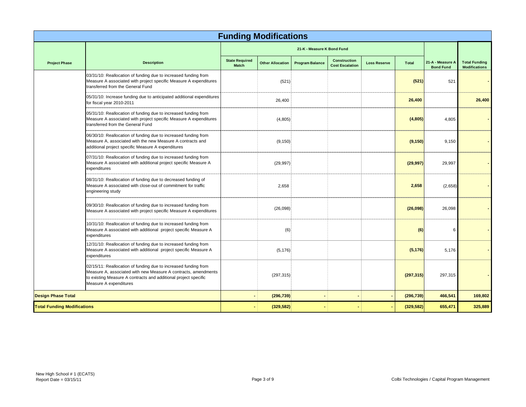|                                    |                                                                                                                                                                                                                                | <b>Funding Modifications</b>          |                         |                            |                                               |                     |              |                                      |                                              |
|------------------------------------|--------------------------------------------------------------------------------------------------------------------------------------------------------------------------------------------------------------------------------|---------------------------------------|-------------------------|----------------------------|-----------------------------------------------|---------------------|--------------|--------------------------------------|----------------------------------------------|
|                                    |                                                                                                                                                                                                                                |                                       |                         | 21-K - Measure K Bond Fund |                                               |                     |              |                                      |                                              |
| <b>Project Phase</b>               | <b>Description</b>                                                                                                                                                                                                             | <b>State Required</b><br><b>Match</b> | <b>Other Allocation</b> | <b>Program Balance</b>     | <b>Construction</b><br><b>Cost Escalation</b> | <b>Loss Reserve</b> | <b>Total</b> | 21-A - Measure A<br><b>Bond Fund</b> | <b>Total Funding</b><br><b>Modifications</b> |
|                                    | 03/31/10: Reallocation of funding due to increased funding from<br>Measure A associated with project specific Measure A expenditures<br>transferred from the General Fund                                                      |                                       | (521)                   |                            |                                               |                     | (521)        | 521                                  |                                              |
|                                    | 05/31/10: Increase funding due to anticipated additional expenditures<br>for fiscal year 2010-2011                                                                                                                             |                                       | 26,400                  |                            |                                               |                     | 26,400       |                                      | 26,400                                       |
|                                    | 05/31/10: Reallocation of funding due to increased funding from<br>Measure A associated with project specific Measure A expenditures<br>transferred from the General Fund                                                      |                                       | (4,805)                 |                            |                                               |                     | (4,805)      | 4,805                                |                                              |
|                                    | 06/30/10: Reallocation of funding due to increased funding from<br>Measure A, associated with the new Measure A contracts and<br>additional project specific Measure A expenditures                                            |                                       | (9, 150)                |                            |                                               |                     | (9, 150)     | 9,150                                |                                              |
|                                    | 07/31/10: Reallocation of funding due to increased funding from<br>Measure A associated with additional project specific Measure A<br>expenditures                                                                             |                                       | (29, 997)               |                            |                                               |                     | (29, 997)    | 29,997                               |                                              |
|                                    | 08/31/10: Reallocation of funding due to decreased funding of<br>Measure A associated with close-out of commitment for traffic<br>engineering study                                                                            |                                       | 2,658                   |                            |                                               |                     | 2,658        | (2,658)                              |                                              |
|                                    | 09/30/10: Reallocation of funding due to increased funding from<br>Measure A associated with project specific Measure A expenditures                                                                                           |                                       | (26,098)                |                            |                                               |                     | (26,098)     | 26.098                               |                                              |
|                                    | 10/31/10: Reallocation of funding due to increased funding from<br>Measure A associated with additional project specific Measure A<br>expenditures                                                                             |                                       | (6)                     |                            |                                               |                     | (6)          | 6                                    |                                              |
|                                    | 12/31/10: Reallocation of funding due to increased funding from<br>Measure A associated with additional project specific Measure A<br>expenditures                                                                             |                                       | (5, 176)                |                            |                                               |                     | (5, 176)     | 5,176                                |                                              |
|                                    | 02/15/11: Reallocation of funding due to increased funding from<br>Measure A, associated with new Measure A contracts, amendments<br>to existing Measure A contracts and additional project specific<br>Measure A expenditures |                                       | (297, 315)              |                            |                                               |                     | (297, 315)   | 297,315                              |                                              |
| <b>Design Phase Total</b>          |                                                                                                                                                                                                                                |                                       | (296, 739)              |                            |                                               |                     | (296, 739)   | 466,541                              | 169,802                                      |
| <b>Total Funding Modifications</b> |                                                                                                                                                                                                                                |                                       | (329, 582)              |                            |                                               |                     | (329, 582)   | 655,471                              | 325,889                                      |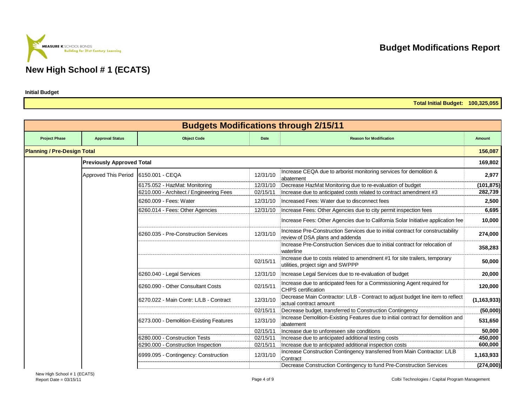# **Building for 21st Century Learning New High School # 1 (ECATS)**

**MEASURE K** SCHOOL BONDS

**Initial Budget**

| Total Initial Budget: |  |  |  | 100,325,055 |
|-----------------------|--|--|--|-------------|
|-----------------------|--|--|--|-------------|

|                                    |                                  |                                         |          | <b>Budgets Modifications through 2/15/11</b>                                                                       |               |
|------------------------------------|----------------------------------|-----------------------------------------|----------|--------------------------------------------------------------------------------------------------------------------|---------------|
| <b>Project Phase</b>               | <b>Approval Status</b>           | <b>Object Code</b>                      | Date     | <b>Reason for Modification</b>                                                                                     | <b>Amount</b> |
| <b>Planning / Pre-Design Total</b> |                                  |                                         |          |                                                                                                                    | 156,087       |
|                                    | <b>Previously Approved Total</b> |                                         |          |                                                                                                                    | 169,802       |
|                                    | Approved This Period             | 6150.001 - CEQA                         | 12/31/10 | Increase CEQA due to arborist monitoring services for demolition &<br>abatement                                    | 2,977         |
|                                    |                                  | 6175.052 - HazMat: Monitoring           | 12/31/10 | Decrease HazMat Monitoring due to re-evaluation of budget                                                          | (101, 875)    |
|                                    |                                  | 6210.000 - Architect / Engineering Fees | 02/15/11 | Increase due to anticipated costs related to contract amendment #3                                                 | 282,739       |
|                                    |                                  | 6260.009 - Fees: Water                  | 12/31/10 | Increased Fees: Water due to disconnect fees                                                                       | 2,500         |
|                                    |                                  | 6260.014 - Fees: Other Agencies         | 12/31/10 | Increase Fees: Other Agencies due to city permit inspection fees                                                   | 6,695         |
|                                    |                                  |                                         |          | Increase Fees: Other Agencies due to California Solar Initiative application fee                                   | 10,000        |
|                                    |                                  | 6260.035 - Pre-Construction Services    | 12/31/10 | Increase Pre-Construction Services due to initial contract for constructability<br>review of DSA plans and addenda | 274,000       |
|                                    |                                  |                                         |          | Increase Pre-Construction Services due to initial contract for relocation of<br>waterline                          | 358,283       |
|                                    |                                  |                                         | 02/15/11 | Increase due to costs related to amendment #1 for site trailers, temporary<br>utilities, project sign and SWPPP    | 50,000        |
|                                    |                                  | 6260.040 - Legal Services               | 12/31/10 | Increase Legal Services due to re-evaluation of budget                                                             | 20,000        |
|                                    |                                  | 6260.090 - Other Consultant Costs       | 02/15/11 | Increase due to anticipated fees for a Commissioning Agent required for<br><b>CHPS</b> certification               | 120,000       |
|                                    |                                  | 6270.022 - Main Contr: L/LB - Contract  | 12/31/10 | Decrease Main Contractor: L/LB - Contract to adjust budget line item to reflect<br>actual contract amount          | (1, 163, 933) |
|                                    |                                  |                                         | 02/15/11 | Decrease budget, transferred to Construction Contingency                                                           | (50,000)      |
|                                    |                                  | 6273.000 - Demolition-Existing Features | 12/31/10 | Increase Demolition-Existing Features due to initial contract for demolition and<br>abatement                      | 531,650       |
|                                    |                                  |                                         | 02/15/11 | Increase due to unforeseen site conditions                                                                         | 50,000        |
|                                    |                                  | 6280.000 - Construction Tests           | 02/15/11 | Increase due to anticipated additional testing costs                                                               | 450,000       |
|                                    |                                  | 6290.000 - Construction Inspection      | 02/15/11 | Increase due to anticipated additional inspection costs                                                            | 600,000       |
|                                    |                                  | 6999.095 - Contingency: Construction    | 12/31/10 | Increase Construction Contingency transferred from Main Contractor: L/LB<br>Contract                               | 1,163,933     |
|                                    |                                  |                                         |          | Decrease Construction Contingency to fund Pre-Construction Services                                                | (274,000)     |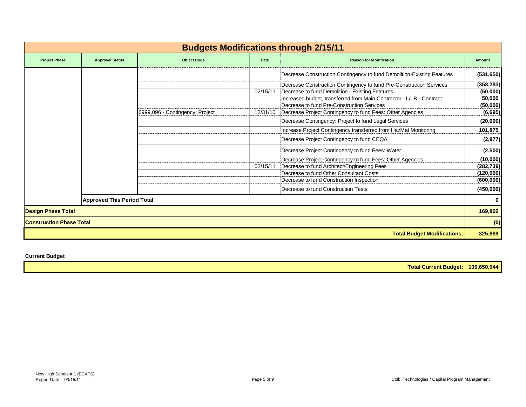|                                 |                                   |                                 |          | <b>Budgets Modifications through 2/15/11</b>                           |            |
|---------------------------------|-----------------------------------|---------------------------------|----------|------------------------------------------------------------------------|------------|
| <b>Project Phase</b>            | <b>Approval Status</b>            | <b>Object Code</b>              | Date     | <b>Reason for Modification</b>                                         | Amount     |
|                                 |                                   |                                 |          | Decrease Construction Contingency to fund Demolition-Existing Features | (531,650)  |
|                                 |                                   |                                 |          | Decrease Construction Contingency to fund Pre-Construction Services    | (358, 283) |
|                                 |                                   |                                 | 02/15/11 | Decrease to fund Demolition - Existing Features                        | (50,000)   |
|                                 |                                   |                                 |          | Increased budget, transferred from Main Contractor - L/LB - Contract   | 50,000     |
|                                 |                                   |                                 |          | Decrease to fund Pre-Construction Services                             | (50,000)   |
|                                 |                                   | 6999.096 - Contingency: Project | 12/31/10 | Decrease Project Contingency to fund Fees: Other Agencies              | (6, 695)   |
|                                 |                                   |                                 |          | Decrease Contingency: Project to fund Legal Services                   | (20,000)   |
|                                 |                                   |                                 |          | Increase Project Contingency transferred from HazMat Monitoring        | 101,875    |
|                                 |                                   |                                 |          | Decrease Project Contingency to fund CEQA                              | (2, 977)   |
|                                 |                                   |                                 |          | Decrease Project Contingency to fund Fees: Water                       | (2,500)    |
|                                 |                                   |                                 |          | Decrease Project Contingency to fund Fees: Other Agencies              | (10,000)   |
|                                 |                                   |                                 | 02/15/11 | Decrease to fund Architect/Engineering Fees                            | (282, 739) |
|                                 |                                   |                                 |          | Decrease to fund Other Consultant Costs                                | (120,000)  |
|                                 |                                   |                                 |          | Decrease to fund Construction Inspection                               | (600, 000) |
|                                 |                                   |                                 |          | Decrease to fund Construction Tests                                    | (450,000)  |
|                                 | <b>Approved This Period Total</b> |                                 |          |                                                                        |            |
| <b>Design Phase Total</b>       |                                   |                                 |          |                                                                        | 169,802    |
| <b>Construction Phase Total</b> |                                   |                                 |          |                                                                        | (0)        |
|                                 |                                   |                                 |          | <b>Total Budget Modifications:</b>                                     | 325,889    |

**Current Budget**

**Total Current Budget: 100,650,944**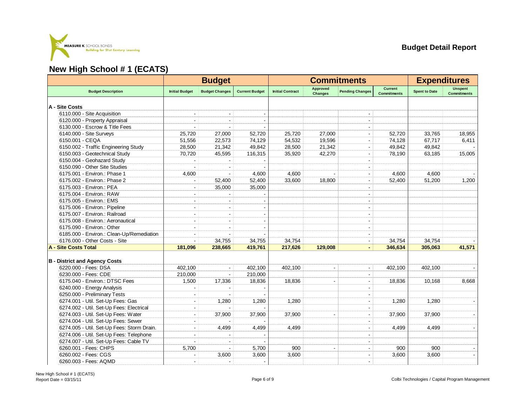

|                                            | <b>Budget</b>            |                          |                       | <b>Commitments</b>      |                                   |                              |                                      | <b>Expenditures</b>  |                                      |
|--------------------------------------------|--------------------------|--------------------------|-----------------------|-------------------------|-----------------------------------|------------------------------|--------------------------------------|----------------------|--------------------------------------|
| <b>Budget Description</b>                  | <b>Initial Budget</b>    | <b>Budget Changes</b>    | <b>Current Budget</b> | <b>Initial Contract</b> | <b>Approved</b><br><b>Changes</b> | <b>Pending Changes</b>       | <b>Current</b><br><b>Commitments</b> | <b>Spent to Date</b> | <b>Unspent</b><br><b>Commitments</b> |
| A - Site Costs                             |                          |                          |                       |                         |                                   |                              |                                      |                      |                                      |
| 6110.000 - Site Acquisition                |                          |                          |                       |                         |                                   |                              |                                      |                      |                                      |
| 6120.000 - Property Appraisal              |                          |                          |                       |                         |                                   |                              |                                      |                      |                                      |
| 6130.000 - Escrow & Title Fees             |                          |                          |                       |                         |                                   |                              |                                      |                      |                                      |
| 6140.000 - Site Surveys                    | 25,720                   | 27,000                   | 52,720                | 25,720                  | 27,000                            |                              | 52,720                               | 33,765               | 18,955                               |
| 6150.001 - CEQA                            | 51,556                   | 22,573                   | 74,129                | 54,532                  | 19,596                            |                              | 74,128                               | 67,717               | 6,411                                |
| 6150.002 - Traffic Engineering Study       | 28,500                   | 21,342                   | 49,842                | 28,500                  | 21,342                            |                              | 49,842                               | 49,842               |                                      |
| 6150.003 - Geotechnical Study              | 70,720                   | 45,595                   | 116,315               | 35,920                  | 42,270                            | $\overline{a}$               | 78,190                               | 63,185               | 15,005                               |
| 6150.004 - Geohazard Study                 |                          |                          |                       |                         |                                   |                              |                                      |                      |                                      |
| 6150.090 - Other Site Studies              |                          |                          |                       |                         |                                   |                              |                                      |                      |                                      |
| 6175.001 - Environ.: Phase 1               | 4,600                    |                          | 4,600                 | 4,600                   |                                   |                              | 4,600                                | 4,600                |                                      |
| 6175.002 - Environ.: Phase 2               |                          | 52,400                   | 52,400                | 33,600                  | 18,800                            | $\blacksquare$               | 52,400                               | 51,200               | 1,200                                |
| 6175.003 - Environ.: PEA                   |                          | 35,000                   | 35,000                |                         |                                   |                              |                                      |                      |                                      |
| 6175.004 - Environ.: RAW                   |                          |                          |                       |                         |                                   |                              |                                      |                      |                                      |
| 6175.005 - Environ.: EMS                   |                          | $\overline{\phantom{a}}$ |                       |                         |                                   |                              |                                      |                      |                                      |
| 6175.006 - Environ.: Pipeline              |                          |                          |                       |                         |                                   |                              |                                      |                      |                                      |
| 6175.007 - Environ.: Railroad              |                          |                          |                       |                         |                                   |                              |                                      |                      |                                      |
| 6175.008 - Environ.: Aeronautical          |                          |                          |                       |                         |                                   |                              |                                      |                      |                                      |
| 6175.090 - Environ.: Other                 | $\sim$                   |                          |                       |                         |                                   |                              |                                      |                      |                                      |
| 6185.000 - Environ.: Clean-Up/Remediation  |                          |                          |                       |                         |                                   |                              |                                      |                      |                                      |
| 6176.000 - Other Costs - Site              |                          | 34,755                   | 34,755                | 34,754                  |                                   | $\blacksquare$               | 34,754                               | 34,754               |                                      |
| A - Site Costs Total                       | 181,096                  | 238,665                  | 419,761               | 217,626                 | 129,008                           |                              | 346,634                              | 305,063              | 41,571                               |
|                                            |                          |                          |                       |                         |                                   |                              |                                      |                      |                                      |
| <b>B</b> - District and Agency Costs       |                          |                          |                       |                         |                                   |                              |                                      |                      |                                      |
| 6220.000 - Fees: DSA                       | 402,100                  |                          | 402,100               | 402,100                 |                                   |                              | 402,100                              | 402,100              |                                      |
| 6230.000 - Fees: CDE                       | 210,000                  | $\Delta$                 | 210,000               |                         |                                   |                              |                                      |                      |                                      |
| 6175.040 - Environ.: DTSC Fees             | 1,500                    | 17,336                   | 18,836                | 18,836                  |                                   |                              | 18,836                               | 10,168               | 8,668                                |
| 6240.000 - Energy Analysis                 |                          |                          |                       |                         |                                   |                              |                                      |                      |                                      |
| 6250.000 - Preliminary Tests               |                          |                          |                       |                         |                                   |                              |                                      |                      |                                      |
| 6274.001 - Util. Set-Up Fees: Gas          |                          | 1,280                    | 1,280                 | 1.280                   |                                   |                              | 1.280                                | 1.280                |                                      |
| 6274.002 - Util. Set-Up Fees: Electrical   |                          |                          |                       |                         |                                   | $\qquad \qquad \blacksquare$ |                                      |                      |                                      |
| 6274.003 - Util. Set-Up Fees: Water        | $\overline{\phantom{a}}$ | 37,900                   | 37,900                | 37,900                  |                                   |                              | 37,900                               | 37,900               |                                      |
| 6274.004 - Util. Set-Up Fees: Sewer        |                          |                          |                       |                         |                                   |                              |                                      |                      |                                      |
| 6274.005 - Util. Set-Up Fees: Storm Drain. | ÷                        | 4,499                    | 4,499                 | 4,499                   |                                   |                              | 4,499                                | 4,499                | $\blacksquare$                       |
| 6274.006 - Util. Set-Up Fees: Telephone    |                          |                          |                       |                         |                                   |                              |                                      |                      |                                      |
| 6274.007 - Util. Set-Up Fees: Cable TV     |                          |                          |                       |                         |                                   |                              |                                      |                      |                                      |
| 6260.001 - Fees: CHPS                      | 5,700                    |                          | 5,700                 | 900                     |                                   |                              | 900                                  | 900                  |                                      |
| 6260.002 - Fees: CGS                       |                          | 3,600                    | 3,600                 | 3.600                   |                                   |                              | 3,600                                | 3.600                | $\blacksquare$                       |
| 6260.003 - Fees: AQMD                      |                          |                          |                       |                         |                                   |                              |                                      |                      |                                      |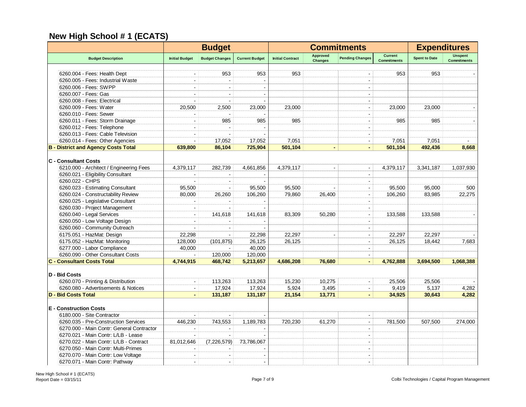|                                                                   |                          | <b>Budget</b>            |                       | <b>Commitments</b>      |                                   |                        |                                      |                      | <b>Expenditures</b>                  |  |
|-------------------------------------------------------------------|--------------------------|--------------------------|-----------------------|-------------------------|-----------------------------------|------------------------|--------------------------------------|----------------------|--------------------------------------|--|
| <b>Budget Description</b>                                         | <b>Initial Budget</b>    | <b>Budget Changes</b>    | <b>Current Budget</b> | <b>Initial Contract</b> | <b>Approved</b><br><b>Changes</b> | <b>Pending Changes</b> | <b>Current</b><br><b>Commitments</b> | <b>Spent to Date</b> | <b>Unspent</b><br><b>Commitments</b> |  |
|                                                                   |                          | 953                      | 953                   | 953                     |                                   |                        | 953                                  | 953                  |                                      |  |
| 6260.004 - Fees: Health Dept<br>6260.005 - Fees: Industrial Waste |                          |                          |                       |                         |                                   |                        |                                      |                      |                                      |  |
| 6260.006 - Fees: SWPP                                             |                          |                          |                       |                         |                                   |                        |                                      |                      |                                      |  |
| 6260.007 - Fees: Gas                                              |                          |                          |                       |                         |                                   |                        |                                      |                      |                                      |  |
|                                                                   |                          |                          |                       |                         |                                   |                        |                                      |                      |                                      |  |
| 6260.008 - Fees: Electrical                                       |                          |                          |                       |                         |                                   |                        |                                      |                      |                                      |  |
| 6260.009 - Fees: Water                                            | 20,500                   | 2,500                    | 23,000                | 23,000                  |                                   | $\blacksquare$         | 23,000                               | 23,000               |                                      |  |
| 6260.010 - Fees: Sewer                                            |                          |                          |                       |                         |                                   |                        |                                      |                      |                                      |  |
| 6260.011 - Fees: Storm Drainage                                   | $\sim$                   | 985                      | 985                   | 985                     |                                   |                        | 985                                  | 985                  |                                      |  |
| 6260.012 - Fees: Telephone                                        |                          |                          |                       |                         |                                   | $\sim$                 |                                      |                      |                                      |  |
| 6260.013 - Fees: Cable Television                                 | $\overline{\phantom{a}}$ |                          |                       |                         |                                   | $\sim$                 |                                      |                      |                                      |  |
| 6260.014 - Fees: Other Agencies                                   | $\overline{\phantom{a}}$ | 17,052                   | 17,052                | 7,051                   |                                   | $\sim$                 | 7,051                                | 7,051                |                                      |  |
| <b>B</b> - District and Agency Costs Total                        | 639,800                  | 86,104                   | 725,904               | 501,104                 |                                   |                        | 501,104                              | 492,436              | 8,668                                |  |
| <b>C</b> - Consultant Costs                                       |                          |                          |                       |                         |                                   |                        |                                      |                      |                                      |  |
| 6210.000 - Architect / Engineering Fees                           | 4,379,117                | 282,739                  | 4,661,856             | 4,379,117               |                                   |                        | 4,379,117                            | 3,341,187            | 1,037,930                            |  |
| 6260.021 - Eligibility Consultant                                 |                          |                          |                       |                         |                                   |                        |                                      |                      |                                      |  |
| 6260.022 - CHPS                                                   |                          | $\overline{\phantom{a}}$ |                       |                         |                                   |                        |                                      |                      |                                      |  |
| 6260.023 - Estimating Consultant                                  | 95,500                   | $\overline{\phantom{a}}$ | 95,500                | 95,500                  |                                   | $\sim$                 | 95,500                               | 95,000               | 500                                  |  |
| 6260.024 - Constructability Review                                | 80,000                   | 26,260                   | 106,260               | 79,860                  | 26,400                            | $\sim$                 | 106,260                              | 83,985               | 22,275                               |  |
| 6260.025 - Legislative Consultant                                 |                          |                          |                       |                         |                                   |                        |                                      |                      |                                      |  |
| 6260.030 - Project Management                                     | $\sim$                   | $\blacksquare$           |                       |                         |                                   | $\sim$                 |                                      |                      |                                      |  |
| 6260.040 - Legal Services                                         | $\overline{\phantom{a}}$ | 141,618                  | 141,618               | 83.309                  | 50.280                            |                        | 133.588                              | 133.588              |                                      |  |
| 6260.050 - Low Voltage Design                                     |                          |                          |                       |                         |                                   |                        |                                      |                      |                                      |  |
| 6260.060 - Community Outreach                                     |                          |                          |                       |                         |                                   |                        |                                      |                      |                                      |  |
| 6175.051 - HazMat: Design                                         | 22,298                   |                          | 22,298                | 22,297                  |                                   |                        | 22,297                               | 22,297               |                                      |  |
| 6175.052 - HazMat: Monitoring                                     | 128,000                  | (101, 875)               | 26,125                | 26,125                  |                                   |                        | 26,125                               | 18,442               | 7,683                                |  |
| 6277.000 - Labor Compliance                                       | 40,000                   |                          | 40,000                |                         |                                   |                        |                                      |                      |                                      |  |
| 6260.090 - Other Consultant Costs                                 |                          | 120,000                  | 120,000               |                         |                                   |                        |                                      |                      |                                      |  |
| <b>C - Consultant Costs Total</b>                                 | 4,744,915                | 468,742                  | 5,213,657             | 4,686,208               | 76.680                            |                        | 4,762,888                            | 3,694,500            | 1,068,388                            |  |
|                                                                   |                          |                          |                       |                         |                                   |                        |                                      |                      |                                      |  |
| D - Bid Costs                                                     |                          |                          |                       |                         |                                   |                        |                                      |                      |                                      |  |
| 6260.070 - Printing & Distribution                                | $\sim$                   | 113,263                  | 113,263               | 15.230                  | 10,275                            |                        | 25,506                               | 25,506               |                                      |  |
| 6260.080 - Advertisements & Notices                               | $\sim$                   | 17,924                   | 17,924                | 5,924                   | 3,495                             |                        | 9,419                                | 5,137                | 4,282                                |  |
| <b>D - Bid Costs Total</b>                                        | $\overline{a}$           | 131,187                  | 131,187               | 21,154                  | 13,771                            |                        | 34,925                               | 30,643               | 4,282                                |  |
|                                                                   |                          |                          |                       |                         |                                   |                        |                                      |                      |                                      |  |
| <b>E</b> - Construction Costs                                     |                          |                          |                       |                         |                                   |                        |                                      |                      |                                      |  |
| 6180.000 - Site Contractor                                        |                          |                          |                       |                         |                                   |                        |                                      |                      |                                      |  |
| 6260.035 - Pre-Construction Services                              | 446,230                  | 743,553                  | 1,189,783             | 720,230                 | 61,270                            |                        | 781,500                              | 507,500              | 274,000                              |  |
| 6270.000 - Main Contr: General Contractor                         | $\blacksquare$           |                          |                       |                         |                                   |                        |                                      |                      |                                      |  |
| 6270.021 - Main Contr: L/LB - Lease                               |                          |                          |                       |                         |                                   |                        |                                      |                      |                                      |  |
| 6270.022 - Main Contr: L/LB - Contract                            | 81,012,646               | (7,226,579)              | 73,786,067            |                         |                                   | $\sim$                 |                                      |                      |                                      |  |
| 6270.050 - Main Contr: Multi-Primes                               |                          |                          |                       |                         |                                   |                        |                                      |                      |                                      |  |
| 6270.070 - Main Contr: Low Voltage                                |                          |                          |                       |                         |                                   |                        |                                      |                      |                                      |  |
| 6270.071 - Main Contr: Pathway                                    |                          |                          |                       |                         |                                   |                        |                                      |                      |                                      |  |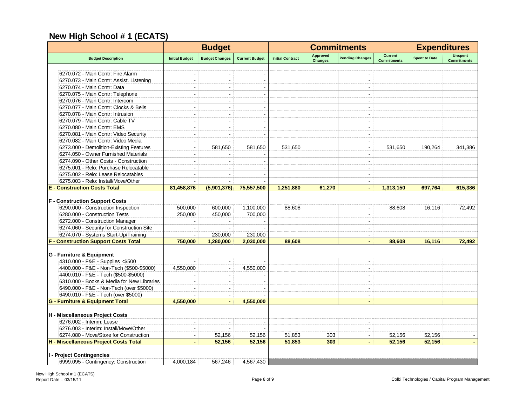|                                             | <b>Budget</b>            |                          |                          | <b>Commitments</b>      |                                   |                          |                                      | <b>Expenditures</b>  |                                      |
|---------------------------------------------|--------------------------|--------------------------|--------------------------|-------------------------|-----------------------------------|--------------------------|--------------------------------------|----------------------|--------------------------------------|
| <b>Budget Description</b>                   | <b>Initial Budget</b>    | <b>Budget Changes</b>    | <b>Current Budget</b>    | <b>Initial Contract</b> | <b>Approved</b><br><b>Changes</b> | <b>Pending Changes</b>   | <b>Current</b><br><b>Commitments</b> | <b>Spent to Date</b> | <b>Unspent</b><br><b>Commitments</b> |
| 6270.072 - Main Contr: Fire Alarm           |                          |                          |                          |                         |                                   |                          |                                      |                      |                                      |
| 6270.073 - Main Contr: Assist. Listening    | ÷.                       | ÷.                       |                          |                         |                                   | $\overline{a}$           |                                      |                      |                                      |
| 6270.074 - Main Contr: Data                 |                          |                          |                          |                         |                                   |                          |                                      |                      |                                      |
| 6270.075 - Main Contr: Telephone            |                          |                          |                          |                         |                                   |                          |                                      |                      |                                      |
| 6270.076 - Main Contr: Intercom             |                          | $\overline{a}$           |                          |                         |                                   | $\sim$                   |                                      |                      |                                      |
| 6270.077 - Main Contr: Clocks & Bells       | ÷                        | $\overline{a}$           | $\overline{\phantom{a}}$ |                         |                                   | $\sim$                   |                                      |                      |                                      |
| 6270.078 - Main Contr: Intrusion            |                          |                          |                          |                         |                                   |                          |                                      |                      |                                      |
| 6270.079 - Main Contr: Cable TV             | $\overline{\phantom{a}}$ | $\overline{\phantom{a}}$ |                          |                         |                                   | $\blacksquare$           |                                      |                      |                                      |
| 6270.080 - Main Contr: EMS                  | $\overline{\phantom{a}}$ | $\overline{\phantom{a}}$ |                          |                         |                                   | $\blacksquare$           |                                      |                      |                                      |
| 6270.081 - Main Contr: Video Security       | $\overline{\phantom{a}}$ | $\sim$                   |                          |                         |                                   | $\blacksquare$           |                                      |                      |                                      |
| 6270.082 - Main Contr: Video Media          | ۰.                       | $\overline{a}$           |                          |                         |                                   | ÷                        |                                      |                      |                                      |
| 6273.000 - Demolition-Existing Features     | $\overline{\phantom{a}}$ | 581.650                  | 581,650                  | 531,650                 |                                   | $\sim$                   | 531,650                              | 190,264              | 341,386                              |
| 6274.050 - Owner Furnished Materials        |                          |                          |                          |                         |                                   |                          |                                      |                      |                                      |
| 6274.090 - Other Costs - Construction       |                          |                          |                          |                         |                                   |                          |                                      |                      |                                      |
| 6275.001 - Relo: Purchase Relocatable       | ÷                        |                          |                          |                         |                                   | $\blacksquare$           |                                      |                      |                                      |
| 6275.002 - Relo: Lease Relocatables         |                          | $\blacksquare$           |                          |                         |                                   | $\blacksquare$           |                                      |                      |                                      |
| 6275.003 - Relo: Install/Move/Other         |                          |                          |                          |                         |                                   | $\blacksquare$           |                                      |                      |                                      |
| <b>E</b> - Construction Costs Total         | 81,458,876               | (5,901,376)              | 75,557,500               | 1,251,880               | 61,270                            | $\blacksquare$           | 1,313,150                            | 697,764              | 615,386                              |
|                                             |                          |                          |                          |                         |                                   |                          |                                      |                      |                                      |
| <b>F</b> - Construction Support Costs       |                          |                          |                          |                         |                                   |                          |                                      |                      |                                      |
| 6290.000 - Construction Inspection          | 500,000                  | 600,000                  | 1,100,000                | 88,608                  |                                   | $\blacksquare$           | 88,608                               | 16,116               | 72,492                               |
| 6280.000 - Construction Tests               | 250,000                  | 450,000                  | 700,000                  |                         |                                   | $\blacksquare$           |                                      |                      |                                      |
| 6272.000 - Construction Manager             | $\sim$                   | $\overline{\phantom{a}}$ |                          |                         |                                   | $\overline{a}$           |                                      |                      |                                      |
| 6274.060 - Security for Construction Site   |                          |                          |                          |                         |                                   |                          |                                      |                      |                                      |
| 6274.070 - Systems Start-Up/Training        | $\overline{\phantom{a}}$ | 230,000                  | 230,000                  |                         |                                   | $\overline{\phantom{a}}$ |                                      |                      |                                      |
| <b>F - Construction Support Costs Total</b> | 750,000                  | 1,280,000                | 2,030,000                | 88,608                  |                                   | $\blacksquare$           | 88,608                               | 16,116               | 72,492                               |
|                                             |                          |                          |                          |                         |                                   |                          |                                      |                      |                                      |
| <b>G</b> - Furniture & Equipment            |                          |                          |                          |                         |                                   |                          |                                      |                      |                                      |
| 4310.000 - F&E - Supplies <\$500            |                          | $\blacksquare$           |                          |                         |                                   | $\blacksquare$           |                                      |                      |                                      |
| 4400.000 - F&E - Non-Tech (\$500-\$5000)    | 4,550,000                | $\blacksquare$           | 4,550,000                |                         |                                   | $\blacksquare$           |                                      |                      |                                      |
| 4400.010 - F&E - Tech (\$500-\$5000)        |                          | $\overline{\phantom{a}}$ |                          |                         |                                   | $\blacksquare$           |                                      |                      |                                      |
| 6310.000 - Books & Media for New Libraries  | $\sim$                   | $\overline{\phantom{a}}$ |                          |                         |                                   | $\blacksquare$           |                                      |                      |                                      |
| 6490.000 - F&E - Non-Tech (over \$5000)     | ÷.                       | $\overline{\phantom{a}}$ |                          |                         |                                   | $\overline{a}$           |                                      |                      |                                      |
| 6490.010 - F&E - Tech (over \$5000)         |                          | $\overline{\phantom{a}}$ |                          |                         |                                   | $\sim$                   |                                      |                      |                                      |
| <b>G - Furniture &amp; Equipment Total</b>  | 4,550,000                | $\blacksquare$           | 4,550,000                |                         |                                   | $\blacksquare$           |                                      |                      |                                      |
|                                             |                          |                          |                          |                         |                                   |                          |                                      |                      |                                      |
| H - Miscellaneous Project Costs             |                          |                          |                          |                         |                                   |                          |                                      |                      |                                      |
| 6276.002 - Interim: Lease                   |                          |                          |                          |                         |                                   |                          |                                      |                      |                                      |
| 6276.003 - Interim: Install/Move/Other      | $\overline{\phantom{a}}$ |                          |                          |                         |                                   | $\blacksquare$           |                                      |                      |                                      |
| 6274.080 - Move/Store for Construction      | $\blacksquare$           | 52,156                   | 52,156                   | 51,853                  | 303                               | $\blacksquare$           | 52,156                               | 52,156               |                                      |
| H - Miscellaneous Project Costs Total       | $\blacksquare$           | 52,156                   | 52,156                   | 51,853                  | 303                               | $\blacksquare$           | 52,156                               | 52,156               | $\blacksquare$                       |
|                                             |                          |                          |                          |                         |                                   |                          |                                      |                      |                                      |
| <b>I - Project Contingencies</b>            |                          |                          |                          |                         |                                   |                          |                                      |                      |                                      |
| 6999.095 - Contingency: Construction        | 4,000,184                | 567,246                  | 4,567,430                |                         |                                   |                          |                                      |                      |                                      |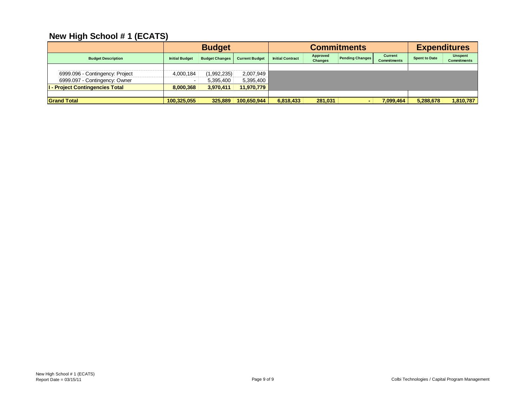|                                      | <b>Budget</b>         |                       |                       | <b>Commitments</b>      |                            |                        |                               | <b>Expenditures</b>  |                               |  |
|--------------------------------------|-----------------------|-----------------------|-----------------------|-------------------------|----------------------------|------------------------|-------------------------------|----------------------|-------------------------------|--|
| <b>Budget Description</b>            | <b>Initial Budget</b> | <b>Budget Changes</b> | <b>Current Budget</b> | <b>Initial Contract</b> | Approved<br><b>Changes</b> | <b>Pending Changes</b> | Current<br><b>Commitments</b> | <b>Spent to Date</b> | Unspent<br><b>Commitments</b> |  |
|                                      |                       |                       |                       |                         |                            |                        |                               |                      |                               |  |
| 6999.096 - Contingency: Project      | 4.000.184             | (1,992,235)           | 2,007,949             |                         |                            |                        |                               |                      |                               |  |
| 6999.097 - Contingency: Owner        |                       | 5,395,400             | 5,395,400             |                         |                            |                        |                               |                      |                               |  |
| <b>I-Project Contingencies Total</b> | 8,000,368             | 3,970,411             | 11,970,779            |                         |                            |                        |                               |                      |                               |  |
|                                      |                       |                       |                       |                         |                            |                        |                               |                      |                               |  |
| <b>Grand Total</b>                   | 100,325,055           | 325.889               | 100,650,944           | 6,818,433               | 281,031                    |                        | 7,099,464                     | 5,288,678            | 1,810,787                     |  |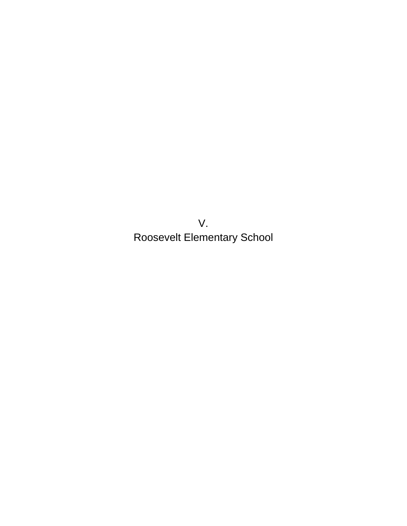V. Roosevelt Elementary School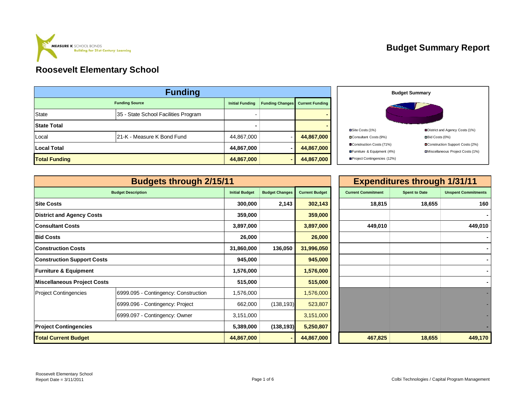

#### **Budget Summary Report**

| <b>Funding</b>       |                                      |                        |                        |                        |  |  |  |  |
|----------------------|--------------------------------------|------------------------|------------------------|------------------------|--|--|--|--|
|                      | <b>Funding Source</b>                | <b>Initial Funding</b> | <b>Funding Changes</b> | <b>Current Funding</b> |  |  |  |  |
| <b>State</b>         | 35 - State School Facilities Program | -                      |                        |                        |  |  |  |  |
| <b>State Total</b>   |                                      |                        |                        |                        |  |  |  |  |
| Local                | 21-K - Measure K Bond Fund           | 44,867,000             |                        | 44,867,000             |  |  |  |  |
| <b>Local Total</b>   |                                      | 44,867,000             | -                      | 44,867,000             |  |  |  |  |
| <b>Total Funding</b> |                                      | 44,867,000             | -                      | 44,867,000             |  |  |  |  |



|                                   | <b>Budgets through 2/15/11</b>       |                       |                       |                       | <b>Expenditures through 1/31/11</b> |                      |                            |  |
|-----------------------------------|--------------------------------------|-----------------------|-----------------------|-----------------------|-------------------------------------|----------------------|----------------------------|--|
|                                   | <b>Budget Description</b>            | <b>Initial Budget</b> | <b>Budget Changes</b> | <b>Current Budget</b> | <b>Current Commitment</b>           | <b>Spent to Date</b> | <b>Unspent Commitments</b> |  |
| <b>Site Costs</b>                 |                                      | 300,000               | 2,143                 | 302,143               | 18,815                              | 18,655               | 160                        |  |
| <b>District and Agency Costs</b>  |                                      | 359,000               |                       | 359,000               |                                     |                      |                            |  |
| <b>Consultant Costs</b>           |                                      | 3,897,000             |                       | 3,897,000             | 449,010                             |                      | 449,010                    |  |
| <b>Bid Costs</b>                  |                                      | 26,000                |                       | 26,000                |                                     |                      |                            |  |
| <b>Construction Costs</b>         |                                      | 31,860,000            | 136,050               | 31,996,050            |                                     |                      |                            |  |
| <b>Construction Support Costs</b> |                                      | 945,000               |                       | 945,000               |                                     |                      |                            |  |
| <b>Furniture &amp; Equipment</b>  |                                      | 1,576,000             |                       | 1,576,000             |                                     |                      |                            |  |
| Miscellaneous Project Costs       |                                      | 515,000               |                       | 515,000               |                                     |                      |                            |  |
| <b>Project Contingencies</b>      | 6999.095 - Contingency: Construction | 1,576,000             |                       | 1,576,000             |                                     |                      |                            |  |
|                                   | 6999.096 - Contingency: Project      | 662,000               | (138, 193)            | 523,807               |                                     |                      |                            |  |
|                                   | 6999.097 - Contingency: Owner        | 3,151,000             |                       | 3,151,000             |                                     |                      |                            |  |
| <b>Project Contingencies</b>      |                                      | 5,389,000             | (138, 193)            | 5,250,807             |                                     |                      |                            |  |
| <b>Total Current Budget</b>       |                                      | 44,867,000            |                       | 44,867,000            | 467,825                             | 18,655               | 449,170                    |  |

|                       |                       |                       |                           | <b>Expenditures through 1/31/11</b> |                            |
|-----------------------|-----------------------|-----------------------|---------------------------|-------------------------------------|----------------------------|
| <b>Initial Budget</b> | <b>Budget Changes</b> | <b>Current Budget</b> | <b>Current Commitment</b> | <b>Spent to Date</b>                | <b>Unspent Commitments</b> |
| 300,000               | 2,143                 | 302,143               | 18,815                    | 18,655                              | 160                        |
| 359,000               |                       | 359,000               |                           |                                     |                            |
| 3,897,000             |                       | 3,897,000             | 449,010                   |                                     | 449,010                    |
| 26,000                |                       | 26,000                |                           |                                     |                            |
| 31,860,000            | 136,050               | 31,996,050            |                           |                                     |                            |
| 945,000               |                       | 945,000               |                           |                                     |                            |
| 1,576,000             |                       | 1,576,000             |                           |                                     |                            |
| 515,000               |                       | 515,000               |                           |                                     |                            |
| 1,576,000             |                       | 1,576,000             |                           |                                     |                            |
| 662,000               | (138, 193)            | 523,807               |                           |                                     |                            |
| 3,151,000             |                       | 3,151,000             |                           |                                     |                            |
| 5,389,000             | (138, 193)            | 5,250,807             |                           |                                     |                            |
| 44,867,000            | ٠                     | 44,867,000            | 467,825                   | 18,655                              | 449,170                    |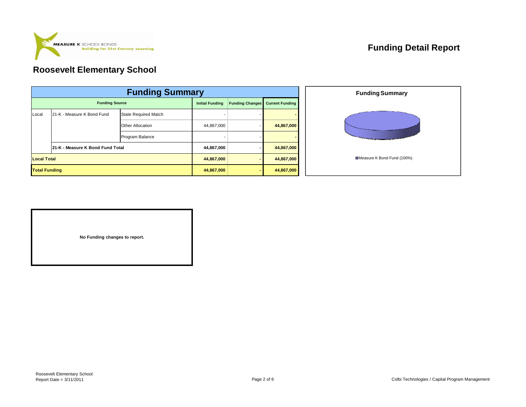

## **Funding Detail Report**

## **Roosevelt Elementary School**

|                       | <b>Funding Summary</b>           |                             |                        |                        |                        |  |  |  |  |
|-----------------------|----------------------------------|-----------------------------|------------------------|------------------------|------------------------|--|--|--|--|
| <b>Funding Source</b> |                                  |                             | <b>Initial Funding</b> | <b>Funding Changes</b> | <b>Current Funding</b> |  |  |  |  |
| Local                 | 21-K - Measure K Bond Fund       | <b>State Required Match</b> |                        |                        |                        |  |  |  |  |
|                       |                                  | <b>Other Allocation</b>     | 44,867,000             |                        | 44,867,000             |  |  |  |  |
|                       |                                  | Program Balance             |                        |                        |                        |  |  |  |  |
|                       | 21-K - Measure K Bond Fund Total |                             | 44,867,000             |                        | 44,867,000             |  |  |  |  |
|                       | <b>Local Total</b>               |                             |                        |                        | 44,867,000             |  |  |  |  |
| <b>Total Funding</b>  |                                  |                             | 44,867,000             |                        | 44,867,000             |  |  |  |  |



**No Funding changes to report.**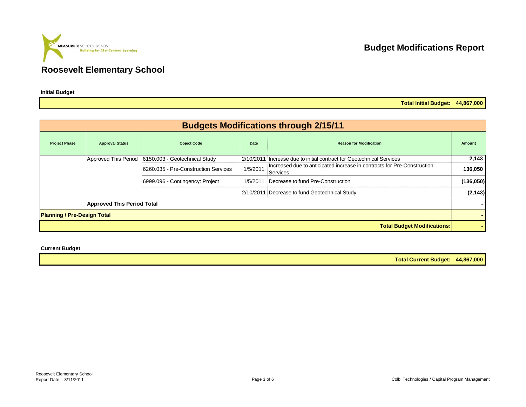**Building for 21st Century Learning** 

**MEASURE K** SCHOOL BONDS

**Initial Budget**

## **Budget Modifications Report**

**Total Initial Budget: 44,867,000**

| <b>Budgets Modifications through 2/15/11</b> |                                   |                                                    |          |                                                                                     |           |  |  |  |  |
|----------------------------------------------|-----------------------------------|----------------------------------------------------|----------|-------------------------------------------------------------------------------------|-----------|--|--|--|--|
| <b>Project Phase</b>                         | <b>Approval Status</b>            | <b>Object Code</b>                                 | Date     | <b>Reason for Modification</b>                                                      | Amount    |  |  |  |  |
|                                              |                                   | Approved This Period 6150.003 - Geotechnical Study |          | 2/10/2011 Increase due to initial contract for Geotechnical Services                | 2,143     |  |  |  |  |
|                                              |                                   | 6260.035 - Pre-Construction Services               | 1/5/2011 | Increased due to anticipated increase in contracts for Pre-Construction<br>Services | 136,050   |  |  |  |  |
|                                              |                                   | 6999.096 - Contingency: Project                    |          | 1/5/2011 Decrease to fund Pre-Construction                                          | (136,050) |  |  |  |  |
|                                              |                                   |                                                    |          | 2/10/2011 Decrease to fund Geotechnical Study                                       | (2, 143)  |  |  |  |  |
|                                              | <b>Approved This Period Total</b> |                                                    |          |                                                                                     |           |  |  |  |  |
| <b>Planning / Pre-Design Total</b>           |                                   |                                                    |          |                                                                                     |           |  |  |  |  |
|                                              |                                   |                                                    |          | <b>Total Budget Modifications:</b>                                                  |           |  |  |  |  |

**Current Budget**

**Total Current Budget: 44,867,000**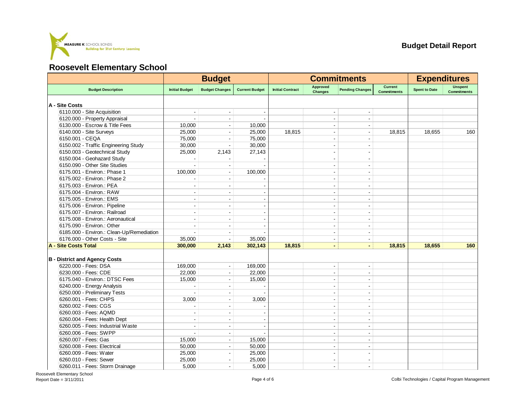

|                                           |                          | <b>Budget</b>            |                       | <b>Commitments</b>      |                            |                          |                                      | <b>Expenditures</b>  |                                      |  |
|-------------------------------------------|--------------------------|--------------------------|-----------------------|-------------------------|----------------------------|--------------------------|--------------------------------------|----------------------|--------------------------------------|--|
| <b>Budget Description</b>                 | <b>Initial Budget</b>    | <b>Budget Changes</b>    | <b>Current Budget</b> | <b>Initial Contract</b> | Approved<br><b>Changes</b> | <b>Pending Changes</b>   | <b>Current</b><br><b>Commitments</b> | <b>Spent to Date</b> | <b>Unspent</b><br><b>Commitments</b> |  |
| A - Site Costs                            |                          |                          |                       |                         |                            |                          |                                      |                      |                                      |  |
| 6110.000 - Site Acquisition               |                          |                          |                       |                         |                            |                          |                                      |                      |                                      |  |
| 6120.000 - Property Appraisal             |                          | $\overline{\phantom{a}}$ |                       |                         | $\blacksquare$             | $\blacksquare$           |                                      |                      |                                      |  |
| 6130.000 - Escrow & Title Fees            | 10.000                   | $\overline{\phantom{a}}$ | 10.000                |                         |                            |                          |                                      |                      |                                      |  |
| 6140.000 - Site Surveys                   | 25,000                   |                          | 25,000                | 18.815                  |                            |                          | 18,815                               | 18,655               | 160                                  |  |
| 6150.001 - CEQA                           | 75,000                   | $\sim$                   | 75,000                |                         | $\sim$                     | ÷                        |                                      |                      |                                      |  |
| 6150.002 - Traffic Engineering Study      | 30,000                   | $\sim$                   | 30,000                |                         |                            |                          |                                      |                      |                                      |  |
| 6150.003 - Geotechnical Study             | 25,000                   | 2,143                    | 27,143                |                         |                            |                          |                                      |                      |                                      |  |
| 6150.004 - Geohazard Study                | $\overline{a}$           |                          |                       |                         | $\sim$                     | $\sim$                   |                                      |                      |                                      |  |
| 6150.090 - Other Site Studies             |                          |                          |                       |                         |                            |                          |                                      |                      |                                      |  |
| 6175.001 - Environ.: Phase 1              | 100,000                  | $\overline{\phantom{a}}$ | 100,000               |                         | $\blacksquare$             | $\overline{\phantom{a}}$ |                                      |                      |                                      |  |
| 6175.002 - Environ.: Phase 2              |                          |                          |                       |                         |                            |                          |                                      |                      |                                      |  |
| 6175.003 - Environ.: PEA                  |                          |                          |                       |                         | $\sim$                     | $\blacksquare$           |                                      |                      |                                      |  |
| 6175.004 - Environ.: RAW                  |                          |                          |                       |                         |                            | $\overline{a}$           |                                      |                      |                                      |  |
| 6175.005 - Environ.: EMS                  |                          |                          |                       |                         |                            |                          |                                      |                      |                                      |  |
| 6175.006 - Environ.: Pipeline             | $\overline{\phantom{a}}$ | $\sim$                   |                       |                         | $\blacksquare$             | $\blacksquare$           |                                      |                      |                                      |  |
| 6175.007 - Environ.: Railroad             |                          | L.                       |                       |                         |                            |                          |                                      |                      |                                      |  |
| 6175.008 - Environ.: Aeronautical         |                          |                          |                       |                         |                            |                          |                                      |                      |                                      |  |
| 6175.090 - Environ.: Other                | $\sim$                   | $\overline{\phantom{a}}$ |                       |                         | $\sim$                     | $\blacksquare$           |                                      |                      |                                      |  |
| 6185.000 - Environ.: Clean-Up/Remediation |                          | $\overline{\phantom{a}}$ |                       |                         |                            | $\blacksquare$           |                                      |                      |                                      |  |
| 6176,000 - Other Costs - Site             | 35,000                   |                          | 35,000                |                         |                            | $\blacksquare$           |                                      |                      |                                      |  |
| <b>A - Site Costs Total</b>               | 300,000                  | 2,143                    | 302,143               | 18.815                  | $\blacksquare$             | $\blacksquare$           | 18.815                               | 18.655               | 160                                  |  |
|                                           |                          |                          |                       |                         |                            |                          |                                      |                      |                                      |  |
| <b>B</b> - District and Agency Costs      |                          |                          |                       |                         |                            |                          |                                      |                      |                                      |  |
| 6220.000 - Fees: DSA                      | 169,000                  | $\sim$                   | 169,000               |                         | $\overline{\phantom{a}}$   | $\blacksquare$           |                                      |                      |                                      |  |
| 6230.000 - Fees: CDE                      | 22,000                   | $\blacksquare$           | 22,000                |                         | $\sim$                     | $\blacksquare$           |                                      |                      |                                      |  |
| 6175.040 - Environ.: DTSC Fees            | 15,000                   | $\overline{\phantom{a}}$ | 15,000                |                         | $\blacksquare$             | $\blacksquare$           |                                      |                      |                                      |  |
| 6240.000 - Energy Analysis                |                          |                          |                       |                         |                            |                          |                                      |                      |                                      |  |
| 6250.000 - Preliminary Tests              |                          | $\sim$                   |                       |                         | $\mathbf{r}$               | $\overline{a}$           |                                      |                      |                                      |  |
| 6260.001 - Fees: CHPS                     | 3,000                    |                          | 3,000                 |                         |                            |                          |                                      |                      |                                      |  |
| 6260.002 - Fees: CGS                      |                          |                          |                       |                         |                            | $\blacksquare$           |                                      |                      |                                      |  |
| 6260.003 - Fees: AQMD                     | $\blacksquare$           | $\overline{\phantom{a}}$ |                       |                         | $\overline{\phantom{a}}$   | $\blacksquare$           |                                      |                      |                                      |  |
| 6260.004 - Fees: Health Dept              |                          |                          |                       |                         |                            | $\blacksquare$           |                                      |                      |                                      |  |
| 6260.005 - Fees: Industrial Waste         | $\overline{\phantom{a}}$ |                          |                       |                         | $\overline{\phantom{a}}$   | $\blacksquare$           |                                      |                      |                                      |  |
| 6260.006 - Fees: SWPP                     | ÷                        | $\sim$                   |                       |                         | $\blacksquare$             | $\sim$                   |                                      |                      |                                      |  |
| 6260.007 - Fees: Gas                      | 15,000                   | $\overline{\phantom{a}}$ | 15,000                |                         | $\blacksquare$             | $\blacksquare$           |                                      |                      |                                      |  |
| 6260.008 - Fees: Electrical               | 50,000                   | ۰.                       | 50,000                |                         | $\sim$                     | ÷                        |                                      |                      |                                      |  |
| 6260.009 - Fees: Water                    | 25,000                   |                          | 25,000                |                         |                            |                          |                                      |                      |                                      |  |
| 6260.010 - Fees: Sewer                    | 25,000                   | $\blacksquare$           | 25,000                |                         | $\overline{\phantom{a}}$   | $\blacksquare$           |                                      |                      |                                      |  |
| 6260.011 - Fees: Storm Drainage           | 5,000                    | ÷.                       | 5,000                 |                         | $\blacksquare$             | $\blacksquare$           |                                      |                      |                                      |  |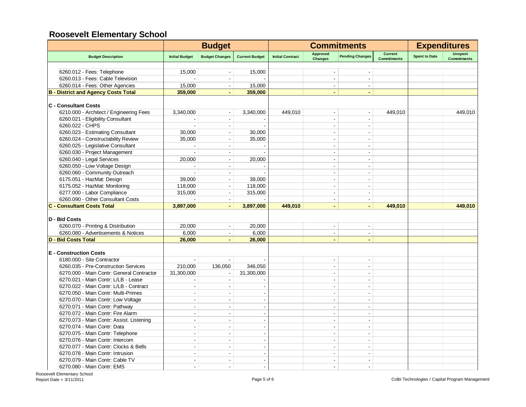|                                            |                          | <b>Budget</b>            |                       | <b>Commitments</b>      |                            |                          |                                      | <b>Expenditures</b>  |                                      |
|--------------------------------------------|--------------------------|--------------------------|-----------------------|-------------------------|----------------------------|--------------------------|--------------------------------------|----------------------|--------------------------------------|
| <b>Budget Description</b>                  | <b>Initial Budget</b>    | <b>Budget Changes</b>    | <b>Current Budget</b> | <b>Initial Contract</b> | Approved<br><b>Changes</b> | <b>Pending Changes</b>   | <b>Current</b><br><b>Commitments</b> | <b>Spent to Date</b> | <b>Unspent</b><br><b>Commitments</b> |
|                                            |                          |                          |                       |                         |                            |                          |                                      |                      |                                      |
| 6260.012 - Fees: Telephone                 | 15.000                   |                          | 15,000                |                         | $\blacksquare$             |                          |                                      |                      |                                      |
| 6260.013 - Fees: Cable Television          |                          |                          |                       |                         |                            | $\blacksquare$           |                                      |                      |                                      |
| 6260.014 - Fees: Other Agencies            | 15,000                   | $\blacksquare$           | 15,000                |                         | $\blacksquare$             | $\blacksquare$           |                                      |                      |                                      |
| <b>B - District and Agency Costs Total</b> | 359,000                  |                          | 359,000               |                         |                            |                          |                                      |                      |                                      |
| <b>C</b> - Consultant Costs                |                          |                          |                       |                         |                            |                          |                                      |                      |                                      |
| 6210.000 - Architect / Engineering Fees    | 3,340,000                | $\blacksquare$           | 3,340,000             | 449,010                 | $\sim$                     | $\blacksquare$           | 449,010                              |                      | 449,010                              |
| 6260.021 - Eligibility Consultant          |                          | $\blacksquare$           |                       |                         | ÷.                         | ÷.                       |                                      |                      |                                      |
| 6260.022 - CHPS                            |                          | $\blacksquare$           |                       |                         | ÷.                         | ÷.                       |                                      |                      |                                      |
| 6260.023 - Estimating Consultant           | 30,000                   | $\blacksquare$           | 30,000                |                         | ÷                          | ÷                        |                                      |                      |                                      |
| 6260.024 - Constructability Review         | 35.000                   | $\blacksquare$           | 35,000                |                         | $\overline{a}$             | $\sim$                   |                                      |                      |                                      |
| 6260.025 - Legislative Consultant          |                          | $\sim$                   |                       |                         | ÷.                         | ÷                        |                                      |                      |                                      |
| 6260.030 - Project Management              |                          | $\blacksquare$           |                       |                         | $\overline{a}$             | $\overline{a}$           |                                      |                      |                                      |
| 6260.040 - Legal Services                  | 20,000                   | $\sim$                   | 20,000                |                         | $\overline{a}$             | ÷                        |                                      |                      |                                      |
| 6260.050 - Low Voltage Design              |                          | $\blacksquare$           |                       |                         | $\overline{a}$             | ÷,                       |                                      |                      |                                      |
| 6260.060 - Community Outreach              |                          |                          |                       |                         |                            |                          |                                      |                      |                                      |
| 6175.051 - HazMat: Design                  | 39,000                   | $\overline{\phantom{a}}$ | 39,000                |                         |                            |                          |                                      |                      |                                      |
| 6175.052 - HazMat: Monitoring              | 118,000                  | $\blacksquare$           | 118,000               |                         | ÷                          | ÷                        |                                      |                      |                                      |
| 6277.000 - Labor Compliance                |                          | $\blacksquare$           |                       |                         | $\blacksquare$             | $\blacksquare$           |                                      |                      |                                      |
|                                            | 315,000                  |                          | 315,000               |                         |                            |                          |                                      |                      |                                      |
| 6260.090 - Other Consultant Costs          |                          | $\sim$                   |                       |                         | $\sim$                     | $\blacksquare$           |                                      |                      |                                      |
| <b>C - Consultant Costs Total</b>          | 3,897,000                | $\blacksquare$           | 3,897,000             | 449.010                 | $\blacksquare$             | $\blacksquare$           | 449.010                              |                      | 449.010                              |
| D - Bid Costs                              |                          |                          |                       |                         |                            |                          |                                      |                      |                                      |
| 6260.070 - Printing & Distribution         | 20,000                   | $\blacksquare$           | 20,000                |                         | $\overline{\phantom{a}}$   | $\overline{\phantom{a}}$ |                                      |                      |                                      |
| 6260.080 - Advertisements & Notices        | 6.000                    | $\blacksquare$           | 6,000                 |                         |                            | $\blacksquare$           |                                      |                      |                                      |
| <b>D - Bid Costs Total</b>                 | 26,000                   | $\blacksquare$           | 26,000                |                         | $\blacksquare$             | $\overline{\phantom{0}}$ |                                      |                      |                                      |
| <b>E</b> - Construction Costs              |                          |                          |                       |                         |                            |                          |                                      |                      |                                      |
| 6180.000 - Site Contractor                 | $\sim$                   | $\sim$                   |                       |                         | $\overline{a}$             | $\blacksquare$           |                                      |                      |                                      |
| 6260.035 - Pre-Construction Services       | 210,000                  | 136,050                  | 346,050               |                         | $\overline{a}$             | $\overline{a}$           |                                      |                      |                                      |
| 6270.000 - Main Contr: General Contractor  | 31,300,000               | $\blacksquare$           | 31,300,000            |                         | $\overline{a}$             | $\blacksquare$           |                                      |                      |                                      |
|                                            | ÷                        | $\sim$                   |                       |                         | $\overline{a}$             | $\sim$                   |                                      |                      |                                      |
| 6270.021 - Main Contr: L/LB - Lease        |                          |                          |                       |                         |                            |                          |                                      |                      |                                      |
| 6270.022 - Main Contr: L/LB - Contract     | $\overline{\phantom{a}}$ | $\blacksquare$           |                       |                         | ÷                          | ÷                        |                                      |                      |                                      |
| 6270.050 - Main Contr: Multi-Primes        | $\overline{a}$           | $\sim$                   |                       |                         | ÷                          | ÷                        |                                      |                      |                                      |
| 6270.070 - Main Contr: Low Voltage         | J.                       | $\blacksquare$           |                       |                         | $\overline{a}$             | $\overline{\phantom{a}}$ |                                      |                      |                                      |
| 6270.071 - Main Contr: Pathway             | ÷,                       | $\blacksquare$           |                       |                         |                            | $\overline{a}$           |                                      |                      |                                      |
| 6270.072 - Main Contr: Fire Alarm          |                          |                          |                       |                         |                            |                          |                                      |                      |                                      |
| 6270.073 - Main Contr: Assist. Listening   | ÷.                       | $\sim$                   |                       |                         | ÷                          |                          |                                      |                      |                                      |
| 6270.074 - Main Contr: Data                | J.                       | $\blacksquare$           |                       |                         | $\overline{\phantom{a}}$   | $\overline{\phantom{a}}$ |                                      |                      |                                      |
| 6270.075 - Main Contr: Telephone           |                          | $\sim$                   |                       |                         |                            |                          |                                      |                      |                                      |
| 6270.076 - Main Contr: Intercom            | $\blacksquare$           | $\overline{\phantom{a}}$ |                       |                         | $\overline{\phantom{a}}$   | $\blacksquare$           |                                      |                      |                                      |
| 6270.077 - Main Contr: Clocks & Bells      | ÷                        | $\overline{a}$           |                       |                         | $\overline{\phantom{a}}$   | $\overline{a}$           |                                      |                      |                                      |
| 6270.078 - Main Contr: Intrusion           | ÷                        | $\blacksquare$           |                       |                         | $\overline{\phantom{a}}$   | ÷                        |                                      |                      |                                      |
| 6270.079 - Main Contr: Cable TV            | ÷                        | $\sim$                   |                       |                         |                            |                          |                                      |                      |                                      |
| 6270.080 - Main Contr: EMS                 | $\overline{\phantom{a}}$ |                          |                       |                         |                            |                          |                                      |                      |                                      |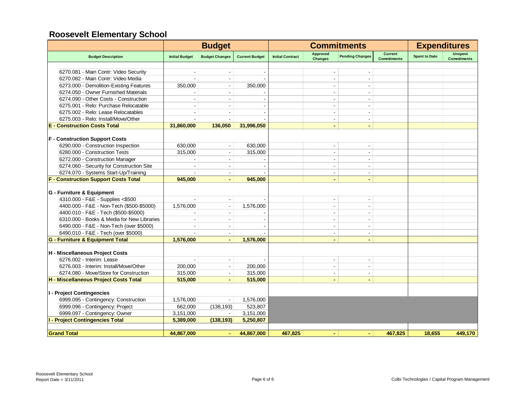|                                             |                       | <b>Budget</b>            |                       | <b>Commitments</b>      |                                   |                          |                                      | <b>Expenditures</b>  |                               |
|---------------------------------------------|-----------------------|--------------------------|-----------------------|-------------------------|-----------------------------------|--------------------------|--------------------------------------|----------------------|-------------------------------|
| <b>Budget Description</b>                   | <b>Initial Budget</b> | <b>Budget Changes</b>    | <b>Current Budget</b> | <b>Initial Contract</b> | <b>Approved</b><br><b>Changes</b> | <b>Pending Changes</b>   | <b>Current</b><br><b>Commitments</b> | <b>Spent to Date</b> | Unspent<br><b>Commitments</b> |
|                                             |                       |                          |                       |                         |                                   |                          |                                      |                      |                               |
| 6270.081 - Main Contr: Video Security       |                       |                          |                       |                         |                                   |                          |                                      |                      |                               |
| 6270.082 - Main Contr: Video Media          |                       |                          |                       |                         | $\overline{\phantom{a}}$          |                          |                                      |                      |                               |
| 6273.000 - Demolition-Existing Features     | 350,000               | $\sim$                   | 350,000               |                         | ÷                                 | $\overline{a}$           |                                      |                      |                               |
| 6274.050 - Owner Furnished Materials        |                       |                          |                       |                         | $\overline{a}$                    |                          |                                      |                      |                               |
| 6274.090 - Other Costs - Construction       |                       |                          |                       |                         | $\overline{\phantom{a}}$          |                          |                                      |                      |                               |
| 6275.001 - Relo: Purchase Relocatable       | $\sim$                | $\sim$                   |                       |                         | $\blacksquare$                    | $\overline{\phantom{a}}$ |                                      |                      |                               |
| 6275.002 - Relo: Lease Relocatables         |                       |                          |                       |                         | $\overline{\phantom{a}}$          | $\blacksquare$           |                                      |                      |                               |
| 6275.003 - Relo: Install/Move/Other         |                       |                          |                       |                         | $\blacksquare$                    | $\overline{\phantom{a}}$ |                                      |                      |                               |
| <b>E</b> - Construction Costs Total         | 31.860.000            | 136.050                  | 31.996.050            |                         | $\blacksquare$                    |                          |                                      |                      |                               |
| <b>F</b> - Construction Support Costs       |                       |                          |                       |                         |                                   |                          |                                      |                      |                               |
| 6290.000 - Construction Inspection          | 630,000               | $\Delta$                 | 630,000               |                         | $\blacksquare$                    |                          |                                      |                      |                               |
| 6280.000 - Construction Tests               | 315,000               | $\blacksquare$           | 315,000               |                         | $\blacksquare$                    | $\blacksquare$           |                                      |                      |                               |
| 6272.000 - Construction Manager             |                       | $\overline{\phantom{a}}$ |                       |                         | $\blacksquare$                    | $\blacksquare$           |                                      |                      |                               |
| 6274.060 - Security for Construction Site   |                       |                          |                       |                         | $\overline{\phantom{a}}$          | $\blacksquare$           |                                      |                      |                               |
| 6274.070 - Systems Start-Up/Training        |                       | $\blacksquare$           |                       |                         | $\blacksquare$                    | $\blacksquare$           |                                      |                      |                               |
| <b>F - Construction Support Costs Total</b> | 945.000               |                          | 945.000               |                         |                                   |                          |                                      |                      |                               |
|                                             |                       |                          |                       |                         |                                   |                          |                                      |                      |                               |
| G - Furniture & Equipment                   |                       |                          |                       |                         |                                   |                          |                                      |                      |                               |
| 4310.000 - F&E - Supplies <\$500            |                       | $\blacksquare$           |                       |                         | $\blacksquare$                    | $\blacksquare$           |                                      |                      |                               |
| 4400.000 - F&E - Non-Tech (\$500-\$5000)    | 1,576,000             |                          | 1,576,000             |                         | $\overline{\phantom{a}}$          | $\blacksquare$           |                                      |                      |                               |
| 4400.010 - F&E - Tech (\$500-\$5000)        |                       | $\sim$                   |                       |                         | ÷                                 | $\sim$                   |                                      |                      |                               |
| 6310.000 - Books & Media for New Libraries  |                       |                          |                       |                         | $\overline{\phantom{a}}$          | $\overline{\phantom{a}}$ |                                      |                      |                               |
| 6490.000 - F&E - Non-Tech (over \$5000)     |                       |                          |                       |                         | $\overline{\phantom{a}}$          | $\overline{\phantom{a}}$ |                                      |                      |                               |
| 6490.010 - F&E - Tech (over \$5000)         |                       |                          |                       |                         | $\blacksquare$                    | $\overline{\phantom{a}}$ |                                      |                      |                               |
| G - Furniture & Equipment Total             | 1,576,000             |                          | 1,576,000             |                         | $\blacksquare$                    |                          |                                      |                      |                               |
| H - Miscellaneous Project Costs             |                       |                          |                       |                         |                                   |                          |                                      |                      |                               |
| 6276.002 - Interim: Lease                   |                       | $\blacksquare$           |                       |                         | $\overline{\phantom{a}}$          |                          |                                      |                      |                               |
| 6276.003 - Interim: Install/Move/Other      | 200,000               | $\blacksquare$           | 200,000               |                         | $\blacksquare$                    | $\blacksquare$           |                                      |                      |                               |
| 6274.080 - Move/Store for Construction      | 315,000               |                          | 315,000               |                         | $\blacksquare$                    | $\overline{\phantom{a}}$ |                                      |                      |                               |
| H - Miscellaneous Project Costs Total       | 515,000               | $\blacksquare$           | 515,000               |                         | $\blacksquare$                    | $\blacksquare$           |                                      |                      |                               |
| I - Project Contingencies                   |                       |                          |                       |                         |                                   |                          |                                      |                      |                               |
| 6999.095 - Contingency: Construction        | 1,576,000             |                          | 1,576,000             |                         |                                   |                          |                                      |                      |                               |
| 6999.096 - Contingency: Project             | 662,000               | (138, 193)               | 523,807               |                         |                                   |                          |                                      |                      |                               |
| 6999.097 - Contingency: Owner               | 3,151,000             | $\blacksquare$           | 3,151,000             |                         |                                   |                          |                                      |                      |                               |
| <b>I - Project Contingencies Total</b>      | 5,389,000             | (138, 193)               | 5,250,807             |                         |                                   |                          |                                      |                      |                               |
|                                             |                       |                          |                       |                         |                                   |                          |                                      |                      |                               |
| <b>Grand Total</b>                          | 44,867,000            | $\sim$                   | 44,867,000            | 467,825                 |                                   | $\blacksquare$           | 467,825                              | 18,655               | 449,170                       |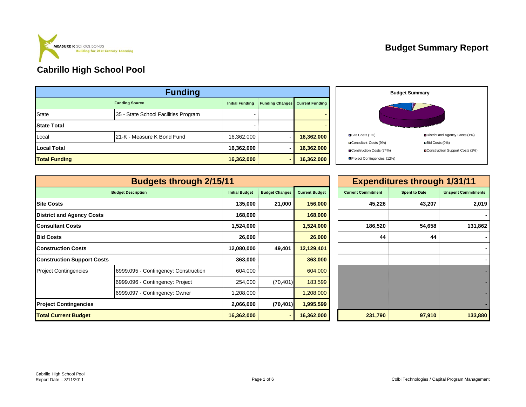

| <b>Funding</b>        |                                      |                        |                        |            |  |  |  |  |
|-----------------------|--------------------------------------|------------------------|------------------------|------------|--|--|--|--|
| <b>Funding Source</b> | <b>Initial Funding</b>               | <b>Funding Changes</b> | <b>Current Funding</b> |            |  |  |  |  |
| <b>State</b>          | 35 - State School Facilities Program |                        |                        |            |  |  |  |  |
| <b>State Total</b>    |                                      |                        |                        |            |  |  |  |  |
| Local                 | 21-K - Measure K Bond Fund           | 16,362,000             |                        | 16,362,000 |  |  |  |  |
| <b>Local Total</b>    |                                      | 16,362,000             |                        | 16,362,000 |  |  |  |  |
| <b>Total Funding</b>  |                                      | 16,362,000             |                        | 16,362,000 |  |  |  |  |



|                                   | <b>Budgets through 2/15/11</b>       |                       |                       |                       |                           | <b>Expenditures through 1/31/11</b> |                            |
|-----------------------------------|--------------------------------------|-----------------------|-----------------------|-----------------------|---------------------------|-------------------------------------|----------------------------|
|                                   | <b>Budget Description</b>            | <b>Initial Budget</b> | <b>Budget Changes</b> | <b>Current Budget</b> | <b>Current Commitment</b> | <b>Spent to Date</b>                | <b>Unspent Commitments</b> |
| <b>Site Costs</b>                 |                                      | 135,000               | 21,000                | 156,000               | 45,226                    | 43,207                              | 2,019                      |
| <b>District and Agency Costs</b>  |                                      | 168,000               |                       | 168,000               |                           |                                     |                            |
| <b>Consultant Costs</b>           |                                      | 1,524,000             |                       | 1,524,000             | 186,520                   | 54,658                              | 131,862                    |
| <b>Bid Costs</b>                  |                                      | 26,000                |                       | 26,000                | 44                        | 44                                  |                            |
| <b>Construction Costs</b>         |                                      | 12,080,000            | 49,401                | 12,129,401            |                           |                                     |                            |
| <b>Construction Support Costs</b> |                                      | 363,000               |                       | 363,000               |                           |                                     |                            |
| <b>Project Contingencies</b>      | 6999.095 - Contingency: Construction | 604,000               |                       | 604,000               |                           |                                     |                            |
|                                   | 6999.096 - Contingency: Project      | 254,000               | (70, 401)             | 183,599               |                           |                                     |                            |
|                                   | 6999.097 - Contingency: Owner        | 1,208,000             |                       | 1,208,000             |                           |                                     |                            |
| <b>Project Contingencies</b>      |                                      | 2,066,000             | (70, 401)             | 1,995,599             |                           |                                     |                            |
| <b>Total Current Budget</b>       |                                      | 16,362,000            |                       | 16,362,000            | 231,790                   | 97,910                              | 133,880                    |

| 1                     |                       |                       | <b>Expenditures through 1/31/11</b> |                      |                            |  |  |  |
|-----------------------|-----------------------|-----------------------|-------------------------------------|----------------------|----------------------------|--|--|--|
| <b>Initial Budget</b> | <b>Budget Changes</b> | <b>Current Budget</b> | <b>Current Commitment</b>           | <b>Spent to Date</b> | <b>Unspent Commitments</b> |  |  |  |
| 135,000               | 21,000                | 156,000               | 45,226                              | 43,207               | 2,019                      |  |  |  |
| 168,000               |                       | 168,000               |                                     |                      |                            |  |  |  |
| 1,524,000             |                       | 1,524,000             | 186,520                             | 54,658               | 131,862                    |  |  |  |
| 26,000                |                       | 26,000                | 44                                  | 44                   |                            |  |  |  |
| 12,080,000            | 49,401                | 12,129,401            |                                     |                      |                            |  |  |  |
| 363,000               |                       | 363,000               |                                     |                      |                            |  |  |  |
| 604,000               |                       | 604,000               |                                     |                      |                            |  |  |  |
| 254,000               | (70, 401)             | 183,599               |                                     |                      |                            |  |  |  |
| 1,208,000             |                       | 1,208,000             |                                     |                      |                            |  |  |  |
| 2,066,000             | (70, 401)             | 1,995,599             |                                     |                      |                            |  |  |  |
| 16,362,000            | ٠                     | 16,362,000            | 231,790                             | 97,910               | 133,880                    |  |  |  |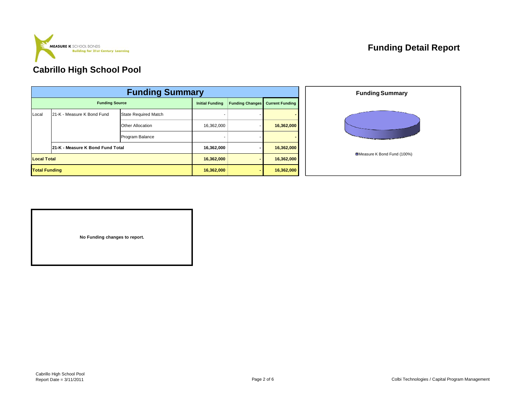

## **Funding Detail Report**

## **Cabrillo High School Pool**

|                       | <b>Funding Summary</b>           |                             |                        |                        |                        |  |  |  |  |  |
|-----------------------|----------------------------------|-----------------------------|------------------------|------------------------|------------------------|--|--|--|--|--|
| <b>Funding Source</b> |                                  |                             | <b>Initial Funding</b> | <b>Funding Changes</b> | <b>Current Funding</b> |  |  |  |  |  |
| Local                 | 21-K - Measure K Bond Fund       | <b>State Required Match</b> |                        |                        |                        |  |  |  |  |  |
|                       |                                  | Other Allocation            | 16,362,000             |                        | 16,362,000             |  |  |  |  |  |
|                       |                                  | Program Balance             |                        |                        |                        |  |  |  |  |  |
|                       | 21-K - Measure K Bond Fund Total |                             | 16,362,000             |                        | 16,362,000             |  |  |  |  |  |
|                       | <b>Local Total</b>               |                             |                        |                        | 16,362,000             |  |  |  |  |  |
| <b>Total Funding</b>  |                                  |                             | 16,362,000             |                        | 16,362,000             |  |  |  |  |  |



**No Funding changes to report.**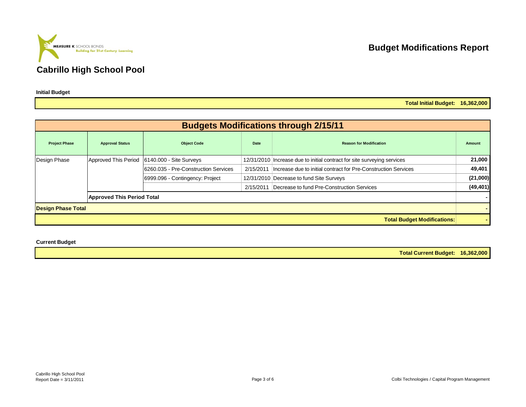

**Budget Modifications Report**

**Total Initial Budget: 16,362,000**

|                           |                                   |                                       |           | <b>Budgets Modifications through 2/15/11</b>                            |           |
|---------------------------|-----------------------------------|---------------------------------------|-----------|-------------------------------------------------------------------------|-----------|
| <b>Project Phase</b>      | <b>Approval Status</b>            | <b>Object Code</b>                    | Date      | <b>Reason for Modification</b>                                          | Amount    |
| Design Phase              | Approved This Period              | 6140.000 - Site Surveys               |           | 12/31/2010 Increase due to initial contract for site surveying services | 21,000    |
|                           |                                   | 16260.035 - Pre-Construction Services | 2/15/2011 | Increase due to initial contract for Pre-Construction Services          | 49,401    |
|                           |                                   | 6999.096 - Contingency: Project       |           | 12/31/2010 Decrease to fund Site Surveys                                | (21,000)  |
|                           |                                   |                                       | 2/15/2011 | Decrease to fund Pre-Construction Services                              | (49, 401) |
|                           | <b>Approved This Period Total</b> |                                       |           |                                                                         |           |
| <b>Design Phase Total</b> |                                   |                                       |           |                                                                         |           |
|                           |                                   |                                       |           | <b>Total Budget Modifications:</b>                                      |           |

**Current Budget**

**Total Current Budget: 16,362,000**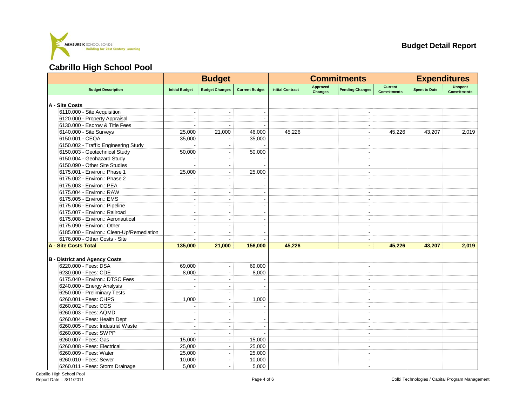

| <b>Approved</b><br><b>Current</b><br><b>Unspent</b><br><b>Spent to Date</b><br><b>Budget Description</b><br><b>Initial Budget</b><br><b>Budget Changes</b><br><b>Current Budget</b><br><b>Initial Contract</b><br><b>Pending Changes</b><br><b>Changes</b><br><b>Commitments</b><br><b>Commitments</b><br>A - Site Costs<br>6110.000 - Site Acquisition<br>6120.000 - Property Appraisal<br>$\overline{\phantom{a}}$<br>$\overline{\phantom{a}}$<br>$\overline{\phantom{a}}$<br>6130.000 - Escrow & Title Fees<br>6140.000 - Site Surveys<br>25,000<br>21,000<br>45,226<br>45,226<br>2,019<br>46,000<br>43,207<br>$\blacksquare$<br>6150.001 - CEQA<br>35,000<br>35,000<br>$\overline{\phantom{a}}$<br>6150.002 - Traffic Engineering Study<br>÷.<br>÷.<br>6150.003 - Geotechnical Study<br>50,000<br>50,000<br>$\blacksquare$<br>6150.004 - Geohazard Study<br>$\blacksquare$<br>$\blacksquare$<br>$\overline{\phantom{a}}$<br>6150.090 - Other Site Studies<br>÷.<br>$\blacksquare$<br>6175.001 - Environ.: Phase 1<br>25,000<br>25,000<br>$\overline{\phantom{a}}$<br>$\blacksquare$<br>6175.002 - Environ.: Phase 2<br>$\blacksquare$<br>6175.003 - Environ.: PEA<br>$\qquad \qquad \blacksquare$<br>6175.004 - Environ.: RAW<br>÷<br>÷<br>6175.005 - Environ.: EMS<br>$\blacksquare$<br>6175.006 - Environ.: Pipeline<br>$\overline{\phantom{a}}$<br>÷.<br>$\blacksquare$<br>$\overline{\phantom{a}}$<br>6175.007 - Environ.: Railroad<br>÷<br>÷.<br>6175.008 - Environ.: Aeronautical<br>$\overline{a}$<br>6175.090 - Environ.: Other<br>$\sim$<br>$\sim$<br>$\blacksquare$<br>6185.000 - Environ.: Clean-Up/Remediation<br>$\overline{\phantom{a}}$<br>$\blacksquare$<br>6176.000 - Other Costs - Site<br>$\blacksquare$<br>A - Site Costs Total<br>135,000<br>21,000<br>45,226<br>45,226<br>43.207<br>2,019<br>156,000<br>$\blacksquare$<br><b>B</b> - District and Agency Costs<br>6220.000 - Fees: DSA<br>69,000<br>69,000<br>$\overline{\phantom{a}}$<br>$\overline{a}$<br>6230.000 - Fees: CDE<br>8,000<br>8,000<br>$\overline{\phantom{a}}$<br>$\overline{\phantom{a}}$<br>6175.040 - Environ.: DTSC Fees<br>$\sim$<br>$\sim$<br>6240.000 - Energy Analysis<br>$\blacksquare$<br>6250.000 - Preliminary Tests<br>$\blacksquare$<br>$\blacksquare$<br>6260.001 - Fees: CHPS<br>1,000<br>1,000<br>÷.<br>$\overline{\phantom{a}}$<br>6260.002 - Fees: CGS<br>$\overline{\phantom{a}}$<br>6260.003 - Fees: AQMD<br>$\overline{\phantom{a}}$<br>$\sim$<br>$\blacksquare$<br>6260.004 - Fees: Health Dept<br>$\overline{\phantom{a}}$<br>÷<br>$\overline{\phantom{a}}$<br>6260.005 - Fees: Industrial Waste<br>$\overline{a}$<br>$\sim$<br>÷<br>6260.006 - Fees: SWPP<br>L.<br>6260.007 - Fees: Gas<br>15,000<br>15,000<br>$\blacksquare$<br>ч.<br>6260.008 - Fees: Electrical<br>25,000<br>25,000<br>۰.<br>٠<br>6260.009 - Fees: Water<br>25,000<br>25,000<br>6260.010 - Fees: Sewer<br>10,000<br>10,000<br>$\sim$<br>$\blacksquare$ |  | <b>Budget</b> |  | <b>Commitments</b> | <b>Expenditures</b> |  |
|----------------------------------------------------------------------------------------------------------------------------------------------------------------------------------------------------------------------------------------------------------------------------------------------------------------------------------------------------------------------------------------------------------------------------------------------------------------------------------------------------------------------------------------------------------------------------------------------------------------------------------------------------------------------------------------------------------------------------------------------------------------------------------------------------------------------------------------------------------------------------------------------------------------------------------------------------------------------------------------------------------------------------------------------------------------------------------------------------------------------------------------------------------------------------------------------------------------------------------------------------------------------------------------------------------------------------------------------------------------------------------------------------------------------------------------------------------------------------------------------------------------------------------------------------------------------------------------------------------------------------------------------------------------------------------------------------------------------------------------------------------------------------------------------------------------------------------------------------------------------------------------------------------------------------------------------------------------------------------------------------------------------------------------------------------------------------------------------------------------------------------------------------------------------------------------------------------------------------------------------------------------------------------------------------------------------------------------------------------------------------------------------------------------------------------------------------------------------------------------------------------------------------------------------------------------------------------------------------------------------------------------------------------------------------------------------------------------------------------------------------------------------------------------------------------------------------------------------------------------------------------------------------------------------------------------------|--|---------------|--|--------------------|---------------------|--|
|                                                                                                                                                                                                                                                                                                                                                                                                                                                                                                                                                                                                                                                                                                                                                                                                                                                                                                                                                                                                                                                                                                                                                                                                                                                                                                                                                                                                                                                                                                                                                                                                                                                                                                                                                                                                                                                                                                                                                                                                                                                                                                                                                                                                                                                                                                                                                                                                                                                                                                                                                                                                                                                                                                                                                                                                                                                                                                                                              |  |               |  |                    |                     |  |
|                                                                                                                                                                                                                                                                                                                                                                                                                                                                                                                                                                                                                                                                                                                                                                                                                                                                                                                                                                                                                                                                                                                                                                                                                                                                                                                                                                                                                                                                                                                                                                                                                                                                                                                                                                                                                                                                                                                                                                                                                                                                                                                                                                                                                                                                                                                                                                                                                                                                                                                                                                                                                                                                                                                                                                                                                                                                                                                                              |  |               |  |                    |                     |  |
|                                                                                                                                                                                                                                                                                                                                                                                                                                                                                                                                                                                                                                                                                                                                                                                                                                                                                                                                                                                                                                                                                                                                                                                                                                                                                                                                                                                                                                                                                                                                                                                                                                                                                                                                                                                                                                                                                                                                                                                                                                                                                                                                                                                                                                                                                                                                                                                                                                                                                                                                                                                                                                                                                                                                                                                                                                                                                                                                              |  |               |  |                    |                     |  |
|                                                                                                                                                                                                                                                                                                                                                                                                                                                                                                                                                                                                                                                                                                                                                                                                                                                                                                                                                                                                                                                                                                                                                                                                                                                                                                                                                                                                                                                                                                                                                                                                                                                                                                                                                                                                                                                                                                                                                                                                                                                                                                                                                                                                                                                                                                                                                                                                                                                                                                                                                                                                                                                                                                                                                                                                                                                                                                                                              |  |               |  |                    |                     |  |
|                                                                                                                                                                                                                                                                                                                                                                                                                                                                                                                                                                                                                                                                                                                                                                                                                                                                                                                                                                                                                                                                                                                                                                                                                                                                                                                                                                                                                                                                                                                                                                                                                                                                                                                                                                                                                                                                                                                                                                                                                                                                                                                                                                                                                                                                                                                                                                                                                                                                                                                                                                                                                                                                                                                                                                                                                                                                                                                                              |  |               |  |                    |                     |  |
|                                                                                                                                                                                                                                                                                                                                                                                                                                                                                                                                                                                                                                                                                                                                                                                                                                                                                                                                                                                                                                                                                                                                                                                                                                                                                                                                                                                                                                                                                                                                                                                                                                                                                                                                                                                                                                                                                                                                                                                                                                                                                                                                                                                                                                                                                                                                                                                                                                                                                                                                                                                                                                                                                                                                                                                                                                                                                                                                              |  |               |  |                    |                     |  |
|                                                                                                                                                                                                                                                                                                                                                                                                                                                                                                                                                                                                                                                                                                                                                                                                                                                                                                                                                                                                                                                                                                                                                                                                                                                                                                                                                                                                                                                                                                                                                                                                                                                                                                                                                                                                                                                                                                                                                                                                                                                                                                                                                                                                                                                                                                                                                                                                                                                                                                                                                                                                                                                                                                                                                                                                                                                                                                                                              |  |               |  |                    |                     |  |
|                                                                                                                                                                                                                                                                                                                                                                                                                                                                                                                                                                                                                                                                                                                                                                                                                                                                                                                                                                                                                                                                                                                                                                                                                                                                                                                                                                                                                                                                                                                                                                                                                                                                                                                                                                                                                                                                                                                                                                                                                                                                                                                                                                                                                                                                                                                                                                                                                                                                                                                                                                                                                                                                                                                                                                                                                                                                                                                                              |  |               |  |                    |                     |  |
|                                                                                                                                                                                                                                                                                                                                                                                                                                                                                                                                                                                                                                                                                                                                                                                                                                                                                                                                                                                                                                                                                                                                                                                                                                                                                                                                                                                                                                                                                                                                                                                                                                                                                                                                                                                                                                                                                                                                                                                                                                                                                                                                                                                                                                                                                                                                                                                                                                                                                                                                                                                                                                                                                                                                                                                                                                                                                                                                              |  |               |  |                    |                     |  |
|                                                                                                                                                                                                                                                                                                                                                                                                                                                                                                                                                                                                                                                                                                                                                                                                                                                                                                                                                                                                                                                                                                                                                                                                                                                                                                                                                                                                                                                                                                                                                                                                                                                                                                                                                                                                                                                                                                                                                                                                                                                                                                                                                                                                                                                                                                                                                                                                                                                                                                                                                                                                                                                                                                                                                                                                                                                                                                                                              |  |               |  |                    |                     |  |
|                                                                                                                                                                                                                                                                                                                                                                                                                                                                                                                                                                                                                                                                                                                                                                                                                                                                                                                                                                                                                                                                                                                                                                                                                                                                                                                                                                                                                                                                                                                                                                                                                                                                                                                                                                                                                                                                                                                                                                                                                                                                                                                                                                                                                                                                                                                                                                                                                                                                                                                                                                                                                                                                                                                                                                                                                                                                                                                                              |  |               |  |                    |                     |  |
|                                                                                                                                                                                                                                                                                                                                                                                                                                                                                                                                                                                                                                                                                                                                                                                                                                                                                                                                                                                                                                                                                                                                                                                                                                                                                                                                                                                                                                                                                                                                                                                                                                                                                                                                                                                                                                                                                                                                                                                                                                                                                                                                                                                                                                                                                                                                                                                                                                                                                                                                                                                                                                                                                                                                                                                                                                                                                                                                              |  |               |  |                    |                     |  |
|                                                                                                                                                                                                                                                                                                                                                                                                                                                                                                                                                                                                                                                                                                                                                                                                                                                                                                                                                                                                                                                                                                                                                                                                                                                                                                                                                                                                                                                                                                                                                                                                                                                                                                                                                                                                                                                                                                                                                                                                                                                                                                                                                                                                                                                                                                                                                                                                                                                                                                                                                                                                                                                                                                                                                                                                                                                                                                                                              |  |               |  |                    |                     |  |
|                                                                                                                                                                                                                                                                                                                                                                                                                                                                                                                                                                                                                                                                                                                                                                                                                                                                                                                                                                                                                                                                                                                                                                                                                                                                                                                                                                                                                                                                                                                                                                                                                                                                                                                                                                                                                                                                                                                                                                                                                                                                                                                                                                                                                                                                                                                                                                                                                                                                                                                                                                                                                                                                                                                                                                                                                                                                                                                                              |  |               |  |                    |                     |  |
|                                                                                                                                                                                                                                                                                                                                                                                                                                                                                                                                                                                                                                                                                                                                                                                                                                                                                                                                                                                                                                                                                                                                                                                                                                                                                                                                                                                                                                                                                                                                                                                                                                                                                                                                                                                                                                                                                                                                                                                                                                                                                                                                                                                                                                                                                                                                                                                                                                                                                                                                                                                                                                                                                                                                                                                                                                                                                                                                              |  |               |  |                    |                     |  |
|                                                                                                                                                                                                                                                                                                                                                                                                                                                                                                                                                                                                                                                                                                                                                                                                                                                                                                                                                                                                                                                                                                                                                                                                                                                                                                                                                                                                                                                                                                                                                                                                                                                                                                                                                                                                                                                                                                                                                                                                                                                                                                                                                                                                                                                                                                                                                                                                                                                                                                                                                                                                                                                                                                                                                                                                                                                                                                                                              |  |               |  |                    |                     |  |
|                                                                                                                                                                                                                                                                                                                                                                                                                                                                                                                                                                                                                                                                                                                                                                                                                                                                                                                                                                                                                                                                                                                                                                                                                                                                                                                                                                                                                                                                                                                                                                                                                                                                                                                                                                                                                                                                                                                                                                                                                                                                                                                                                                                                                                                                                                                                                                                                                                                                                                                                                                                                                                                                                                                                                                                                                                                                                                                                              |  |               |  |                    |                     |  |
|                                                                                                                                                                                                                                                                                                                                                                                                                                                                                                                                                                                                                                                                                                                                                                                                                                                                                                                                                                                                                                                                                                                                                                                                                                                                                                                                                                                                                                                                                                                                                                                                                                                                                                                                                                                                                                                                                                                                                                                                                                                                                                                                                                                                                                                                                                                                                                                                                                                                                                                                                                                                                                                                                                                                                                                                                                                                                                                                              |  |               |  |                    |                     |  |
|                                                                                                                                                                                                                                                                                                                                                                                                                                                                                                                                                                                                                                                                                                                                                                                                                                                                                                                                                                                                                                                                                                                                                                                                                                                                                                                                                                                                                                                                                                                                                                                                                                                                                                                                                                                                                                                                                                                                                                                                                                                                                                                                                                                                                                                                                                                                                                                                                                                                                                                                                                                                                                                                                                                                                                                                                                                                                                                                              |  |               |  |                    |                     |  |
|                                                                                                                                                                                                                                                                                                                                                                                                                                                                                                                                                                                                                                                                                                                                                                                                                                                                                                                                                                                                                                                                                                                                                                                                                                                                                                                                                                                                                                                                                                                                                                                                                                                                                                                                                                                                                                                                                                                                                                                                                                                                                                                                                                                                                                                                                                                                                                                                                                                                                                                                                                                                                                                                                                                                                                                                                                                                                                                                              |  |               |  |                    |                     |  |
|                                                                                                                                                                                                                                                                                                                                                                                                                                                                                                                                                                                                                                                                                                                                                                                                                                                                                                                                                                                                                                                                                                                                                                                                                                                                                                                                                                                                                                                                                                                                                                                                                                                                                                                                                                                                                                                                                                                                                                                                                                                                                                                                                                                                                                                                                                                                                                                                                                                                                                                                                                                                                                                                                                                                                                                                                                                                                                                                              |  |               |  |                    |                     |  |
|                                                                                                                                                                                                                                                                                                                                                                                                                                                                                                                                                                                                                                                                                                                                                                                                                                                                                                                                                                                                                                                                                                                                                                                                                                                                                                                                                                                                                                                                                                                                                                                                                                                                                                                                                                                                                                                                                                                                                                                                                                                                                                                                                                                                                                                                                                                                                                                                                                                                                                                                                                                                                                                                                                                                                                                                                                                                                                                                              |  |               |  |                    |                     |  |
|                                                                                                                                                                                                                                                                                                                                                                                                                                                                                                                                                                                                                                                                                                                                                                                                                                                                                                                                                                                                                                                                                                                                                                                                                                                                                                                                                                                                                                                                                                                                                                                                                                                                                                                                                                                                                                                                                                                                                                                                                                                                                                                                                                                                                                                                                                                                                                                                                                                                                                                                                                                                                                                                                                                                                                                                                                                                                                                                              |  |               |  |                    |                     |  |
|                                                                                                                                                                                                                                                                                                                                                                                                                                                                                                                                                                                                                                                                                                                                                                                                                                                                                                                                                                                                                                                                                                                                                                                                                                                                                                                                                                                                                                                                                                                                                                                                                                                                                                                                                                                                                                                                                                                                                                                                                                                                                                                                                                                                                                                                                                                                                                                                                                                                                                                                                                                                                                                                                                                                                                                                                                                                                                                                              |  |               |  |                    |                     |  |
|                                                                                                                                                                                                                                                                                                                                                                                                                                                                                                                                                                                                                                                                                                                                                                                                                                                                                                                                                                                                                                                                                                                                                                                                                                                                                                                                                                                                                                                                                                                                                                                                                                                                                                                                                                                                                                                                                                                                                                                                                                                                                                                                                                                                                                                                                                                                                                                                                                                                                                                                                                                                                                                                                                                                                                                                                                                                                                                                              |  |               |  |                    |                     |  |
|                                                                                                                                                                                                                                                                                                                                                                                                                                                                                                                                                                                                                                                                                                                                                                                                                                                                                                                                                                                                                                                                                                                                                                                                                                                                                                                                                                                                                                                                                                                                                                                                                                                                                                                                                                                                                                                                                                                                                                                                                                                                                                                                                                                                                                                                                                                                                                                                                                                                                                                                                                                                                                                                                                                                                                                                                                                                                                                                              |  |               |  |                    |                     |  |
|                                                                                                                                                                                                                                                                                                                                                                                                                                                                                                                                                                                                                                                                                                                                                                                                                                                                                                                                                                                                                                                                                                                                                                                                                                                                                                                                                                                                                                                                                                                                                                                                                                                                                                                                                                                                                                                                                                                                                                                                                                                                                                                                                                                                                                                                                                                                                                                                                                                                                                                                                                                                                                                                                                                                                                                                                                                                                                                                              |  |               |  |                    |                     |  |
|                                                                                                                                                                                                                                                                                                                                                                                                                                                                                                                                                                                                                                                                                                                                                                                                                                                                                                                                                                                                                                                                                                                                                                                                                                                                                                                                                                                                                                                                                                                                                                                                                                                                                                                                                                                                                                                                                                                                                                                                                                                                                                                                                                                                                                                                                                                                                                                                                                                                                                                                                                                                                                                                                                                                                                                                                                                                                                                                              |  |               |  |                    |                     |  |
|                                                                                                                                                                                                                                                                                                                                                                                                                                                                                                                                                                                                                                                                                                                                                                                                                                                                                                                                                                                                                                                                                                                                                                                                                                                                                                                                                                                                                                                                                                                                                                                                                                                                                                                                                                                                                                                                                                                                                                                                                                                                                                                                                                                                                                                                                                                                                                                                                                                                                                                                                                                                                                                                                                                                                                                                                                                                                                                                              |  |               |  |                    |                     |  |
|                                                                                                                                                                                                                                                                                                                                                                                                                                                                                                                                                                                                                                                                                                                                                                                                                                                                                                                                                                                                                                                                                                                                                                                                                                                                                                                                                                                                                                                                                                                                                                                                                                                                                                                                                                                                                                                                                                                                                                                                                                                                                                                                                                                                                                                                                                                                                                                                                                                                                                                                                                                                                                                                                                                                                                                                                                                                                                                                              |  |               |  |                    |                     |  |
|                                                                                                                                                                                                                                                                                                                                                                                                                                                                                                                                                                                                                                                                                                                                                                                                                                                                                                                                                                                                                                                                                                                                                                                                                                                                                                                                                                                                                                                                                                                                                                                                                                                                                                                                                                                                                                                                                                                                                                                                                                                                                                                                                                                                                                                                                                                                                                                                                                                                                                                                                                                                                                                                                                                                                                                                                                                                                                                                              |  |               |  |                    |                     |  |
|                                                                                                                                                                                                                                                                                                                                                                                                                                                                                                                                                                                                                                                                                                                                                                                                                                                                                                                                                                                                                                                                                                                                                                                                                                                                                                                                                                                                                                                                                                                                                                                                                                                                                                                                                                                                                                                                                                                                                                                                                                                                                                                                                                                                                                                                                                                                                                                                                                                                                                                                                                                                                                                                                                                                                                                                                                                                                                                                              |  |               |  |                    |                     |  |
|                                                                                                                                                                                                                                                                                                                                                                                                                                                                                                                                                                                                                                                                                                                                                                                                                                                                                                                                                                                                                                                                                                                                                                                                                                                                                                                                                                                                                                                                                                                                                                                                                                                                                                                                                                                                                                                                                                                                                                                                                                                                                                                                                                                                                                                                                                                                                                                                                                                                                                                                                                                                                                                                                                                                                                                                                                                                                                                                              |  |               |  |                    |                     |  |
|                                                                                                                                                                                                                                                                                                                                                                                                                                                                                                                                                                                                                                                                                                                                                                                                                                                                                                                                                                                                                                                                                                                                                                                                                                                                                                                                                                                                                                                                                                                                                                                                                                                                                                                                                                                                                                                                                                                                                                                                                                                                                                                                                                                                                                                                                                                                                                                                                                                                                                                                                                                                                                                                                                                                                                                                                                                                                                                                              |  |               |  |                    |                     |  |
|                                                                                                                                                                                                                                                                                                                                                                                                                                                                                                                                                                                                                                                                                                                                                                                                                                                                                                                                                                                                                                                                                                                                                                                                                                                                                                                                                                                                                                                                                                                                                                                                                                                                                                                                                                                                                                                                                                                                                                                                                                                                                                                                                                                                                                                                                                                                                                                                                                                                                                                                                                                                                                                                                                                                                                                                                                                                                                                                              |  |               |  |                    |                     |  |
|                                                                                                                                                                                                                                                                                                                                                                                                                                                                                                                                                                                                                                                                                                                                                                                                                                                                                                                                                                                                                                                                                                                                                                                                                                                                                                                                                                                                                                                                                                                                                                                                                                                                                                                                                                                                                                                                                                                                                                                                                                                                                                                                                                                                                                                                                                                                                                                                                                                                                                                                                                                                                                                                                                                                                                                                                                                                                                                                              |  |               |  |                    |                     |  |
|                                                                                                                                                                                                                                                                                                                                                                                                                                                                                                                                                                                                                                                                                                                                                                                                                                                                                                                                                                                                                                                                                                                                                                                                                                                                                                                                                                                                                                                                                                                                                                                                                                                                                                                                                                                                                                                                                                                                                                                                                                                                                                                                                                                                                                                                                                                                                                                                                                                                                                                                                                                                                                                                                                                                                                                                                                                                                                                                              |  |               |  |                    |                     |  |
|                                                                                                                                                                                                                                                                                                                                                                                                                                                                                                                                                                                                                                                                                                                                                                                                                                                                                                                                                                                                                                                                                                                                                                                                                                                                                                                                                                                                                                                                                                                                                                                                                                                                                                                                                                                                                                                                                                                                                                                                                                                                                                                                                                                                                                                                                                                                                                                                                                                                                                                                                                                                                                                                                                                                                                                                                                                                                                                                              |  |               |  |                    |                     |  |
|                                                                                                                                                                                                                                                                                                                                                                                                                                                                                                                                                                                                                                                                                                                                                                                                                                                                                                                                                                                                                                                                                                                                                                                                                                                                                                                                                                                                                                                                                                                                                                                                                                                                                                                                                                                                                                                                                                                                                                                                                                                                                                                                                                                                                                                                                                                                                                                                                                                                                                                                                                                                                                                                                                                                                                                                                                                                                                                                              |  |               |  |                    |                     |  |
|                                                                                                                                                                                                                                                                                                                                                                                                                                                                                                                                                                                                                                                                                                                                                                                                                                                                                                                                                                                                                                                                                                                                                                                                                                                                                                                                                                                                                                                                                                                                                                                                                                                                                                                                                                                                                                                                                                                                                                                                                                                                                                                                                                                                                                                                                                                                                                                                                                                                                                                                                                                                                                                                                                                                                                                                                                                                                                                                              |  |               |  |                    |                     |  |
| 6260.011 - Fees: Storm Drainage<br>5,000<br>5,000<br>$\blacksquare$                                                                                                                                                                                                                                                                                                                                                                                                                                                                                                                                                                                                                                                                                                                                                                                                                                                                                                                                                                                                                                                                                                                                                                                                                                                                                                                                                                                                                                                                                                                                                                                                                                                                                                                                                                                                                                                                                                                                                                                                                                                                                                                                                                                                                                                                                                                                                                                                                                                                                                                                                                                                                                                                                                                                                                                                                                                                          |  |               |  |                    |                     |  |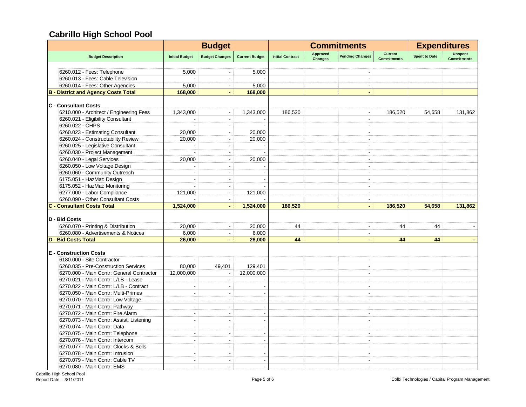|                                            |                          | <b>Budget</b>            |                       |                         | <b>Commitments</b>                | <b>Expenditures</b>      |                                      |                      |                                      |
|--------------------------------------------|--------------------------|--------------------------|-----------------------|-------------------------|-----------------------------------|--------------------------|--------------------------------------|----------------------|--------------------------------------|
| <b>Budget Description</b>                  | <b>Initial Budget</b>    | <b>Budget Changes</b>    | <b>Current Budget</b> | <b>Initial Contract</b> | <b>Approved</b><br><b>Changes</b> | <b>Pending Changes</b>   | <b>Current</b><br><b>Commitments</b> | <b>Spent to Date</b> | <b>Unspent</b><br><b>Commitments</b> |
|                                            |                          |                          |                       |                         |                                   |                          |                                      |                      |                                      |
| 6260.012 - Fees: Telephone                 | 5,000                    |                          | 5,000                 |                         |                                   |                          |                                      |                      |                                      |
| 6260.013 - Fees: Cable Television          |                          |                          |                       |                         |                                   | $\blacksquare$           |                                      |                      |                                      |
| 6260.014 - Fees: Other Agencies            | 5,000                    | $\blacksquare$           | 5,000                 |                         |                                   |                          |                                      |                      |                                      |
| <b>B</b> - District and Agency Costs Total | 168,000                  | $\blacksquare$           | 168,000               |                         |                                   | $\blacksquare$           |                                      |                      |                                      |
| <b>C</b> - Consultant Costs                |                          |                          |                       |                         |                                   |                          |                                      |                      |                                      |
| 6210.000 - Architect / Engineering Fees    | 1,343,000                | $\blacksquare$           | 1,343,000             | 186,520                 |                                   | $\blacksquare$           | 186,520                              | 54,658               | 131,862                              |
| 6260.021 - Eligibility Consultant          |                          | $\sim$                   |                       |                         |                                   | $\overline{a}$           |                                      |                      |                                      |
| 6260.022 - CHPS                            |                          | $\overline{\phantom{a}}$ |                       |                         |                                   | $\blacksquare$           |                                      |                      |                                      |
| 6260.023 - Estimating Consultant           | 20,000                   | $\overline{\phantom{a}}$ | 20,000                |                         |                                   | $\sim$                   |                                      |                      |                                      |
| 6260.024 - Constructability Review         | 20.000                   | $\sim$                   | 20,000                |                         |                                   | $\mathbf{r}$             |                                      |                      |                                      |
| 6260.025 - Legislative Consultant          |                          | $\blacksquare$           |                       |                         |                                   | ÷                        |                                      |                      |                                      |
| 6260.030 - Project Management              |                          | $\sim$                   |                       |                         |                                   | $\mathbf{r}$             |                                      |                      |                                      |
| 6260.040 - Legal Services                  | 20,000                   | $\blacksquare$           | 20,000                |                         |                                   | $\sim$                   |                                      |                      |                                      |
| 6260.050 - Low Voltage Design              |                          | $\sim$                   |                       |                         |                                   | $\blacksquare$           |                                      |                      |                                      |
| 6260.060 - Community Outreach              |                          |                          |                       |                         |                                   |                          |                                      |                      |                                      |
| 6175.051 - HazMat: Design                  |                          |                          |                       |                         |                                   |                          |                                      |                      |                                      |
| 6175.052 - HazMat: Monitoring              |                          |                          |                       |                         |                                   |                          |                                      |                      |                                      |
| 6277.000 - Labor Compliance                |                          | $\sim$                   |                       |                         |                                   | $\overline{a}$           |                                      |                      |                                      |
|                                            | 121,000                  |                          | 121,000               |                         |                                   |                          |                                      |                      |                                      |
| 6260.090 - Other Consultant Costs          |                          | $\sim$                   |                       |                         |                                   | $\blacksquare$           |                                      |                      |                                      |
| <b>C - Consultant Costs Total</b>          | 1,524,000                | $\blacksquare$           | 1,524,000             | 186,520                 |                                   | $\blacksquare$           | 186,520                              | 54,658               | 131,862                              |
| D - Bid Costs                              |                          |                          |                       |                         |                                   |                          |                                      |                      |                                      |
| 6260.070 - Printing & Distribution         | 20,000                   | $\overline{\phantom{a}}$ | 20,000                | 44                      |                                   | $\overline{\phantom{a}}$ | 44                                   | 44                   |                                      |
| 6260.080 - Advertisements & Notices        | 6,000                    | $\blacksquare$           | 6,000                 |                         |                                   | $\blacksquare$           |                                      |                      |                                      |
| <b>D - Bid Costs Total</b>                 | 26,000                   | $\blacksquare$           | 26,000                | 44                      |                                   | ä,                       | 44                                   | 44                   |                                      |
| <b>E</b> - Construction Costs              |                          |                          |                       |                         |                                   |                          |                                      |                      |                                      |
| 6180.000 - Site Contractor                 |                          |                          |                       |                         |                                   | $\blacksquare$           |                                      |                      |                                      |
| 6260.035 - Pre-Construction Services       | 80,000                   |                          | 129,401               |                         |                                   | $\blacksquare$           |                                      |                      |                                      |
|                                            |                          | 49,401                   |                       |                         |                                   | $\overline{a}$           |                                      |                      |                                      |
| 6270.000 - Main Contr: General Contractor  | 12,000,000               |                          | 12,000,000            |                         |                                   |                          |                                      |                      |                                      |
| 6270.021 - Main Contr: L/LB - Lease        | ÷                        | $\blacksquare$           |                       |                         |                                   | $\blacksquare$           |                                      |                      |                                      |
| 6270.022 - Main Contr: L/LB - Contract     | J.                       | $\sim$                   |                       |                         |                                   | $\overline{a}$           |                                      |                      |                                      |
| 6270.050 - Main Contr: Multi-Primes        | $\overline{\phantom{a}}$ | $\blacksquare$           |                       |                         |                                   | $\blacksquare$           |                                      |                      |                                      |
| 6270.070 - Main Contr: Low Voltage         | ÷.                       | $\sim$                   |                       |                         |                                   | ÷                        |                                      |                      |                                      |
| 6270.071 - Main Contr: Pathway             | ÷                        | $\blacksquare$           | $\overline{a}$        |                         |                                   | $\sim$                   |                                      |                      |                                      |
| 6270.072 - Main Contr: Fire Alarm          | $\overline{a}$           | $\overline{a}$           |                       |                         |                                   | $\mathbf{r}$             |                                      |                      |                                      |
| 6270.073 - Main Contr: Assist. Listening   | $\overline{a}$           | $\sim$                   |                       |                         |                                   | $\blacksquare$           |                                      |                      |                                      |
| 6270.074 - Main Contr: Data                | $\overline{a}$           | $\overline{a}$           |                       |                         |                                   | $\mathbf{r}$             |                                      |                      |                                      |
| 6270.075 - Main Contr: Telephone           | $\overline{a}$           | $\sim$                   |                       |                         |                                   | $\blacksquare$           |                                      |                      |                                      |
| 6270.076 - Main Contr: Intercom            |                          |                          |                       |                         |                                   |                          |                                      |                      |                                      |
| 6270.077 - Main Contr: Clocks & Bells      |                          |                          |                       |                         |                                   |                          |                                      |                      |                                      |
| 6270.078 - Main Contr: Intrusion           |                          | $\overline{\phantom{a}}$ |                       |                         |                                   |                          |                                      |                      |                                      |
| 6270.079 - Main Contr: Cable TV            | ÷.                       | $\overline{a}$           |                       |                         |                                   |                          |                                      |                      |                                      |
| 6270.080 - Main Contr: EMS                 | ÷.                       | $\sim$                   |                       |                         |                                   | $\sim$                   |                                      |                      |                                      |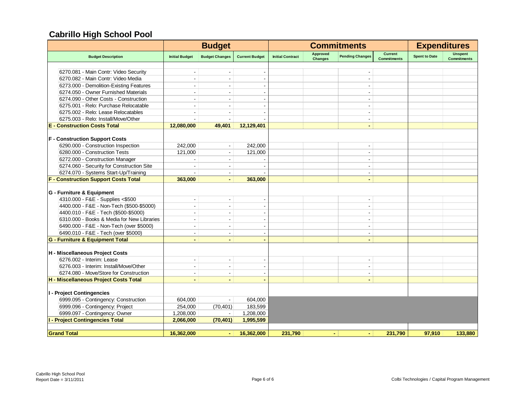|                                             |                          | <b>Budget</b>            |                          |                         |                                   | <b>Commitments</b>       |                                      | <b>Expenditures</b>  |                                      |
|---------------------------------------------|--------------------------|--------------------------|--------------------------|-------------------------|-----------------------------------|--------------------------|--------------------------------------|----------------------|--------------------------------------|
| <b>Budget Description</b>                   | <b>Initial Budget</b>    | <b>Budget Changes</b>    | <b>Current Budget</b>    | <b>Initial Contract</b> | <b>Approved</b><br><b>Changes</b> | <b>Pending Changes</b>   | <b>Current</b><br><b>Commitments</b> | <b>Spent to Date</b> | <b>Unspent</b><br><b>Commitments</b> |
|                                             |                          |                          |                          |                         |                                   |                          |                                      |                      |                                      |
| 6270.081 - Main Contr: Video Security       |                          |                          |                          |                         |                                   |                          |                                      |                      |                                      |
| 6270.082 - Main Contr: Video Media          |                          |                          |                          |                         |                                   | $\overline{\phantom{a}}$ |                                      |                      |                                      |
| 6273.000 - Demolition-Existing Features     | $\sim$                   | $\sim$                   |                          |                         |                                   | $\sim$                   |                                      |                      |                                      |
| 6274.050 - Owner Furnished Materials        |                          |                          |                          |                         |                                   | $\overline{\phantom{a}}$ |                                      |                      |                                      |
| 6274.090 - Other Costs - Construction       |                          |                          |                          |                         |                                   | $\blacksquare$           |                                      |                      |                                      |
| 6275.001 - Relo: Purchase Relocatable       |                          | $\sim$                   |                          |                         |                                   | $\overline{\phantom{a}}$ |                                      |                      |                                      |
| 6275.002 - Relo: Lease Relocatables         |                          |                          |                          |                         |                                   | $\overline{\phantom{a}}$ |                                      |                      |                                      |
| 6275.003 - Relo: Install/Move/Other         |                          |                          |                          |                         |                                   | $\blacksquare$           |                                      |                      |                                      |
| <b>E</b> - Construction Costs Total         | 12,080,000               | 49,401                   | 12.129.401               |                         |                                   | $\blacksquare$           |                                      |                      |                                      |
| <b>F</b> - Construction Support Costs       |                          |                          |                          |                         |                                   |                          |                                      |                      |                                      |
| 6290.000 - Construction Inspection          | 242,000                  | $\blacksquare$           | 242,000                  |                         |                                   |                          |                                      |                      |                                      |
| 6280.000 - Construction Tests               | 121,000                  | $\blacksquare$           | 121,000                  |                         |                                   | $\blacksquare$           |                                      |                      |                                      |
| 6272.000 - Construction Manager             |                          | $\sim$                   |                          |                         |                                   | $\blacksquare$           |                                      |                      |                                      |
| 6274.060 - Security for Construction Site   |                          |                          |                          |                         |                                   | $\overline{\phantom{a}}$ |                                      |                      |                                      |
| 6274.070 - Systems Start-Up/Training        | $\blacksquare$           | $\blacksquare$           |                          |                         |                                   | $\blacksquare$           |                                      |                      |                                      |
| <b>F - Construction Support Costs Total</b> | 363,000                  |                          | 363,000                  |                         |                                   |                          |                                      |                      |                                      |
|                                             |                          |                          |                          |                         |                                   |                          |                                      |                      |                                      |
| G - Furniture & Equipment                   |                          |                          |                          |                         |                                   |                          |                                      |                      |                                      |
| 4310.000 - F&E - Supplies <\$500            | $\blacksquare$           | $\blacksquare$           |                          |                         |                                   | $\overline{\phantom{a}}$ |                                      |                      |                                      |
| 4400.000 - F&E - Non-Tech (\$500-\$5000)    |                          |                          |                          |                         |                                   | $\blacksquare$           |                                      |                      |                                      |
| 4400.010 - F&E - Tech (\$500-\$5000)        | $\sim$                   | $\sim$                   |                          |                         |                                   | $\blacksquare$           |                                      |                      |                                      |
| 6310.000 - Books & Media for New Libraries  |                          |                          |                          |                         |                                   | $\blacksquare$           |                                      |                      |                                      |
| 6490.000 - F&E - Non-Tech (over \$5000)     | $\overline{\phantom{a}}$ | $\overline{\phantom{a}}$ |                          |                         |                                   | $\blacksquare$           |                                      |                      |                                      |
| 6490.010 - F&E - Tech (over \$5000)         |                          | $\blacksquare$           |                          |                         |                                   | $\blacksquare$           |                                      |                      |                                      |
| <b>G - Furniture &amp; Equipment Total</b>  |                          |                          |                          |                         |                                   | $\blacksquare$           |                                      |                      |                                      |
| H - Miscellaneous Project Costs             |                          |                          |                          |                         |                                   |                          |                                      |                      |                                      |
| 6276.002 - Interim: Lease                   | $\sim$                   | $\blacksquare$           | $\overline{\phantom{a}}$ |                         |                                   | $\blacksquare$           |                                      |                      |                                      |
| 6276.003 - Interim: Install/Move/Other      | $\sim$                   | $\blacksquare$           |                          |                         |                                   | $\blacksquare$           |                                      |                      |                                      |
| 6274.080 - Move/Store for Construction      |                          |                          |                          |                         |                                   | $\blacksquare$           |                                      |                      |                                      |
| H - Miscellaneous Project Costs Total       | $\blacksquare$           | $\blacksquare$           |                          |                         |                                   | $\blacksquare$           |                                      |                      |                                      |
|                                             |                          |                          |                          |                         |                                   |                          |                                      |                      |                                      |
| I - Project Contingencies                   |                          |                          |                          |                         |                                   |                          |                                      |                      |                                      |
| 6999.095 - Contingency: Construction        | 604.000                  | $\blacksquare$           | 604,000                  |                         |                                   |                          |                                      |                      |                                      |
| 6999.096 - Contingency: Project             | 254,000                  | (70, 401)                | 183,599                  |                         |                                   |                          |                                      |                      |                                      |
| 6999.097 - Contingency: Owner               | 1,208,000                | $\blacksquare$           | 1,208,000                |                         |                                   |                          |                                      |                      |                                      |
| <b>I - Project Contingencies Total</b>      | 2,066,000                | (70, 401)                | 1,995,599                |                         |                                   |                          |                                      |                      |                                      |
| <b>Grand Total</b>                          | 16,362,000               | ٠                        | 16,362,000               | 231,790                 | $\blacksquare$                    | $\sim$                   | 231,790                              | 97,910               | 133,880                              |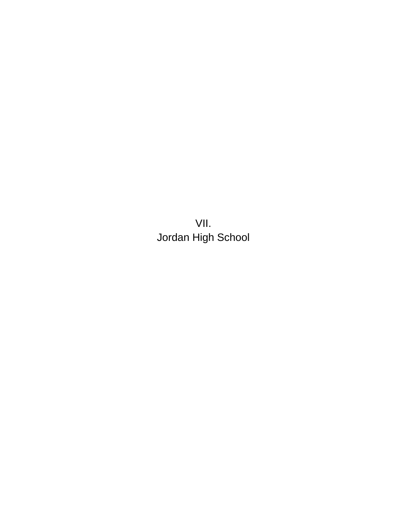VII. Jordan High School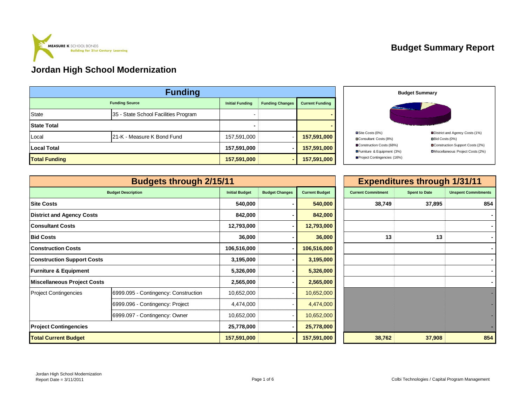

#### **Budget Summary Report**

| <b>Funding</b>       |                                      |                        |                        |                        |  |  |  |  |  |
|----------------------|--------------------------------------|------------------------|------------------------|------------------------|--|--|--|--|--|
|                      | <b>Funding Source</b>                | <b>Initial Funding</b> | <b>Funding Changes</b> | <b>Current Funding</b> |  |  |  |  |  |
| <b>State</b>         | 35 - State School Facilities Program |                        |                        |                        |  |  |  |  |  |
| <b>State Total</b>   |                                      |                        |                        |                        |  |  |  |  |  |
| Local                | 21-K - Measure K Bond Fund           | 157,591,000            |                        | 157,591,000            |  |  |  |  |  |
| <b>Local Total</b>   |                                      | 157,591,000            |                        | 157,591,000            |  |  |  |  |  |
| <b>Total Funding</b> |                                      | 157,591,000            |                        | 157,591,000            |  |  |  |  |  |



|                                    | <b>Budgets through 2/15/11</b>       |                       |                       |                       |                           | <b>Expenditures through 1/31/11</b> |                            |
|------------------------------------|--------------------------------------|-----------------------|-----------------------|-----------------------|---------------------------|-------------------------------------|----------------------------|
|                                    | <b>Budget Description</b>            | <b>Initial Budget</b> | <b>Budget Changes</b> | <b>Current Budget</b> | <b>Current Commitment</b> | <b>Spent to Date</b>                | <b>Unspent Commitments</b> |
| <b>Site Costs</b>                  |                                      | 540,000               |                       | 540,000               | 38,749                    | 37,895                              | 854                        |
| <b>District and Agency Costs</b>   |                                      | 842,000               |                       | 842,000               |                           |                                     |                            |
| <b>Consultant Costs</b>            |                                      | 12,793,000            |                       | 12,793,000            |                           |                                     |                            |
| <b>Bid Costs</b>                   |                                      | 36,000                |                       | 36,000                | 13                        | 13                                  |                            |
| <b>Construction Costs</b>          |                                      | 106,516,000           |                       | 106,516,000           |                           |                                     |                            |
| <b>Construction Support Costs</b>  |                                      | 3,195,000             |                       | 3,195,000             |                           |                                     |                            |
| <b>Furniture &amp; Equipment</b>   |                                      | 5,326,000             |                       | 5,326,000             |                           |                                     |                            |
| <b>Miscellaneous Project Costs</b> |                                      | 2,565,000             |                       | 2,565,000             |                           |                                     |                            |
| <b>Project Contingencies</b>       | 6999.095 - Contingency: Construction | 10,652,000            |                       | 10,652,000            |                           |                                     |                            |
|                                    | 6999.096 - Contingency: Project      | 4,474,000             |                       | 4,474,000             |                           |                                     |                            |
|                                    | 6999.097 - Contingency: Owner        | 10,652,000            |                       | 10,652,000            |                           |                                     |                            |
| <b>Project Contingencies</b>       |                                      | 25,778,000            |                       | 25,778,000            |                           |                                     |                            |
| <b>Total Current Budget</b>        |                                      | 157,591,000           |                       | 157,591,000           | 38,762                    | 37,908                              | 854                        |

| $\vert$ 1             |                       |                       |                           | <b>Expenditures through 1/31/11</b> |                            |
|-----------------------|-----------------------|-----------------------|---------------------------|-------------------------------------|----------------------------|
| <b>Initial Budget</b> | <b>Budget Changes</b> | <b>Current Budget</b> | <b>Current Commitment</b> | <b>Spent to Date</b>                | <b>Unspent Commitments</b> |
| 540,000               |                       | 540,000               | 38,749                    | 37,895                              | 854                        |
| 842,000               | ۰                     | 842,000               |                           |                                     |                            |
| 12,793,000            | ۰                     | 12,793,000            |                           |                                     |                            |
| 36,000                |                       | 36,000                | 13                        | 13                                  |                            |
| 06,516,000            | -                     | 106,516,000           |                           |                                     |                            |
| 3,195,000             | ۰                     | 3,195,000             |                           |                                     |                            |
| 5,326,000             |                       | 5,326,000             |                           |                                     |                            |
| 2,565,000             |                       | 2,565,000             |                           |                                     |                            |
| 10,652,000            |                       | 10,652,000            |                           |                                     |                            |
| 4,474,000             |                       | 4,474,000             |                           |                                     |                            |
| 10,652,000            |                       | 10,652,000            |                           |                                     |                            |
| 25,778,000            | ٠                     | 25,778,000            |                           |                                     |                            |
| 157,591,000           | -                     | 157,591,000           | 38,762                    | 37,908                              | 854                        |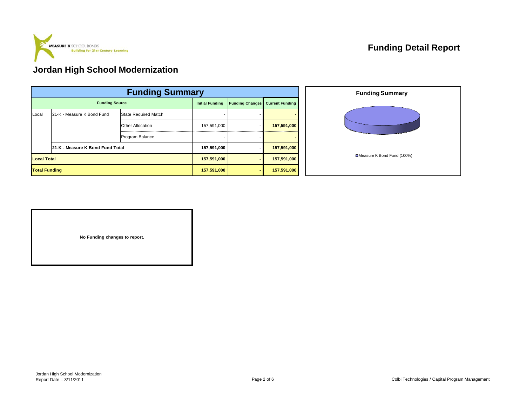

|                      | <b>Funding Summary</b>           |                             |                        |                        |             |  |  |  |  |  |  |
|----------------------|----------------------------------|-----------------------------|------------------------|------------------------|-------------|--|--|--|--|--|--|
|                      | <b>Funding Source</b>            | <b>Initial Funding</b>      | <b>Funding Changes</b> | <b>Current Funding</b> |             |  |  |  |  |  |  |
| Local                | 21-K - Measure K Bond Fund       | <b>State Required Match</b> |                        |                        |             |  |  |  |  |  |  |
|                      |                                  | <b>Other Allocation</b>     | 157,591,000            | ۰.                     | 157,591,000 |  |  |  |  |  |  |
|                      |                                  | Program Balance             |                        |                        |             |  |  |  |  |  |  |
|                      | 21-K - Measure K Bond Fund Total |                             | 157,591,000            |                        | 157,591,000 |  |  |  |  |  |  |
| <b>Local Total</b>   |                                  | 157,591,000                 |                        | 157,591,000            |             |  |  |  |  |  |  |
| <b>Total Funding</b> |                                  |                             | 157,591,000            |                        | 157,591,000 |  |  |  |  |  |  |



**No Funding changes to report.**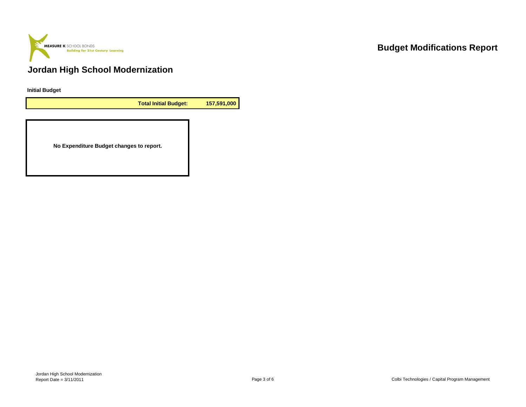

**Initial Budget**

**Total Initial Budget: 157,591,000**

**No Expenditure Budget changes to report.**

## **Budget Modifications Report**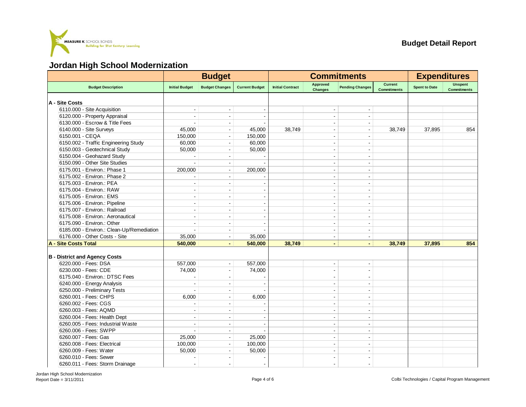

|                                           |                          | <b>Budget</b>            |                       |                         |                            | <b>Commitments</b>           |                                      | <b>Expenditures</b>  |                                      |
|-------------------------------------------|--------------------------|--------------------------|-----------------------|-------------------------|----------------------------|------------------------------|--------------------------------------|----------------------|--------------------------------------|
| <b>Budget Description</b>                 | <b>Initial Budget</b>    | <b>Budget Changes</b>    | <b>Current Budget</b> | <b>Initial Contract</b> | Approved<br><b>Changes</b> | <b>Pending Changes</b>       | <b>Current</b><br><b>Commitments</b> | <b>Spent to Date</b> | <b>Unspent</b><br><b>Commitments</b> |
| A - Site Costs                            |                          |                          |                       |                         |                            |                              |                                      |                      |                                      |
| 6110.000 - Site Acquisition               |                          |                          |                       |                         |                            |                              |                                      |                      |                                      |
| 6120.000 - Property Appraisal             | $\sim$                   | $\sim$                   |                       |                         |                            | $\sim$                       |                                      |                      |                                      |
| 6130.000 - Escrow & Title Fees            |                          |                          |                       |                         |                            |                              |                                      |                      |                                      |
| 6140.000 - Site Surveys                   | 45,000                   | $\overline{\phantom{a}}$ | 45,000                | 38,749                  |                            |                              | 38,749                               | 37,895               | 854                                  |
| 6150.001 - CEQA                           | 150,000                  | $\overline{\phantom{a}}$ | 150,000               |                         |                            |                              |                                      |                      |                                      |
| 6150.002 - Traffic Engineering Study      | 60,000                   | $\overline{\phantom{a}}$ | 60,000                |                         |                            |                              |                                      |                      |                                      |
| 6150.003 - Geotechnical Study             | 50,000                   | $\overline{\phantom{a}}$ | 50,000                |                         |                            | ÷                            |                                      |                      |                                      |
| 6150.004 - Geohazard Study                |                          |                          |                       |                         |                            |                              |                                      |                      |                                      |
| 6150.090 - Other Site Studies             |                          |                          |                       |                         |                            |                              |                                      |                      |                                      |
| 6175.001 - Environ.: Phase 1              | 200,000                  | $\overline{\phantom{a}}$ | 200,000               |                         |                            | $\overline{a}$               |                                      |                      |                                      |
| 6175.002 - Environ.: Phase 2              |                          |                          |                       |                         |                            |                              |                                      |                      |                                      |
| 6175.003 - Environ.: PEA                  | $\overline{\phantom{a}}$ | $\overline{\phantom{a}}$ |                       |                         |                            | $\blacksquare$               |                                      |                      |                                      |
| 6175.004 - Environ.: RAW                  | ۰.                       | $\overline{\phantom{a}}$ |                       |                         |                            | ÷                            |                                      |                      |                                      |
| 6175.005 - Environ.: EMS                  |                          |                          |                       |                         |                            | $\overline{a}$               |                                      |                      |                                      |
| 6175.006 - Environ.: Pipeline             | $\overline{\phantom{a}}$ | $\overline{\phantom{a}}$ |                       |                         | $\overline{\phantom{a}}$   | $\blacksquare$               |                                      |                      |                                      |
| 6175.007 - Environ.: Railroad             |                          |                          |                       |                         |                            |                              |                                      |                      |                                      |
| 6175.008 - Environ.: Aeronautical         |                          |                          |                       |                         |                            |                              |                                      |                      |                                      |
| 6175.090 - Environ.: Other                | ÷                        | $\sim$                   |                       |                         | $\sim$                     | ÷                            |                                      |                      |                                      |
| 6185.000 - Environ.: Clean-Up/Remediation |                          | $\overline{a}$           |                       |                         |                            | $\blacksquare$               |                                      |                      |                                      |
| 6176.000 - Other Costs - Site             | 35,000                   | $\blacksquare$           | 35,000                |                         |                            | $\blacksquare$               |                                      |                      |                                      |
| <b>A - Site Costs Total</b>               | 540,000                  | $\blacksquare$           | 540,000               | 38,749                  | $\blacksquare$             | $\blacksquare$               | 38,749                               | 37,895               | 854                                  |
|                                           |                          |                          |                       |                         |                            |                              |                                      |                      |                                      |
| <b>B</b> - District and Agency Costs      |                          |                          |                       |                         |                            |                              |                                      |                      |                                      |
| 6220.000 - Fees: DSA                      | 557,000                  | $\overline{\phantom{a}}$ | 557,000               |                         |                            |                              |                                      |                      |                                      |
| 6230.000 - Fees: CDE                      | 74,000                   | $\overline{\phantom{a}}$ | 74,000                |                         |                            | $\blacksquare$               |                                      |                      |                                      |
| 6175.040 - Environ.: DTSC Fees            |                          | $\blacksquare$           |                       |                         |                            | ÷                            |                                      |                      |                                      |
| 6240.000 - Energy Analysis                |                          |                          |                       |                         |                            | $\blacksquare$               |                                      |                      |                                      |
| 6250.000 - Preliminary Tests              |                          | $\blacksquare$           |                       |                         | $\sim$                     | $\blacksquare$               |                                      |                      |                                      |
| 6260.001 - Fees: CHPS                     | 6,000                    | $\blacksquare$           | 6,000                 |                         |                            |                              |                                      |                      |                                      |
| 6260.002 - Fees: CGS                      |                          |                          |                       |                         |                            |                              |                                      |                      |                                      |
| 6260.003 - Fees: AQMD                     |                          |                          |                       |                         |                            | ÷                            |                                      |                      |                                      |
| 6260.004 - Fees: Health Dept              |                          |                          |                       |                         |                            |                              |                                      |                      |                                      |
| 6260.005 - Fees: Industrial Waste         |                          | $\blacksquare$           |                       |                         |                            | $\blacksquare$               |                                      |                      |                                      |
| 6260.006 - Fees: SWPP                     | ۰.                       | $\overline{a}$           |                       |                         |                            | ٠                            |                                      |                      |                                      |
| 6260.007 - Fees: Gas                      | 25,000                   | $\overline{\phantom{a}}$ | 25,000                |                         | $\overline{\phantom{a}}$   | $\qquad \qquad \blacksquare$ |                                      |                      |                                      |
| 6260.008 - Fees: Electrical               | 100,000                  | $\sim$                   | 100,000               |                         |                            | $\overline{a}$               |                                      |                      |                                      |
| 6260.009 - Fees: Water                    | 50,000                   |                          | 50,000                |                         |                            |                              |                                      |                      |                                      |
| 6260.010 - Fees: Sewer                    |                          | $\overline{\phantom{a}}$ |                       |                         |                            | $\blacksquare$               |                                      |                      |                                      |
| 6260.011 - Fees: Storm Drainage           | $\overline{\phantom{a}}$ | $\blacksquare$           | ÷                     |                         | $\overline{\phantom{a}}$   | $\blacksquare$               |                                      |                      |                                      |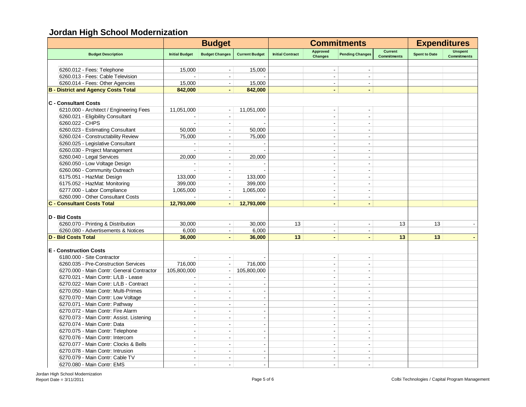|                                            |                          | <b>Budget</b>            |                       |                         |                            | <b>Commitments</b>       |                                      |                      | <b>Expenditures</b>                  |
|--------------------------------------------|--------------------------|--------------------------|-----------------------|-------------------------|----------------------------|--------------------------|--------------------------------------|----------------------|--------------------------------------|
| <b>Budget Description</b>                  | <b>Initial Budget</b>    | <b>Budget Changes</b>    | <b>Current Budget</b> | <b>Initial Contract</b> | Approved<br><b>Changes</b> | <b>Pending Changes</b>   | <b>Current</b><br><b>Commitments</b> | <b>Spent to Date</b> | <b>Unspent</b><br><b>Commitments</b> |
|                                            |                          |                          |                       |                         |                            |                          |                                      |                      |                                      |
| 6260.012 - Fees: Telephone                 | 15,000                   |                          | 15,000                |                         |                            |                          |                                      |                      |                                      |
| 6260.013 - Fees: Cable Television          |                          |                          |                       |                         |                            | $\overline{\phantom{a}}$ |                                      |                      |                                      |
| 6260.014 - Fees: Other Agencies            | 15,000                   | $\sim$                   | 15,000                |                         | $\sim$                     | $\overline{\phantom{a}}$ |                                      |                      |                                      |
| <b>B - District and Agency Costs Total</b> | 842,000                  | $\blacksquare$           | 842,000               |                         | ä,                         | $\blacksquare$           |                                      |                      |                                      |
| <b>C</b> - Consultant Costs                |                          |                          |                       |                         |                            |                          |                                      |                      |                                      |
| 6210.000 - Architect / Engineering Fees    | 11,051,000               |                          | 11,051,000            |                         | $\overline{a}$             | $\overline{\phantom{a}}$ |                                      |                      |                                      |
| 6260.021 - Eligibility Consultant          |                          |                          |                       |                         |                            |                          |                                      |                      |                                      |
| 6260.022 - CHPS                            |                          | $\blacksquare$           |                       |                         | $\blacksquare$             | $\blacksquare$           |                                      |                      |                                      |
| 6260.023 - Estimating Consultant           | 50.000                   | $\blacksquare$           | 50,000                |                         | ÷,                         | $\overline{\phantom{a}}$ |                                      |                      |                                      |
| 6260.024 - Constructability Review         | 75,000                   | $\blacksquare$           | 75,000                |                         | $\sim$                     | $\blacksquare$           |                                      |                      |                                      |
| 6260.025 - Legislative Consultant          |                          | $\overline{a}$           |                       |                         | ÷.                         | $\overline{a}$           |                                      |                      |                                      |
| 6260.030 - Project Management              |                          | $\sim$                   |                       |                         | ÷                          | $\sim$                   |                                      |                      |                                      |
|                                            |                          |                          |                       |                         |                            |                          |                                      |                      |                                      |
| 6260.040 - Legal Services                  | 20.000                   | $\sim$                   | 20.000                |                         | ÷                          | ÷                        |                                      |                      |                                      |
| 6260.050 - Low Voltage Design              | $\sim$                   | $\sim$                   |                       |                         | ×.                         | $\overline{a}$           |                                      |                      |                                      |
| 6260.060 - Community Outreach              |                          | $\sim$                   |                       |                         | ÷,                         | $\blacksquare$           |                                      |                      |                                      |
| 6175.051 - HazMat: Design                  | 133,000                  | $\blacksquare$           | 133,000               |                         | $\overline{\phantom{a}}$   | $\blacksquare$           |                                      |                      |                                      |
| 6175.052 - HazMat: Monitoring              | 399,000                  | $\sim$                   | 399,000               |                         | $\blacksquare$             | $\overline{\phantom{a}}$ |                                      |                      |                                      |
| 6277.000 - Labor Compliance                | 1,065,000                |                          | 1,065,000             |                         |                            |                          |                                      |                      |                                      |
| 6260.090 - Other Consultant Costs          |                          | $\sim$                   |                       |                         |                            | $\overline{\phantom{a}}$ |                                      |                      |                                      |
| <b>C - Consultant Costs Total</b>          | 12,793,000               | $\blacksquare$           | 12,793,000            |                         | $\blacksquare$             | $\blacksquare$           |                                      |                      |                                      |
| D - Bid Costs                              |                          |                          |                       |                         |                            |                          |                                      |                      |                                      |
| 6260.070 - Printing & Distribution         | 30.000                   | $\overline{\phantom{a}}$ | 30,000                | 13                      | $\blacksquare$             | $\blacksquare$           | 13                                   | 13                   |                                      |
| 6260.080 - Advertisements & Notices        | 6,000                    | $\Delta$                 | 6,000                 |                         | ÷                          | $\overline{\phantom{a}}$ |                                      |                      |                                      |
| <b>D - Bid Costs Total</b>                 | 36,000                   | $\blacksquare$           | 36,000                | 13                      | $\blacksquare$             | $\blacksquare$           | 13                                   | 13                   |                                      |
|                                            |                          |                          |                       |                         |                            |                          |                                      |                      |                                      |
| <b>E</b> - Construction Costs              |                          |                          |                       |                         |                            |                          |                                      |                      |                                      |
| 6180.000 - Site Contractor                 |                          | $\blacksquare$           |                       |                         |                            | $\blacksquare$           |                                      |                      |                                      |
| 6260.035 - Pre-Construction Services       | 716,000                  |                          | 716,000               |                         |                            |                          |                                      |                      |                                      |
| 6270.000 - Main Contr: General Contractor  | 105,800,000              |                          | 105,800,000           |                         |                            | $\overline{a}$           |                                      |                      |                                      |
| 6270.021 - Main Contr: L/LB - Lease        |                          | $\sim$                   |                       |                         | $\overline{\phantom{a}}$   | $\blacksquare$           |                                      |                      |                                      |
| 6270.022 - Main Contr: L/LB - Contract     | $\sim$                   | $\sim$                   |                       |                         | ÷.                         | $\sim$                   |                                      |                      |                                      |
| 6270.050 - Main Contr: Multi-Primes        | $\sim$                   | $\sim$                   |                       |                         | $\sim$                     | $\blacksquare$           |                                      |                      |                                      |
| 6270.070 - Main Contr: Low Voltage         | $\blacksquare$           | $\sim$                   |                       |                         | ÷                          | $\blacksquare$           |                                      |                      |                                      |
| 6270.071 - Main Contr: Pathway             | $\blacksquare$           | $\sim$                   |                       |                         | $\overline{\phantom{a}}$   | $\blacksquare$           |                                      |                      |                                      |
| 6270.072 - Main Contr: Fire Alarm          | ÷                        | $\sim$                   |                       |                         | ÷.                         | $\overline{a}$           |                                      |                      |                                      |
| 6270.073 - Main Contr: Assist. Listening   |                          |                          |                       |                         |                            | $\overline{\phantom{a}}$ |                                      |                      |                                      |
| 6270.074 - Main Contr: Data                | $\overline{\phantom{a}}$ |                          |                       |                         | Ĭ.                         | $\overline{\phantom{a}}$ |                                      |                      |                                      |
| 6270.075 - Main Contr: Telephone           |                          |                          |                       |                         |                            | ÷                        |                                      |                      |                                      |
| 6270.076 - Main Contr: Intercom            | $\blacksquare$           |                          |                       |                         | $\blacksquare$             | $\blacksquare$           |                                      |                      |                                      |
| 6270.077 - Main Contr: Clocks & Bells      | $\overline{a}$           |                          |                       |                         | $\blacksquare$             | $\blacksquare$           |                                      |                      |                                      |
| 6270.078 - Main Contr: Intrusion           | $\blacksquare$           | $\sim$                   |                       |                         | $\blacksquare$             | $\blacksquare$           |                                      |                      |                                      |
| 6270.079 - Main Contr: Cable TV            | $\overline{\phantom{a}}$ | $\overline{a}$           |                       |                         | $\blacksquare$             | $\blacksquare$           |                                      |                      |                                      |
| 6270.080 - Main Contr: EMS                 |                          | $\sim$                   |                       |                         | $\overline{a}$             |                          |                                      |                      |                                      |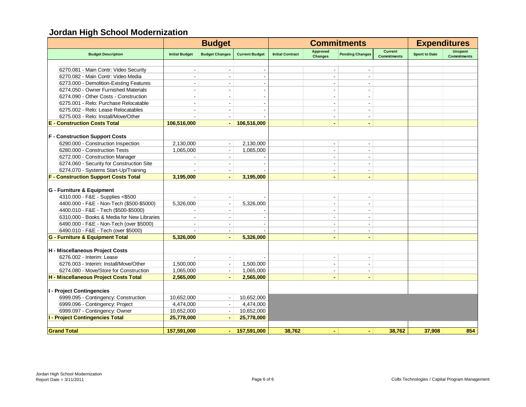|                                             |                       | <b>Budget</b>            |                       |                         |                                   | <b>Commitments</b>       |                                      | <b>Expenditures</b>  |                                      |
|---------------------------------------------|-----------------------|--------------------------|-----------------------|-------------------------|-----------------------------------|--------------------------|--------------------------------------|----------------------|--------------------------------------|
| <b>Budget Description</b>                   | <b>Initial Budget</b> | <b>Budget Changes</b>    | <b>Current Budget</b> | <b>Initial Contract</b> | <b>Approved</b><br><b>Changes</b> | <b>Pending Changes</b>   | <b>Current</b><br><b>Commitments</b> | <b>Spent to Date</b> | <b>Unspent</b><br><b>Commitments</b> |
|                                             |                       |                          |                       |                         |                                   |                          |                                      |                      |                                      |
| 6270.081 - Main Contr: Video Security       |                       |                          |                       |                         |                                   |                          |                                      |                      |                                      |
| 6270.082 - Main Contr: Video Media          |                       |                          |                       |                         |                                   |                          |                                      |                      |                                      |
| 6273.000 - Demolition-Existing Features     | $\blacksquare$        |                          |                       |                         | $\blacksquare$                    | $\blacksquare$           |                                      |                      |                                      |
| 6274.050 - Owner Furnished Materials        |                       |                          |                       |                         |                                   |                          |                                      |                      |                                      |
| 6274.090 - Other Costs - Construction       |                       |                          |                       |                         |                                   | $\overline{\phantom{a}}$ |                                      |                      |                                      |
| 6275.001 - Relo: Purchase Relocatable       | $\sim$                | $\sim$                   |                       |                         | $\overline{a}$                    | $\overline{\phantom{a}}$ |                                      |                      |                                      |
| 6275.002 - Relo: Lease Relocatables         |                       |                          |                       |                         |                                   |                          |                                      |                      |                                      |
| 6275.003 - Relo: Install/Move/Other         |                       |                          |                       |                         | $\blacksquare$                    | $\overline{\phantom{a}}$ |                                      |                      |                                      |
| <b>E</b> - Construction Costs Total         | 106,516,000           | $\blacksquare$           | 106,516,000           |                         | $\blacksquare$                    | $\blacksquare$           |                                      |                      |                                      |
|                                             |                       |                          |                       |                         |                                   |                          |                                      |                      |                                      |
| <b>F</b> - Construction Support Costs       |                       |                          |                       |                         |                                   |                          |                                      |                      |                                      |
| 6290.000 - Construction Inspection          | 2,130,000             |                          | 2,130,000             |                         |                                   |                          |                                      |                      |                                      |
| 6280.000 - Construction Tests               | 1,065,000             |                          | 1,065,000             |                         | $\overline{\phantom{a}}$          |                          |                                      |                      |                                      |
| 6272.000 - Construction Manager             |                       |                          |                       |                         | ÷.                                | $\overline{a}$           |                                      |                      |                                      |
| 6274.060 - Security for Construction Site   |                       |                          |                       |                         | $\blacksquare$                    | $\blacksquare$           |                                      |                      |                                      |
| 6274.070 - Systems Start-Up/Training        |                       | $\overline{\phantom{a}}$ |                       |                         | $\overline{\phantom{a}}$          | $\overline{\phantom{a}}$ |                                      |                      |                                      |
| <b>F - Construction Support Costs Total</b> | 3.195.000             | $\blacksquare$           | 3.195.000             |                         | $\blacksquare$                    | $\overline{a}$           |                                      |                      |                                      |
|                                             |                       |                          |                       |                         |                                   |                          |                                      |                      |                                      |
| G - Furniture & Equipment                   |                       |                          |                       |                         |                                   |                          |                                      |                      |                                      |
| 4310.000 - F&E - Supplies <\$500            |                       |                          |                       |                         |                                   |                          |                                      |                      |                                      |
| 4400.000 - F&E - Non-Tech (\$500-\$5000)    | 5,326,000             |                          | 5,326,000             |                         |                                   | $\overline{\phantom{a}}$ |                                      |                      |                                      |
| 4400.010 - F&E - Tech (\$500-\$5000)        |                       |                          |                       |                         | $\blacksquare$                    | $\overline{\phantom{a}}$ |                                      |                      |                                      |
| 6310.000 - Books & Media for New Libraries  |                       |                          |                       |                         | $\blacksquare$                    | $\blacksquare$           |                                      |                      |                                      |
| 6490.000 - F&E - Non-Tech (over \$5000)     |                       |                          |                       |                         | $\blacksquare$                    | $\blacksquare$           |                                      |                      |                                      |
| 6490.010 - F&E - Tech (over \$5000)         |                       | $\blacksquare$           |                       |                         | $\blacksquare$                    | $\blacksquare$           |                                      |                      |                                      |
| <b>G</b> - Furniture & Equipment Total      | 5,326,000             | $\blacksquare$           | 5.326,000             |                         | $\blacksquare$                    |                          |                                      |                      |                                      |
| H - Miscellaneous Project Costs             |                       |                          |                       |                         |                                   |                          |                                      |                      |                                      |
| 6276.002 - Interim: Lease                   |                       |                          |                       |                         | ÷,                                |                          |                                      |                      |                                      |
| 6276.003 - Interim: Install/Move/Other      | 1,500,000             | $\blacksquare$           | 1,500,000             |                         | $\blacksquare$                    | $\blacksquare$           |                                      |                      |                                      |
| 6274.080 - Move/Store for Construction      | 1,065,000             |                          | 1.065.000             |                         | $\blacksquare$                    | $\overline{\phantom{a}}$ |                                      |                      |                                      |
| H - Miscellaneous Project Costs Total       | 2,565,000             | $\sim$                   | 2,565,000             |                         | $\blacksquare$                    | $\blacksquare$           |                                      |                      |                                      |
|                                             |                       |                          |                       |                         |                                   |                          |                                      |                      |                                      |
| I - Project Contingencies                   |                       |                          |                       |                         |                                   |                          |                                      |                      |                                      |
| 6999.095 - Contingency: Construction        | 10,652,000            |                          | 10,652,000            |                         |                                   |                          |                                      |                      |                                      |
| 6999.096 - Contingency: Project             | 4,474,000             | $\sim$                   | 4,474,000             |                         |                                   |                          |                                      |                      |                                      |
| 6999.097 - Contingency: Owner               | 10,652,000            |                          | 10,652,000            |                         |                                   |                          |                                      |                      |                                      |
| <b>I - Project Contingencies Total</b>      | 25,778,000            |                          | 25,778,000            |                         |                                   |                          |                                      |                      |                                      |
|                                             |                       |                          |                       |                         |                                   |                          |                                      |                      |                                      |
| <b>Grand Total</b>                          | 157,591,000           |                          | $-$ 157,591,000       | 38,762                  |                                   | $\blacksquare$           | 38,762                               | 37,908               | 854                                  |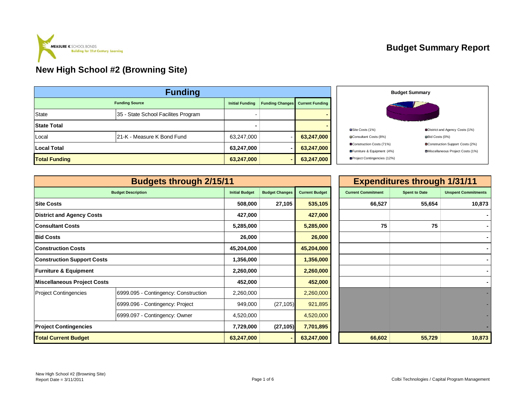

#### **Budget Summary Report**

| <b>Funding</b>                                                            |                                     |            |                |            |  |  |  |  |  |
|---------------------------------------------------------------------------|-------------------------------------|------------|----------------|------------|--|--|--|--|--|
| <b>Funding Source</b><br><b>Funding Changes</b><br><b>Initial Funding</b> |                                     |            |                |            |  |  |  |  |  |
| <b>State</b>                                                              | 35 - State School Facilites Program |            |                |            |  |  |  |  |  |
| <b>State Total</b>                                                        |                                     | -          |                |            |  |  |  |  |  |
| Local                                                                     | 21-K - Measure K Bond Fund          | 63,247,000 |                | 63,247,000 |  |  |  |  |  |
| <b>Local Total</b>                                                        |                                     | 63,247,000 |                | 63,247,000 |  |  |  |  |  |
| <b>Total Funding</b>                                                      |                                     | 63,247,000 | $\blacksquare$ | 63,247,000 |  |  |  |  |  |



|                                   | <b>Budgets through 2/15/11</b>       |                       |                       |                       |                           | <b>Expenditures through 1/31/11</b> |                            |
|-----------------------------------|--------------------------------------|-----------------------|-----------------------|-----------------------|---------------------------|-------------------------------------|----------------------------|
|                                   | <b>Budget Description</b>            | <b>Initial Budget</b> | <b>Budget Changes</b> | <b>Current Budget</b> | <b>Current Commitment</b> | <b>Spent to Date</b>                | <b>Unspent Commitments</b> |
| <b>Site Costs</b>                 |                                      | 508,000               | 27,105                | 535,105               | 66,527                    | 55,654                              | 10,873                     |
| <b>District and Agency Costs</b>  |                                      | 427,000               |                       | 427,000               |                           |                                     |                            |
| <b>Consultant Costs</b>           |                                      | 5,285,000             |                       | 5,285,000             | 75                        | 75                                  |                            |
| <b>Bid Costs</b>                  |                                      | 26,000                |                       | 26,000                |                           |                                     |                            |
| <b>Construction Costs</b>         |                                      | 45,204,000            |                       | 45,204,000            |                           |                                     |                            |
| <b>Construction Support Costs</b> |                                      | 1,356,000             |                       | 1,356,000             |                           |                                     |                            |
| <b>Furniture &amp; Equipment</b>  |                                      | 2,260,000             |                       | 2,260,000             |                           |                                     |                            |
| Miscellaneous Project Costs       |                                      | 452,000               |                       | 452,000               |                           |                                     |                            |
| <b>Project Contingencies</b>      | 6999.095 - Contingency: Construction | 2,260,000             |                       | 2,260,000             |                           |                                     |                            |
|                                   | 6999.096 - Contingency: Project      | 949,000               | (27, 105)             | 921,895               |                           |                                     |                            |
|                                   | 6999.097 - Contingency: Owner        | 4,520,000             |                       | 4,520,000             |                           |                                     |                            |
| <b>Project Contingencies</b>      |                                      | 7,729,000             | (27, 105)             | 7,701,895             |                           |                                     |                            |
| <b>Total Current Budget</b>       |                                      | 63,247,000            |                       | 63,247,000            | 66,602                    | 55,729                              | 10,873                     |

|                       |                       |                       |                           | <b>Expenditures through 1/31/11</b> |                            |
|-----------------------|-----------------------|-----------------------|---------------------------|-------------------------------------|----------------------------|
| <b>Initial Budget</b> | <b>Budget Changes</b> | <b>Current Budget</b> | <b>Current Commitment</b> | <b>Spent to Date</b>                | <b>Unspent Commitments</b> |
| 508,000               | 27,105                | 535,105               | 66,527                    | 55,654                              | 10,873                     |
| 427,000               |                       | 427,000               |                           |                                     |                            |
| 5,285,000             |                       | 5,285,000             | 75                        | 75                                  |                            |
| 26,000                |                       | 26,000                |                           |                                     |                            |
| 45,204,000            |                       | 45,204,000            |                           |                                     |                            |
| 1,356,000             |                       | 1,356,000             |                           |                                     |                            |
| 2,260,000             |                       | 2,260,000             |                           |                                     |                            |
| 452,000               |                       | 452,000               |                           |                                     |                            |
| 2,260,000             |                       | 2,260,000             |                           |                                     |                            |
| 949,000               | (27, 105)             | 921,895               |                           |                                     |                            |
| 4,520,000             |                       | 4,520,000             |                           |                                     |                            |
| 7,729,000             | (27, 105)             | 7,701,895             |                           |                                     |                            |
| 63.247.000            | ٠                     | 63.247.000            | 66.602                    | 55.729                              | 10.873                     |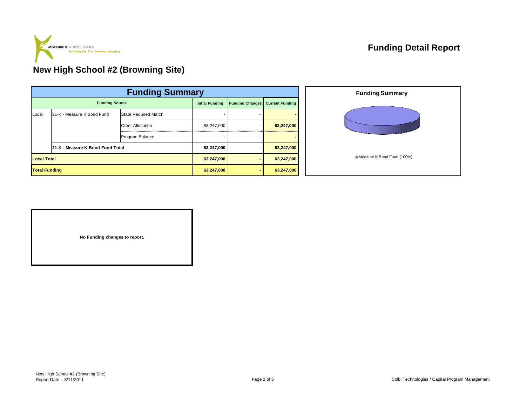

|                      | <b>Funding Summary</b>           |                             |            |                        |                        |  |  |  |  |
|----------------------|----------------------------------|-----------------------------|------------|------------------------|------------------------|--|--|--|--|
|                      | <b>Funding Source</b>            |                             |            | <b>Funding Changes</b> | <b>Current Funding</b> |  |  |  |  |
| Local                | 21-K - Measure K Bond Fund       | <b>State Required Match</b> |            |                        |                        |  |  |  |  |
|                      |                                  | <b>Other Allocation</b>     | 63,247,000 |                        | 63,247,000             |  |  |  |  |
|                      |                                  | Program Balance             |            |                        |                        |  |  |  |  |
|                      | 21-K - Measure K Bond Fund Total |                             | 63,247,000 |                        | 63,247,000             |  |  |  |  |
|                      | <b>Local Total</b>               |                             |            |                        | 63,247,000             |  |  |  |  |
| <b>Total Funding</b> |                                  |                             | 63,247,000 |                        | 63,247,000             |  |  |  |  |



**No Funding changes to report.**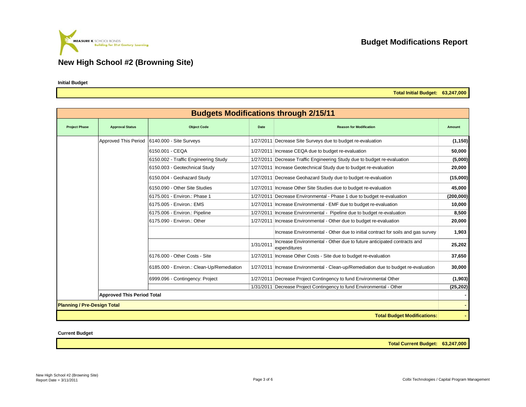

**Initial Budget**

**Total Initial Budget: 63,247,000**

|                                    |                                   |                                           |             | <b>Budgets Modifications through 2/15/11</b>                                           |           |
|------------------------------------|-----------------------------------|-------------------------------------------|-------------|----------------------------------------------------------------------------------------|-----------|
| <b>Project Phase</b>               | <b>Approval Status</b>            | <b>Object Code</b>                        | <b>Date</b> | <b>Reason for Modification</b>                                                         | Amount    |
|                                    | Approved This Period              | 6140.000 - Site Surveys                   |             | 1/27/2011 Decrease Site Surveys due to budget re-evaluation                            | (1, 150)  |
|                                    |                                   | 6150.001 - CEQA                           |             | 1/27/2011   Increase CEQA due to budget re-evaluation                                  | 50,000    |
|                                    |                                   | 6150.002 - Traffic Engineering Study      |             | 1/27/2011 Decrease Traffic Engineering Study due to budget re-evaluation               | (5,000)   |
|                                    |                                   | 6150.003 - Geotechnical Study             |             | 1/27/2011 Increase Geotechnical Study due to budget re-evaluation                      | 20,000    |
|                                    |                                   | 6150.004 - Geohazard Study                |             | 1/27/2011 Decrease Geohazard Study due to budget re-evaluation                         | (15,000)  |
|                                    |                                   | 6150.090 - Other Site Studies             |             | 1/27/2011   Increase Other Site Studies due to budget re-evaluation                    | 45,000    |
|                                    |                                   | 6175.001 - Environ.: Phase 1              |             | 1/27/2011 Decrease Environmental - Phase 1 due to budget re-evaluation                 | (200,000) |
|                                    |                                   | 6175.005 - Environ.: EMS                  |             | 1/27/2011 Increase Environmental - EMF due to budget re-evaluation                     | 10,000    |
|                                    |                                   | 6175.006 - Environ.: Pipeline             |             | 1/27/2011 Increase Environmental - Pipeline due to budget re-evaluation                | 8.500     |
|                                    |                                   | 6175.090 - Environ.: Other                |             | 1/27/2011 Increase Environmental - Other due to budget re-evaluation                   | 20,000    |
|                                    |                                   |                                           |             | Increase Environmental - Other due to initial contract for soils and gas survey        | 1,903     |
|                                    |                                   |                                           | 1/31/2011   | Increase Environmental - Other due to future anticipated contracts and<br>expenditures | 25,202    |
|                                    |                                   | 6176.000 - Other Costs - Site             |             | 1/27/2011 Increase Other Costs - Site due to budget re-evaluation                      | 37,650    |
|                                    |                                   | 6185.000 - Environ.: Clean-Up/Remediation |             | 1/27/2011   Increase Environmental - Clean-up/Remediation due to budget re-evaluation  | 30,000    |
|                                    |                                   | 6999.096 - Contingency: Project           |             | 1/27/2011 Decrease Project Contingency to fund Environmental Other                     | (1,903)   |
|                                    |                                   |                                           |             | 1/31/2011 Decrease Project Contingency to fund Environmental - Other                   | (25, 202) |
|                                    | <b>Approved This Period Total</b> |                                           |             |                                                                                        |           |
| <b>Planning / Pre-Design Total</b> |                                   |                                           |             |                                                                                        |           |
|                                    |                                   |                                           |             | <b>Total Budget Modifications:</b>                                                     |           |

**Current Budget**

**Total Current Budget: 63,247,000**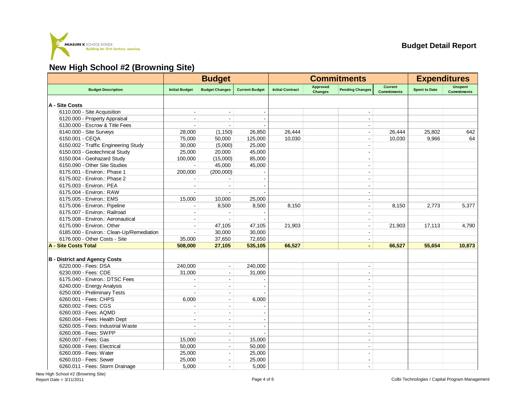

|                                           |                          | <b>Budget</b>            |                       |                         | <b>Commitments</b>         |                          |                                      | <b>Expenditures</b>  |                                      |
|-------------------------------------------|--------------------------|--------------------------|-----------------------|-------------------------|----------------------------|--------------------------|--------------------------------------|----------------------|--------------------------------------|
| <b>Budget Description</b>                 | <b>Initial Budget</b>    | <b>Budget Changes</b>    | <b>Current Budget</b> | <b>Initial Contract</b> | Approved<br><b>Changes</b> | <b>Pending Changes</b>   | <b>Current</b><br><b>Commitments</b> | <b>Spent to Date</b> | <b>Unspent</b><br><b>Commitments</b> |
| A - Site Costs                            |                          |                          |                       |                         |                            |                          |                                      |                      |                                      |
| 6110.000 - Site Acquisition               |                          |                          |                       |                         |                            |                          |                                      |                      |                                      |
| 6120.000 - Property Appraisal             |                          |                          |                       |                         |                            | $\overline{\phantom{a}}$ |                                      |                      |                                      |
| 6130.000 - Escrow & Title Fees            |                          |                          |                       |                         |                            |                          |                                      |                      |                                      |
| 6140.000 - Site Surveys                   | 28,000                   | (1, 150)                 | 26,850                | 26,444                  |                            | $\overline{\phantom{a}}$ | 26,444                               | 25,802               | 642                                  |
| 6150.001 - CEQA                           | 75,000                   | 50,000                   | 125,000               | 10,030                  |                            | $\overline{\phantom{a}}$ | 10,030                               | 9,966                | 64                                   |
| 6150.002 - Traffic Engineering Study      | 30,000                   | (5,000)                  | 25,000                |                         |                            |                          |                                      |                      |                                      |
| 6150.003 - Geotechnical Study             | 25,000                   | 20,000                   | 45,000                |                         |                            |                          |                                      |                      |                                      |
| 6150.004 - Geohazard Study                | 100,000                  | (15,000)                 | 85,000                |                         |                            | $\blacksquare$           |                                      |                      |                                      |
| 6150.090 - Other Site Studies             |                          | 45,000                   | 45,000                |                         |                            | L.                       |                                      |                      |                                      |
| 6175.001 - Environ.: Phase 1              | 200,000                  | (200,000)                |                       |                         |                            |                          |                                      |                      |                                      |
| 6175.002 - Environ.: Phase 2              |                          |                          |                       |                         |                            | $\sim$                   |                                      |                      |                                      |
| 6175.003 - Environ.: PEA                  |                          |                          |                       |                         |                            | $\blacksquare$           |                                      |                      |                                      |
| 6175.004 - Environ.: RAW                  |                          |                          |                       |                         |                            |                          |                                      |                      |                                      |
| 6175.005 - Environ.: EMS                  | 15,000                   | 10,000                   | 25,000                |                         |                            |                          |                                      |                      |                                      |
| 6175.006 - Environ.: Pipeline             |                          | 8,500                    | 8,500                 | 8,150                   |                            | $\overline{\phantom{a}}$ | 8,150                                | 2,773                | 5,377                                |
| 6175.007 - Environ.: Railroad             |                          |                          |                       |                         |                            | ÷                        |                                      |                      |                                      |
| 6175.008 - Environ.: Aeronautical         |                          |                          |                       |                         |                            | L.                       |                                      |                      |                                      |
| 6175.090 - Environ.: Other                | $\overline{\phantom{a}}$ | 47,105                   | 47,105                | 21,903                  |                            | $\blacksquare$           | 21,903                               | 17,113               | 4,790                                |
| 6185.000 - Environ.: Clean-Up/Remediation | $\sim$                   | 30,000                   | 30,000                |                         |                            | $\overline{\phantom{a}}$ |                                      |                      |                                      |
| 6176.000 - Other Costs - Site             | 35,000                   | 37,650                   | 72,650                |                         |                            | $\blacksquare$           |                                      |                      |                                      |
| <b>A - Site Costs Total</b>               | 508,000                  | 27,105                   | 535,105               | 66,527                  |                            | $\blacksquare$           | 66,527                               | 55,654               | 10,873                               |
|                                           |                          |                          |                       |                         |                            |                          |                                      |                      |                                      |
| <b>B</b> - District and Agency Costs      |                          |                          |                       |                         |                            |                          |                                      |                      |                                      |
| 6220.000 - Fees: DSA                      | 240.000                  | $\blacksquare$           | 240.000               |                         |                            |                          |                                      |                      |                                      |
| 6230.000 - Fees: CDE                      | 31,000                   | $\blacksquare$           | 31,000                |                         |                            | $\blacksquare$           |                                      |                      |                                      |
| 6175.040 - Environ.: DTSC Fees            |                          | $\blacksquare$           |                       |                         |                            | $\blacksquare$           |                                      |                      |                                      |
| 6240.000 - Energy Analysis                |                          |                          |                       |                         |                            |                          |                                      |                      |                                      |
| 6250.000 - Preliminary Tests              |                          | $\overline{\phantom{a}}$ |                       |                         |                            | $\blacksquare$           |                                      |                      |                                      |
| 6260.001 - Fees: CHPS                     | 6,000                    | L,                       | 6,000                 |                         |                            | $\blacksquare$           |                                      |                      |                                      |
| 6260.002 - Fees: CGS                      |                          |                          |                       |                         |                            | $\blacksquare$           |                                      |                      |                                      |
| 6260.003 - Fees: AQMD                     | $\sim$                   | $\blacksquare$           |                       |                         |                            | $\blacksquare$           |                                      |                      |                                      |
| 6260.004 - Fees: Health Dept              | ÷.                       | ÷.                       |                       |                         |                            | $\blacksquare$           |                                      |                      |                                      |
| 6260.005 - Fees: Industrial Waste         |                          |                          |                       |                         |                            | $\overline{\phantom{a}}$ |                                      |                      |                                      |
| 6260.006 - Fees: SWPP                     |                          | $\sim$                   |                       |                         |                            | $\sim$                   |                                      |                      |                                      |
| 6260.007 - Fees: Gas                      | 15,000                   | $\overline{\phantom{a}}$ | 15,000                |                         |                            | $\overline{\phantom{a}}$ |                                      |                      |                                      |
| 6260.008 - Fees: Electrical               | 50,000                   |                          | 50,000                |                         |                            | $\blacksquare$           |                                      |                      |                                      |
| 6260.009 - Fees: Water                    | 25,000                   |                          | 25,000                |                         |                            |                          |                                      |                      |                                      |
| 6260.010 - Fees: Sewer                    | 25,000                   | $\overline{\phantom{a}}$ | 25,000                |                         |                            | $\blacksquare$           |                                      |                      |                                      |
| 6260.011 - Fees: Storm Drainage           | 5,000                    | $\blacksquare$           | 5,000                 |                         |                            | $\blacksquare$           |                                      |                      |                                      |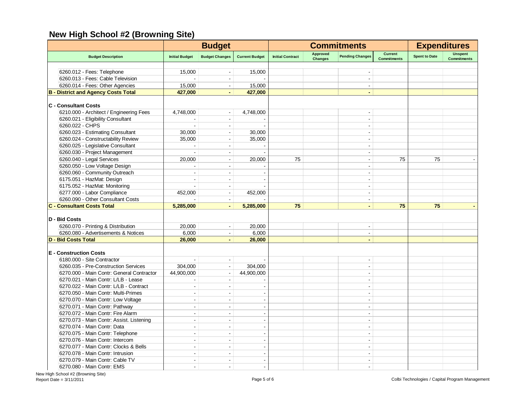|                                            |                          | <b>Budget</b>            |                       | <b>Commitments</b>      |                                   |                          | <b>Expenditures</b>                  |                      |                                      |
|--------------------------------------------|--------------------------|--------------------------|-----------------------|-------------------------|-----------------------------------|--------------------------|--------------------------------------|----------------------|--------------------------------------|
| <b>Budget Description</b>                  | <b>Initial Budget</b>    | <b>Budget Changes</b>    | <b>Current Budget</b> | <b>Initial Contract</b> | <b>Approved</b><br><b>Changes</b> | <b>Pending Changes</b>   | <b>Current</b><br><b>Commitments</b> | <b>Spent to Date</b> | <b>Unspent</b><br><b>Commitments</b> |
|                                            |                          |                          |                       |                         |                                   |                          |                                      |                      |                                      |
| 6260.012 - Fees: Telephone                 | 15,000                   |                          | 15,000                |                         |                                   |                          |                                      |                      |                                      |
| 6260.013 - Fees: Cable Television          |                          | $\sim$                   |                       |                         |                                   | $\blacksquare$           |                                      |                      |                                      |
| 6260.014 - Fees: Other Agencies            | 15,000                   | $\blacksquare$           | 15,000                |                         |                                   | $\blacksquare$           |                                      |                      |                                      |
| <b>B - District and Agency Costs Total</b> | 427,000                  | $\sim$                   | 427,000               |                         |                                   | $\blacksquare$           |                                      |                      |                                      |
| <b>C</b> - Consultant Costs                |                          |                          |                       |                         |                                   |                          |                                      |                      |                                      |
| 6210.000 - Architect / Engineering Fees    | 4,748,000                | $\blacksquare$           | 4,748,000             |                         |                                   | $\blacksquare$           |                                      |                      |                                      |
| 6260.021 - Eligibility Consultant          |                          | $\sim$                   |                       |                         |                                   | ÷.                       |                                      |                      |                                      |
| 6260.022 - CHPS                            |                          | $\sim$                   |                       |                         |                                   | $\blacksquare$           |                                      |                      |                                      |
| 6260.023 - Estimating Consultant           | 30,000                   | $\overline{\phantom{a}}$ | 30,000                |                         |                                   | $\overline{a}$           |                                      |                      |                                      |
| 6260.024 - Constructability Review         | 35.000                   | $\sim$                   | 35,000                |                         |                                   | ÷                        |                                      |                      |                                      |
| 6260.025 - Legislative Consultant          | ÷                        | $\sim$                   |                       |                         |                                   | ÷                        |                                      |                      |                                      |
| 6260.030 - Project Management              |                          | $\sim$                   |                       |                         |                                   | $\overline{a}$           |                                      |                      |                                      |
| 6260.040 - Legal Services                  | 20.000                   | $\blacksquare$           | 20,000                | 75                      |                                   | ÷                        | 75                                   | 75                   |                                      |
| 6260.050 - Low Voltage Design              |                          | $\sim$                   |                       |                         |                                   | $\overline{a}$           |                                      |                      |                                      |
| 6260.060 - Community Outreach              |                          |                          |                       |                         |                                   | $\overline{a}$           |                                      |                      |                                      |
| 6175.051 - HazMat: Design                  |                          |                          |                       |                         |                                   |                          |                                      |                      |                                      |
| 6175.052 - HazMat: Monitoring              |                          | $\sim$                   |                       |                         |                                   | $\overline{\phantom{a}}$ |                                      |                      |                                      |
| 6277.000 - Labor Compliance                | 452,000                  | $\sim$                   | 452,000               |                         |                                   | ÷,                       |                                      |                      |                                      |
| 6260.090 - Other Consultant Costs          |                          | $\sim$                   |                       |                         |                                   | $\blacksquare$           |                                      |                      |                                      |
| <b>C - Consultant Costs Total</b>          | 5,285,000                | $\blacksquare$           | 5,285,000             | 75                      |                                   | $\blacksquare$           | 75                                   | 75                   |                                      |
|                                            |                          |                          |                       |                         |                                   |                          |                                      |                      |                                      |
| D - Bid Costs                              |                          |                          |                       |                         |                                   |                          |                                      |                      |                                      |
| 6260.070 - Printing & Distribution         | 20,000                   | $\blacksquare$           | 20,000                |                         |                                   | $\blacksquare$           |                                      |                      |                                      |
| 6260.080 - Advertisements & Notices        | 6.000                    | $\overline{\phantom{a}}$ | 6,000                 |                         |                                   | $\blacksquare$           |                                      |                      |                                      |
| <b>D - Bid Costs Total</b>                 | 26,000                   | ÷.                       | 26,000                |                         |                                   | ä,                       |                                      |                      |                                      |
| <b>E</b> - Construction Costs              |                          |                          |                       |                         |                                   |                          |                                      |                      |                                      |
| 6180.000 - Site Contractor                 |                          | $\sim$                   |                       |                         |                                   | $\overline{\phantom{a}}$ |                                      |                      |                                      |
| 6260.035 - Pre-Construction Services       | 304,000                  | $\blacksquare$           | 304,000               |                         |                                   | $\overline{a}$           |                                      |                      |                                      |
| 6270.000 - Main Contr: General Contractor  | 44,900,000               | $\sim$                   | 44,900,000            |                         |                                   | ÷,                       |                                      |                      |                                      |
| 6270.021 - Main Contr: L/LB - Lease        |                          | $\blacksquare$           |                       |                         |                                   | $\blacksquare$           |                                      |                      |                                      |
| 6270.022 - Main Contr: L/LB - Contract     | $\sim$                   | $\sim$                   |                       |                         |                                   | ÷,                       |                                      |                      |                                      |
| 6270.050 - Main Contr: Multi-Primes        | $\blacksquare$           | $\overline{\phantom{a}}$ |                       |                         |                                   | $\blacksquare$           |                                      |                      |                                      |
|                                            |                          |                          |                       |                         |                                   |                          |                                      |                      |                                      |
| 6270.070 - Main Contr: Low Voltage         | $\sim$                   | $\sim$                   |                       |                         |                                   | ÷                        |                                      |                      |                                      |
| 6270.071 - Main Contr: Pathway             | $\sim$                   | $\sim$                   |                       |                         |                                   | ÷                        |                                      |                      |                                      |
| 6270.072 - Main Contr: Fire Alarm          | $\overline{\phantom{a}}$ | $\sim$                   |                       |                         |                                   | $\overline{a}$           |                                      |                      |                                      |
| 6270.073 - Main Contr: Assist. Listening   | $\overline{\phantom{a}}$ | $\sim$                   |                       |                         |                                   | $\overline{a}$           |                                      |                      |                                      |
| 6270.074 - Main Contr: Data                | $\overline{a}$           | $\sim$                   |                       |                         |                                   | $\overline{a}$           |                                      |                      |                                      |
| 6270.075 - Main Contr: Telephone           | $\blacksquare$           | $\sim$                   |                       |                         |                                   | $\overline{a}$           |                                      |                      |                                      |
| 6270.076 - Main Contr: Intercom            |                          |                          |                       |                         |                                   |                          |                                      |                      |                                      |
| 6270.077 - Main Contr: Clocks & Bells      |                          |                          |                       |                         |                                   |                          |                                      |                      |                                      |
| 6270.078 - Main Contr: Intrusion           | $\overline{\phantom{a}}$ | $\overline{\phantom{a}}$ |                       |                         |                                   | $\blacksquare$           |                                      |                      |                                      |
| 6270.079 - Main Contr: Cable TV            | ÷                        | $\overline{a}$           |                       |                         |                                   | ÷                        |                                      |                      |                                      |
| 6270.080 - Main Contr: EMS                 | ÷                        | $\overline{a}$           |                       |                         |                                   | $\overline{a}$           |                                      |                      |                                      |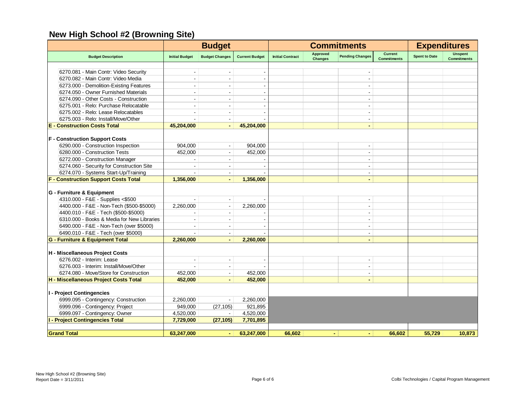|                                             |                       | <b>Budget</b>            |                       |                         |                                   | <b>Commitments</b>       |                                      | <b>Expenditures</b>  |                                      |
|---------------------------------------------|-----------------------|--------------------------|-----------------------|-------------------------|-----------------------------------|--------------------------|--------------------------------------|----------------------|--------------------------------------|
| <b>Budget Description</b>                   | <b>Initial Budget</b> | <b>Budget Changes</b>    | <b>Current Budget</b> | <b>Initial Contract</b> | <b>Approved</b><br><b>Changes</b> | <b>Pending Changes</b>   | <b>Current</b><br><b>Commitments</b> | <b>Spent to Date</b> | <b>Unspent</b><br><b>Commitments</b> |
|                                             |                       |                          |                       |                         |                                   |                          |                                      |                      |                                      |
| 6270.081 - Main Contr: Video Security       |                       |                          |                       |                         |                                   |                          |                                      |                      |                                      |
| 6270.082 - Main Contr: Video Media          |                       |                          |                       |                         |                                   |                          |                                      |                      |                                      |
| 6273.000 - Demolition-Existing Features     |                       | $\overline{\phantom{a}}$ |                       |                         |                                   |                          |                                      |                      |                                      |
| 6274.050 - Owner Furnished Materials        |                       |                          |                       |                         |                                   | $\blacksquare$           |                                      |                      |                                      |
| 6274.090 - Other Costs - Construction       |                       |                          |                       |                         |                                   |                          |                                      |                      |                                      |
| 6275.001 - Relo: Purchase Relocatable       |                       | $\blacksquare$           |                       |                         |                                   | $\overline{\phantom{a}}$ |                                      |                      |                                      |
| 6275.002 - Relo: Lease Relocatables         |                       | $\overline{\phantom{a}}$ |                       |                         |                                   | $\overline{\phantom{a}}$ |                                      |                      |                                      |
| 6275.003 - Relo: Install/Move/Other         |                       |                          |                       |                         |                                   | $\sim$                   |                                      |                      |                                      |
| <b>E</b> - Construction Costs Total         | 45,204,000            | $\blacksquare$           | 45,204,000            |                         |                                   | $\blacksquare$           |                                      |                      |                                      |
| <b>F - Construction Support Costs</b>       |                       |                          |                       |                         |                                   |                          |                                      |                      |                                      |
| 6290.000 - Construction Inspection          | 904,000               | $\blacksquare$           | 904,000               |                         |                                   |                          |                                      |                      |                                      |
| 6280.000 - Construction Tests               | 452,000               | $\sim$                   | 452,000               |                         |                                   | $\blacksquare$           |                                      |                      |                                      |
| 6272.000 - Construction Manager             |                       | $\blacksquare$           |                       |                         |                                   | $\blacksquare$           |                                      |                      |                                      |
| 6274.060 - Security for Construction Site   |                       |                          |                       |                         |                                   | $\overline{\phantom{a}}$ |                                      |                      |                                      |
| 6274.070 - Systems Start-Up/Training        |                       | $\blacksquare$           |                       |                         |                                   | $\overline{\phantom{a}}$ |                                      |                      |                                      |
| <b>F - Construction Support Costs Total</b> | 1,356,000             |                          | 1,356,000             |                         |                                   |                          |                                      |                      |                                      |
|                                             |                       |                          |                       |                         |                                   |                          |                                      |                      |                                      |
| G - Furniture & Equipment                   |                       |                          |                       |                         |                                   |                          |                                      |                      |                                      |
| 4310.000 - F&E - Supplies <\$500            |                       | $\sim$                   |                       |                         |                                   | $\overline{\phantom{a}}$ |                                      |                      |                                      |
| 4400.000 - F&E - Non-Tech (\$500-\$5000)    | 2,260,000             |                          | 2,260,000             |                         |                                   | $\blacksquare$           |                                      |                      |                                      |
| 4400.010 - F&E - Tech (\$500-\$5000)        |                       | $\sim$                   |                       |                         |                                   | $\overline{a}$           |                                      |                      |                                      |
| 6310.000 - Books & Media for New Libraries  |                       |                          |                       |                         |                                   | $\blacksquare$           |                                      |                      |                                      |
| 6490.000 - F&E - Non-Tech (over \$5000)     |                       |                          |                       |                         |                                   | $\blacksquare$           |                                      |                      |                                      |
| 6490.010 - F&E - Tech (over \$5000)         |                       |                          |                       |                         |                                   | $\overline{\phantom{a}}$ |                                      |                      |                                      |
| G - Furniture & Equipment Total             | 2,260,000             |                          | 2,260,000             |                         |                                   |                          |                                      |                      |                                      |
| H - Miscellaneous Project Costs             |                       |                          |                       |                         |                                   |                          |                                      |                      |                                      |
| 6276.002 - Interim: Lease                   | $\blacksquare$        |                          |                       |                         |                                   | $\overline{\phantom{a}}$ |                                      |                      |                                      |
| 6276.003 - Interim: Install/Move/Other      |                       | $\overline{a}$           |                       |                         |                                   | $\blacksquare$           |                                      |                      |                                      |
| 6274.080 - Move/Store for Construction      | 452.000               |                          | 452,000               |                         |                                   | $\overline{\phantom{a}}$ |                                      |                      |                                      |
| H - Miscellaneous Project Costs Total       | 452,000               | $\blacksquare$           | 452,000               |                         |                                   | $\blacksquare$           |                                      |                      |                                      |
|                                             |                       |                          |                       |                         |                                   |                          |                                      |                      |                                      |
| I - Project Contingencies                   |                       |                          |                       |                         |                                   |                          |                                      |                      |                                      |
| 6999.095 - Contingency: Construction        | 2,260,000             |                          | 2,260,000             |                         |                                   |                          |                                      |                      |                                      |
| 6999.096 - Contingency: Project             | 949,000               | (27, 105)                | 921,895               |                         |                                   |                          |                                      |                      |                                      |
| 6999.097 - Contingency: Owner               | 4,520,000             |                          | 4,520,000             |                         |                                   |                          |                                      |                      |                                      |
| <b>I - Project Contingencies Total</b>      | 7,729,000             | (27, 105)                | 7,701,895             |                         |                                   |                          |                                      |                      |                                      |
| <b>Grand Total</b>                          | 63,247,000            | $\sim$                   | 63,247,000            | 66,602                  |                                   | $\blacksquare$           | 66,602                               | 55,729               | 10,873                               |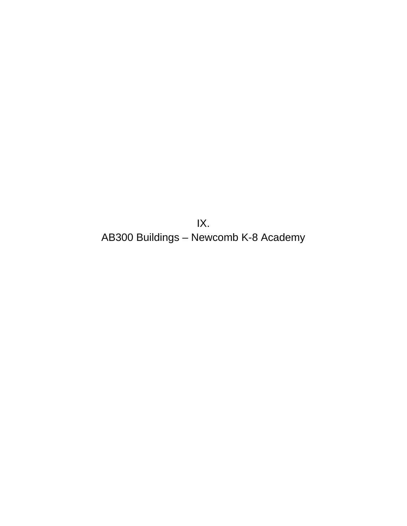IX. AB300 Buildings – Newcomb K-8 Academy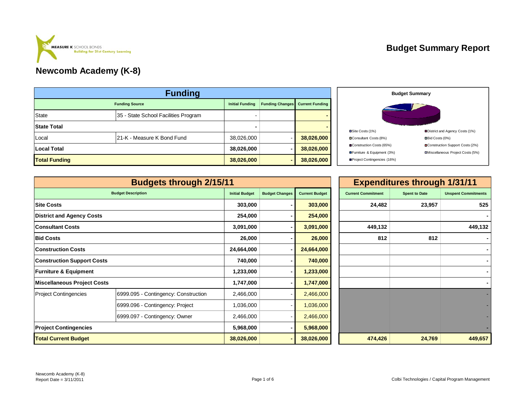#### **Budget Summary Report**



|                       | <b>Funding</b>                       |                        |                        |            |
|-----------------------|--------------------------------------|------------------------|------------------------|------------|
| <b>Funding Source</b> | <b>Initial Funding</b>               | <b>Funding Changes</b> | <b>Current Funding</b> |            |
| <b>State</b>          | 35 - State School Facilities Program |                        |                        |            |
| <b>State Total</b>    |                                      |                        |                        |            |
| Local                 | 21-K - Measure K Bond Fund           | 38,026,000             |                        | 38,026,000 |
| Local Total           |                                      | 38,026,000             |                        | 38,026,000 |
| <b>Total Funding</b>  |                                      | 38,026,000             |                        | 38,026,000 |



|                                   | <b>Budgets through 2/15/11</b>       |                       |                       |                       |                           | <b>Expenditures through 1/31/11</b> |                            |
|-----------------------------------|--------------------------------------|-----------------------|-----------------------|-----------------------|---------------------------|-------------------------------------|----------------------------|
|                                   | <b>Budget Description</b>            | <b>Initial Budget</b> | <b>Budget Changes</b> | <b>Current Budget</b> | <b>Current Commitment</b> | <b>Spent to Date</b>                | <b>Unspent Commitments</b> |
| <b>Site Costs</b>                 |                                      | 303,000               |                       | 303,000               | 24,482                    | 23,957                              | 525                        |
| <b>District and Agency Costs</b>  |                                      | 254,000               |                       | 254,000               |                           |                                     |                            |
| Consultant Costs                  |                                      | 3,091,000             |                       | 3,091,000             | 449,132                   |                                     | 449,132                    |
| <b>Bid Costs</b>                  |                                      | 26,000                |                       | 26,000                | 812                       | 812                                 |                            |
| <b>Construction Costs</b>         |                                      | 24,664,000            |                       | 24,664,000            |                           |                                     |                            |
| <b>Construction Support Costs</b> |                                      | 740,000               |                       | 740,000               |                           |                                     |                            |
| <b>Furniture &amp; Equipment</b>  |                                      | 1,233,000             | $\blacksquare$        | 1,233,000             |                           |                                     |                            |
| Miscellaneous Project Costs       |                                      | 1,747,000             | $\blacksquare$        | 1,747,000             |                           |                                     |                            |
| <b>Project Contingencies</b>      | 6999.095 - Contingency: Construction | 2,466,000             |                       | 2,466,000             |                           |                                     |                            |
|                                   | 6999.096 - Contingency: Project      | 1,036,000             |                       | 1,036,000             |                           |                                     |                            |
|                                   | 6999.097 - Contingency: Owner        | 2,466,000             |                       | 2,466,000             |                           |                                     |                            |
| <b>Project Contingencies</b>      |                                      | 5,968,000             |                       | 5,968,000             |                           |                                     |                            |
| <b>Total Current Budget</b>       |                                      | 38,026,000            |                       | 38,026,000            | 474,426                   | 24,769                              | 449,657                    |

| <b>Unspent Commitments</b> | <b>Spent to Date</b> | <b>Current Commitment</b> | <b>Current Budget</b> | <b>Budget Changes</b> | <b>Initial Budget</b> |
|----------------------------|----------------------|---------------------------|-----------------------|-----------------------|-----------------------|
| 525                        | 23,957               | 24,482                    | 303,000               | ٠                     | 303,000               |
|                            |                      |                           | 254,000               |                       | 254,000               |
| 449,132                    |                      | 449,132                   | 3,091,000             |                       | 3,091,000             |
|                            | 812                  | 812                       | 26,000                |                       | 26,000                |
|                            |                      |                           | 24,664,000            | -                     | 24,664,000            |
|                            |                      |                           | 740,000               | -                     | 740,000               |
|                            |                      |                           | 1,233,000             |                       | 1,233,000             |
|                            |                      |                           | 1,747,000             | ٠                     | 1,747,000             |
|                            |                      |                           | 2,466,000             |                       | 2,466,000             |
|                            |                      |                           | 1,036,000             |                       | 1,036,000             |
|                            |                      |                           | 2,466,000             | -                     | 2,466,000             |
|                            |                      |                           | 5,968,000             | ٠                     | 5,968,000             |
| 449,657                    | 24,769               | 474,426                   | 38,026,000            | -                     | 38,026,000            |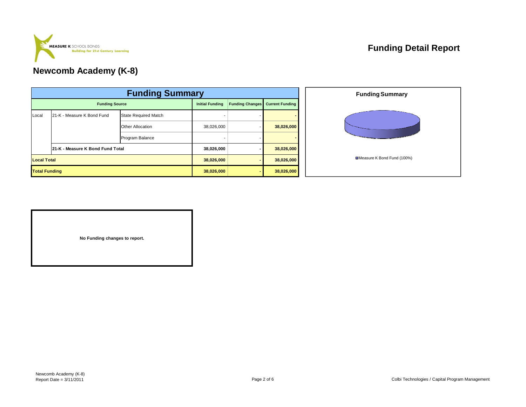

## **Funding Detail Report**

## **Newcomb Academy (K-8)**

|       | <b>Funding Summary</b>           |                             |            |                        |                        |  |  |  |  |
|-------|----------------------------------|-----------------------------|------------|------------------------|------------------------|--|--|--|--|
|       | <b>Funding Source</b>            |                             |            | <b>Funding Changes</b> | <b>Current Funding</b> |  |  |  |  |
| Local | 21-K - Measure K Bond Fund       | <b>State Required Match</b> |            |                        |                        |  |  |  |  |
|       |                                  | <b>Other Allocation</b>     | 38,026,000 |                        | 38,026,000             |  |  |  |  |
|       |                                  | Program Balance             |            |                        |                        |  |  |  |  |
|       | 21-K - Measure K Bond Fund Total |                             | 38,026,000 |                        | 38,026,000             |  |  |  |  |
|       | <b>Local Total</b>               |                             |            |                        | 38,026,000             |  |  |  |  |
|       | <b>Total Funding</b>             |                             |            |                        | 38,026,000             |  |  |  |  |



**No Funding changes to report.**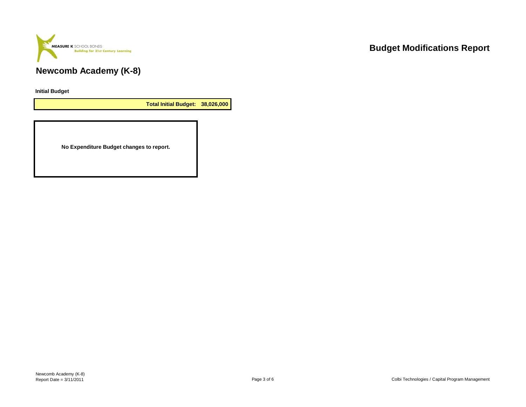

**Initial Budget**

**Total Initial Budget: 38,026,000**

**No Expenditure Budget changes to report.**

# **Budget Modifications Report**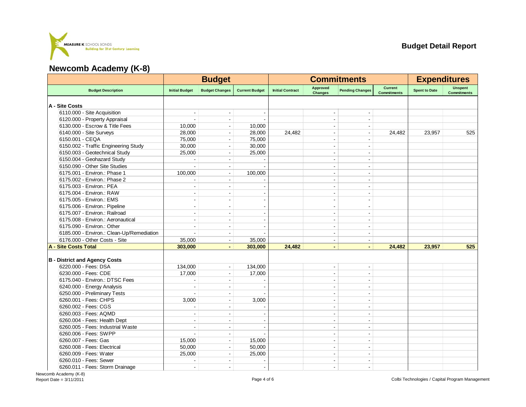

|                                           | <b>Budget</b>            |                          |                       |                         | <b>Commitments</b>         | <b>Expenditures</b>      |                                      |                      |                                      |
|-------------------------------------------|--------------------------|--------------------------|-----------------------|-------------------------|----------------------------|--------------------------|--------------------------------------|----------------------|--------------------------------------|
| <b>Budget Description</b>                 | <b>Initial Budget</b>    | <b>Budget Changes</b>    | <b>Current Budget</b> | <b>Initial Contract</b> | Approved<br><b>Changes</b> | <b>Pending Changes</b>   | <b>Current</b><br><b>Commitments</b> | <b>Spent to Date</b> | <b>Unspent</b><br><b>Commitments</b> |
| A - Site Costs                            |                          |                          |                       |                         |                            |                          |                                      |                      |                                      |
| 6110.000 - Site Acquisition               |                          |                          |                       |                         |                            |                          |                                      |                      |                                      |
| 6120.000 - Property Appraisal             |                          | $\blacksquare$           |                       |                         | $\overline{\phantom{a}}$   |                          |                                      |                      |                                      |
| 6130.000 - Escrow & Title Fees            | 10,000                   | $\overline{\phantom{a}}$ | 10,000                |                         |                            |                          |                                      |                      |                                      |
| 6140.000 - Site Surveys                   | 28,000                   |                          | 28,000                | 24.482                  | $\overline{\phantom{a}}$   |                          | 24,482                               | 23.957               | 525                                  |
| 6150.001 - CEQA                           | 75,000                   | $\overline{a}$           | 75,000                |                         | ÷                          |                          |                                      |                      |                                      |
| 6150.002 - Traffic Engineering Study      | 30,000                   | Ĭ.                       | 30,000                |                         | $\overline{a}$             | ÷                        |                                      |                      |                                      |
| 6150.003 - Geotechnical Study             | 25,000                   |                          | 25,000                |                         | $\overline{\phantom{a}}$   |                          |                                      |                      |                                      |
| 6150.004 - Geohazard Study                |                          | $\blacksquare$           |                       |                         | $\overline{\phantom{a}}$   | $\blacksquare$           |                                      |                      |                                      |
| 6150.090 - Other Site Studies             |                          | $\blacksquare$           |                       |                         | $\overline{\phantom{a}}$   | $\blacksquare$           |                                      |                      |                                      |
| 6175.001 - Environ.: Phase 1              | 100,000                  | $\overline{\phantom{a}}$ | 100,000               |                         | ÷.                         | J.                       |                                      |                      |                                      |
| 6175.002 - Environ.: Phase 2              |                          |                          |                       |                         |                            |                          |                                      |                      |                                      |
| 6175.003 - Environ.: PEA                  |                          | $\overline{\phantom{a}}$ |                       |                         | $\blacksquare$             | $\overline{\phantom{a}}$ |                                      |                      |                                      |
| 6175.004 - Environ.: RAW                  |                          | ÷                        |                       |                         | ÷                          | ÷                        |                                      |                      |                                      |
| 6175.005 - Environ.: EMS                  |                          |                          |                       |                         |                            | $\overline{a}$           |                                      |                      |                                      |
| 6175.006 - Environ.: Pipeline             | $\blacksquare$           | $\overline{\phantom{a}}$ |                       |                         | $\overline{\phantom{a}}$   | $\blacksquare$           |                                      |                      |                                      |
| 6175.007 - Environ.: Railroad             |                          | L,                       |                       |                         |                            |                          |                                      |                      |                                      |
| 6175.008 - Environ.: Aeronautical         |                          |                          |                       |                         |                            |                          |                                      |                      |                                      |
| 6175.090 - Environ.: Other                | ÷                        | $\sim$                   |                       |                         | $\sim$                     | $\sim$                   |                                      |                      |                                      |
| 6185.000 - Environ.: Clean-Up/Remediation |                          | $\blacksquare$           |                       |                         | $\blacksquare$             | $\blacksquare$           |                                      |                      |                                      |
| 6176.000 - Other Costs - Site             | 35,000                   | $\blacksquare$           | 35,000                |                         | $\overline{\phantom{a}}$   | $\overline{\phantom{a}}$ |                                      |                      |                                      |
| A - Site Costs Total                      | 303,000                  | $\blacksquare$           | 303,000               | 24,482                  | $\blacksquare$             | $\blacksquare$           | 24,482                               | 23,957               | 525                                  |
|                                           |                          |                          |                       |                         |                            |                          |                                      |                      |                                      |
| <b>B</b> - District and Agency Costs      |                          |                          |                       |                         |                            |                          |                                      |                      |                                      |
| 6220.000 - Fees: DSA                      | 134,000                  | $\overline{\phantom{a}}$ | 134,000               |                         |                            |                          |                                      |                      |                                      |
| 6230.000 - Fees: CDE                      | 17,000                   | $\blacksquare$           | 17,000                |                         | $\blacksquare$             | $\blacksquare$           |                                      |                      |                                      |
| 6175.040 - Environ.: DTSC Fees            |                          | ÷,                       |                       |                         |                            |                          |                                      |                      |                                      |
| 6240.000 - Energy Analysis                |                          |                          |                       |                         |                            |                          |                                      |                      |                                      |
| 6250.000 - Preliminary Tests              |                          | $\overline{\phantom{a}}$ |                       |                         | $\sim$                     | $\blacksquare$           |                                      |                      |                                      |
| 6260.001 - Fees: CHPS                     | 3,000                    | ÷.                       | 3,000                 |                         |                            |                          |                                      |                      |                                      |
| 6260.002 - Fees: CGS                      |                          |                          |                       |                         |                            |                          |                                      |                      |                                      |
| 6260.003 - Fees: AQMD                     |                          | ÷.                       |                       |                         | $\sim$                     | ÷.                       |                                      |                      |                                      |
| 6260.004 - Fees: Health Dept              |                          |                          |                       |                         | ÷                          | $\overline{a}$           |                                      |                      |                                      |
| 6260.005 - Fees: Industrial Waste         | $\overline{\phantom{a}}$ | $\blacksquare$           |                       |                         | $\overline{\phantom{a}}$   | $\blacksquare$           |                                      |                      |                                      |
| 6260.006 - Fees: SWPP                     |                          |                          |                       |                         |                            |                          |                                      |                      |                                      |
| 6260.007 - Fees: Gas                      | 15,000                   | $\overline{\phantom{a}}$ | 15,000                |                         | $\blacksquare$             | $\overline{\phantom{a}}$ |                                      |                      |                                      |
| 6260.008 - Fees: Electrical               | 50,000                   | ÷                        | 50,000                |                         | ÷                          | $\overline{a}$           |                                      |                      |                                      |
| 6260.009 - Fees: Water                    | 25,000                   |                          | 25,000                |                         |                            |                          |                                      |                      |                                      |
| 6260.010 - Fees: Sewer                    |                          | $\overline{\phantom{a}}$ |                       |                         | $\blacksquare$             | $\blacksquare$           |                                      |                      |                                      |
| 6260.011 - Fees: Storm Drainage           | $\overline{\phantom{a}}$ | $\blacksquare$           |                       |                         | $\overline{\phantom{a}}$   | $\overline{\phantom{a}}$ |                                      |                      |                                      |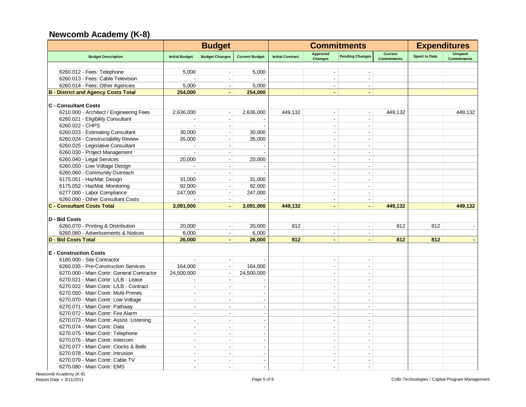|                                            | <b>Budget</b>            |                          |                       | <b>Commitments</b>      |                                   |                          |                                      | <b>Expenditures</b>  |                                      |
|--------------------------------------------|--------------------------|--------------------------|-----------------------|-------------------------|-----------------------------------|--------------------------|--------------------------------------|----------------------|--------------------------------------|
| <b>Budget Description</b>                  | <b>Initial Budget</b>    | <b>Budget Changes</b>    | <b>Current Budget</b> | <b>Initial Contract</b> | <b>Approved</b><br><b>Changes</b> | <b>Pending Changes</b>   | <b>Current</b><br><b>Commitments</b> | <b>Spent to Date</b> | <b>Unspent</b><br><b>Commitments</b> |
|                                            |                          |                          |                       |                         |                                   |                          |                                      |                      |                                      |
| 6260.012 - Fees: Telephone                 | 5,000                    |                          | 5,000                 |                         |                                   |                          |                                      |                      |                                      |
| 6260.013 - Fees: Cable Television          |                          |                          |                       |                         |                                   | $\blacksquare$           |                                      |                      |                                      |
| 6260.014 - Fees: Other Agencies            | 5,000                    | $\blacksquare$           | 5,000                 |                         |                                   | $\blacksquare$           |                                      |                      |                                      |
| <b>B</b> - District and Agency Costs Total | 254,000                  | $\blacksquare$           | 254,000               |                         |                                   | $\blacksquare$           |                                      |                      |                                      |
| <b>C</b> - Consultant Costs                |                          |                          |                       |                         |                                   |                          |                                      |                      |                                      |
| 6210.000 - Architect / Engineering Fees    | 2,636,000                | $\blacksquare$           | 2,636,000             | 449,132                 | $\blacksquare$                    | $\blacksquare$           | 449,132                              |                      | 449,132                              |
| 6260.021 - Eligibility Consultant          |                          | $\blacksquare$           |                       |                         |                                   |                          |                                      |                      |                                      |
| 6260.022 - CHPS                            |                          | $\sim$                   |                       |                         | $\sim$                            | $\overline{\phantom{a}}$ |                                      |                      |                                      |
| 6260.023 - Estimating Consultant           | 30,000                   | $\overline{\phantom{a}}$ | 30,000                |                         | $\sim$                            | ÷.                       |                                      |                      |                                      |
| 6260.024 - Constructability Review         | 35,000                   | $\sim$                   | 35,000                |                         | $\sim$                            | $\sim$                   |                                      |                      |                                      |
| 6260.025 - Legislative Consultant          | ÷                        | $\sim$                   |                       |                         | $\sim$                            | $\sim$                   |                                      |                      |                                      |
| 6260.030 - Project Management              |                          | $\sim$                   |                       |                         | $\overline{a}$                    | $\sim$                   |                                      |                      |                                      |
| 6260.040 - Legal Services                  | 20,000                   | $\blacksquare$           | 20,000                |                         | $\overline{a}$                    | ٠                        |                                      |                      |                                      |
| 6260.050 - Low Voltage Design              |                          | $\sim$                   |                       |                         | $\overline{a}$                    | $\overline{a}$           |                                      |                      |                                      |
| 6260.060 - Community Outreach              |                          |                          |                       |                         |                                   |                          |                                      |                      |                                      |
| 6175.051 - HazMat: Design                  | 31,000                   |                          | 31,000                |                         |                                   |                          |                                      |                      |                                      |
| 6175.052 - HazMat: Monitoring              | 92,000                   | ÷.                       | 92,000                |                         |                                   |                          |                                      |                      |                                      |
| 6277.000 - Labor Compliance                | 247,000                  | $\blacksquare$           | 247,000               |                         |                                   | $\sim$                   |                                      |                      |                                      |
| 6260.090 - Other Consultant Costs          |                          | $\sim$                   |                       |                         |                                   | $\blacksquare$           |                                      |                      |                                      |
| <b>C - Consultant Costs Total</b>          | 3,091,000                | $\blacksquare$           | 3,091,000             | 449,132                 | $\blacksquare$                    | $\blacksquare$           | 449,132                              |                      | 449,132                              |
|                                            |                          |                          |                       |                         |                                   |                          |                                      |                      |                                      |
| D - Bid Costs                              |                          |                          |                       |                         |                                   |                          |                                      |                      |                                      |
| 6260.070 - Printing & Distribution         | 20,000                   | $\overline{\phantom{a}}$ | 20,000                | 812                     | $\blacksquare$                    | $\blacksquare$           | 812                                  | 812                  |                                      |
| 6260.080 - Advertisements & Notices        | 6,000                    | $\blacksquare$           | 6,000                 |                         | $\blacksquare$                    | $\blacksquare$           |                                      |                      |                                      |
| <b>D - Bid Costs Total</b>                 | 26,000                   | $\blacksquare$           | 26,000                | 812                     | ä,                                | L.                       | 812                                  | 812                  | $\blacksquare$                       |
| <b>E</b> - Construction Costs              |                          |                          |                       |                         |                                   |                          |                                      |                      |                                      |
| 6180.000 - Site Contractor                 |                          | $\blacksquare$           |                       |                         | $\blacksquare$                    |                          |                                      |                      |                                      |
| 6260.035 - Pre-Construction Services       | 164,000                  | $\blacksquare$           | 164,000               |                         | $\overline{a}$                    | $\overline{a}$           |                                      |                      |                                      |
| 6270.000 - Main Contr: General Contractor  | 24,500,000               | $\sim$                   | 24,500,000            |                         | $\overline{a}$                    | $\blacksquare$           |                                      |                      |                                      |
| 6270.021 - Main Contr: L/LB - Lease        |                          | $\blacksquare$           |                       |                         | $\sim$                            | $\sim$                   |                                      |                      |                                      |
| 6270.022 - Main Contr: L/LB - Contract     | ÷                        | $\sim$                   |                       |                         | $\overline{a}$                    | $\overline{a}$           |                                      |                      |                                      |
| 6270.050 - Main Contr: Multi-Primes        | $\blacksquare$           | $\sim$                   |                       |                         | $\sim$                            | $\blacksquare$           |                                      |                      |                                      |
| 6270.070 - Main Contr: Low Voltage         | $\overline{\phantom{a}}$ | $\overline{a}$           |                       |                         | ÷                                 | ÷                        |                                      |                      |                                      |
|                                            |                          |                          |                       |                         |                                   |                          |                                      |                      |                                      |
| 6270.071 - Main Contr: Pathway             | $\sim$                   | $\blacksquare$           | $\overline{a}$        |                         | $\sim$                            | $\sim$                   |                                      |                      |                                      |
| 6270.072 - Main Contr: Fire Alarm          | $\overline{a}$           | $\sim$                   |                       |                         | $\sim$                            | $\overline{a}$           |                                      |                      |                                      |
| 6270.073 - Main Contr: Assist. Listening   | $\overline{a}$           | $\sim$                   |                       |                         | $\overline{a}$                    | $\overline{a}$           |                                      |                      |                                      |
| 6270.074 - Main Contr: Data                | $\overline{a}$           | $\overline{a}$           |                       |                         | $\sim$                            | ÷.                       |                                      |                      |                                      |
| 6270.075 - Main Contr: Telephone           | $\overline{a}$           | $\sim$                   |                       |                         | $\overline{a}$                    | $\overline{a}$           |                                      |                      |                                      |
| 6270.076 - Main Contr: Intercom            |                          |                          |                       |                         |                                   |                          |                                      |                      |                                      |
| 6270.077 - Main Contr: Clocks & Bells      |                          |                          |                       |                         |                                   |                          |                                      |                      |                                      |
| 6270.078 - Main Contr: Intrusion           |                          |                          |                       |                         |                                   |                          |                                      |                      |                                      |
| 6270.079 - Main Contr: Cable TV            | ÷.                       | ÷                        |                       |                         |                                   |                          |                                      |                      |                                      |
| 6270.080 - Main Contr: EMS                 | ÷                        | ÷                        |                       |                         |                                   | ÷.                       |                                      |                      |                                      |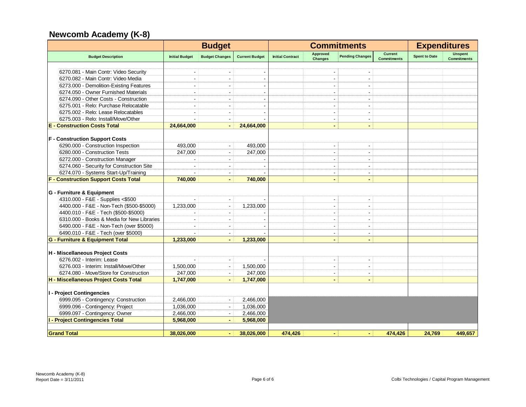|                                             |                          | <b>Budget</b>            |                       | <b>Commitments</b>      |                                   |                          | <b>Expenditures</b>                  |                      |                                      |
|---------------------------------------------|--------------------------|--------------------------|-----------------------|-------------------------|-----------------------------------|--------------------------|--------------------------------------|----------------------|--------------------------------------|
| <b>Budget Description</b>                   | <b>Initial Budget</b>    | <b>Budget Changes</b>    | <b>Current Budget</b> | <b>Initial Contract</b> | <b>Approved</b><br><b>Changes</b> | <b>Pending Changes</b>   | <b>Current</b><br><b>Commitments</b> | <b>Spent to Date</b> | <b>Unspent</b><br><b>Commitments</b> |
|                                             |                          |                          |                       |                         |                                   |                          |                                      |                      |                                      |
| 6270.081 - Main Contr: Video Security       |                          |                          |                       |                         |                                   |                          |                                      |                      |                                      |
| 6270.082 - Main Contr: Video Media          |                          |                          |                       |                         |                                   | $\overline{\phantom{a}}$ |                                      |                      |                                      |
| 6273.000 - Demolition-Existing Features     | $\sim$                   | $\sim$                   |                       |                         | $\overline{a}$                    | ÷                        |                                      |                      |                                      |
| 6274.050 - Owner Furnished Materials        |                          |                          |                       |                         |                                   | $\overline{\phantom{a}}$ |                                      |                      |                                      |
| 6274.090 - Other Costs - Construction       |                          |                          |                       |                         |                                   | $\overline{\phantom{a}}$ |                                      |                      |                                      |
| 6275.001 - Relo: Purchase Relocatable       | $\sim$                   | $\sim$                   |                       |                         | $\overline{a}$                    | $\blacksquare$           |                                      |                      |                                      |
| 6275.002 - Relo: Lease Relocatables         | $\overline{\phantom{a}}$ |                          |                       |                         | $\blacksquare$                    | $\overline{\phantom{a}}$ |                                      |                      |                                      |
| 6275.003 - Relo: Install/Move/Other         |                          |                          |                       |                         | $\overline{\phantom{a}}$          | $\blacksquare$           |                                      |                      |                                      |
| <b>E</b> - Construction Costs Total         | 24.664.000               | $\sim$                   | 24.664.000            |                         | $\blacksquare$                    | $\blacksquare$           |                                      |                      |                                      |
| <b>F</b> - Construction Support Costs       |                          |                          |                       |                         |                                   |                          |                                      |                      |                                      |
| 6290.000 - Construction Inspection          | 493,000                  | $\Delta$                 | 493,000               |                         |                                   | $\overline{a}$           |                                      |                      |                                      |
| 6280.000 - Construction Tests               | 247,000                  | $\blacksquare$           | 247,000               |                         | $\overline{\phantom{a}}$          | $\blacksquare$           |                                      |                      |                                      |
| 6272.000 - Construction Manager             |                          | $\overline{\phantom{a}}$ |                       |                         | $\blacksquare$                    | $\blacksquare$           |                                      |                      |                                      |
| 6274.060 - Security for Construction Site   |                          |                          |                       |                         |                                   | $\overline{\phantom{a}}$ |                                      |                      |                                      |
| 6274.070 - Systems Start-Up/Training        |                          | $\sim$                   |                       |                         | $\blacksquare$                    | $\sim$                   |                                      |                      |                                      |
| <b>F - Construction Support Costs Total</b> | 740.000                  |                          | 740.000               |                         |                                   |                          |                                      |                      |                                      |
|                                             |                          |                          |                       |                         |                                   |                          |                                      |                      |                                      |
| G - Furniture & Equipment                   |                          |                          |                       |                         |                                   |                          |                                      |                      |                                      |
| 4310.000 - F&E - Supplies <\$500            |                          | $\blacksquare$           |                       |                         | $\overline{\phantom{a}}$          | $\blacksquare$           |                                      |                      |                                      |
| 4400.000 - F&E - Non-Tech (\$500-\$5000)    | 1,233,000                |                          | 1,233,000             |                         |                                   | $\overline{\phantom{a}}$ |                                      |                      |                                      |
| 4400.010 - F&E - Tech (\$500-\$5000)        |                          | $\sim$                   |                       |                         | ÷                                 | ÷                        |                                      |                      |                                      |
| 6310.000 - Books & Media for New Libraries  |                          |                          |                       |                         | $\overline{\phantom{a}}$          | $\overline{\phantom{a}}$ |                                      |                      |                                      |
| 6490.000 - F&E - Non-Tech (over \$5000)     |                          |                          |                       |                         | ÷.                                | $\blacksquare$           |                                      |                      |                                      |
| 6490.010 - F&E - Tech (over \$5000)         |                          | $\sim$                   |                       |                         | $\blacksquare$                    | $\blacksquare$           |                                      |                      |                                      |
| G - Furniture & Equipment Total             | 1,233,000                | $\blacksquare$           | 1,233,000             |                         | $\blacksquare$                    | $\blacksquare$           |                                      |                      |                                      |
| H - Miscellaneous Project Costs             |                          |                          |                       |                         |                                   |                          |                                      |                      |                                      |
| 6276.002 - Interim: Lease                   |                          |                          |                       |                         | ä,                                | $\overline{\phantom{a}}$ |                                      |                      |                                      |
| 6276.003 - Interim: Install/Move/Other      | 1,500,000                | $\sim$                   | 1,500,000             |                         | $\blacksquare$                    | $\blacksquare$           |                                      |                      |                                      |
| 6274.080 - Move/Store for Construction      | 247,000                  |                          | 247,000               |                         | $\blacksquare$                    | $\blacksquare$           |                                      |                      |                                      |
| H - Miscellaneous Project Costs Total       | 1,747,000                | $\sim$                   | 1,747,000             |                         | $\blacksquare$                    | $\blacksquare$           |                                      |                      |                                      |
|                                             |                          |                          |                       |                         |                                   |                          |                                      |                      |                                      |
| I - Project Contingencies                   |                          |                          |                       |                         |                                   |                          |                                      |                      |                                      |
| 6999.095 - Contingency: Construction        | 2.466.000                |                          | 2,466,000             |                         |                                   |                          |                                      |                      |                                      |
| 6999.096 - Contingency: Project             | 1,036,000                |                          | 1,036,000             |                         |                                   |                          |                                      |                      |                                      |
| 6999.097 - Contingency: Owner               | 2,466,000                | $\sim$                   | 2,466,000             |                         |                                   |                          |                                      |                      |                                      |
| <b>I - Project Contingencies Total</b>      | 5,968,000                |                          | 5,968,000             |                         |                                   |                          |                                      |                      |                                      |
|                                             |                          |                          |                       |                         |                                   |                          |                                      |                      |                                      |
| <b>Grand Total</b>                          | 38,026,000               |                          | 38,026,000            | 474,426                 | ٠                                 | $\blacksquare$           | 474.426                              | 24,769               | 449,657                              |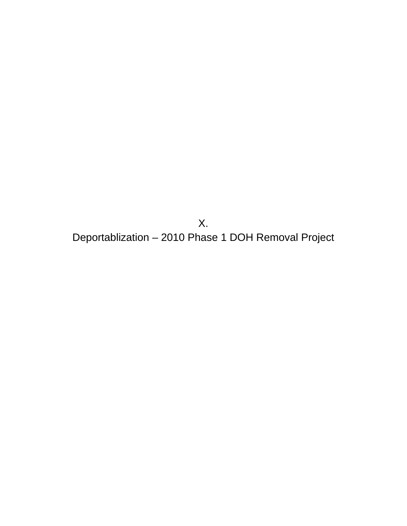X. Deportablization – 2010 Phase 1 DOH Removal Project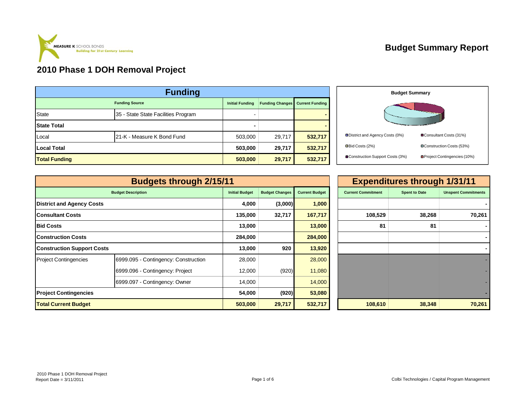

# **Budget Summary Report**

## **2010 Phase 1 DOH Removal Project**

| <b>Funding</b>       |                                     |                        |                        |                        |  |  |  |  |
|----------------------|-------------------------------------|------------------------|------------------------|------------------------|--|--|--|--|
|                      | <b>Funding Source</b>               | <b>Initial Funding</b> | <b>Funding Changes</b> | <b>Current Funding</b> |  |  |  |  |
| <b>State</b>         | 35 - State State Facilities Program |                        |                        |                        |  |  |  |  |
| <b>State Total</b>   |                                     |                        |                        |                        |  |  |  |  |
| Local                | 21-K - Measure K Bond Fund          | 503,000                | 29,717                 | 532,717                |  |  |  |  |
| <b>Local Total</b>   |                                     | 503,000                | 29,717                 | 532,717                |  |  |  |  |
| <b>Total Funding</b> |                                     | 503,000                | 29,717                 | 532,717                |  |  |  |  |



|                                   | <b>Expenditures through 1/31/11</b>  |                       |                       |                       |                           |                      |                            |
|-----------------------------------|--------------------------------------|-----------------------|-----------------------|-----------------------|---------------------------|----------------------|----------------------------|
|                                   | <b>Budget Description</b>            | <b>Initial Budget</b> | <b>Budget Changes</b> | <b>Current Budget</b> | <b>Current Commitment</b> | <b>Spent to Date</b> | <b>Unspent Commitments</b> |
| <b>District and Agency Costs</b>  |                                      | 4,000                 | (3,000)               | 1,000                 |                           |                      |                            |
| <b>Consultant Costs</b>           |                                      | 135,000               | 32,717                | 167,717               | 108,529                   | 38,268               | 70,261                     |
| <b>Bid Costs</b>                  | 13,000                               |                       | 13,000                | 81                    | 81                        |                      |                            |
| <b>Construction Costs</b>         |                                      |                       | 284,000               | 284,000               |                           |                      |                            |
| <b>Construction Support Costs</b> |                                      | 13,000                | 920                   | 13,920                |                           |                      |                            |
| <b>Project Contingencies</b>      | 6999.095 - Contingency: Construction | 28,000                |                       | 28,000                |                           |                      |                            |
|                                   | 6999.096 - Contingency: Project      | 12,000                | (920)                 | 11,080                |                           |                      |                            |
|                                   | 6999.097 - Contingency: Owner        | 14,000                |                       | 14,000                |                           |                      |                            |
| <b>Project Contingencies</b>      |                                      |                       | (920)<br>54,000       | 53,080                |                           |                      |                            |
| <b>Total Current Budget</b>       |                                      |                       | 503,000<br>29,717     | 532,717               | 108,610                   | 38,348               | 70,261                     |

| 1                     |                       |                       | <b>Expenditures through 1/31/11</b> |                      |                            |  |  |  |  |  |
|-----------------------|-----------------------|-----------------------|-------------------------------------|----------------------|----------------------------|--|--|--|--|--|
| <b>Initial Budget</b> | <b>Budget Changes</b> | <b>Current Budget</b> | <b>Current Commitment</b>           | <b>Spent to Date</b> | <b>Unspent Commitments</b> |  |  |  |  |  |
| 4,000                 | (3,000)               | 1,000                 |                                     |                      |                            |  |  |  |  |  |
| 135,000               | 32,717                | 167,717               | 108,529                             | 38,268               | 70,261                     |  |  |  |  |  |
| 13,000                |                       | 13,000                | 81                                  | 81                   |                            |  |  |  |  |  |
| 284,000               |                       | 284,000               |                                     |                      |                            |  |  |  |  |  |
| 13,000                | 920                   | 13,920                |                                     |                      |                            |  |  |  |  |  |
| 28,000                |                       | 28,000                |                                     |                      |                            |  |  |  |  |  |
| 12,000                | (920)                 | 11,080                |                                     |                      |                            |  |  |  |  |  |
| 14,000                |                       | 14,000                |                                     |                      |                            |  |  |  |  |  |
| 54,000                | (920)                 | 53,080                |                                     |                      |                            |  |  |  |  |  |
| 503,000               | 29,717                | 532,717               | 108,610                             | 38,348               | 70,261                     |  |  |  |  |  |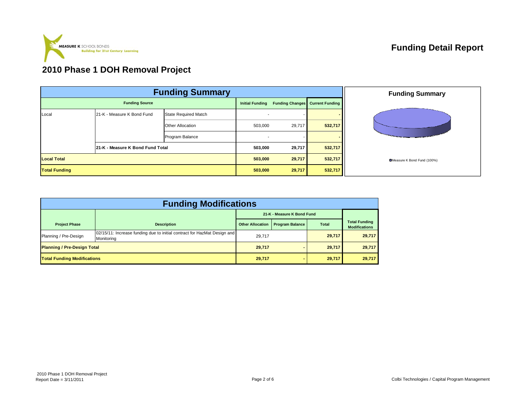

# **2010 Phase 1 DOH Removal Project**

|                       | <b>Funding Summary</b>                                    |                         | <b>Funding Summary</b> |        |                                        |                            |
|-----------------------|-----------------------------------------------------------|-------------------------|------------------------|--------|----------------------------------------|----------------------------|
| <b>Funding Source</b> |                                                           |                         | <b>Initial Funding</b> |        | <b>Funding Changes</b> Current Funding |                            |
| Local                 | 21-K - Measure K Bond Fund<br><b>State Required Match</b> |                         |                        |        |                                        |                            |
|                       |                                                           | <b>Other Allocation</b> | 503,000                | 29,717 | 532,717                                |                            |
|                       |                                                           | Program Balance         |                        |        |                                        | <b>START OF STRAINS</b>    |
|                       | 21-K - Measure K Bond Fund Total                          |                         | 503,000                | 29,717 | 532,717                                |                            |
| <b>Local Total</b>    |                                                           |                         | 503,000                | 29,717 | 532,717                                | Measure K Bond Fund (100%) |
| <b>Total Funding</b>  |                                                           |                         | 503,000                | 29,717 | 532,717                                |                            |

| <b>Funding Modifications</b>       |                                                                                        |                            |                        |              |                                              |  |  |  |  |  |  |
|------------------------------------|----------------------------------------------------------------------------------------|----------------------------|------------------------|--------------|----------------------------------------------|--|--|--|--|--|--|
|                                    |                                                                                        | 21-K - Measure K Bond Fund |                        |              |                                              |  |  |  |  |  |  |
| <b>Project Phase</b>               | <b>Description</b>                                                                     | <b>Other Allocation</b>    | <b>Program Balance</b> | <b>Total</b> | <b>Total Funding</b><br><b>Modifications</b> |  |  |  |  |  |  |
| Planning / Pre-Design              | 02/15/11: Increase funding due to initial contract for HazMat Design and<br>Monitoring | 29,717                     |                        | 29,717       | 29,717                                       |  |  |  |  |  |  |
| <b>Planning / Pre-Design Total</b> |                                                                                        | 29,717                     |                        | 29,717       | 29,717                                       |  |  |  |  |  |  |
| <b>Total Funding Modifications</b> |                                                                                        | 29,717                     |                        | 29,717       | 29,717                                       |  |  |  |  |  |  |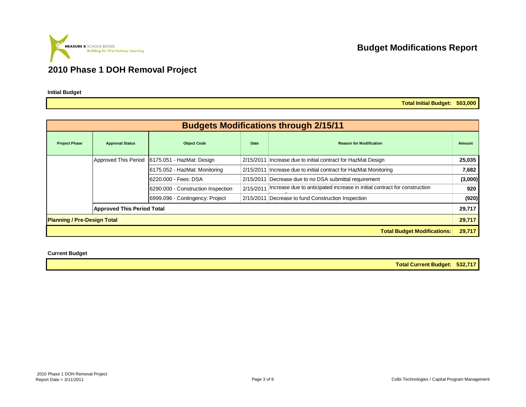

#### **2010 Phase 1 DOH Removal Project**

**Initial Budget**

**Total Initial Budget: 503,000**

|                                    |                                   |                                    |      | <b>Budgets Modifications through 2/15/11</b>                                          |         |
|------------------------------------|-----------------------------------|------------------------------------|------|---------------------------------------------------------------------------------------|---------|
| <b>Project Phase</b>               | <b>Approval Status</b>            | <b>Object Code</b>                 | Date | <b>Reason for Modification</b>                                                        | Amount  |
|                                    | Approved This Period              | 6175.051 - HazMat: Design          |      | 2/15/2011 Increase due to initial contract for HazMat Design                          | 25,035  |
|                                    |                                   | 6175.052 - HazMat: Monitoring      |      | 2/15/2011 Increase due to initial contract for HazMat Monitoring                      | 7,682   |
|                                    |                                   | 6220.000 - Fees: DSA               |      | 2/15/2011 Decrease due to no DSA submittal requirement                                | (3,000) |
|                                    |                                   | 6290.000 - Construction Inspection |      | 2/15/2011   Increase due to anticipated increase in initial contract for construction | 920     |
|                                    |                                   | 6999.096 - Contingency: Project    |      | 2/15/2011 Decrease to fund Construction Inspection                                    | (920)   |
|                                    | <b>Approved This Period Total</b> |                                    |      |                                                                                       | 29,717  |
| <b>Planning / Pre-Design Total</b> |                                   |                                    |      |                                                                                       | 29,717  |
|                                    |                                   |                                    |      | <b>Total Budget Modifications:</b>                                                    | 29,717  |

**Current Budget**

**Total Current Budget: 532,717**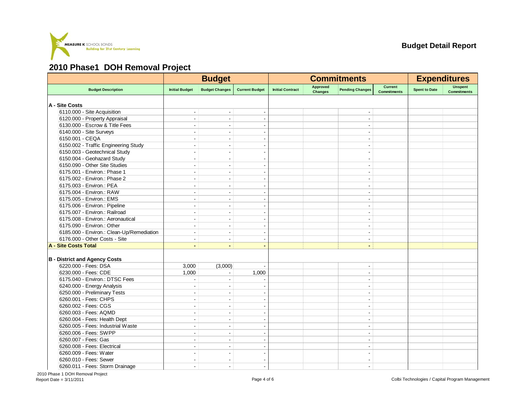

#### **2010 Phase1 DOH Removal Project**

|                                           |                          | <b>Budget</b>            |                          |                         |                                   | <b>Commitments</b>       |                                      | <b>Expenditures</b>  |                               |  |
|-------------------------------------------|--------------------------|--------------------------|--------------------------|-------------------------|-----------------------------------|--------------------------|--------------------------------------|----------------------|-------------------------------|--|
| <b>Budget Description</b>                 | <b>Initial Budget</b>    | <b>Budget Changes</b>    | <b>Current Budget</b>    | <b>Initial Contract</b> | <b>Approved</b><br><b>Changes</b> | <b>Pending Changes</b>   | <b>Current</b><br><b>Commitments</b> | <b>Spent to Date</b> | Unspent<br><b>Commitments</b> |  |
| A - Site Costs                            |                          |                          |                          |                         |                                   |                          |                                      |                      |                               |  |
| 6110.000 - Site Acquisition               | ÷                        | $\blacksquare$           |                          |                         |                                   |                          |                                      |                      |                               |  |
| 6120.000 - Property Appraisal             | $\overline{\phantom{a}}$ | $\blacksquare$           |                          |                         |                                   | $\overline{\phantom{a}}$ |                                      |                      |                               |  |
| 6130.000 - Escrow & Title Fees            | ÷                        | ÷.                       |                          |                         |                                   |                          |                                      |                      |                               |  |
| 6140.000 - Site Surveys                   |                          | L.                       |                          |                         |                                   | $\overline{\phantom{a}}$ |                                      |                      |                               |  |
| 6150.001 - CEQA                           | $\overline{\phantom{a}}$ | $\blacksquare$           | $\overline{\phantom{a}}$ |                         |                                   | $\overline{\phantom{a}}$ |                                      |                      |                               |  |
| 6150.002 - Traffic Engineering Study      | ÷.                       | $\blacksquare$           |                          |                         |                                   |                          |                                      |                      |                               |  |
| 6150.003 - Geotechnical Study             |                          |                          |                          |                         |                                   | $\blacksquare$           |                                      |                      |                               |  |
| 6150.004 - Geohazard Study                | $\overline{\phantom{a}}$ | $\overline{\phantom{a}}$ | $\overline{\phantom{a}}$ |                         |                                   | $\overline{\phantom{a}}$ |                                      |                      |                               |  |
| 6150.090 - Other Site Studies             | ÷                        | $\overline{a}$           |                          |                         |                                   | $\overline{\phantom{a}}$ |                                      |                      |                               |  |
| 6175.001 - Environ.: Phase 1              | $\overline{\phantom{a}}$ | $\overline{\phantom{a}}$ |                          |                         |                                   | $\overline{\phantom{a}}$ |                                      |                      |                               |  |
| 6175.002 - Environ.: Phase 2              | $\overline{a}$           | $\overline{a}$           |                          |                         |                                   | $\blacksquare$           |                                      |                      |                               |  |
| 6175.003 - Environ.: PEA                  | $\overline{\phantom{a}}$ | $\overline{\phantom{a}}$ |                          |                         |                                   | $\overline{\phantom{a}}$ |                                      |                      |                               |  |
| 6175.004 - Environ.: RAW                  | $\overline{\phantom{a}}$ | ÷.                       |                          |                         |                                   | $\overline{a}$           |                                      |                      |                               |  |
| 6175.005 - Environ.: EMS                  |                          | $\overline{a}$           |                          |                         |                                   | $\overline{\phantom{a}}$ |                                      |                      |                               |  |
| 6175.006 - Environ.: Pipeline             | $\overline{\phantom{a}}$ | $\blacksquare$           | $\overline{\phantom{a}}$ |                         |                                   | $\blacksquare$           |                                      |                      |                               |  |
| 6175.007 - Environ.: Railroad             | $\overline{a}$           | L.                       |                          |                         |                                   |                          |                                      |                      |                               |  |
| 6175.008 - Environ.: Aeronautical         |                          | ٠                        |                          |                         |                                   | $\overline{\phantom{a}}$ |                                      |                      |                               |  |
| 6175.090 - Environ.: Other                | $\overline{\phantom{a}}$ | $\sim$                   | $\overline{\phantom{a}}$ |                         |                                   | $\sim$                   |                                      |                      |                               |  |
| 6185.000 - Environ.: Clean-Up/Remediation | $\overline{\phantom{a}}$ | $\blacksquare$           |                          |                         |                                   | $\overline{\phantom{a}}$ |                                      |                      |                               |  |
| 6176.000 - Other Costs - Site             |                          | $\blacksquare$           |                          |                         |                                   | $\overline{\phantom{a}}$ |                                      |                      |                               |  |
| A - Site Costs Total                      | $\blacksquare$           | $\blacksquare$           |                          |                         |                                   | $\blacksquare$           |                                      |                      |                               |  |
|                                           |                          |                          |                          |                         |                                   |                          |                                      |                      |                               |  |
| <b>B</b> - District and Agency Costs      |                          |                          |                          |                         |                                   |                          |                                      |                      |                               |  |
| 6220.000 - Fees: DSA                      | 3,000                    | (3,000)                  |                          |                         |                                   | ÷,                       |                                      |                      |                               |  |
| 6230.000 - Fees: CDE                      | 1,000                    | $\overline{\phantom{a}}$ | 1,000                    |                         |                                   | $\overline{\phantom{a}}$ |                                      |                      |                               |  |
| 6175.040 - Environ.: DTSC Fees            | ÷                        | $\sim$                   |                          |                         |                                   | $\sim$                   |                                      |                      |                               |  |
| 6240.000 - Energy Analysis                |                          |                          |                          |                         |                                   | $\overline{\phantom{a}}$ |                                      |                      |                               |  |
| 6250.000 - Preliminary Tests              | $\overline{\phantom{a}}$ | $\overline{\phantom{a}}$ |                          |                         |                                   | $\blacksquare$           |                                      |                      |                               |  |
| 6260.001 - Fees: CHPS                     | J.                       | Ĭ.                       |                          |                         |                                   | $\overline{\phantom{a}}$ |                                      |                      |                               |  |
| 6260.002 - Fees: CGS                      |                          | $\blacksquare$           |                          |                         |                                   | $\blacksquare$           |                                      |                      |                               |  |
| 6260.003 - Fees: AQMD                     | ÷                        | $\sim$                   |                          |                         |                                   | $\blacksquare$           |                                      |                      |                               |  |
| 6260.004 - Fees: Health Dept              | $\overline{\phantom{a}}$ | $\blacksquare$           |                          |                         |                                   | $\overline{\phantom{a}}$ |                                      |                      |                               |  |
| 6260.005 - Fees: Industrial Waste         | ÷.                       | $\blacksquare$           | $\overline{\phantom{0}}$ |                         |                                   | $\overline{a}$           |                                      |                      |                               |  |
| 6260.006 - Fees: SWPP                     |                          | L.                       |                          |                         |                                   | J.                       |                                      |                      |                               |  |
| 6260.007 - Fees: Gas                      | $\overline{\phantom{a}}$ | $\overline{\phantom{a}}$ |                          |                         |                                   | $\overline{\phantom{a}}$ |                                      |                      |                               |  |
| 6260.008 - Fees: Electrical               | ÷.                       | $\overline{\phantom{a}}$ |                          |                         |                                   | $\overline{\phantom{a}}$ |                                      |                      |                               |  |
| 6260.009 - Fees: Water                    |                          |                          |                          |                         |                                   | $\blacksquare$           |                                      |                      |                               |  |
| 6260.010 - Fees: Sewer                    | $\overline{\phantom{a}}$ | $\overline{\phantom{a}}$ | $\overline{\phantom{0}}$ |                         |                                   | $\blacksquare$           |                                      |                      |                               |  |
| 6260.011 - Fees: Storm Drainage           | $\overline{\phantom{a}}$ | $\blacksquare$           |                          |                         |                                   | $\blacksquare$           |                                      |                      |                               |  |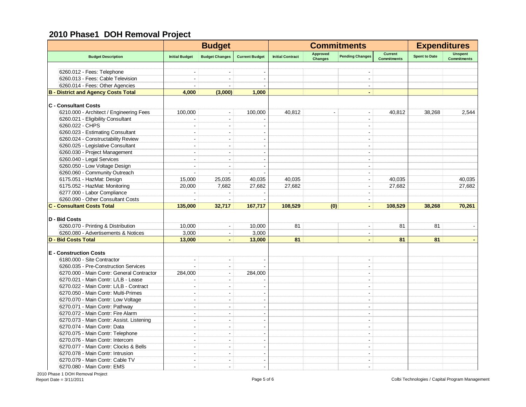# **2010 Phase1 DOH Removal Project**

|                                            |                          | <b>Budget</b>            |                       |                         |                                   | <b>Commitments</b>       |                                      | <b>Expenditures</b>  |                                      |  |
|--------------------------------------------|--------------------------|--------------------------|-----------------------|-------------------------|-----------------------------------|--------------------------|--------------------------------------|----------------------|--------------------------------------|--|
| <b>Budget Description</b>                  | <b>Initial Budget</b>    | <b>Budget Changes</b>    | <b>Current Budget</b> | <b>Initial Contract</b> | <b>Approved</b><br><b>Changes</b> | <b>Pending Changes</b>   | <b>Current</b><br><b>Commitments</b> | <b>Spent to Date</b> | <b>Unspent</b><br><b>Commitments</b> |  |
|                                            |                          |                          |                       |                         |                                   |                          |                                      |                      |                                      |  |
| 6260.012 - Fees: Telephone                 |                          |                          |                       |                         |                                   | $\blacksquare$           |                                      |                      |                                      |  |
| 6260.013 - Fees: Cable Television          |                          |                          |                       |                         |                                   | $\blacksquare$           |                                      |                      |                                      |  |
| 6260.014 - Fees: Other Agencies            | $\overline{\phantom{a}}$ | $\overline{a}$           |                       |                         |                                   | $\blacksquare$           |                                      |                      |                                      |  |
| <b>B</b> - District and Agency Costs Total | 4,000                    | (3,000)                  | 1,000                 |                         |                                   |                          |                                      |                      |                                      |  |
| <b>C</b> - Consultant Costs                |                          |                          |                       |                         |                                   |                          |                                      |                      |                                      |  |
| 6210.000 - Architect / Engineering Fees    | 100,000                  | $\blacksquare$           | 100,000               | 40,812                  |                                   | $\blacksquare$           | 40,812                               | 38,268               | 2,544                                |  |
| 6260.021 - Eligibility Consultant          |                          | $\sim$                   |                       |                         |                                   | ÷,                       |                                      |                      |                                      |  |
| 6260.022 - CHPS                            | $\overline{a}$           | $\tilde{\phantom{a}}$    |                       |                         |                                   | ÷.                       |                                      |                      |                                      |  |
| 6260.023 - Estimating Consultant           | J.                       | $\sim$                   |                       |                         |                                   | $\overline{a}$           |                                      |                      |                                      |  |
| 6260.024 - Constructability Review         | $\sim$                   | $\blacksquare$           |                       |                         |                                   | $\blacksquare$           |                                      |                      |                                      |  |
| 6260.025 - Legislative Consultant          | ÷                        | $\sim$                   |                       |                         |                                   | $\overline{a}$           |                                      |                      |                                      |  |
| 6260.030 - Project Management              | $\sim$                   | $\blacksquare$           |                       |                         |                                   | $\blacksquare$           |                                      |                      |                                      |  |
| 6260.040 - Legal Services                  | ÷                        | $\sim$                   |                       |                         |                                   | ÷                        |                                      |                      |                                      |  |
| 6260.050 - Low Voltage Design              | $\sim$                   | $\blacksquare$           |                       |                         |                                   | $\blacksquare$           |                                      |                      |                                      |  |
|                                            |                          |                          |                       |                         |                                   | $\overline{a}$           |                                      |                      |                                      |  |
| 6260.060 - Community Outreach              |                          |                          |                       |                         |                                   |                          |                                      |                      |                                      |  |
| 6175.051 - HazMat: Design                  | 15,000                   | 25,035                   | 40,035                | 40.035                  |                                   | $\overline{a}$           | 40,035                               |                      | 40,035                               |  |
| 6175.052 - HazMat: Monitoring              | 20,000                   | 7,682                    | 27,682                | 27,682                  |                                   |                          | 27,682                               |                      | 27,682                               |  |
| 6277.000 - Labor Compliance                |                          |                          |                       |                         |                                   |                          |                                      |                      |                                      |  |
| 6260.090 - Other Consultant Costs          |                          |                          |                       |                         |                                   | ÷.                       |                                      |                      |                                      |  |
| <b>C - Consultant Costs Total</b>          | 135,000                  | 32,717                   | 167,717               | 108,529                 | (0)                               | $\blacksquare$           | 108,529                              | 38.268               | 70,261                               |  |
| D - Bid Costs                              |                          |                          |                       |                         |                                   |                          |                                      |                      |                                      |  |
| 6260.070 - Printing & Distribution         | 10,000                   | $\blacksquare$           | 10,000                | 81                      |                                   | $\overline{\phantom{a}}$ | 81                                   | 81                   |                                      |  |
| 6260.080 - Advertisements & Notices        | 3,000                    | $\sim$                   | 3,000                 |                         |                                   | $\blacksquare$           |                                      |                      |                                      |  |
| <b>D - Bid Costs Total</b>                 | 13,000                   | $\blacksquare$           | 13,000                | 81                      |                                   | ÷,                       | 81                                   | 81                   |                                      |  |
|                                            |                          |                          |                       |                         |                                   |                          |                                      |                      |                                      |  |
| <b>E</b> - Construction Costs              |                          |                          |                       |                         |                                   |                          |                                      |                      |                                      |  |
| 6180.000 - Site Contractor                 | J.                       | $\sim$                   |                       |                         |                                   | $\blacksquare$           |                                      |                      |                                      |  |
| 6260.035 - Pre-Construction Services       |                          | $\overline{\phantom{a}}$ |                       |                         |                                   | $\blacksquare$           |                                      |                      |                                      |  |
| 6270.000 - Main Contr: General Contractor  | 284,000                  | $\sim$                   | 284,000               |                         |                                   |                          |                                      |                      |                                      |  |
| 6270.021 - Main Contr: L/LB - Lease        |                          | $\blacksquare$           |                       |                         |                                   | $\blacksquare$           |                                      |                      |                                      |  |
| 6270.022 - Main Contr: L/LB - Contract     | J.                       | $\sim$                   |                       |                         |                                   | $\overline{a}$           |                                      |                      |                                      |  |
| 6270.050 - Main Contr: Multi-Primes        | $\overline{a}$           | $\sim$                   | $\overline{a}$        |                         |                                   | $\blacksquare$           |                                      |                      |                                      |  |
| 6270.070 - Main Contr: Low Voltage         | ÷                        | $\blacksquare$           |                       |                         |                                   | $\sim$                   |                                      |                      |                                      |  |
| 6270.071 - Main Contr: Pathway             | ÷                        | $\sim$                   | $\overline{a}$        |                         |                                   | $\sim$                   |                                      |                      |                                      |  |
| 6270.072 - Main Contr: Fire Alarm          | ÷                        | $\sim$                   |                       |                         |                                   | $\sim$                   |                                      |                      |                                      |  |
| 6270.073 - Main Contr: Assist. Listening   | $\overline{a}$           | $\sim$                   |                       |                         |                                   | $\blacksquare$           |                                      |                      |                                      |  |
| 6270.074 - Main Contr: Data                | ÷                        | $\sim$                   |                       |                         |                                   | $\sim$                   |                                      |                      |                                      |  |
| 6270.075 - Main Contr: Telephone           | $\overline{a}$           | $\sim$                   |                       |                         |                                   | $\blacksquare$           |                                      |                      |                                      |  |
| 6270.076 - Main Contr: Intercom            |                          |                          |                       |                         |                                   |                          |                                      |                      |                                      |  |
| 6270.077 - Main Contr: Clocks & Bells      |                          |                          |                       |                         |                                   |                          |                                      |                      |                                      |  |
| 6270.078 - Main Contr: Intrusion           |                          |                          |                       |                         |                                   |                          |                                      |                      |                                      |  |
|                                            | ÷.                       | $\overline{\phantom{a}}$ |                       |                         |                                   |                          |                                      |                      |                                      |  |
| 6270.079 - Main Contr: Cable TV            |                          | $\overline{a}$           |                       |                         |                                   |                          |                                      |                      |                                      |  |
| 6270.080 - Main Contr: EMS                 | ÷.                       | $\sim$                   |                       |                         |                                   | $\sim$                   |                                      |                      |                                      |  |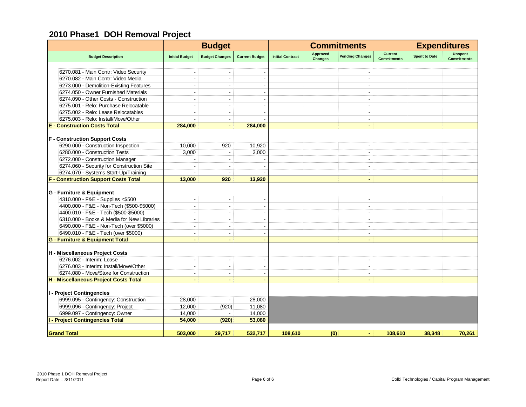# **2010 Phase1 DOH Removal Project**

|                                             |                          | <b>Budget</b>            |                       |                         |                                   | <b>Commitments</b>       |                                      |                      | <b>Expenditures</b>                  |  |
|---------------------------------------------|--------------------------|--------------------------|-----------------------|-------------------------|-----------------------------------|--------------------------|--------------------------------------|----------------------|--------------------------------------|--|
| <b>Budget Description</b>                   | <b>Initial Budget</b>    | <b>Budget Changes</b>    | <b>Current Budget</b> | <b>Initial Contract</b> | <b>Approved</b><br><b>Changes</b> | <b>Pending Changes</b>   | <b>Current</b><br><b>Commitments</b> | <b>Spent to Date</b> | <b>Unspent</b><br><b>Commitments</b> |  |
|                                             |                          |                          |                       |                         |                                   |                          |                                      |                      |                                      |  |
| 6270.081 - Main Contr: Video Security       |                          |                          |                       |                         |                                   |                          |                                      |                      |                                      |  |
| 6270.082 - Main Contr: Video Media          |                          |                          |                       |                         |                                   |                          |                                      |                      |                                      |  |
| 6273.000 - Demolition-Existing Features     | $\sim$                   | $\sim$                   |                       |                         |                                   | $\blacksquare$           |                                      |                      |                                      |  |
| 6274.050 - Owner Furnished Materials        |                          |                          |                       |                         |                                   | $\blacksquare$           |                                      |                      |                                      |  |
| 6274.090 - Other Costs - Construction       |                          |                          |                       |                         |                                   | $\overline{\phantom{a}}$ |                                      |                      |                                      |  |
| 6275.001 - Relo: Purchase Relocatable       | $\sim$                   | $\sim$                   |                       |                         |                                   | $\blacksquare$           |                                      |                      |                                      |  |
| 6275.002 - Relo: Lease Relocatables         | $\overline{\phantom{a}}$ |                          |                       |                         |                                   | $\overline{\phantom{a}}$ |                                      |                      |                                      |  |
| 6275.003 - Relo: Install/Move/Other         |                          | $\overline{\phantom{a}}$ |                       |                         |                                   | $\overline{\phantom{a}}$ |                                      |                      |                                      |  |
| <b>E</b> - Construction Costs Total         | 284,000                  | $\sim$                   | 284,000               |                         |                                   | $\blacksquare$           |                                      |                      |                                      |  |
| <b>F</b> - Construction Support Costs       |                          |                          |                       |                         |                                   |                          |                                      |                      |                                      |  |
| 6290.000 - Construction Inspection          | 10,000                   | 920                      | 10,920                |                         |                                   |                          |                                      |                      |                                      |  |
| 6280.000 - Construction Tests               | 3,000                    | $\overline{\phantom{a}}$ | 3,000                 |                         |                                   | $\blacksquare$           |                                      |                      |                                      |  |
| 6272.000 - Construction Manager             |                          | $\overline{\phantom{a}}$ |                       |                         |                                   | $\blacksquare$           |                                      |                      |                                      |  |
| 6274.060 - Security for Construction Site   |                          |                          |                       |                         |                                   | $\blacksquare$           |                                      |                      |                                      |  |
| 6274.070 - Systems Start-Up/Training        | $\sim$                   | $\blacksquare$           |                       |                         |                                   | $\blacksquare$           |                                      |                      |                                      |  |
| <b>F - Construction Support Costs Total</b> | 13,000                   | 920                      | 13,920                |                         |                                   | $\blacksquare$           |                                      |                      |                                      |  |
|                                             |                          |                          |                       |                         |                                   |                          |                                      |                      |                                      |  |
| G - Furniture & Equipment                   |                          |                          |                       |                         |                                   |                          |                                      |                      |                                      |  |
| 4310.000 - F&E - Supplies <\$500            | $\sim$                   | $\blacksquare$           |                       |                         |                                   | $\blacksquare$           |                                      |                      |                                      |  |
| 4400.000 - F&E - Non-Tech (\$500-\$5000)    |                          | $\overline{a}$           |                       |                         |                                   | $\blacksquare$           |                                      |                      |                                      |  |
| 4400.010 - F&E - Tech (\$500-\$5000)        | $\sim$                   | $\sim$                   |                       |                         |                                   | $\overline{\phantom{a}}$ |                                      |                      |                                      |  |
| 6310.000 - Books & Media for New Libraries  | $\overline{\phantom{a}}$ |                          |                       |                         |                                   | $\overline{\phantom{a}}$ |                                      |                      |                                      |  |
| 6490.000 - F&E - Non-Tech (over \$5000)     | $\overline{\phantom{a}}$ | $\overline{\phantom{a}}$ |                       |                         |                                   | $\overline{\phantom{a}}$ |                                      |                      |                                      |  |
| 6490.010 - F&E - Tech (over \$5000)         | $\sim$                   | $\blacksquare$           |                       |                         |                                   | $\blacksquare$           |                                      |                      |                                      |  |
| <b>G - Furniture &amp; Equipment Total</b>  |                          | $\blacksquare$           |                       |                         |                                   | $\blacksquare$           |                                      |                      |                                      |  |
| H - Miscellaneous Project Costs             |                          |                          |                       |                         |                                   |                          |                                      |                      |                                      |  |
| 6276.002 - Interim: Lease                   | $\sim$                   | $\blacksquare$           | $\blacksquare$        |                         |                                   | $\blacksquare$           |                                      |                      |                                      |  |
| 6276.003 - Interim: Install/Move/Other      | $\sim$                   | $\blacksquare$           |                       |                         |                                   | $\blacksquare$           |                                      |                      |                                      |  |
| 6274.080 - Move/Store for Construction      | $\sim$                   | $\blacksquare$           |                       |                         |                                   | $\overline{\phantom{a}}$ |                                      |                      |                                      |  |
| H - Miscellaneous Project Costs Total       | $\blacksquare$           | $\blacksquare$           |                       |                         |                                   | $\blacksquare$           |                                      |                      |                                      |  |
|                                             |                          |                          |                       |                         |                                   |                          |                                      |                      |                                      |  |
| I - Project Contingencies                   |                          |                          |                       |                         |                                   |                          |                                      |                      |                                      |  |
| 6999.095 - Contingency: Construction        | 28,000                   |                          | 28,000                |                         |                                   |                          |                                      |                      |                                      |  |
| 6999.096 - Contingency: Project             | 12,000                   | (920)                    | 11,080                |                         |                                   |                          |                                      |                      |                                      |  |
| 6999.097 - Contingency: Owner               | 14,000                   | $\sim$                   | 14,000                |                         |                                   |                          |                                      |                      |                                      |  |
| <b>I - Project Contingencies Total</b>      | 54,000                   | (920)                    | 53,080                |                         |                                   |                          |                                      |                      |                                      |  |
| <b>Grand Total</b>                          | 503,000                  | 29,717                   | 532,717               | 108,610                 | (0)                               | $\blacksquare$           | 108,610                              | 38,348               | 70,261                               |  |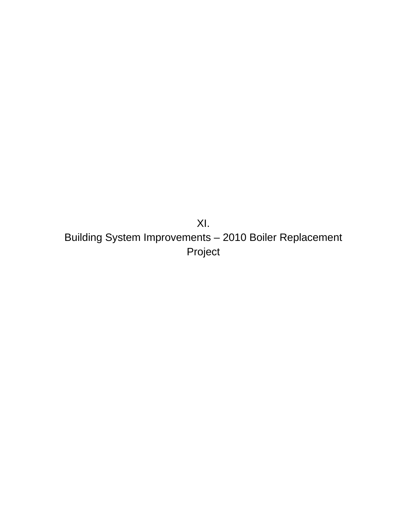XI. Building System Improvements – 2010 Boiler Replacement Project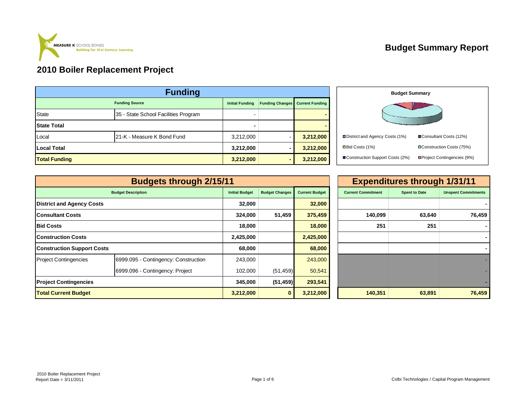

# **Budget Summary Report**

| <b>Funding</b>       |                                      |           |   |           |  |  |  |  |  |  |
|----------------------|--------------------------------------|-----------|---|-----------|--|--|--|--|--|--|
|                      | <b>Funding Source</b>                |           |   |           |  |  |  |  |  |  |
| <b>State</b>         | 35 - State School Facilities Program |           |   |           |  |  |  |  |  |  |
| <b>State Total</b>   |                                      |           |   |           |  |  |  |  |  |  |
| Local                | 21-K - Measure K Bond Fund           | 3,212,000 |   | 3,212,000 |  |  |  |  |  |  |
| <b>Local Total</b>   |                                      | 3,212,000 |   | 3,212,000 |  |  |  |  |  |  |
| <b>Total Funding</b> |                                      | 3,212,000 | - | 3,212,000 |  |  |  |  |  |  |



|                                   | <b>Budgets through 2/15/11</b>       |                       |                       |                       |                           | <b>Expenditures through 1/31/11</b> |                            |  |
|-----------------------------------|--------------------------------------|-----------------------|-----------------------|-----------------------|---------------------------|-------------------------------------|----------------------------|--|
|                                   | <b>Budget Description</b>            | <b>Initial Budget</b> | <b>Budget Changes</b> | <b>Current Budget</b> | <b>Current Commitment</b> | <b>Spent to Date</b>                | <b>Unspent Commitments</b> |  |
| <b>District and Agency Costs</b>  |                                      | 32,000                |                       | 32,000                |                           |                                     |                            |  |
| Consultant Costs                  |                                      | 324,000               | 51,459                | 375,459               | 140,099                   | 63,640                              | 76,459                     |  |
| <b>Bid Costs</b>                  |                                      | 18,000                |                       | 18,000                | 251                       |                                     |                            |  |
| Construction Costs                |                                      | 2,425,000             |                       | 2,425,000             |                           |                                     |                            |  |
| <b>Construction Support Costs</b> |                                      | 68,000                |                       | 68,000                |                           |                                     |                            |  |
| <b>Project Contingencies</b>      | 6999.095 - Contingency: Construction | 243,000               |                       | 243,000               |                           |                                     |                            |  |
|                                   | 6999.096 - Contingency: Project      | 102,000               | (51, 459)             | 50,541                |                           |                                     |                            |  |
| <b>Project Contingencies</b>      |                                      |                       | (51, 459)             | 293,541               |                           |                                     |                            |  |
| <b>Total Current Budget</b>       |                                      | 3,212,000             | $\mathbf{0}$          | 3,212,000             | 140,351                   | 63,891                              | 76,459                     |  |

| 1                     |                       |                       |                           | <b>Expenditures through 1/31/11</b> |                            |
|-----------------------|-----------------------|-----------------------|---------------------------|-------------------------------------|----------------------------|
| <b>Initial Budget</b> | <b>Budget Changes</b> | <b>Current Budget</b> | <b>Current Commitment</b> | <b>Spent to Date</b>                | <b>Unspent Commitments</b> |
| 32,000                |                       | 32,000                |                           |                                     |                            |
| 324,000               | 51,459                | 375,459               | 140,099                   | 63,640                              | 76,459                     |
| 18,000                |                       | 18,000                | 251                       | 251                                 |                            |
| 2,425,000             |                       | 2,425,000             |                           |                                     |                            |
| 68,000                |                       | 68,000                |                           |                                     |                            |
| 243,000               |                       | 243,000               |                           |                                     |                            |
| 102,000               | (51, 459)             | 50,541                |                           |                                     |                            |
| 345,000               | (51, 459)             | 293,541               |                           |                                     |                            |
| 3,212,000             | $\bf{0}$              | 3,212,000             | 140,351                   | 63,891                              | 76,459                     |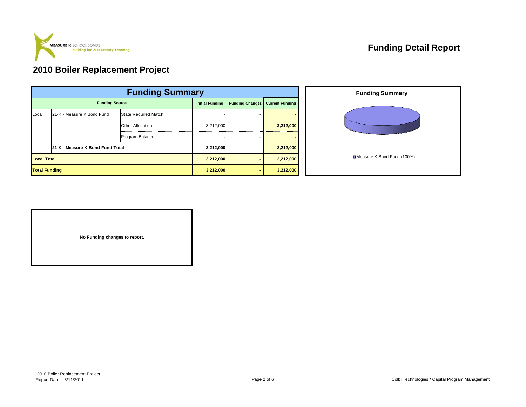

# **Funding Detail Report**

#### **2010 Boiler Replacement Project**

|                      | <b>Funding Summary</b>           |                             |                        |                        |           |  |  |  |  |  |  |
|----------------------|----------------------------------|-----------------------------|------------------------|------------------------|-----------|--|--|--|--|--|--|
|                      | <b>Funding Source</b>            | <b>Initial Funding</b>      | <b>Funding Changes</b> | <b>Current Funding</b> |           |  |  |  |  |  |  |
| Local                | 21-K - Measure K Bond Fund       | <b>State Required Match</b> |                        |                        |           |  |  |  |  |  |  |
|                      |                                  | <b>Other Allocation</b>     | 3,212,000              | ۰                      | 3,212,000 |  |  |  |  |  |  |
|                      |                                  | Program Balance             |                        |                        |           |  |  |  |  |  |  |
|                      | 21-K - Measure K Bond Fund Total |                             | 3,212,000              |                        | 3,212,000 |  |  |  |  |  |  |
| <b>Local Total</b>   |                                  | 3,212,000                   |                        | 3,212,000              |           |  |  |  |  |  |  |
| <b>Total Funding</b> |                                  |                             | 3,212,000              | ۰.                     | 3,212,000 |  |  |  |  |  |  |



**No Funding changes to report.**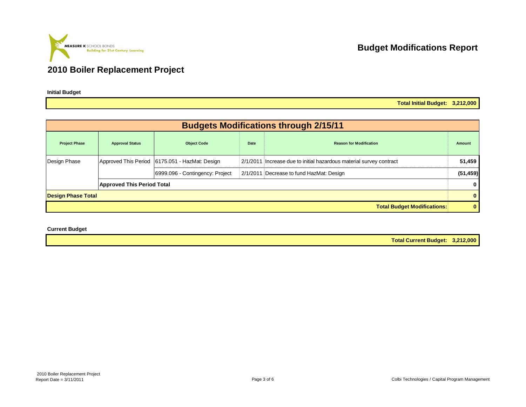

**Initial Budget**

**Budget Modifications Report**

**Total Initial Budget: 3,212,000**

|                           |                                   |                                                |      | <b>Budgets Modifications through 2/15/11</b>                        |           |
|---------------------------|-----------------------------------|------------------------------------------------|------|---------------------------------------------------------------------|-----------|
| <b>Project Phase</b>      | <b>Approval Status</b>            | <b>Object Code</b>                             | Date | <b>Reason for Modification</b>                                      | Amount    |
| Design Phase              |                                   | Approved This Period 6175.051 - HazMat: Design |      | 2/1/2011 Increase due to initial hazardous material survey contract | 51,459    |
|                           |                                   | 6999.096 - Contingency: Project                |      | 2/1/2011 Decrease to fund HazMat: Design                            | (51, 459) |
|                           | <b>Approved This Period Total</b> |                                                |      |                                                                     | 0         |
| <b>Design Phase Total</b> |                                   |                                                |      |                                                                     | $\bf{0}$  |
|                           |                                   |                                                |      | <b>Total Budget Modifications:</b>                                  | 0         |

**Current Budget**

**Total Current Budget: 3,212,000**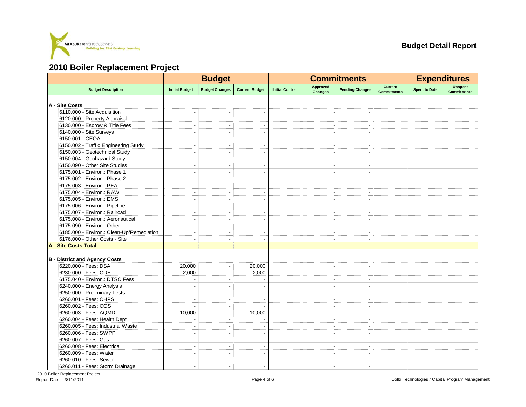

|                                           |                          | <b>Budget</b>            |                       |                         |                                   | <b>Commitments</b>       |                                      | <b>Expenditures</b>  |                               |  |
|-------------------------------------------|--------------------------|--------------------------|-----------------------|-------------------------|-----------------------------------|--------------------------|--------------------------------------|----------------------|-------------------------------|--|
| <b>Budget Description</b>                 | <b>Initial Budget</b>    | <b>Budget Changes</b>    | <b>Current Budget</b> | <b>Initial Contract</b> | <b>Approved</b><br><b>Changes</b> | <b>Pending Changes</b>   | <b>Current</b><br><b>Commitments</b> | <b>Spent to Date</b> | Unspent<br><b>Commitments</b> |  |
| A - Site Costs                            |                          |                          |                       |                         |                                   |                          |                                      |                      |                               |  |
| 6110.000 - Site Acquisition               |                          |                          |                       |                         |                                   |                          |                                      |                      |                               |  |
| 6120.000 - Property Appraisal             | $\overline{\phantom{a}}$ | $\overline{\phantom{a}}$ |                       |                         | $\overline{\phantom{a}}$          | $\overline{\phantom{a}}$ |                                      |                      |                               |  |
| 6130.000 - Escrow & Title Fees            |                          | $\overline{a}$           |                       |                         |                                   |                          |                                      |                      |                               |  |
| 6140.000 - Site Surveys                   |                          | ÷                        |                       |                         |                                   | $\overline{a}$           |                                      |                      |                               |  |
| 6150.001 - CEQA                           | $\blacksquare$           | $\overline{\phantom{a}}$ |                       |                         | $\overline{\phantom{a}}$          | $\blacksquare$           |                                      |                      |                               |  |
| 6150.002 - Traffic Engineering Study      | $\overline{\phantom{a}}$ | L.                       |                       |                         | $\overline{\phantom{a}}$          |                          |                                      |                      |                               |  |
| 6150.003 - Geotechnical Study             |                          |                          |                       |                         | $\blacksquare$                    | J.                       |                                      |                      |                               |  |
| 6150.004 - Geohazard Study                | $\overline{a}$           | $\overline{a}$           |                       |                         | $\sim$                            | $\sim$                   |                                      |                      |                               |  |
| 6150.090 - Other Site Studies             | $\overline{\phantom{a}}$ | $\overline{\phantom{a}}$ |                       |                         | $\blacksquare$                    | ٠                        |                                      |                      |                               |  |
| 6175.001 - Environ.: Phase 1              | $\sim$                   | ÷                        |                       |                         | $\overline{\phantom{a}}$          | ÷.                       |                                      |                      |                               |  |
| 6175.002 - Environ.: Phase 2              |                          |                          |                       |                         |                                   |                          |                                      |                      |                               |  |
| 6175.003 - Environ.: PEA                  |                          |                          |                       |                         | $\blacksquare$                    | $\overline{\phantom{a}}$ |                                      |                      |                               |  |
| 6175.004 - Environ.: RAW                  | ÷                        | ÷                        |                       |                         | $\sim$                            | ÷.                       |                                      |                      |                               |  |
| 6175.005 - Environ.: EMS                  |                          | ÷                        |                       |                         | ÷                                 | $\overline{a}$           |                                      |                      |                               |  |
| 6175.006 - Environ.: Pipeline             | $\sim$                   | $\overline{\phantom{a}}$ | $\blacksquare$        |                         | $\overline{\phantom{a}}$          | $\overline{\phantom{a}}$ |                                      |                      |                               |  |
| 6175.007 - Environ.: Railroad             | $\overline{\phantom{a}}$ | L.                       |                       |                         |                                   |                          |                                      |                      |                               |  |
| 6175.008 - Environ.: Aeronautical         |                          | $\overline{\phantom{a}}$ |                       |                         | $\overline{\phantom{a}}$          | ٠                        |                                      |                      |                               |  |
| 6175.090 - Environ.: Other                | $\sim$                   | $\sim$                   |                       |                         | $\sim$                            | $\sim$                   |                                      |                      |                               |  |
| 6185.000 - Environ.: Clean-Up/Remediation | $\overline{\phantom{a}}$ | $\overline{\phantom{a}}$ |                       |                         | $\blacksquare$                    | $\blacksquare$           |                                      |                      |                               |  |
| 6176.000 - Other Costs - Site             |                          | $\blacksquare$           |                       |                         | $\blacksquare$                    |                          |                                      |                      |                               |  |
| A - Site Costs Total                      | $\blacksquare$           | $\blacksquare$           |                       |                         | $\blacksquare$                    | $\blacksquare$           |                                      |                      |                               |  |
| <b>B</b> - District and Agency Costs      |                          |                          |                       |                         |                                   |                          |                                      |                      |                               |  |
| 6220.000 - Fees: DSA                      | 20,000                   | $\blacksquare$           | 20,000                |                         | $\overline{a}$                    | $\blacksquare$           |                                      |                      |                               |  |
| 6230.000 - Fees: CDE                      | 2,000                    | $\overline{\phantom{a}}$ | 2,000                 |                         | $\overline{\phantom{a}}$          | $\blacksquare$           |                                      |                      |                               |  |
| 6175.040 - Environ.: DTSC Fees            |                          | $\overline{\phantom{a}}$ |                       |                         | $\overline{\phantom{a}}$          | $\blacksquare$           |                                      |                      |                               |  |
| 6240.000 - Energy Analysis                |                          |                          |                       |                         | $\overline{\phantom{a}}$          | ٠                        |                                      |                      |                               |  |
| 6250.000 - Preliminary Tests              | ÷                        | $\blacksquare$           |                       |                         | $\blacksquare$                    | $\blacksquare$           |                                      |                      |                               |  |
| 6260.001 - Fees: CHPS                     | $\overline{a}$           | ÷.                       |                       |                         | $\overline{a}$                    | ٠                        |                                      |                      |                               |  |
| 6260.002 - Fees: CGS                      |                          | $\overline{\phantom{a}}$ |                       |                         | $\blacksquare$                    |                          |                                      |                      |                               |  |
| 6260.003 - Fees: AQMD                     | 10,000                   | $\overline{\phantom{a}}$ | 10,000                |                         | $\overline{\phantom{a}}$          | $\blacksquare$           |                                      |                      |                               |  |
| 6260.004 - Fees: Health Dept              |                          | ÷                        |                       |                         | $\overline{\phantom{a}}$          | $\blacksquare$           |                                      |                      |                               |  |
| 6260.005 - Fees: Industrial Waste         | $\sim$                   | $\overline{\phantom{a}}$ |                       |                         | $\overline{a}$                    | ÷                        |                                      |                      |                               |  |
| 6260.006 - Fees: SWPP                     |                          |                          |                       |                         |                                   |                          |                                      |                      |                               |  |
| 6260.007 - Fees: Gas                      | $\overline{\phantom{a}}$ | $\overline{\phantom{a}}$ |                       |                         | $\overline{\phantom{a}}$          | $\overline{\phantom{a}}$ |                                      |                      |                               |  |
| 6260.008 - Fees: Electrical               |                          | $\overline{a}$           |                       |                         | $\overline{a}$                    |                          |                                      |                      |                               |  |
| 6260.009 - Fees: Water                    |                          |                          |                       |                         |                                   |                          |                                      |                      |                               |  |
| 6260.010 - Fees: Sewer                    | $\blacksquare$           | $\blacksquare$           |                       |                         | $\blacksquare$                    | $\overline{a}$           |                                      |                      |                               |  |
| 6260.011 - Fees: Storm Drainage           |                          | $\overline{\phantom{a}}$ |                       |                         | $\blacksquare$                    | ÷,                       |                                      |                      |                               |  |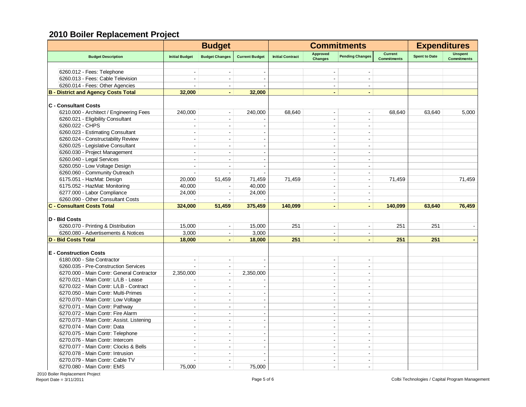|                                            | <b>Budget</b>            |                       |                          |                         | <b>Commitments</b>         | <b>Expenditures</b>      |                               |                      |                                      |
|--------------------------------------------|--------------------------|-----------------------|--------------------------|-------------------------|----------------------------|--------------------------|-------------------------------|----------------------|--------------------------------------|
| <b>Budget Description</b>                  | <b>Initial Budget</b>    | <b>Budget Changes</b> | <b>Current Budget</b>    | <b>Initial Contract</b> | Approved<br><b>Changes</b> | <b>Pending Changes</b>   | Current<br><b>Commitments</b> | <b>Spent to Date</b> | <b>Unspent</b><br><b>Commitments</b> |
|                                            |                          |                       |                          |                         |                            |                          |                               |                      |                                      |
| 6260.012 - Fees: Telephone                 |                          |                       |                          |                         |                            |                          |                               |                      |                                      |
| 6260.013 - Fees: Cable Television          | ÷.                       | $\blacksquare$        |                          |                         | $\sim$                     | $\overline{\phantom{a}}$ |                               |                      |                                      |
| 6260.014 - Fees: Other Agencies            | $\overline{a}$           | $\sim$                |                          |                         | $\sim$                     | $\sim$                   |                               |                      |                                      |
| <b>B</b> - District and Agency Costs Total | 32,000                   | $\blacksquare$        | 32,000                   |                         | $\blacksquare$             | $\blacksquare$           |                               |                      |                                      |
| <b>C</b> - Consultant Costs                |                          |                       |                          |                         |                            |                          |                               |                      |                                      |
| 6210.000 - Architect / Engineering Fees    | 240,000                  | $\blacksquare$        | 240,000                  | 68,640                  | $\overline{\phantom{a}}$   | $\blacksquare$           | 68,640                        | 63,640               | 5,000                                |
| 6260.021 - Eligibility Consultant          |                          | $\blacksquare$        |                          |                         |                            | L.                       |                               |                      |                                      |
| 6260.022 - CHPS                            | $\overline{\phantom{a}}$ | $\blacksquare$        |                          |                         |                            |                          |                               |                      |                                      |
| 6260.023 - Estimating Consultant           |                          | $\blacksquare$        |                          |                         |                            |                          |                               |                      |                                      |
| 6260.024 - Constructability Review         | $\overline{a}$           | $\sim$                |                          |                         | $\blacksquare$             | $\blacksquare$           |                               |                      |                                      |
| 6260.025 - Legislative Consultant          | $\overline{a}$           | $\sim$                |                          |                         | $\sim$                     | $\overline{\phantom{a}}$ |                               |                      |                                      |
| 6260.030 - Project Management              | $\sim$                   | $\blacksquare$        | $\overline{a}$           |                         | $\sim$                     | $\sim$                   |                               |                      |                                      |
| 6260.040 - Legal Services                  | $\sim$                   | $\blacksquare$        |                          |                         | $\sim$                     | $\overline{\phantom{a}}$ |                               |                      |                                      |
| 6260.050 - Low Voltage Design              | $\sim$                   | $\blacksquare$        | $\overline{\phantom{a}}$ |                         | $\mathbf{r}$               | $\sim$                   |                               |                      |                                      |
| 6260.060 - Community Outreach              | $\sim$                   | $\sim$                |                          |                         | $\sim$                     | $\blacksquare$           |                               |                      |                                      |
| 6175.051 - HazMat: Design                  | 20,000                   | 51,459                | 71,459                   | 71,459                  | $\sim$                     | $\sim$                   | 71,459                        |                      | 71,459                               |
| 6175.052 - HazMat: Monitoring              | 40,000                   |                       | 40,000                   |                         | ÷                          | ÷.                       |                               |                      |                                      |
| 6277.000 - Labor Compliance                | 24.000                   | $\blacksquare$        | 24,000                   |                         | $\overline{\phantom{a}}$   | $\blacksquare$           |                               |                      |                                      |
| 6260.090 - Other Consultant Costs          | $\sim$                   | $\blacksquare$        |                          |                         | $\overline{a}$             | $\sim$                   |                               |                      |                                      |
| <b>C - Consultant Costs Total</b>          | 324,000                  | 51,459                | 375,459                  | 140.099                 | $\blacksquare$             | $\blacksquare$           | 140,099                       | 63.640               | 76,459                               |
|                                            |                          |                       |                          |                         |                            |                          |                               |                      |                                      |
| D - Bid Costs                              |                          |                       |                          |                         |                            |                          |                               |                      |                                      |
| 6260.070 - Printing & Distribution         | 15,000                   |                       | 15,000                   | 251                     |                            |                          | 251                           | 251                  |                                      |
| 6260.080 - Advertisements & Notices        | 3,000                    | $\blacksquare$        | 3,000                    |                         |                            | ÷,                       |                               |                      |                                      |
| <b>D - Bid Costs Total</b>                 | 18,000                   | $\blacksquare$        | 18,000                   | 251                     | $\blacksquare$             |                          | 251                           | 251                  |                                      |
| <b>E</b> - Construction Costs              |                          |                       |                          |                         |                            |                          |                               |                      |                                      |
| 6180.000 - Site Contractor                 | $\overline{a}$           | $\sim$                |                          |                         | $\blacksquare$             | $\overline{a}$           |                               |                      |                                      |
| 6260.035 - Pre-Construction Services       |                          | $\blacksquare$        |                          |                         | $\overline{a}$             | $\overline{\phantom{a}}$ |                               |                      |                                      |
| 6270.000 - Main Contr: General Contractor  | 2,350,000                | $\sim$                | 2,350,000                |                         |                            | $\overline{a}$           |                               |                      |                                      |
| 6270.021 - Main Contr: L/LB - Lease        |                          | $\blacksquare$        |                          |                         | $\blacksquare$             | $\overline{\phantom{a}}$ |                               |                      |                                      |
| 6270.022 - Main Contr: L/LB - Contract     | $\overline{\phantom{a}}$ | $\blacksquare$        |                          |                         | $\blacksquare$             | $\overline{\phantom{a}}$ |                               |                      |                                      |
| 6270.050 - Main Contr: Multi-Primes        | $\overline{\phantom{a}}$ | $\blacksquare$        |                          |                         | $\blacksquare$             | $\blacksquare$           |                               |                      |                                      |
| 6270.070 - Main Contr: Low Voltage         | ÷,                       | $\blacksquare$        |                          |                         |                            |                          |                               |                      |                                      |
| 6270.071 - Main Contr: Pathway             | $\overline{a}$           | $\sim$                |                          |                         | $\overline{a}$             | $\overline{a}$           |                               |                      |                                      |
| 6270.072 - Main Contr: Fire Alarm          | $\overline{a}$           | $\blacksquare$        |                          |                         | $\overline{a}$             | $\overline{\phantom{a}}$ |                               |                      |                                      |
| 6270.073 - Main Contr: Assist. Listening   | $\overline{a}$           | $\blacksquare$        | $\overline{\phantom{a}}$ |                         | $\overline{a}$             | $\blacksquare$           |                               |                      |                                      |
| 6270.074 - Main Contr: Data                | $\overline{a}$           | $\sim$                |                          |                         | $\overline{a}$             | $\overline{\phantom{a}}$ |                               |                      |                                      |
| 6270.075 - Main Contr: Telephone           | $\sim$                   | $\blacksquare$        | $\blacksquare$           |                         | $\blacksquare$             | $\blacksquare$           |                               |                      |                                      |
| 6270.076 - Main Contr: Intercom            | $\sim$                   | $\sim$                | $\overline{\phantom{a}}$ |                         | $\sim$                     | $\overline{a}$           |                               |                      |                                      |
| 6270.077 - Main Contr: Clocks & Bells      | $\sim$                   | $\sim$                | $\overline{\phantom{a}}$ |                         | $\sim$                     | $\blacksquare$           |                               |                      |                                      |
| 6270.078 - Main Contr: Intrusion           | ÷.                       | $\sim$                |                          |                         | $\overline{a}$             | $\overline{a}$           |                               |                      |                                      |
| 6270.079 - Main Contr: Cable TV            | ÷                        | $\sim$                |                          |                         | $\sim$                     | $\sim$                   |                               |                      |                                      |
| 6270.080 - Main Contr: EMS                 | 75.000                   | $\sim$                | 75,000                   |                         | $\sim$                     | ÷                        |                               |                      |                                      |
|                                            |                          |                       |                          |                         |                            |                          |                               |                      |                                      |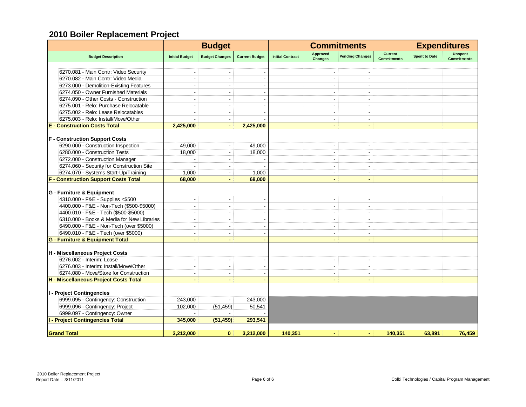|                                             | <b>Budget</b>            |                          |                       |                         | <b>Commitments</b>         | <b>Expenditures</b>      |                                      |                      |                                      |
|---------------------------------------------|--------------------------|--------------------------|-----------------------|-------------------------|----------------------------|--------------------------|--------------------------------------|----------------------|--------------------------------------|
| <b>Budget Description</b>                   | <b>Initial Budget</b>    | <b>Budget Changes</b>    | <b>Current Budget</b> | <b>Initial Contract</b> | Approved<br><b>Changes</b> | <b>Pending Changes</b>   | <b>Current</b><br><b>Commitments</b> | <b>Spent to Date</b> | <b>Unspent</b><br><b>Commitments</b> |
|                                             |                          |                          |                       |                         |                            |                          |                                      |                      |                                      |
| 6270.081 - Main Contr: Video Security       |                          |                          |                       |                         |                            |                          |                                      |                      |                                      |
| 6270.082 - Main Contr: Video Media          |                          |                          |                       |                         | ÷                          |                          |                                      |                      |                                      |
| 6273.000 - Demolition-Existing Features     |                          | $\blacksquare$           |                       |                         | $\blacksquare$             | $\blacksquare$           |                                      |                      |                                      |
| 6274.050 - Owner Furnished Materials        |                          |                          |                       |                         |                            |                          |                                      |                      |                                      |
| 6274.090 - Other Costs - Construction       |                          |                          |                       |                         | $\overline{\phantom{a}}$   |                          |                                      |                      |                                      |
| 6275.001 - Relo: Purchase Relocatable       | $\sim$                   | $\overline{\phantom{a}}$ |                       |                         | $\blacksquare$             | $\overline{\phantom{a}}$ |                                      |                      |                                      |
| 6275.002 - Relo: Lease Relocatables         |                          |                          |                       |                         | $\overline{\phantom{a}}$   |                          |                                      |                      |                                      |
| 6275.003 - Relo: Install/Move/Other         |                          |                          |                       |                         | $\blacksquare$             |                          |                                      |                      |                                      |
| <b>E</b> - Construction Costs Total         | 2,425,000                | $\sim$                   | 2,425,000             |                         | $\blacksquare$             | $\blacksquare$           |                                      |                      |                                      |
|                                             |                          |                          |                       |                         |                            |                          |                                      |                      |                                      |
| <b>F</b> - Construction Support Costs       |                          |                          |                       |                         |                            |                          |                                      |                      |                                      |
| 6290.000 - Construction Inspection          | 49,000                   | $\blacksquare$           | 49,000                |                         | $\blacksquare$             |                          |                                      |                      |                                      |
| 6280.000 - Construction Tests               | 18,000                   | $\blacksquare$           | 18,000                |                         | $\blacksquare$             | $\overline{\phantom{a}}$ |                                      |                      |                                      |
| 6272.000 - Construction Manager             |                          |                          |                       |                         | ÷                          | $\sim$                   |                                      |                      |                                      |
| 6274.060 - Security for Construction Site   |                          |                          |                       |                         | $\overline{\phantom{a}}$   |                          |                                      |                      |                                      |
| 6274.070 - Systems Start-Up/Training        | 1,000                    | $\blacksquare$           | 1,000                 |                         | $\blacksquare$             | $\blacksquare$           |                                      |                      |                                      |
| <b>F - Construction Support Costs Total</b> | 68,000                   |                          | 68,000                |                         | $\blacksquare$             |                          |                                      |                      |                                      |
| G - Furniture & Equipment                   |                          |                          |                       |                         |                            |                          |                                      |                      |                                      |
| 4310.000 - F&E - Supplies <\$500            | $\blacksquare$           | $\sim$                   |                       |                         | $\blacksquare$             | $\overline{\phantom{a}}$ |                                      |                      |                                      |
| 4400.000 - F&E - Non-Tech (\$500-\$5000)    |                          |                          |                       |                         | $\overline{\phantom{a}}$   | $\overline{\phantom{a}}$ |                                      |                      |                                      |
| 4400.010 - F&E - Tech (\$500-\$5000)        | $\sim$                   | $\overline{a}$           |                       |                         | $\sim$                     | $\sim$                   |                                      |                      |                                      |
| 6310.000 - Books & Media for New Libraries  |                          |                          |                       |                         | $\overline{\phantom{a}}$   | $\overline{\phantom{a}}$ |                                      |                      |                                      |
| 6490.000 - F&E - Non-Tech (over \$5000)     |                          | $\overline{\phantom{a}}$ |                       |                         | $\blacksquare$             | $\blacksquare$           |                                      |                      |                                      |
| 6490.010 - F&E - Tech (over \$5000)         | $\blacksquare$           | $\mathbf{r}$             |                       |                         | $\overline{\phantom{a}}$   | $\sim$                   |                                      |                      |                                      |
| <b>G - Furniture &amp; Equipment Total</b>  |                          | ٠                        |                       |                         | $\blacksquare$             |                          |                                      |                      |                                      |
|                                             |                          |                          |                       |                         |                            |                          |                                      |                      |                                      |
| H - Miscellaneous Project Costs             |                          |                          |                       |                         |                            |                          |                                      |                      |                                      |
| 6276.002 - Interim: Lease                   | $\overline{\phantom{a}}$ | $\blacksquare$           | $\blacksquare$        |                         | $\blacksquare$             |                          |                                      |                      |                                      |
| 6276.003 - Interim: Install/Move/Other      | $\sim$                   | $\blacksquare$           |                       |                         | $\overline{\phantom{a}}$   | $\sim$                   |                                      |                      |                                      |
| 6274.080 - Move/Store for Construction      |                          | $\sim$                   |                       |                         | $\blacksquare$             | $\overline{\phantom{a}}$ |                                      |                      |                                      |
| H - Miscellaneous Project Costs Total       | $\blacksquare$           | $\blacksquare$           |                       |                         | $\blacksquare$             | $\blacksquare$           |                                      |                      |                                      |
|                                             |                          |                          |                       |                         |                            |                          |                                      |                      |                                      |
| I - Project Contingencies                   |                          |                          |                       |                         |                            |                          |                                      |                      |                                      |
| 6999.095 - Contingency: Construction        | 243.000                  | $\blacksquare$           | 243,000               |                         |                            |                          |                                      |                      |                                      |
| 6999.096 - Contingency: Project             | 102,000                  | (51, 459)                | 50,541                |                         |                            |                          |                                      |                      |                                      |
| 6999.097 - Contingency: Owner               |                          |                          |                       |                         |                            |                          |                                      |                      |                                      |
| I - Project Contingencies Total             | 345,000                  | (51, 459)                | 293,541               |                         |                            |                          |                                      |                      |                                      |
| <b>Grand Total</b>                          | 3,212,000                | $\mathbf{0}$             | 3,212,000             | 140,351                 | $\blacksquare$             | $\blacksquare$           | 140,351                              | 63,891               | 76,459                               |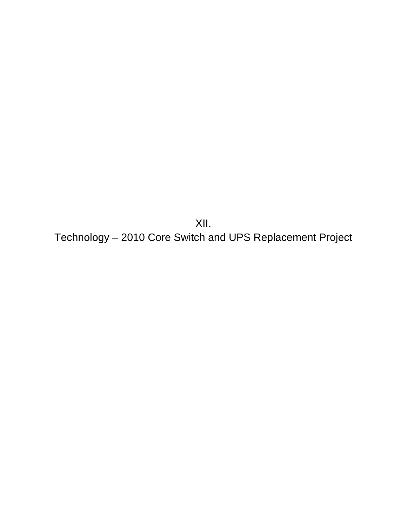XII. Technology – 2010 Core Switch and UPS Replacement Project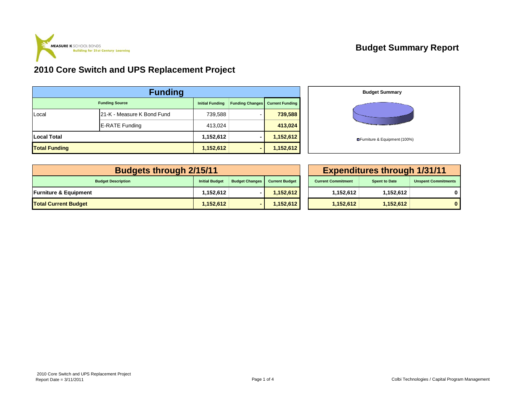

#### **2010 Core Switch and UPS Replacement Project**

| <b>Funding</b>       |                            |                        |                        |                        |  |  |  |  |  |
|----------------------|----------------------------|------------------------|------------------------|------------------------|--|--|--|--|--|
|                      | <b>Funding Source</b>      | <b>Initial Funding</b> | <b>Funding Changes</b> | <b>Current Funding</b> |  |  |  |  |  |
| Local                | 21-K - Measure K Bond Fund | 739,588                |                        | 739,588                |  |  |  |  |  |
|                      | <b>E-RATE Funding</b>      | 413,024                |                        | 413,024                |  |  |  |  |  |
| <b>Local Total</b>   |                            | 1,152,612              |                        | 1,152,612              |  |  |  |  |  |
| <b>Total Funding</b> |                            | 1,152,612              | -                      | 1,152,612              |  |  |  |  |  |



| <b>Budgets through 2/15/11</b>   |                       | <b>Expenditures through 1/31/11</b> |                       |                           |                      |                            |
|----------------------------------|-----------------------|-------------------------------------|-----------------------|---------------------------|----------------------|----------------------------|
| <b>Budget Description</b>        | <b>Initial Budget</b> | <b>Budget Changes</b>               | <b>Current Budget</b> | <b>Current Commitment</b> | <b>Spent to Date</b> | <b>Unspent Commitments</b> |
| <b>Furniture &amp; Equipment</b> | 1.152.612             |                                     | 1,152,612             | 1.152.612                 | 1,152,612            |                            |
| <b>Total Current Budget</b>      | 1,152,612             |                                     | 1,152,612             | 1.152.612                 | 1,152,612            |                            |

| 5/11           |                       |                       |  | <b>Expenditures through 1/31/11</b> |                      |                            |  |  |  |  |  |
|----------------|-----------------------|-----------------------|--|-------------------------------------|----------------------|----------------------------|--|--|--|--|--|
| Initial Budget | <b>Budget Changes</b> | <b>Current Budget</b> |  | <b>Current Commitment</b>           | <b>Spent to Date</b> | <b>Unspent Commitments</b> |  |  |  |  |  |
| 1,152,612      |                       | 1,152,612             |  | 1,152,612                           | 1,152,612            |                            |  |  |  |  |  |
| 1,152,612      | -                     | 1,152,612             |  | 1,152,612                           | 1,152,612            |                            |  |  |  |  |  |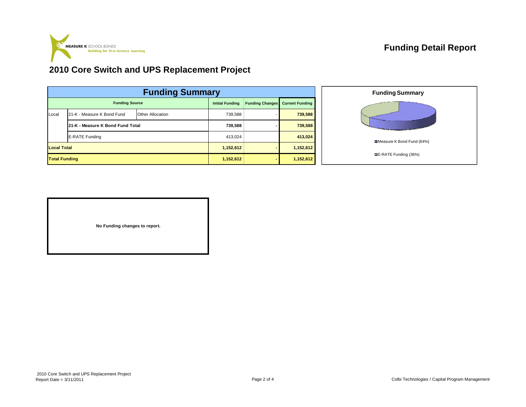

#### **Funding Detail Report**

#### **2010 Core Switch and UPS Replacement Project**

| <b>Funding Summary</b> |                                  |                         |  |                        |                        |                        |  |  |  |
|------------------------|----------------------------------|-------------------------|--|------------------------|------------------------|------------------------|--|--|--|
| <b>Funding Source</b>  |                                  |                         |  | <b>Initial Funding</b> | <b>Funding Changes</b> | <b>Current Funding</b> |  |  |  |
| Local                  | 21-K - Measure K Bond Fund       | <b>Other Allocation</b> |  | 739.588                |                        | 739,588                |  |  |  |
|                        | 21-K - Measure K Bond Fund Total |                         |  |                        |                        | 739,588                |  |  |  |
|                        | E-RATE Funding                   |                         |  |                        |                        | 413,024                |  |  |  |
| <b>Local Total</b>     |                                  |                         |  | 1,152,612              |                        | 1,152,612              |  |  |  |
| <b>Total Funding</b>   |                                  |                         |  | 1,152,612              |                        | 1,152,612              |  |  |  |



| No Funding changes to report. |
|-------------------------------|
|                               |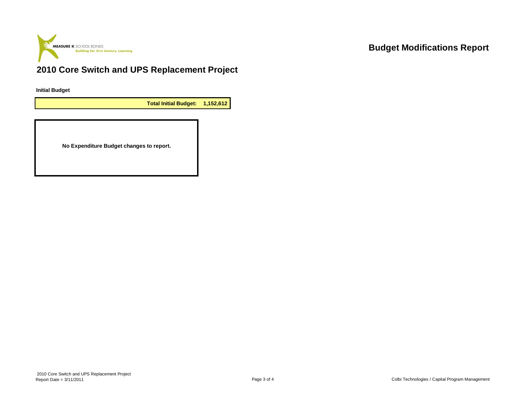

#### **Budget Modifications Report**

### **2010 Core Switch and UPS Replacement Project**

**Initial Budget**

**Total Initial Budget: 1,152,612**

**No Expenditure Budget changes to report.**